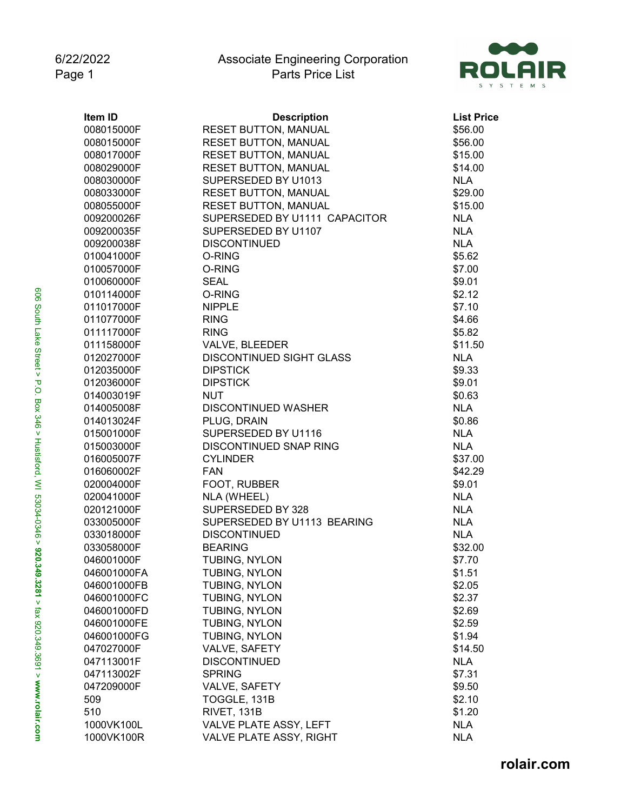

| Item ID     | <b>Description</b>              | <b>List Price</b> |
|-------------|---------------------------------|-------------------|
| 008015000F  | <b>RESET BUTTON, MANUAL</b>     | \$56.00           |
| 008015000F  | <b>RESET BUTTON, MANUAL</b>     | \$56.00           |
| 008017000F  | <b>RESET BUTTON, MANUAL</b>     | \$15.00           |
| 008029000F  | <b>RESET BUTTON, MANUAL</b>     | \$14.00           |
| 008030000F  | SUPERSEDED BY U1013             | <b>NLA</b>        |
| 008033000F  | <b>RESET BUTTON, MANUAL</b>     | \$29.00           |
| 008055000F  | <b>RESET BUTTON, MANUAL</b>     | \$15.00           |
| 009200026F  | SUPERSEDED BY U1111 CAPACITOR   | <b>NLA</b>        |
| 009200035F  | SUPERSEDED BY U1107             | <b>NLA</b>        |
| 009200038F  | <b>DISCONTINUED</b>             | <b>NLA</b>        |
| 010041000F  | O-RING                          | \$5.62            |
| 010057000F  | O-RING                          | \$7.00            |
| 010060000F  | <b>SEAL</b>                     | \$9.01            |
| 010114000F  | O-RING                          | \$2.12            |
| 011017000F  | <b>NIPPLE</b>                   | \$7.10            |
| 011077000F  | <b>RING</b>                     | \$4.66            |
| 011117000F  | <b>RING</b>                     | \$5.82            |
| 011158000F  | VALVE, BLEEDER                  | \$11.50           |
| 012027000F  | <b>DISCONTINUED SIGHT GLASS</b> | <b>NLA</b>        |
| 012035000F  | <b>DIPSTICK</b>                 | \$9.33            |
| 012036000F  | <b>DIPSTICK</b>                 | \$9.01            |
| 014003019F  | <b>NUT</b>                      | \$0.63            |
| 014005008F  | <b>DISCONTINUED WASHER</b>      | <b>NLA</b>        |
| 014013024F  | PLUG, DRAIN                     | \$0.86            |
| 015001000F  | SUPERSEDED BY U1116             | <b>NLA</b>        |
| 015003000F  | DISCONTINUED SNAP RING          | <b>NLA</b>        |
| 016005007F  | <b>CYLINDER</b>                 | \$37.00           |
| 016060002F  | <b>FAN</b>                      | \$42.29           |
| 020004000F  | FOOT, RUBBER                    | \$9.01            |
| 020041000F  | NLA (WHEEL)                     | <b>NLA</b>        |
| 020121000F  | SUPERSEDED BY 328               | <b>NLA</b>        |
| 033005000F  | SUPERSEDED BY U1113 BEARING     | <b>NLA</b>        |
| 033018000F  | <b>DISCONTINUED</b>             | <b>NLA</b>        |
| 033058000F  | <b>BEARING</b>                  | \$32.00           |
| 046001000F  | TUBING, NYLON                   | \$7.70            |
| 046001000FA | TUBING, NYLON                   | \$1.51            |
| 046001000FB | TUBING, NYLON                   | \$2.05            |
| 046001000FC | TUBING, NYLON                   | \$2.37            |
| 046001000FD | TUBING, NYLON                   | \$2.69            |
| 046001000FE | TUBING, NYLON                   | \$2.59            |
| 046001000FG | TUBING, NYLON                   | \$1.94            |
| 047027000F  | VALVE, SAFETY                   | \$14.50           |
| 047113001F  | <b>DISCONTINUED</b>             | <b>NLA</b>        |
| 047113002F  | <b>SPRING</b>                   | \$7.31            |
| 047209000F  | VALVE, SAFETY                   | \$9.50            |
| 509         | TOGGLE, 131B                    | \$2.10            |
| 510         | RIVET, 131B                     | \$1.20            |
| 1000VK100L  | VALVE PLATE ASSY, LEFT          | <b>NLA</b>        |
| 1000VK100R  | VALVE PLATE ASSY, RIGHT         | <b>NLA</b>        |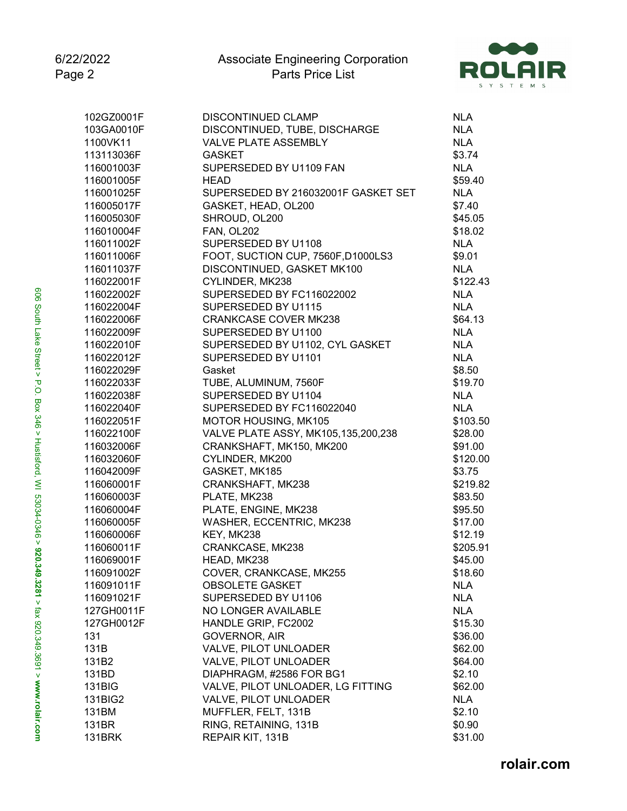

| 102GZ0001F | <b>DISCONTINUED CLAMP</b>           | <b>NLA</b> |
|------------|-------------------------------------|------------|
| 103GA0010F | DISCONTINUED, TUBE, DISCHARGE       | <b>NLA</b> |
| 1100VK11   | <b>VALVE PLATE ASSEMBLY</b>         | <b>NLA</b> |
| 113113036F | <b>GASKET</b>                       | \$3.74     |
| 116001003F | SUPERSEDED BY U1109 FAN             | <b>NLA</b> |
| 116001005F | <b>HEAD</b>                         | \$59.40    |
| 116001025F | SUPERSEDED BY 216032001F GASKET SET | <b>NLA</b> |
| 116005017F | GASKET, HEAD, OL200                 | \$7.40     |
| 116005030F | SHROUD, OL200                       | \$45.05    |
| 116010004F | <b>FAN, OL202</b>                   | \$18.02    |
| 116011002F | SUPERSEDED BY U1108                 | <b>NLA</b> |
| 116011006F | FOOT, SUCTION CUP, 7560F, D1000LS3  | \$9.01     |
| 116011037F | DISCONTINUED, GASKET MK100          | <b>NLA</b> |
| 116022001F | CYLINDER, MK238                     | \$122.43   |
| 116022002F | SUPERSEDED BY FC116022002           | <b>NLA</b> |
| 116022004F | SUPERSEDED BY U1115                 | <b>NLA</b> |
| 116022006F | <b>CRANKCASE COVER MK238</b>        | \$64.13    |
| 116022009F | SUPERSEDED BY U1100                 | <b>NLA</b> |
| 116022010F | SUPERSEDED BY U1102, CYL GASKET     | <b>NLA</b> |
| 116022012F | SUPERSEDED BY U1101                 | <b>NLA</b> |
| 116022029F | Gasket                              | \$8.50     |
| 116022033F | TUBE, ALUMINUM, 7560F               | \$19.70    |
| 116022038F | SUPERSEDED BY U1104                 | <b>NLA</b> |
| 116022040F | SUPERSEDED BY FC116022040           | <b>NLA</b> |
| 116022051F | MOTOR HOUSING, MK105                | \$103.50   |
| 116022100F | VALVE PLATE ASSY, MK105,135,200,238 | \$28.00    |
| 116032006F | CRANKSHAFT, MK150, MK200            | \$91.00    |
| 116032060F | CYLINDER, MK200                     | \$120.00   |
| 116042009F | GASKET, MK185                       | \$3.75     |
| 116060001F | CRANKSHAFT, MK238                   | \$219.82   |
| 116060003F | PLATE, MK238                        | \$83.50    |
| 116060004F | PLATE, ENGINE, MK238                | \$95.50    |
| 116060005F | WASHER, ECCENTRIC, MK238            | \$17.00    |
| 116060006F | KEY, MK238                          | \$12.19    |
| 116060011F | CRANKCASE, MK238                    | \$205.91   |
| 116069001F | HEAD, MK238                         | \$45.00    |
| 116091002F | COVER, CRANKCASE, MK255             | \$18.60    |
| 116091011F | <b>OBSOLETE GASKET</b>              | <b>NLA</b> |
| 116091021F | SUPERSEDED BY U1106                 | <b>NLA</b> |
| 127GH0011F | NO LONGER AVAILABLE                 | <b>NLA</b> |
| 127GH0012F | HANDLE GRIP, FC2002                 | \$15.30    |
| 131        | <b>GOVERNOR, AIR</b>                | \$36.00    |
| 131B       | VALVE, PILOT UNLOADER               | \$62.00    |
| 131B2      | VALVE, PILOT UNLOADER               | \$64.00    |
| 131BD      | DIAPHRAGM, #2586 FOR BG1            | \$2.10     |
| 131BIG     | VALVE, PILOT UNLOADER, LG FITTING   | \$62.00    |
| 131BIG2    | VALVE, PILOT UNLOADER               | <b>NLA</b> |
| 131BM      | MUFFLER, FELT, 131B                 | \$2.10     |
| 131BR      | RING, RETAINING, 131B               | \$0.90     |
| 131BRK     | REPAIR KIT, 131B                    | \$31.00    |
|            |                                     |            |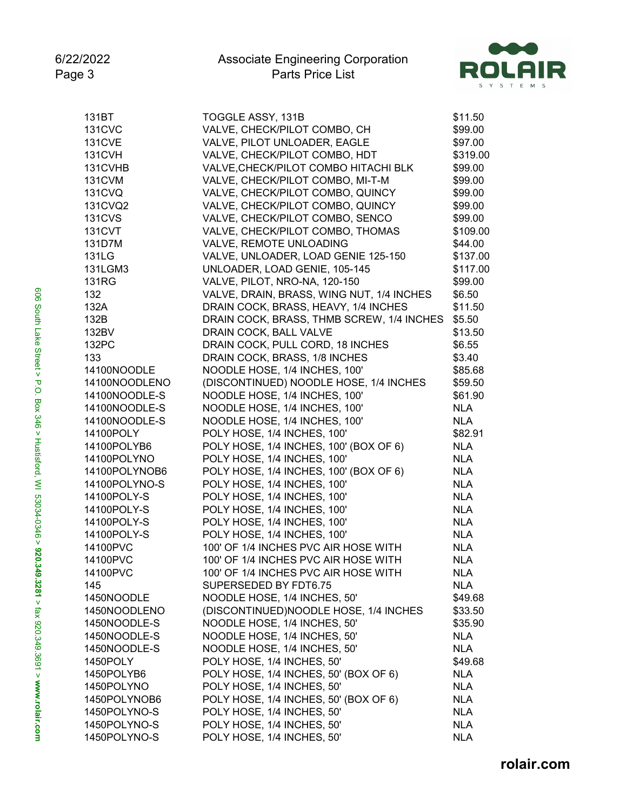

| 131BT         | TOGGLE ASSY, 131B                         | \$11.50    |
|---------------|-------------------------------------------|------------|
| <b>131CVC</b> | VALVE, CHECK/PILOT COMBO, CH              | \$99.00    |
| <b>131CVE</b> | VALVE, PILOT UNLOADER, EAGLE              | \$97.00    |
| <b>131CVH</b> | VALVE, CHECK/PILOT COMBO, HDT             | \$319.00   |
| 131CVHB       | VALVE, CHECK/PILOT COMBO HITACHI BLK      | \$99.00    |
| <b>131CVM</b> | VALVE, CHECK/PILOT COMBO, MI-T-M          | \$99.00    |
| <b>131CVQ</b> | VALVE, CHECK/PILOT COMBO, QUINCY          | \$99.00    |
| 131CVQ2       | VALVE, CHECK/PILOT COMBO, QUINCY          | \$99.00    |
| <b>131CVS</b> | VALVE, CHECK/PILOT COMBO, SENCO           | \$99.00    |
| <b>131CVT</b> | VALVE, CHECK/PILOT COMBO, THOMAS          | \$109.00   |
| 131D7M        | VALVE, REMOTE UNLOADING                   | \$44.00    |
| 131LG         | VALVE, UNLOADER, LOAD GENIE 125-150       | \$137.00   |
| 131LGM3       |                                           | \$117.00   |
|               | UNLOADER, LOAD GENIE, 105-145             |            |
| <b>131RG</b>  | VALVE, PILOT, NRO-NA, 120-150             | \$99.00    |
| 132           | VALVE, DRAIN, BRASS, WING NUT, 1/4 INCHES | \$6.50     |
| 132A          | DRAIN COCK, BRASS, HEAVY, 1/4 INCHES      | \$11.50    |
| 132B          | DRAIN COCK, BRASS, THMB SCREW, 1/4 INCHES | \$5.50     |
| 132BV         | DRAIN COCK, BALL VALVE                    | \$13.50    |
| 132PC         | DRAIN COCK, PULL CORD, 18 INCHES          | \$6.55     |
| 133           | DRAIN COCK, BRASS, 1/8 INCHES             | \$3.40     |
| 14100NOODLE   | NOODLE HOSE, 1/4 INCHES, 100'             | \$85.68    |
| 14100NOODLENO | (DISCONTINUED) NOODLE HOSE, 1/4 INCHES    | \$59.50    |
| 14100NOODLE-S | NOODLE HOSE, 1/4 INCHES, 100'             | \$61.90    |
| 14100NOODLE-S | NOODLE HOSE, 1/4 INCHES, 100'             | <b>NLA</b> |
| 14100NOODLE-S | NOODLE HOSE, 1/4 INCHES, 100'             | <b>NLA</b> |
| 14100POLY     | POLY HOSE, 1/4 INCHES, 100'               | \$82.91    |
| 14100POLYB6   | POLY HOSE, 1/4 INCHES, 100' (BOX OF 6)    | <b>NLA</b> |
| 14100POLYNO   | POLY HOSE, 1/4 INCHES, 100'               | <b>NLA</b> |
| 14100POLYNOB6 | POLY HOSE, 1/4 INCHES, 100' (BOX OF 6)    | <b>NLA</b> |
| 14100POLYNO-S | POLY HOSE, 1/4 INCHES, 100'               | <b>NLA</b> |
| 14100POLY-S   | POLY HOSE, 1/4 INCHES, 100'               | <b>NLA</b> |
| 14100POLY-S   | POLY HOSE, 1/4 INCHES, 100'               | <b>NLA</b> |
| 14100POLY-S   | POLY HOSE, 1/4 INCHES, 100'               | <b>NLA</b> |
| 14100POLY-S   | POLY HOSE, 1/4 INCHES, 100'               | <b>NLA</b> |
| 14100PVC      | 100' OF 1/4 INCHES PVC AIR HOSE WITH      | <b>NLA</b> |
| 14100PVC      | 100' OF 1/4 INCHES PVC AIR HOSE WITH      | <b>NLA</b> |
| 14100PVC      | 100' OF 1/4 INCHES PVC AIR HOSE WITH      | <b>NLA</b> |
| 145           | SUPERSEDED BY FDT6.75                     | <b>NLA</b> |
| 1450NOODLE    | NOODLE HOSE, 1/4 INCHES, 50'              | \$49.68    |
| 1450NOODLENO  | (DISCONTINUED)NOODLE HOSE, 1/4 INCHES     | \$33.50    |
| 1450NOODLE-S  | NOODLE HOSE, 1/4 INCHES, 50'              | \$35.90    |
| 1450NOODLE-S  | NOODLE HOSE, 1/4 INCHES, 50'              | <b>NLA</b> |
|               |                                           |            |
| 1450NOODLE-S  | NOODLE HOSE, 1/4 INCHES, 50'              | <b>NLA</b> |
| 1450POLY      | POLY HOSE, 1/4 INCHES, 50'                | \$49.68    |
| 1450POLYB6    | POLY HOSE, 1/4 INCHES, 50' (BOX OF 6)     | <b>NLA</b> |
| 1450POLYNO    | POLY HOSE, 1/4 INCHES, 50'                | <b>NLA</b> |
| 1450POLYNOB6  | POLY HOSE, 1/4 INCHES, 50' (BOX OF 6)     | <b>NLA</b> |
| 1450POLYNO-S  | POLY HOSE, 1/4 INCHES, 50'                | <b>NLA</b> |
| 1450POLYNO-S  | POLY HOSE, 1/4 INCHES, 50'                | <b>NLA</b> |
| 1450POLYNO-S  | POLY HOSE, 1/4 INCHES, 50'                | <b>NLA</b> |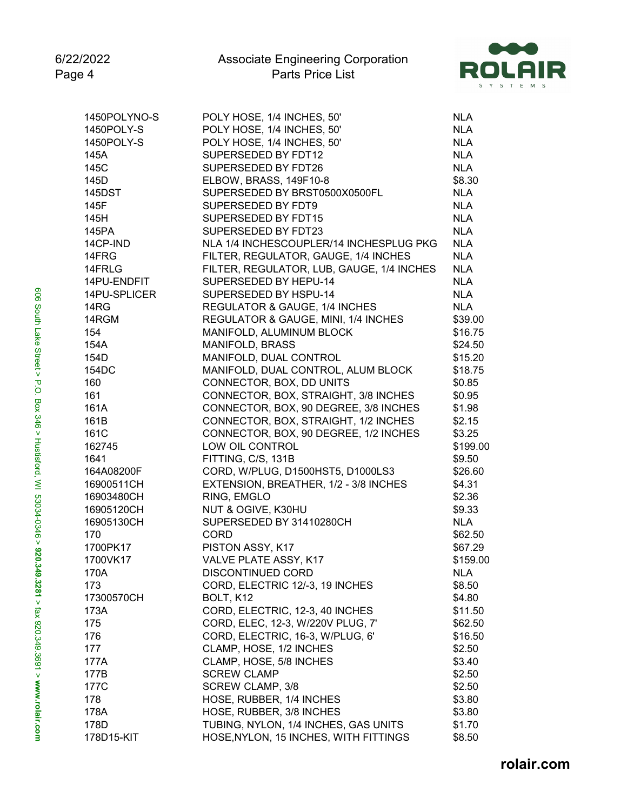

| 1450POLYNO-S | POLY HOSE, 1/4 INCHES, 50'                | <b>NLA</b> |
|--------------|-------------------------------------------|------------|
| 1450POLY-S   | POLY HOSE, 1/4 INCHES, 50'                | <b>NLA</b> |
| 1450POLY-S   | POLY HOSE, 1/4 INCHES, 50'                | <b>NLA</b> |
| 145A         | SUPERSEDED BY FDT12                       | <b>NLA</b> |
| 145C         | SUPERSEDED BY FDT26                       | <b>NLA</b> |
| 145D         | ELBOW, BRASS, 149F10-8                    | \$8.30     |
| 145DST       | SUPERSEDED BY BRST0500X0500FL             | <b>NLA</b> |
| 145F         | SUPERSEDED BY FDT9                        | <b>NLA</b> |
| 145H         | SUPERSEDED BY FDT15                       | <b>NLA</b> |
| 145PA        | SUPERSEDED BY FDT23                       | <b>NLA</b> |
| 14CP-IND     | NLA 1/4 INCHESCOUPLER/14 INCHESPLUG PKG   | <b>NLA</b> |
| 14FRG        | FILTER, REGULATOR, GAUGE, 1/4 INCHES      | <b>NLA</b> |
| 14FRLG       | FILTER, REGULATOR, LUB, GAUGE, 1/4 INCHES | <b>NLA</b> |
| 14PU-ENDFIT  | SUPERSEDED BY HEPU-14                     | <b>NLA</b> |
| 14PU-SPLICER | SUPERSEDED BY HSPU-14                     | <b>NLA</b> |
| 14RG         | REGULATOR & GAUGE, 1/4 INCHES             | <b>NLA</b> |
| 14RGM        | REGULATOR & GAUGE, MINI, 1/4 INCHES       | \$39.00    |
| 154          | MANIFOLD, ALUMINUM BLOCK                  | \$16.75    |
| 154A         | MANIFOLD, BRASS                           | \$24.50    |
| 154D         | MANIFOLD, DUAL CONTROL                    | \$15.20    |
| 154DC        | MANIFOLD, DUAL CONTROL, ALUM BLOCK        | \$18.75    |
| 160          | CONNECTOR, BOX, DD UNITS                  | \$0.85     |
| 161          | CONNECTOR, BOX, STRAIGHT, 3/8 INCHES      | \$0.95     |
| 161A         | CONNECTOR, BOX, 90 DEGREE, 3/8 INCHES     | \$1.98     |
| 161B         | CONNECTOR, BOX, STRAIGHT, 1/2 INCHES      | \$2.15     |
| 161C         | CONNECTOR, BOX, 90 DEGREE, 1/2 INCHES     | \$3.25     |
| 162745       | LOW OIL CONTROL                           | \$199.00   |
| 1641         | FITTING, C/S, 131B                        | \$9.50     |
| 164A08200F   | CORD, W/PLUG, D1500HST5, D1000LS3         | \$26.60    |
| 16900511CH   | EXTENSION, BREATHER, 1/2 - 3/8 INCHES     | \$4.31     |
| 16903480CH   | RING, EMGLO                               | \$2.36     |
| 16905120CH   | NUT & OGIVE, K30HU                        | \$9.33     |
| 16905130CH   | SUPERSEDED BY 31410280CH                  | <b>NLA</b> |
| 170          | <b>CORD</b>                               | \$62.50    |
| 1700PK17     | PISTON ASSY, K17                          | \$67.29    |
| 1700VK17     | VALVE PLATE ASSY, K17                     | \$159.00   |
| 170A         | DISCONTINUED CORD                         | <b>NLA</b> |
| 173          | CORD, ELECTRIC 12/-3, 19 INCHES           | \$8.50     |
| 17300570CH   | BOLT, K12                                 | \$4.80     |
| 173A         | CORD, ELECTRIC, 12-3, 40 INCHES           | \$11.50    |
| 175          | CORD, ELEC, 12-3, W/220V PLUG, 7'         | \$62.50    |
| 176          | CORD, ELECTRIC, 16-3, W/PLUG, 6'          | \$16.50    |
| 177          | CLAMP, HOSE, 1/2 INCHES                   | \$2.50     |
| 177A         | CLAMP, HOSE, 5/8 INCHES                   | \$3.40     |
| 177B         | <b>SCREW CLAMP</b>                        | \$2.50     |
| 177C         | <b>SCREW CLAMP, 3/8</b>                   | \$2.50     |
| 178          | HOSE, RUBBER, 1/4 INCHES                  | \$3.80     |
| 178A         | HOSE, RUBBER, 3/8 INCHES                  | \$3.80     |
| 178D         | TUBING, NYLON, 1/4 INCHES, GAS UNITS      | \$1.70     |
| 178D15-KIT   | HOSE, NYLON, 15 INCHES, WITH FITTINGS     | \$8.50     |
|              |                                           |            |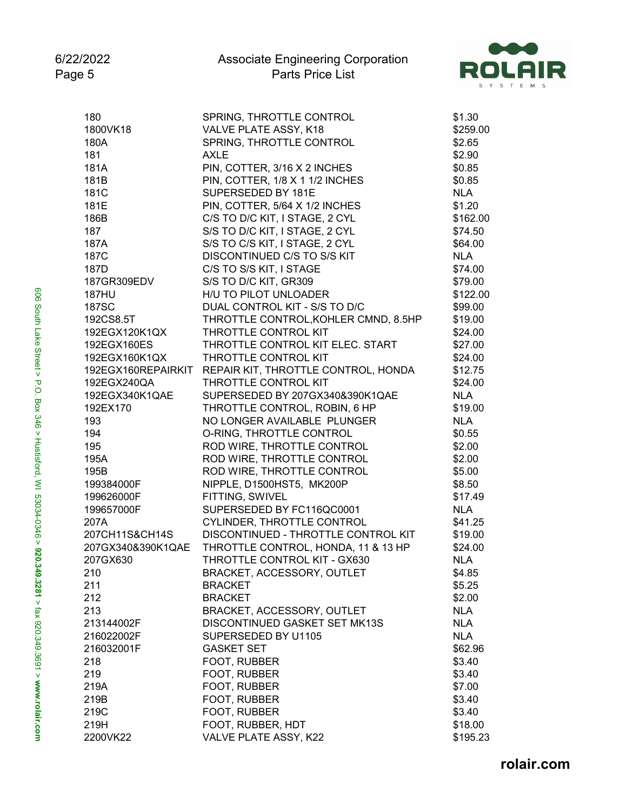

| 180                | SPRING, THROTTLE CONTROL             | \$1.30     |
|--------------------|--------------------------------------|------------|
| 1800VK18           | VALVE PLATE ASSY, K18                | \$259.00   |
| 180A               | SPRING, THROTTLE CONTROL             | \$2.65     |
| 181                | <b>AXLE</b>                          | \$2.90     |
| 181A               | PIN, COTTER, 3/16 X 2 INCHES         | \$0.85     |
| 181B               | PIN, COTTER, 1/8 X 1 1/2 INCHES      | \$0.85     |
| 181C               | SUPERSEDED BY 181E                   | <b>NLA</b> |
| 181E               | PIN, COTTER, 5/64 X 1/2 INCHES       | \$1.20     |
| 186B               | C/S TO D/C KIT, I STAGE, 2 CYL       | \$162.00   |
| 187                | S/S TO D/C KIT, I STAGE, 2 CYL       | \$74.50    |
| 187A               | S/S TO C/S KIT, I STAGE, 2 CYL       | \$64.00    |
| 187C               | DISCONTINUED C/S TO S/S KIT          | <b>NLA</b> |
| 187D               | C/S TO S/S KIT, I STAGE              | \$74.00    |
| 187GR309EDV        | S/S TO D/C KIT, GR309                | \$79.00    |
| <b>187HU</b>       | H/U TO PILOT UNLOADER                | \$122.00   |
| 187SC              | DUAL CONTROL KIT - S/S TO D/C        | \$99.00    |
| 192CS8.5T          | THROTTLE CONTROL, KOHLER CMND, 8.5HP | \$19.00    |
| 192EGX120K1QX      | THROTTLE CONTROL KIT                 | \$24.00    |
| 192EGX160ES        | THROTTLE CONTROL KIT ELEC. START     | \$27.00    |
| 192EGX160K1QX      | THROTTLE CONTROL KIT                 | \$24.00    |
| 192EGX160REPAIRKIT | REPAIR KIT, THROTTLE CONTROL, HONDA  | \$12.75    |
| 192EGX240QA        | THROTTLE CONTROL KIT                 | \$24.00    |
| 192EGX340K1QAE     | SUPERSEDED BY 207GX340&390K1QAE      | <b>NLA</b> |
|                    | THROTTLE CONTROL, ROBIN, 6 HP        |            |
| 192EX170           |                                      | \$19.00    |
| 193                | NO LONGER AVAILABLE PLUNGER          | <b>NLA</b> |
| 194                | O-RING, THROTTLE CONTROL             | \$0.55     |
| 195                | ROD WIRE, THROTTLE CONTROL           | \$2.00     |
| 195A               | ROD WIRE, THROTTLE CONTROL           | \$2.00     |
| 195B               | ROD WIRE, THROTTLE CONTROL           | \$5.00     |
| 199384000F         | NIPPLE, D1500HST5, MK200P            | \$8.50     |
| 199626000F         | FITTING, SWIVEL                      | \$17.49    |
| 199657000F         | SUPERSEDED BY FC116QC0001            | <b>NLA</b> |
| 207A               | CYLINDER, THROTTLE CONTROL           | \$41.25    |
| 207CH11S&CH14S     | DISCONTINUED - THROTTLE CONTROL KIT  | \$19.00    |
| 207GX340&390K1QAE  | THROTTLE CONTROL, HONDA, 11 & 13 HP  | \$24.00    |
| 207GX630           | THROTTLE CONTROL KIT - GX630         | <b>NLA</b> |
| 210                | BRACKET, ACCESSORY, OUTLET           | \$4.85     |
| 211                | <b>BRACKET</b>                       | \$5.25     |
| 212                | <b>BRACKET</b>                       | \$2.00     |
| 213                | BRACKET, ACCESSORY, OUTLET           | <b>NLA</b> |
| 213144002F         | DISCONTINUED GASKET SET MK13S        | <b>NLA</b> |
| 216022002F         | SUPERSEDED BY U1105                  | <b>NLA</b> |
| 216032001F         | <b>GASKET SET</b>                    | \$62.96    |
| 218                | FOOT, RUBBER                         | \$3.40     |
| 219                | FOOT, RUBBER                         | \$3.40     |
| 219A               | FOOT, RUBBER                         | \$7.00     |
| 219B               | FOOT, RUBBER                         | \$3.40     |
| 219C               | FOOT, RUBBER                         | \$3.40     |
| 219H               | FOOT, RUBBER, HDT                    | \$18.00    |
| 2200VK22           | VALVE PLATE ASSY, K22                | \$195.23   |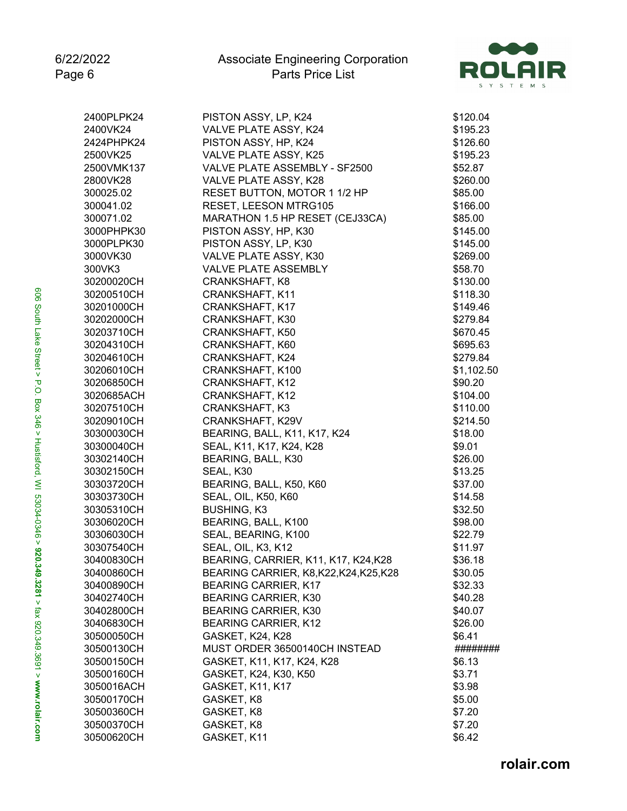

| 2400PLPK24 | PISTON ASSY, LP, K24                | \$120.04   |
|------------|-------------------------------------|------------|
| 2400VK24   | VALVE PLATE ASSY, K24               | \$195.23   |
| 2424PHPK24 | PISTON ASSY, HP, K24                | \$126.60   |
| 2500VK25   | VALVE PLATE ASSY, K25               | \$195.23   |
| 2500VMK137 | VALVE PLATE ASSEMBLY - SF2500       | \$52.87    |
| 2800VK28   | VALVE PLATE ASSY, K28               | \$260.00   |
| 300025.02  | RESET BUTTON, MOTOR 1 1/2 HP        | \$85.00    |
| 300041.02  | RESET, LEESON MTRG105               | \$166.00   |
| 300071.02  | MARATHON 1.5 HP RESET (CEJ33CA)     | \$85.00    |
| 3000PHPK30 | PISTON ASSY, HP, K30                | \$145.00   |
| 3000PLPK30 | PISTON ASSY, LP, K30                | \$145.00   |
| 3000VK30   | VALVE PLATE ASSY, K30               | \$269.00   |
| 300VK3     | VALVE PLATE ASSEMBLY                | \$58.70    |
| 30200020CH | CRANKSHAFT, K8                      | \$130.00   |
| 30200510CH | CRANKSHAFT, K11                     | \$118.30   |
| 30201000CH | CRANKSHAFT, K17                     | \$149.46   |
| 30202000CH | CRANKSHAFT, K30                     | \$279.84   |
| 30203710CH | CRANKSHAFT, K50                     | \$670.45   |
| 30204310CH | CRANKSHAFT, K60                     | \$695.63   |
| 30204610CH | CRANKSHAFT, K24                     | \$279.84   |
| 30206010CH | CRANKSHAFT, K100                    | \$1,102.50 |
| 30206850CH | CRANKSHAFT, K12                     | \$90.20    |
| 3020685ACH | CRANKSHAFT, K12                     | \$104.00   |
| 30207510CH | <b>CRANKSHAFT, K3</b>               | \$110.00   |
| 30209010CH | CRANKSHAFT, K29V                    | \$214.50   |
| 30300030CH | BEARING, BALL, K11, K17, K24        | \$18.00    |
| 30300040CH | SEAL, K11, K17, K24, K28            | \$9.01     |
| 30302140CH | BEARING, BALL, K30                  | \$26.00    |
| 30302150CH | SEAL, K30                           | \$13.25    |
| 30303720CH | BEARING, BALL, K50, K60             | \$37.00    |
| 30303730CH | <b>SEAL, OIL, K50, K60</b>          | \$14.58    |
| 30305310CH | <b>BUSHING, K3</b>                  | \$32.50    |
| 30306020CH | BEARING, BALL, K100                 | \$98.00    |
| 30306030CH | SEAL, BEARING, K100                 | \$22.79    |
| 30307540CH | SEAL, OIL, K3, K12                  | \$11.97    |
| 30400830CH | BEARING, CARRIER, K11, K17, K24,K28 | \$36.18    |
| 30400860CH | BEARING CARRIER, K8,K22,K24,K25,K28 | \$30.05    |
| 30400890CH | <b>BEARING CARRIER, K17</b>         | \$32.33    |
| 30402740CH | <b>BEARING CARRIER, K30</b>         | \$40.28    |
| 30402800CH | <b>BEARING CARRIER, K30</b>         | \$40.07    |
| 30406830CH | <b>BEARING CARRIER, K12</b>         | \$26.00    |
| 30500050CH | GASKET, K24, K28                    | \$6.41     |
| 30500130CH | MUST ORDER 36500140CH INSTEAD       | ########   |
| 30500150CH | GASKET, K11, K17, K24, K28          | \$6.13     |
| 30500160CH | GASKET, K24, K30, K50               | \$3.71     |
| 3050016ACH | GASKET, K11, K17                    | \$3.98     |
| 30500170CH | GASKET, K8                          | \$5.00     |
| 30500360CH | GASKET, K8                          | \$7.20     |
| 30500370CH | GASKET, K8                          | \$7.20     |
| 30500620CH | GASKET, K11                         | \$6.42     |
|            |                                     |            |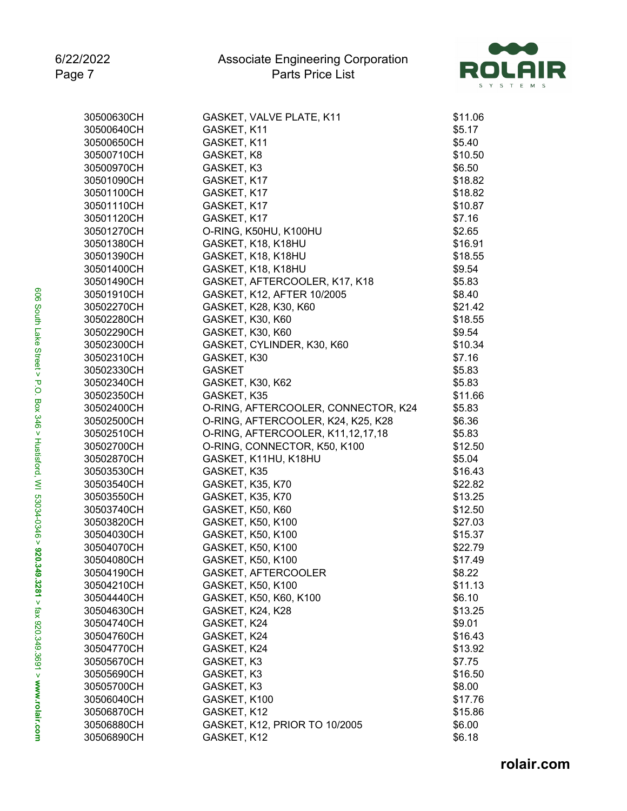

| 30500630CH | GASKET, VALVE PLATE, K11            | \$11.06 |
|------------|-------------------------------------|---------|
| 30500640CH | GASKET, K11                         | \$5.17  |
| 30500650CH | GASKET, K11                         | \$5.40  |
| 30500710CH | GASKET, K8                          | \$10.50 |
| 30500970CH | GASKET, K3                          | \$6.50  |
| 30501090CH | GASKET, K17                         | \$18.82 |
| 30501100CH | GASKET, K17                         | \$18.82 |
| 30501110CH | GASKET, K17                         | \$10.87 |
| 30501120CH | GASKET, K17                         | \$7.16  |
| 30501270CH | O-RING, K50HU, K100HU               | \$2.65  |
| 30501380CH | GASKET, K18, K18HU                  | \$16.91 |
| 30501390CH | GASKET, K18, K18HU                  | \$18.55 |
| 30501400CH | GASKET, K18, K18HU                  | \$9.54  |
| 30501490CH | GASKET, AFTERCOOLER, K17, K18       | \$5.83  |
| 30501910CH | GASKET, K12, AFTER 10/2005          | \$8.40  |
| 30502270CH | GASKET, K28, K30, K60               | \$21.42 |
| 30502280CH | GASKET, K30, K60                    | \$18.55 |
| 30502290CH | GASKET, K30, K60                    | \$9.54  |
| 30502300CH | GASKET, CYLINDER, K30, K60          | \$10.34 |
| 30502310CH | GASKET, K30                         | \$7.16  |
| 30502330CH | <b>GASKET</b>                       | \$5.83  |
| 30502340CH | GASKET, K30, K62                    | \$5.83  |
| 30502350CH | GASKET, K35                         | \$11.66 |
| 30502400CH | O-RING, AFTERCOOLER, CONNECTOR, K24 | \$5.83  |
| 30502500CH | O-RING, AFTERCOOLER, K24, K25, K28  | \$6.36  |
| 30502510CH | O-RING, AFTERCOOLER, K11,12,17,18   | \$5.83  |
| 30502700CH | O-RING, CONNECTOR, K50, K100        | \$12.50 |
| 30502870CH | GASKET, K11HU, K18HU                | \$5.04  |
| 30503530CH | GASKET, K35                         | \$16.43 |
| 30503540CH | <b>GASKET, K35, K70</b>             | \$22.82 |
| 30503550CH | GASKET, K35, K70                    | \$13.25 |
| 30503740CH | GASKET, K50, K60                    | \$12.50 |
| 30503820CH | GASKET, K50, K100                   | \$27.03 |
| 30504030CH | GASKET, K50, K100                   | \$15.37 |
| 30504070CH | GASKET, K50, K100                   | \$22.79 |
| 30504080CH | GASKET, K50, K100                   | \$17.49 |
| 30504190CH | GASKET, AFTERCOOLER                 | \$8.22  |
| 30504210CH | GASKET, K50, K100                   | \$11.13 |
| 30504440CH | GASKET, K50, K60, K100              | \$6.10  |
| 30504630CH | GASKET, K24, K28                    | \$13.25 |
| 30504740CH | GASKET, K24                         | \$9.01  |
| 30504760CH | GASKET, K24                         | \$16.43 |
| 30504770CH | GASKET, K24                         | \$13.92 |
| 30505670CH | GASKET, K3                          | \$7.75  |
| 30505690CH | GASKET, K3                          | \$16.50 |
| 30505700CH | GASKET, K3                          | \$8.00  |
| 30506040CH | GASKET, K100                        | \$17.76 |
| 30506870CH | GASKET, K12                         | \$15.86 |
| 30506880CH | GASKET, K12, PRIOR TO 10/2005       | \$6.00  |
| 30506890CH | GASKET, K12                         | \$6.18  |
|            |                                     |         |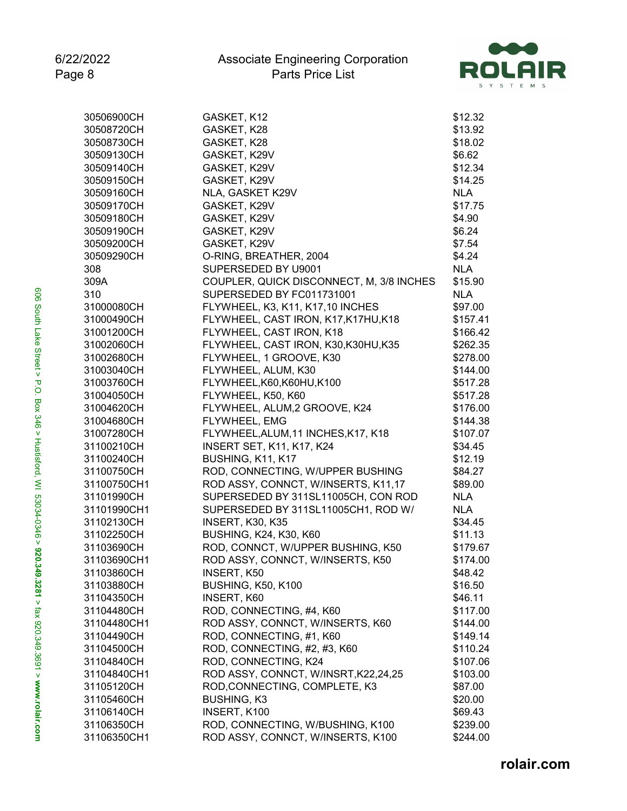

| 30506900CH  | GASKET, K12                              | \$12.32    |
|-------------|------------------------------------------|------------|
| 30508720CH  | GASKET, K28                              | \$13.92    |
| 30508730CH  | GASKET, K28                              | \$18.02    |
| 30509130CH  | GASKET, K29V                             | \$6.62     |
| 30509140CH  | GASKET, K29V                             | \$12.34    |
| 30509150CH  | GASKET, K29V                             | \$14.25    |
| 30509160CH  | NLA, GASKET K29V                         | <b>NLA</b> |
| 30509170CH  | GASKET, K29V                             | \$17.75    |
| 30509180CH  | GASKET, K29V                             | \$4.90     |
| 30509190CH  | GASKET, K29V                             | \$6.24     |
| 30509200CH  | GASKET, K29V                             | \$7.54     |
| 30509290CH  | O-RING, BREATHER, 2004                   | \$4.24     |
| 308         | SUPERSEDED BY U9001                      | <b>NLA</b> |
| 309A        | COUPLER, QUICK DISCONNECT, M, 3/8 INCHES | \$15.90    |
| 310         | SUPERSEDED BY FC011731001                | <b>NLA</b> |
| 31000080CH  | FLYWHEEL, K3, K11, K17,10 INCHES         | \$97.00    |
| 31000490CH  | FLYWHEEL, CAST IRON, K17, K17HU, K18     | \$157.41   |
| 31001200CH  | FLYWHEEL, CAST IRON, K18                 | \$166.42   |
| 31002060CH  | FLYWHEEL, CAST IRON, K30, K30HU, K35     | \$262.35   |
| 31002680CH  | FLYWHEEL, 1 GROOVE, K30                  | \$278.00   |
| 31003040CH  | FLYWHEEL, ALUM, K30                      | \$144.00   |
| 31003760CH  | FLYWHEEL, K60, K60HU, K100               | \$517.28   |
| 31004050CH  | FLYWHEEL, K50, K60                       | \$517.28   |
| 31004620CH  | FLYWHEEL, ALUM,2 GROOVE, K24             | \$176.00   |
| 31004680CH  | FLYWHEEL, EMG                            | \$144.38   |
| 31007280CH  | FLYWHEEL, ALUM, 11 INCHES, K17, K18      | \$107.07   |
| 31100210CH  | <b>INSERT SET, K11, K17, K24</b>         | \$34.45    |
| 31100240CH  | BUSHING, K11, K17                        | \$12.19    |
| 31100750CH  | ROD, CONNECTING, W/UPPER BUSHING         | \$84.27    |
| 31100750CH1 | ROD ASSY, CONNCT, W/INSERTS, K11,17      | \$89.00    |
| 31101990CH  | SUPERSEDED BY 311SL11005CH, CON ROD      | <b>NLA</b> |
| 31101990CH1 | SUPERSEDED BY 311SL11005CH1, ROD W/      | <b>NLA</b> |
| 31102130CH  | INSERT, K30, K35                         | \$34.45    |
| 31102250CH  | <b>BUSHING, K24, K30, K60</b>            | \$11.13    |
| 31103690CH  | ROD, CONNCT, W/UPPER BUSHING, K50        | \$179.67   |
| 31103690CH1 | ROD ASSY, CONNCT, W/INSERTS, K50         | \$174.00   |
| 31103860CH  | INSERT, K50                              | \$48.42    |
| 31103880CH  | <b>BUSHING, K50, K100</b>                | \$16.50    |
| 31104350CH  | INSERT, K60                              | \$46.11    |
| 31104480CH  | ROD, CONNECTING, #4, K60                 | \$117.00   |
| 31104480CH1 | ROD ASSY, CONNCT, W/INSERTS, K60         | \$144.00   |
| 31104490CH  | ROD, CONNECTING, #1, K60                 | \$149.14   |
| 31104500CH  | ROD, CONNECTING, #2, #3, K60             | \$110.24   |
| 31104840CH  | ROD, CONNECTING, K24                     | \$107.06   |
| 31104840CH1 | ROD ASSY, CONNCT, W/INSRT, K22, 24, 25   | \$103.00   |
| 31105120CH  | ROD, CONNECTING, COMPLETE, K3            | \$87.00    |
| 31105460CH  | <b>BUSHING, K3</b>                       | \$20.00    |
| 31106140CH  | INSERT, K100                             | \$69.43    |
| 31106350CH  | ROD, CONNECTING, W/BUSHING, K100         | \$239.00   |
| 31106350CH1 | ROD ASSY, CONNCT, W/INSERTS, K100        | \$244.00   |
|             |                                          |            |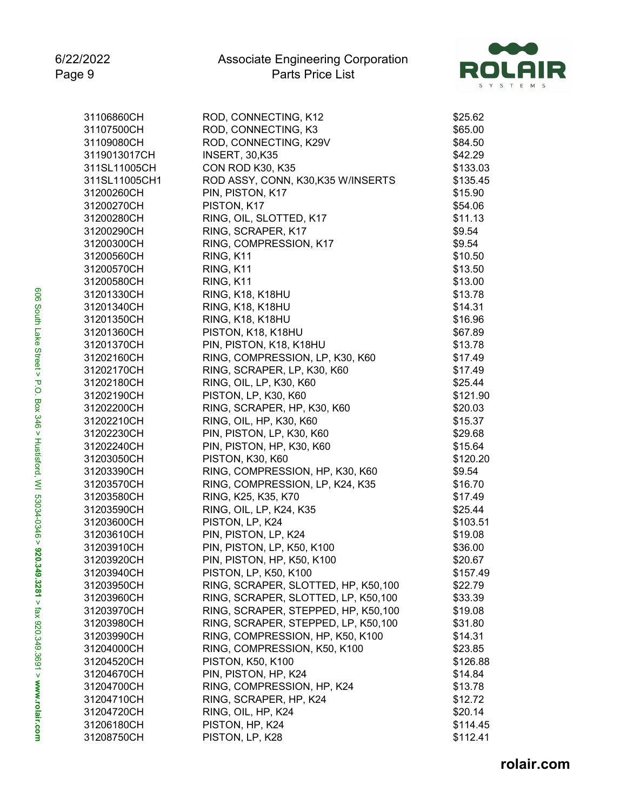

| 31106860CH    | ROD, CONNECTING, K12                | \$25.62  |
|---------------|-------------------------------------|----------|
| 31107500CH    | ROD, CONNECTING, K3                 | \$65.00  |
| 31109080CH    | ROD, CONNECTING, K29V               | \$84.50  |
| 3119013017CH  | <b>INSERT, 30,K35</b>               | \$42.29  |
| 311SL11005CH  | CON ROD K30, K35                    | \$133.03 |
| 311SL11005CH1 | ROD ASSY, CONN, K30,K35 W/INSERTS   | \$135.45 |
| 31200260CH    | PIN, PISTON, K17                    | \$15.90  |
| 31200270CH    | PISTON, K17                         | \$54.06  |
| 31200280CH    | RING, OIL, SLOTTED, K17             | \$11.13  |
| 31200290CH    | RING, SCRAPER, K17                  | \$9.54   |
| 31200300CH    | RING, COMPRESSION, K17              | \$9.54   |
| 31200560CH    | RING, K11                           | \$10.50  |
| 31200570CH    | RING, K11                           | \$13.50  |
| 31200580CH    | RING, K11                           | \$13.00  |
| 31201330CH    | <b>RING, K18, K18HU</b>             | \$13.78  |
| 31201340CH    | <b>RING, K18, K18HU</b>             | \$14.31  |
| 31201350CH    | <b>RING, K18, K18HU</b>             | \$16.96  |
| 31201360CH    | PISTON, K18, K18HU                  | \$67.89  |
| 31201370CH    | PIN, PISTON, K18, K18HU             | \$13.78  |
| 31202160CH    | RING, COMPRESSION, LP, K30, K60     | \$17.49  |
| 31202170CH    | RING, SCRAPER, LP, K30, K60         | \$17.49  |
| 31202180CH    | RING, OIL, LP, K30, K60             | \$25.44  |
| 31202190CH    | PISTON, LP, K30, K60                | \$121.90 |
| 31202200CH    | RING, SCRAPER, HP, K30, K60         | \$20.03  |
| 31202210CH    | RING, OIL, HP, K30, K60             | \$15.37  |
| 31202230CH    | PIN, PISTON, LP, K30, K60           | \$29.68  |
| 31202240CH    | PIN, PISTON, HP, K30, K60           | \$15.64  |
| 31203050CH    | PISTON, K30, K60                    | \$120.20 |
| 31203390CH    | RING, COMPRESSION, HP, K30, K60     | \$9.54   |
| 31203570CH    | RING, COMPRESSION, LP, K24, K35     | \$16.70  |
| 31203580CH    | RING, K25, K35, K70                 | \$17.49  |
| 31203590CH    | RING, OIL, LP, K24, K35             | \$25.44  |
| 31203600CH    | PISTON, LP, K24                     |          |
| 31203610CH    | PIN, PISTON, LP, K24                | \$103.51 |
|               |                                     | \$19.08  |
| 31203910CH    | PIN, PISTON, LP, K50, K100          | \$36.00  |
| 31203920CH    | PIN, PISTON, HP, K50, K100          | \$20.67  |
| 31203940CH    | PISTON, LP, K50, K100               | \$157.49 |
| 31203950CH    | RING, SCRAPER, SLOTTED, HP, K50,100 | \$22.79  |
| 31203960CH    | RING, SCRAPER, SLOTTED, LP, K50,100 | \$33.39  |
| 31203970CH    | RING, SCRAPER, STEPPED, HP, K50,100 | \$19.08  |
| 31203980CH    | RING, SCRAPER, STEPPED, LP, K50,100 | \$31.80  |
| 31203990CH    | RING, COMPRESSION, HP, K50, K100    | \$14.31  |
| 31204000CH    | RING, COMPRESSION, K50, K100        | \$23.85  |
| 31204520CH    | <b>PISTON, K50, K100</b>            | \$126.88 |
| 31204670CH    | PIN, PISTON, HP, K24                | \$14.84  |
| 31204700CH    | RING, COMPRESSION, HP, K24          | \$13.78  |
| 31204710CH    | RING, SCRAPER, HP, K24              | \$12.72  |
| 31204720CH    | RING, OIL, HP, K24                  | \$20.14  |
| 31206180CH    | PISTON, HP, K24                     | \$114.45 |
| 31208750CH    | PISTON, LP, K28                     | \$112.41 |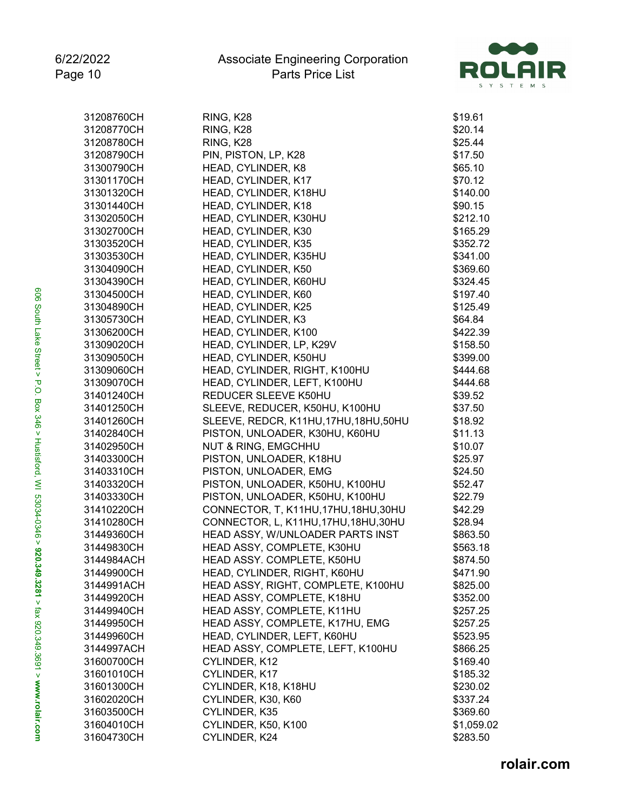

| 31208760CH | RING, K28                              | \$19.61    |
|------------|----------------------------------------|------------|
| 31208770CH | RING, K28                              | \$20.14    |
| 31208780CH | RING, K28                              | \$25.44    |
| 31208790CH | PIN, PISTON, LP, K28                   | \$17.50    |
| 31300790CH | HEAD, CYLINDER, K8                     | \$65.10    |
| 31301170CH | HEAD, CYLINDER, K17                    | \$70.12    |
| 31301320CH | HEAD, CYLINDER, K18HU                  | \$140.00   |
| 31301440CH | HEAD, CYLINDER, K18                    | \$90.15    |
| 31302050CH | HEAD, CYLINDER, K30HU                  | \$212.10   |
| 31302700CH | HEAD, CYLINDER, K30                    | \$165.29   |
| 31303520CH | HEAD, CYLINDER, K35                    | \$352.72   |
| 31303530CH | HEAD, CYLINDER, K35HU                  | \$341.00   |
| 31304090CH | HEAD, CYLINDER, K50                    | \$369.60   |
| 31304390CH | HEAD, CYLINDER, K60HU                  | \$324.45   |
| 31304500CH | HEAD, CYLINDER, K60                    | \$197.40   |
| 31304890CH | HEAD, CYLINDER, K25                    | \$125.49   |
| 31305730CH | HEAD, CYLINDER, K3                     | \$64.84    |
| 31306200CH | HEAD, CYLINDER, K100                   | \$422.39   |
| 31309020CH | HEAD, CYLINDER, LP, K29V               | \$158.50   |
| 31309050CH | HEAD, CYLINDER, K50HU                  | \$399.00   |
| 31309060CH | HEAD, CYLINDER, RIGHT, K100HU          | \$444.68   |
| 31309070CH | HEAD, CYLINDER, LEFT, K100HU           | \$444.68   |
| 31401240CH | REDUCER SLEEVE K50HU                   | \$39.52    |
| 31401250CH | SLEEVE, REDUCER, K50HU, K100HU         | \$37.50    |
| 31401260CH | SLEEVE, REDCR, K11HU, 17HU, 18HU, 50HU | \$18.92    |
| 31402840CH | PISTON, UNLOADER, K30HU, K60HU         | \$11.13    |
| 31402950CH | <b>NUT &amp; RING, EMGCHHU</b>         | \$10.07    |
| 31403300CH | PISTON, UNLOADER, K18HU                | \$25.97    |
| 31403310CH | PISTON, UNLOADER, EMG                  | \$24.50    |
| 31403320CH | PISTON, UNLOADER, K50HU, K100HU        | \$52.47    |
| 31403330CH | PISTON, UNLOADER, K50HU, K100HU        | \$22.79    |
| 31410220CH | CONNECTOR, T, K11HU, 17HU, 18HU, 30HU  | \$42.29    |
| 31410280CH | CONNECTOR, L, K11HU, 17HU, 18HU, 30HU  | \$28.94    |
| 31449360CH | HEAD ASSY, W/UNLOADER PARTS INST       | \$863.50   |
| 31449830CH | HEAD ASSY, COMPLETE, K30HU             | \$563.18   |
| 3144984ACH | HEAD ASSY. COMPLETE, K50HU             | \$874.50   |
| 31449900CH | HEAD, CYLINDER, RIGHT, K60HU           | \$471.90   |
| 3144991ACH | HEAD ASSY, RIGHT, COMPLETE, K100HU     | \$825.00   |
| 31449920CH | HEAD ASSY, COMPLETE, K18HU             | \$352.00   |
| 31449940CH | HEAD ASSY, COMPLETE, K11HU             | \$257.25   |
| 31449950CH | HEAD ASSY, COMPLETE, K17HU, EMG        | \$257.25   |
| 31449960CH | HEAD, CYLINDER, LEFT, K60HU            | \$523.95   |
| 3144997ACH | HEAD ASSY, COMPLETE, LEFT, K100HU      | \$866.25   |
| 31600700CH | CYLINDER, K12                          | \$169.40   |
| 31601010CH | CYLINDER, K17                          | \$185.32   |
| 31601300CH | CYLINDER, K18, K18HU                   | \$230.02   |
| 31602020CH | CYLINDER, K30, K60                     | \$337.24   |
| 31603500CH | CYLINDER, K35                          | \$369.60   |
| 31604010CH | CYLINDER, K50, K100                    | \$1,059.02 |
| 31604730CH | CYLINDER, K24                          | \$283.50   |
|            |                                        |            |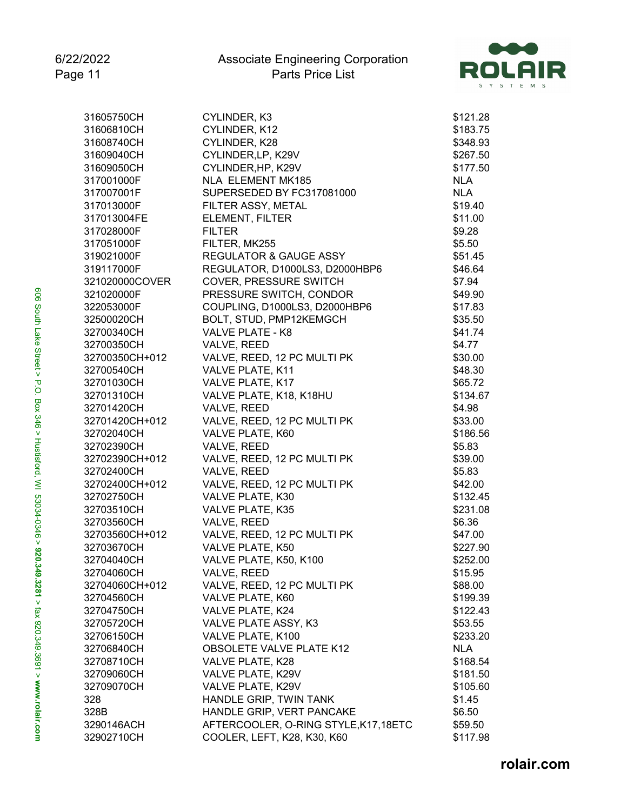

| 31605750CH     | CYLINDER, K3                          | \$121.28   |
|----------------|---------------------------------------|------------|
| 31606810CH     | CYLINDER, K12                         | \$183.75   |
| 31608740CH     | CYLINDER, K28                         | \$348.93   |
| 31609040CH     | CYLINDER, LP, K29V                    | \$267.50   |
| 31609050CH     | CYLINDER, HP, K29V                    | \$177.50   |
| 317001000F     | NLA ELEMENT MK185                     | <b>NLA</b> |
| 317007001F     | SUPERSEDED BY FC317081000             | <b>NLA</b> |
| 317013000F     | FILTER ASSY, METAL                    | \$19.40    |
| 317013004FE    | ELEMENT, FILTER                       | \$11.00    |
| 317028000F     | <b>FILTER</b>                         | \$9.28     |
| 317051000F     | FILTER, MK255                         | \$5.50     |
| 319021000F     | <b>REGULATOR &amp; GAUGE ASSY</b>     | \$51.45    |
| 319117000F     | REGULATOR, D1000LS3, D2000HBP6        | \$46.64    |
| 321020000COVER | <b>COVER, PRESSURE SWITCH</b>         | \$7.94     |
| 321020000F     | PRESSURE SWITCH, CONDOR               | \$49.90    |
| 322053000F     | COUPLING, D1000LS3, D2000HBP6         | \$17.83    |
| 32500020CH     | BOLT, STUD, PMP12KEMGCH               | \$35.50    |
| 32700340CH     | VALVE PLATE - K8                      | \$41.74    |
| 32700350CH     | VALVE, REED                           | \$4.77     |
| 32700350CH+012 | VALVE, REED, 12 PC MULTI PK           | \$30.00    |
| 32700540CH     | VALVE PLATE, K11                      | \$48.30    |
| 32701030CH     | VALVE PLATE, K17                      | \$65.72    |
| 32701310CH     | VALVE PLATE, K18, K18HU               | \$134.67   |
| 32701420CH     | VALVE, REED                           | \$4.98     |
| 32701420CH+012 | VALVE, REED, 12 PC MULTI PK           | \$33.00    |
| 32702040CH     | VALVE PLATE, K60                      | \$186.56   |
| 32702390CH     | VALVE, REED                           | \$5.83     |
| 32702390CH+012 | VALVE, REED, 12 PC MULTI PK           | \$39.00    |
| 32702400CH     | VALVE, REED                           | \$5.83     |
| 32702400CH+012 | VALVE, REED, 12 PC MULTI PK           | \$42.00    |
| 32702750CH     | VALVE PLATE, K30                      | \$132.45   |
| 32703510CH     | VALVE PLATE, K35                      | \$231.08   |
| 32703560CH     | VALVE, REED                           | \$6.36     |
| 32703560CH+012 | VALVE, REED, 12 PC MULTI PK           | \$47.00    |
| 32703670CH     | VALVE PLATE, K50                      | \$227.90   |
| 32704040CH     | VALVE PLATE, K50, K100                | \$252.00   |
| 32704060CH     | VALVE, REED                           | \$15.95    |
| 32704060CH+012 | VALVE, REED, 12 PC MULTI PK           | \$88.00    |
| 32704560CH     | VALVE PLATE, K60                      | \$199.39   |
| 32704750CH     | VALVE PLATE, K24                      | \$122.43   |
| 32705720CH     | VALVE PLATE ASSY, K3                  | \$53.55    |
| 32706150CH     | VALVE PLATE, K100                     | \$233.20   |
| 32706840CH     | <b>OBSOLETE VALVE PLATE K12</b>       | <b>NLA</b> |
| 32708710CH     | VALVE PLATE, K28                      | \$168.54   |
| 32709060CH     | VALVE PLATE, K29V                     | \$181.50   |
| 32709070CH     | VALVE PLATE, K29V                     | \$105.60   |
| 328            | HANDLE GRIP, TWIN TANK                | \$1.45     |
| 328B           | HANDLE GRIP, VERT PANCAKE             | \$6.50     |
| 3290146ACH     | AFTERCOOLER, O-RING STYLE, K17, 18ETC | \$59.50    |
| 32902710CH     | COOLER, LEFT, K28, K30, K60           | \$117.98   |
|                |                                       |            |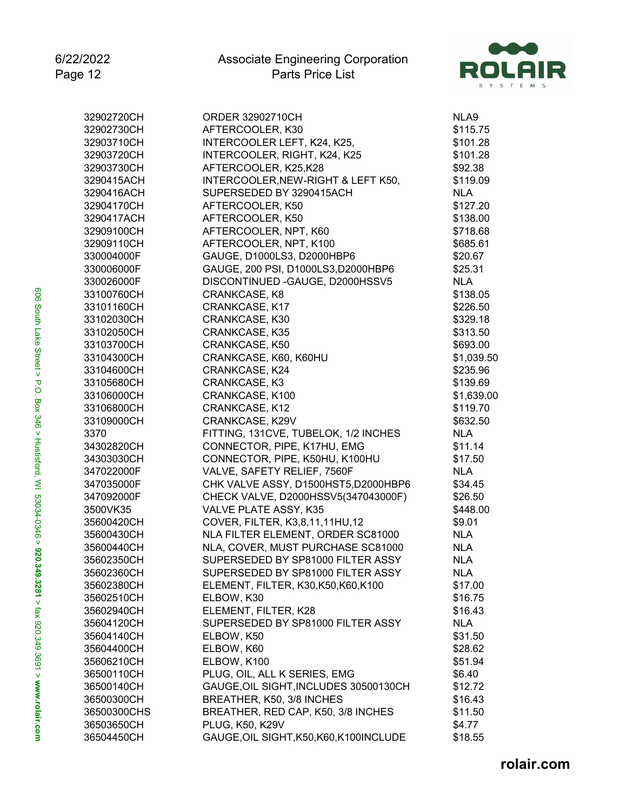

| 32902720CH  | ORDER 32902710CH                        | NLA9       |
|-------------|-----------------------------------------|------------|
| 32902730CH  | AFTERCOOLER, K30                        | \$115.75   |
| 32903710CH  | INTERCOOLER LEFT, K24, K25,             | \$101.28   |
| 32903720CH  | INTERCOOLER, RIGHT, K24, K25            | \$101.28   |
| 32903730CH  | AFTERCOOLER, K25,K28                    | \$92.38    |
| 3290415ACH  | INTERCOOLER, NEW-RIGHT & LEFT K50,      | \$119.09   |
| 3290416ACH  | SUPERSEDED BY 3290415ACH                | <b>NLA</b> |
| 32904170CH  | AFTERCOOLER, K50                        | \$127.20   |
| 3290417ACH  | AFTERCOOLER, K50                        | \$138.00   |
| 32909100CH  | AFTERCOOLER, NPT, K60                   | \$718.68   |
| 32909110CH  | AFTERCOOLER, NPT, K100                  | \$685.61   |
| 330004000F  | GAUGE, D1000LS3, D2000HBP6              | \$20.67    |
| 330006000F  | GAUGE, 200 PSI, D1000LS3,D2000HBP6      | \$25.31    |
| 330026000F  | DISCONTINUED - GAUGE, D2000HSSV5        | <b>NLA</b> |
| 33100760CH  | CRANKCASE, K8                           | \$138.05   |
| 33101160CH  | CRANKCASE, K17                          | \$226.50   |
| 33102030CH  | CRANKCASE, K30                          | \$329.18   |
| 33102050CH  | <b>CRANKCASE, K35</b>                   | \$313.50   |
| 33103700CH  | CRANKCASE, K50                          | \$693.00   |
| 33104300CH  | CRANKCASE, K60, K60HU                   | \$1,039.50 |
| 33104600CH  | CRANKCASE, K24                          | \$235.96   |
| 33105680CH  | CRANKCASE, K3                           | \$139.69   |
| 33106000CH  | CRANKCASE, K100                         | \$1,639.00 |
| 33106800CH  | <b>CRANKCASE, K12</b>                   | \$119.70   |
| 33109000CH  | CRANKCASE, K29V                         | \$632.50   |
| 3370        | FITTING, 131CVE, TUBELOK, 1/2 INCHES    | <b>NLA</b> |
| 34302820CH  | CONNECTOR, PIPE, K17HU, EMG             | \$11.14    |
| 34303030CH  | CONNECTOR, PIPE, K50HU, K100HU          | \$17.50    |
| 347022000F  | VALVE, SAFETY RELIEF, 7560F             | <b>NLA</b> |
| 347035000F  | CHK VALVE ASSY, D1500HST5, D2000HBP6    | \$34.45    |
| 347092000F  | CHECK VALVE, D2000HSSV5(347043000F)     | \$26.50    |
| 3500VK35    | VALVE PLATE ASSY, K35                   | \$448.00   |
| 35600420CH  | COVER, FILTER, K3,8,11,11HU,12          | \$9.01     |
| 35600430CH  | NLA FILTER ELEMENT, ORDER SC81000       | <b>NLA</b> |
| 35600440CH  | NLA, COVER, MUST PURCHASE SC81000       | <b>NLA</b> |
| 35602350CH  | SUPERSEDED BY SP81000 FILTER ASSY       | <b>NLA</b> |
| 35602360CH  | SUPERSEDED BY SP81000 FILTER ASSY       | <b>NLA</b> |
| 35602380CH  | ELEMENT, FILTER, K30, K50, K60, K100    | \$17.00    |
| 35602510CH  | ELBOW, K30                              | \$16.75    |
| 35602940CH  | ELEMENT, FILTER, K28                    | \$16.43    |
| 35604120CH  | SUPERSEDED BY SP81000 FILTER ASSY       | <b>NLA</b> |
| 35604140CH  | ELBOW, K50                              | \$31.50    |
| 35604400CH  | ELBOW, K60                              |            |
|             | ELBOW, K100                             | \$28.62    |
| 35606210CH  |                                         | \$51.94    |
| 36500110CH  | PLUG, OIL, ALL K SERIES, EMG            | \$6.40     |
| 36500140CH  | GAUGE, OIL SIGHT, INCLUDES 30500130CH   | \$12.72    |
| 36500300CH  | BREATHER, K50, 3/8 INCHES               | \$16.43    |
| 36500300CHS | BREATHER, RED CAP, K50, 3/8 INCHES      | \$11.50    |
| 36503650CH  | PLUG, K50, K29V                         | \$4.77     |
| 36504450CH  | GAUGE, OIL SIGHT, K50, K60, K100INCLUDE | \$18.55    |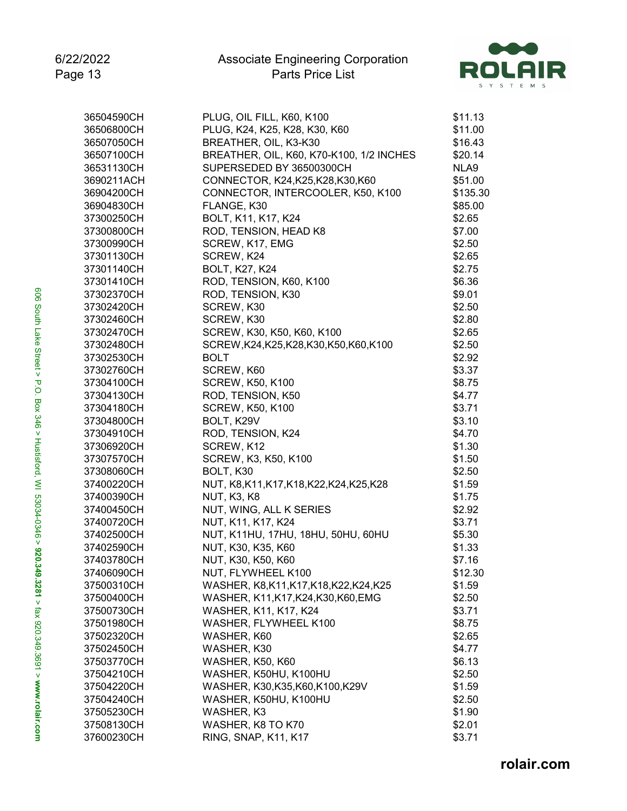

| 36504590CH               | PLUG, OIL FILL, K60, K100                                | \$11.13  |
|--------------------------|----------------------------------------------------------|----------|
| 36506800CH               | PLUG, K24, K25, K28, K30, K60                            | \$11.00  |
| 36507050CH               | BREATHER, OIL, K3-K30                                    | \$16.43  |
| 36507100CH               | BREATHER, OIL, K60, K70-K100, 1/2 INCHES                 | \$20.14  |
| 36531130CH               | SUPERSEDED BY 36500300CH                                 | NLA9     |
| 3690211ACH               | CONNECTOR, K24, K25, K28, K30, K60                       | \$51.00  |
| 36904200CH               | CONNECTOR, INTERCOOLER, K50, K100                        | \$135.30 |
| 36904830CH               | FLANGE, K30                                              | \$85.00  |
| 37300250CH               | BOLT, K11, K17, K24                                      | \$2.65   |
| 37300800CH               | ROD, TENSION, HEAD K8                                    | \$7.00   |
| 37300990CH               | SCREW, K17, EMG                                          | \$2.50   |
| 37301130CH               | SCREW, K24                                               | \$2.65   |
| 37301140CH               | <b>BOLT, K27, K24</b>                                    | \$2.75   |
| 37301410CH               | ROD, TENSION, K60, K100                                  | \$6.36   |
| 37302370CH               | ROD, TENSION, K30                                        | \$9.01   |
| 37302420CH               | SCREW, K30                                               | \$2.50   |
| 37302460CH               | SCREW, K30                                               | \$2.80   |
| 37302470CH               | SCREW, K30, K50, K60, K100                               | \$2.65   |
| 37302480CH               | SCREW, K24, K25, K28, K30, K50, K60, K100                | \$2.50   |
| 37302530CH               | <b>BOLT</b>                                              | \$2.92   |
| 37302760CH               | SCREW, K60                                               | \$3.37   |
| 37304100CH               | <b>SCREW, K50, K100</b>                                  | \$8.75   |
| 37304130CH               | ROD, TENSION, K50                                        | \$4.77   |
| 37304180CH               | <b>SCREW, K50, K100</b>                                  | \$3.71   |
| 37304800CH               | BOLT, K29V                                               | \$3.10   |
| 37304910CH               | ROD, TENSION, K24                                        | \$4.70   |
| 37306920CH               | SCREW, K12                                               | \$1.30   |
| 37307570CH               | SCREW, K3, K50, K100                                     | \$1.50   |
| 37308060CH               | BOLT, K30                                                | \$2.50   |
| 37400220CH               | NUT, K8,K11,K17,K18,K22,K24,K25,K28                      | \$1.59   |
| 37400390CH               | <b>NUT, K3, K8</b>                                       | \$1.75   |
| 37400450CH               | NUT, WING, ALL K SERIES                                  | \$2.92   |
|                          |                                                          | \$3.71   |
| 37400720CH               | NUT, K11, K17, K24<br>NUT, K11HU, 17HU, 18HU, 50HU, 60HU | \$5.30   |
| 37402500CH<br>37402590CH |                                                          |          |
| 37403780CH               | NUT, K30, K35, K60                                       | \$1.33   |
|                          | NUT, K30, K50, K60                                       | \$7.16   |
| 37406090CH               | NUT, FLYWHEEL K100                                       | \$12.30  |
| 37500310CH               | WASHER, K8, K11, K17, K18, K22, K24, K25                 | \$1.59   |
| 37500400CH               | WASHER, K11, K17, K24, K30, K60, EMG                     | \$2.50   |
| 37500730CH               | WASHER, K11, K17, K24                                    | \$3.71   |
| 37501980CH               | WASHER, FLYWHEEL K100                                    | \$8.75   |
| 37502320CH               | WASHER, K60                                              | \$2.65   |
| 37502450CH               | WASHER, K30                                              | \$4.77   |
| 37503770CH               | <b>WASHER, K50, K60</b>                                  | \$6.13   |
| 37504210CH               | WASHER, K50HU, K100HU                                    | \$2.50   |
| 37504220CH               | WASHER, K30, K35, K60, K100, K29V                        | \$1.59   |
| 37504240CH               | WASHER, K50HU, K100HU                                    | \$2.50   |
| 37505230CH               | WASHER, K3                                               | \$1.90   |
| 37508130CH               | WASHER, K8 TO K70                                        | \$2.01   |
| 37600230CH               | RING, SNAP, K11, K17                                     | \$3.71   |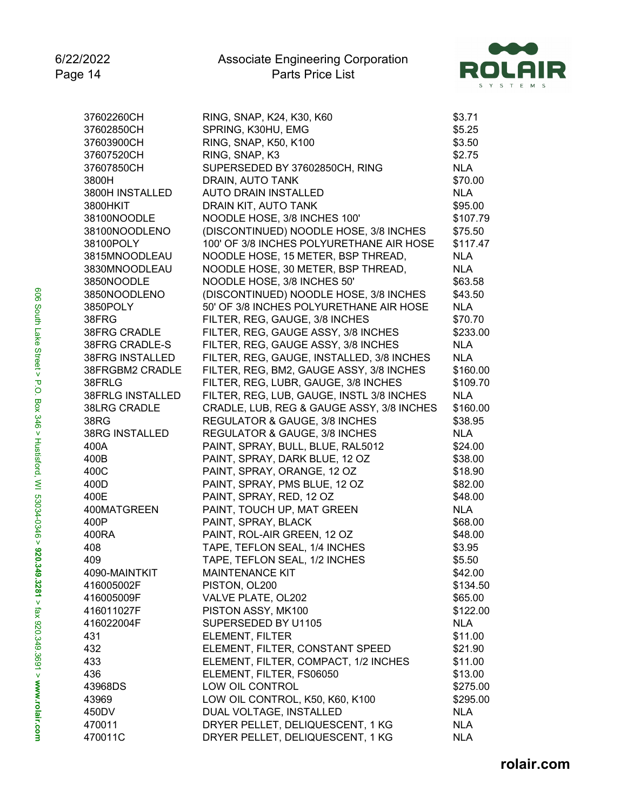

| 37602260CH              | RING, SNAP, K24, K30, K60                 | \$3.71     |
|-------------------------|-------------------------------------------|------------|
| 37602850CH              | SPRING, K30HU, EMG                        | \$5.25     |
| 37603900CH              | RING, SNAP, K50, K100                     | \$3.50     |
| 37607520CH              | RING, SNAP, K3                            | \$2.75     |
| 37607850CH              | SUPERSEDED BY 37602850CH, RING            | <b>NLA</b> |
| 3800H                   | DRAIN, AUTO TANK                          | \$70.00    |
| 3800H INSTALLED         | <b>AUTO DRAIN INSTALLED</b>               | <b>NLA</b> |
| 3800HKIT                | DRAIN KIT, AUTO TANK                      | \$95.00    |
| 38100NOODLE             | NOODLE HOSE, 3/8 INCHES 100'              | \$107.79   |
| 38100NOODLENO           | (DISCONTINUED) NOODLE HOSE, 3/8 INCHES    | \$75.50    |
| 38100POLY               | 100' OF 3/8 INCHES POLYURETHANE AIR HOSE  | \$117.47   |
| 3815MNOODLEAU           | NOODLE HOSE, 15 METER, BSP THREAD,        | <b>NLA</b> |
| 3830MNOODLEAU           | NOODLE HOSE, 30 METER, BSP THREAD,        | <b>NLA</b> |
| 3850NOODLE              | NOODLE HOSE, 3/8 INCHES 50'               | \$63.58    |
| 3850NOODLENO            | (DISCONTINUED) NOODLE HOSE, 3/8 INCHES    | \$43.50    |
| 3850POLY                | 50' OF 3/8 INCHES POLYURETHANE AIR HOSE   | <b>NLA</b> |
| 38FRG                   | FILTER, REG, GAUGE, 3/8 INCHES            | \$70.70    |
| <b>38FRG CRADLE</b>     | FILTER, REG, GAUGE ASSY, 3/8 INCHES       | \$233.00   |
| 38FRG CRADLE-S          | FILTER, REG, GAUGE ASSY, 3/8 INCHES       | <b>NLA</b> |
| 38FRG INSTALLED         | FILTER, REG, GAUGE, INSTALLED, 3/8 INCHES | <b>NLA</b> |
| 38FRGBM2 CRADLE         | FILTER, REG, BM2, GAUGE ASSY, 3/8 INCHES  | \$160.00   |
| 38FRLG                  | FILTER, REG, LUBR, GAUGE, 3/8 INCHES      | \$109.70   |
| <b>38FRLG INSTALLED</b> | FILTER, REG, LUB, GAUGE, INSTL 3/8 INCHES | <b>NLA</b> |
| <b>38LRG CRADLE</b>     | CRADLE, LUB, REG & GAUGE ASSY, 3/8 INCHES | \$160.00   |
| 38RG                    | REGULATOR & GAUGE, 3/8 INCHES             | \$38.95    |
| <b>38RG INSTALLED</b>   | REGULATOR & GAUGE, 3/8 INCHES             | <b>NLA</b> |
| 400A                    | PAINT, SPRAY, BULL, BLUE, RAL5012         | \$24.00    |
| 400B                    | PAINT, SPRAY, DARK BLUE, 12 OZ            | \$38.00    |
| 400C                    | PAINT, SPRAY, ORANGE, 12 OZ               | \$18.90    |
| 400D                    | PAINT, SPRAY, PMS BLUE, 12 OZ             | \$82.00    |
| 400E                    | PAINT, SPRAY, RED, 12 OZ                  | \$48.00    |
| 400MATGREEN             | PAINT, TOUCH UP, MAT GREEN                | <b>NLA</b> |
| 400P                    | PAINT, SPRAY, BLACK                       | \$68.00    |
| 400RA                   | PAINT, ROL-AIR GREEN, 12 OZ               | \$48.00    |
| 408                     | TAPE, TEFLON SEAL, 1/4 INCHES             | \$3.95     |
| 409                     | TAPE, TEFLON SEAL, 1/2 INCHES             | \$5.50     |
| 4090-MAINTKIT           | <b>MAINTENANCE KIT</b>                    | \$42.00    |
| 416005002F              | PISTON, OL200                             | \$134.50   |
| 416005009F              | VALVE PLATE, OL202                        | \$65.00    |
| 416011027F              | PISTON ASSY, MK100                        | \$122.00   |
| 416022004F              | SUPERSEDED BY U1105                       | <b>NLA</b> |
| 431                     | ELEMENT, FILTER                           | \$11.00    |
| 432                     | ELEMENT, FILTER, CONSTANT SPEED           | \$21.90    |
| 433                     | ELEMENT, FILTER, COMPACT, 1/2 INCHES      | \$11.00    |
| 436                     | ELEMENT, FILTER, FS06050                  | \$13.00    |
| 43968DS                 | LOW OIL CONTROL                           | \$275.00   |
| 43969                   | LOW OIL CONTROL, K50, K60, K100           | \$295.00   |
| 450DV                   | DUAL VOLTAGE, INSTALLED                   | <b>NLA</b> |
| 470011                  | DRYER PELLET, DELIQUESCENT, 1 KG          | <b>NLA</b> |
| 470011C                 | DRYER PELLET, DELIQUESCENT, 1 KG          | <b>NLA</b> |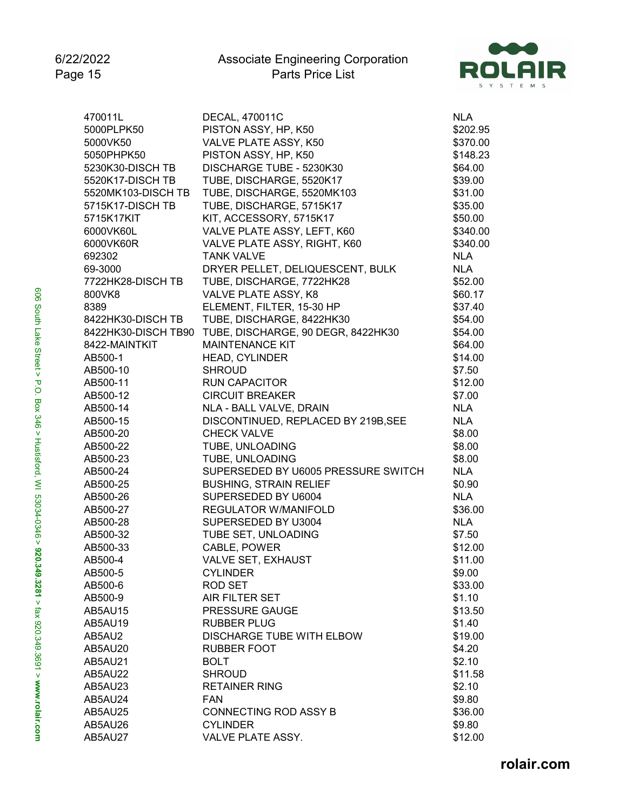

| PISTON ASSY, HP, K50<br>5000PLPK50<br>\$202.95<br>VALVE PLATE ASSY, K50<br>5000VK50<br>\$370.00<br>PISTON ASSY, HP, K50<br>5050PHPK50<br>\$148.23<br>DISCHARGE TUBE - 5230K30<br>5230K30-DISCH TB<br>\$64.00<br>5520K17-DISCH TB<br>TUBE, DISCHARGE, 5520K17<br>\$39.00<br>TUBE, DISCHARGE, 5520MK103<br>5520MK103-DISCH TB<br>\$31.00<br>TUBE, DISCHARGE, 5715K17<br>\$35.00<br>5715K17-DISCH TB<br>KIT, ACCESSORY, 5715K17<br>5715K17KIT<br>\$50.00<br>VALVE PLATE ASSY, LEFT, K60<br>6000VK60L<br>\$340.00<br>VALVE PLATE ASSY, RIGHT, K60<br>6000VK60R<br>\$340.00<br><b>NLA</b><br>692302<br><b>TANK VALVE</b><br><b>NLA</b><br>69-3000<br>DRYER PELLET, DELIQUESCENT, BULK<br>TUBE, DISCHARGE, 7722HK28<br>7722HK28-DISCH TB<br>\$52.00<br>VALVE PLATE ASSY, K8<br>800VK8<br>\$60.17<br>8389<br>ELEMENT, FILTER, 15-30 HP<br>\$37.40<br>TUBE, DISCHARGE, 8422HK30<br>8422HK30-DISCH TB<br>\$54.00<br>TUBE, DISCHARGE, 90 DEGR, 8422HK30<br>8422HK30-DISCH TB90<br>\$54.00<br><b>MAINTENANCE KIT</b><br>8422-MAINTKIT<br>\$64.00<br>\$14.00<br>AB500-1<br><b>HEAD, CYLINDER</b><br>\$7.50<br>AB500-10<br><b>SHROUD</b><br><b>RUN CAPACITOR</b><br>AB500-11<br>\$12.00<br><b>CIRCUIT BREAKER</b><br>AB500-12<br>\$7.00<br>NLA - BALL VALVE, DRAIN<br>AB500-14<br><b>NLA</b><br>DISCONTINUED, REPLACED BY 219B, SEE<br>AB500-15<br>NLA<br><b>CHECK VALVE</b><br>AB500-20<br>\$8.00<br>TUBE, UNLOADING<br>\$8.00<br>AB500-22<br>TUBE, UNLOADING<br>AB500-23<br>\$8.00<br>SUPERSEDED BY U6005 PRESSURE SWITCH<br><b>NLA</b><br>AB500-24<br><b>BUSHING, STRAIN RELIEF</b><br>AB500-25<br>\$0.90<br>SUPERSEDED BY U6004<br><b>NLA</b><br>AB500-26<br>AB500-27<br><b>REGULATOR W/MANIFOLD</b><br>\$36.00<br>SUPERSEDED BY U3004<br>AB500-28<br><b>NLA</b><br>TUBE SET, UNLOADING<br>AB500-32<br>\$7.50<br>CABLE, POWER<br>\$12.00<br>AB500-33<br>\$11.00<br>AB500-4<br><b>VALVE SET, EXHAUST</b><br>\$9.00<br>AB500-5<br><b>CYLINDER</b><br>ROD SET<br>\$33.00<br>AB500-6<br>AIR FILTER SET<br>\$1.10<br>AB500-9<br>PRESSURE GAUGE<br>AB5AU15<br>\$13.50<br><b>RUBBER PLUG</b><br>AB5AU19<br>\$1.40<br><b>DISCHARGE TUBE WITH ELBOW</b><br>AB5AU2<br>\$19.00<br><b>RUBBER FOOT</b><br>AB5AU20<br>\$4.20<br><b>BOLT</b><br>AB5AU21<br>\$2.10<br>AB5AU22<br><b>SHROUD</b><br>\$11.58<br><b>RETAINER RING</b><br>\$2.10<br>AB5AU23<br>\$9.80<br>AB5AU24<br><b>FAN</b><br>CONNECTING ROD ASSY B<br>AB5AU25<br>\$36.00<br><b>CYLINDER</b><br>\$9.80<br>AB5AU26<br>AB5AU27<br>VALVE PLATE ASSY. | 470011L | DECAL, 470011C | <b>NLA</b> |
|-----------------------------------------------------------------------------------------------------------------------------------------------------------------------------------------------------------------------------------------------------------------------------------------------------------------------------------------------------------------------------------------------------------------------------------------------------------------------------------------------------------------------------------------------------------------------------------------------------------------------------------------------------------------------------------------------------------------------------------------------------------------------------------------------------------------------------------------------------------------------------------------------------------------------------------------------------------------------------------------------------------------------------------------------------------------------------------------------------------------------------------------------------------------------------------------------------------------------------------------------------------------------------------------------------------------------------------------------------------------------------------------------------------------------------------------------------------------------------------------------------------------------------------------------------------------------------------------------------------------------------------------------------------------------------------------------------------------------------------------------------------------------------------------------------------------------------------------------------------------------------------------------------------------------------------------------------------------------------------------------------------------------------------------------------------------------------------------------------------------------------------------------------------------------------------------------------------------------------------------------------------------------------------------------------------------------------------------------------------------------------------------------------------------------------------------------------------------------------------------|---------|----------------|------------|
|                                                                                                                                                                                                                                                                                                                                                                                                                                                                                                                                                                                                                                                                                                                                                                                                                                                                                                                                                                                                                                                                                                                                                                                                                                                                                                                                                                                                                                                                                                                                                                                                                                                                                                                                                                                                                                                                                                                                                                                                                                                                                                                                                                                                                                                                                                                                                                                                                                                                                         |         |                |            |
|                                                                                                                                                                                                                                                                                                                                                                                                                                                                                                                                                                                                                                                                                                                                                                                                                                                                                                                                                                                                                                                                                                                                                                                                                                                                                                                                                                                                                                                                                                                                                                                                                                                                                                                                                                                                                                                                                                                                                                                                                                                                                                                                                                                                                                                                                                                                                                                                                                                                                         |         |                |            |
|                                                                                                                                                                                                                                                                                                                                                                                                                                                                                                                                                                                                                                                                                                                                                                                                                                                                                                                                                                                                                                                                                                                                                                                                                                                                                                                                                                                                                                                                                                                                                                                                                                                                                                                                                                                                                                                                                                                                                                                                                                                                                                                                                                                                                                                                                                                                                                                                                                                                                         |         |                |            |
|                                                                                                                                                                                                                                                                                                                                                                                                                                                                                                                                                                                                                                                                                                                                                                                                                                                                                                                                                                                                                                                                                                                                                                                                                                                                                                                                                                                                                                                                                                                                                                                                                                                                                                                                                                                                                                                                                                                                                                                                                                                                                                                                                                                                                                                                                                                                                                                                                                                                                         |         |                |            |
|                                                                                                                                                                                                                                                                                                                                                                                                                                                                                                                                                                                                                                                                                                                                                                                                                                                                                                                                                                                                                                                                                                                                                                                                                                                                                                                                                                                                                                                                                                                                                                                                                                                                                                                                                                                                                                                                                                                                                                                                                                                                                                                                                                                                                                                                                                                                                                                                                                                                                         |         |                |            |
|                                                                                                                                                                                                                                                                                                                                                                                                                                                                                                                                                                                                                                                                                                                                                                                                                                                                                                                                                                                                                                                                                                                                                                                                                                                                                                                                                                                                                                                                                                                                                                                                                                                                                                                                                                                                                                                                                                                                                                                                                                                                                                                                                                                                                                                                                                                                                                                                                                                                                         |         |                |            |
|                                                                                                                                                                                                                                                                                                                                                                                                                                                                                                                                                                                                                                                                                                                                                                                                                                                                                                                                                                                                                                                                                                                                                                                                                                                                                                                                                                                                                                                                                                                                                                                                                                                                                                                                                                                                                                                                                                                                                                                                                                                                                                                                                                                                                                                                                                                                                                                                                                                                                         |         |                |            |
|                                                                                                                                                                                                                                                                                                                                                                                                                                                                                                                                                                                                                                                                                                                                                                                                                                                                                                                                                                                                                                                                                                                                                                                                                                                                                                                                                                                                                                                                                                                                                                                                                                                                                                                                                                                                                                                                                                                                                                                                                                                                                                                                                                                                                                                                                                                                                                                                                                                                                         |         |                |            |
|                                                                                                                                                                                                                                                                                                                                                                                                                                                                                                                                                                                                                                                                                                                                                                                                                                                                                                                                                                                                                                                                                                                                                                                                                                                                                                                                                                                                                                                                                                                                                                                                                                                                                                                                                                                                                                                                                                                                                                                                                                                                                                                                                                                                                                                                                                                                                                                                                                                                                         |         |                |            |
|                                                                                                                                                                                                                                                                                                                                                                                                                                                                                                                                                                                                                                                                                                                                                                                                                                                                                                                                                                                                                                                                                                                                                                                                                                                                                                                                                                                                                                                                                                                                                                                                                                                                                                                                                                                                                                                                                                                                                                                                                                                                                                                                                                                                                                                                                                                                                                                                                                                                                         |         |                |            |
|                                                                                                                                                                                                                                                                                                                                                                                                                                                                                                                                                                                                                                                                                                                                                                                                                                                                                                                                                                                                                                                                                                                                                                                                                                                                                                                                                                                                                                                                                                                                                                                                                                                                                                                                                                                                                                                                                                                                                                                                                                                                                                                                                                                                                                                                                                                                                                                                                                                                                         |         |                |            |
|                                                                                                                                                                                                                                                                                                                                                                                                                                                                                                                                                                                                                                                                                                                                                                                                                                                                                                                                                                                                                                                                                                                                                                                                                                                                                                                                                                                                                                                                                                                                                                                                                                                                                                                                                                                                                                                                                                                                                                                                                                                                                                                                                                                                                                                                                                                                                                                                                                                                                         |         |                |            |
|                                                                                                                                                                                                                                                                                                                                                                                                                                                                                                                                                                                                                                                                                                                                                                                                                                                                                                                                                                                                                                                                                                                                                                                                                                                                                                                                                                                                                                                                                                                                                                                                                                                                                                                                                                                                                                                                                                                                                                                                                                                                                                                                                                                                                                                                                                                                                                                                                                                                                         |         |                |            |
|                                                                                                                                                                                                                                                                                                                                                                                                                                                                                                                                                                                                                                                                                                                                                                                                                                                                                                                                                                                                                                                                                                                                                                                                                                                                                                                                                                                                                                                                                                                                                                                                                                                                                                                                                                                                                                                                                                                                                                                                                                                                                                                                                                                                                                                                                                                                                                                                                                                                                         |         |                |            |
|                                                                                                                                                                                                                                                                                                                                                                                                                                                                                                                                                                                                                                                                                                                                                                                                                                                                                                                                                                                                                                                                                                                                                                                                                                                                                                                                                                                                                                                                                                                                                                                                                                                                                                                                                                                                                                                                                                                                                                                                                                                                                                                                                                                                                                                                                                                                                                                                                                                                                         |         |                |            |
|                                                                                                                                                                                                                                                                                                                                                                                                                                                                                                                                                                                                                                                                                                                                                                                                                                                                                                                                                                                                                                                                                                                                                                                                                                                                                                                                                                                                                                                                                                                                                                                                                                                                                                                                                                                                                                                                                                                                                                                                                                                                                                                                                                                                                                                                                                                                                                                                                                                                                         |         |                |            |
|                                                                                                                                                                                                                                                                                                                                                                                                                                                                                                                                                                                                                                                                                                                                                                                                                                                                                                                                                                                                                                                                                                                                                                                                                                                                                                                                                                                                                                                                                                                                                                                                                                                                                                                                                                                                                                                                                                                                                                                                                                                                                                                                                                                                                                                                                                                                                                                                                                                                                         |         |                |            |
|                                                                                                                                                                                                                                                                                                                                                                                                                                                                                                                                                                                                                                                                                                                                                                                                                                                                                                                                                                                                                                                                                                                                                                                                                                                                                                                                                                                                                                                                                                                                                                                                                                                                                                                                                                                                                                                                                                                                                                                                                                                                                                                                                                                                                                                                                                                                                                                                                                                                                         |         |                |            |
|                                                                                                                                                                                                                                                                                                                                                                                                                                                                                                                                                                                                                                                                                                                                                                                                                                                                                                                                                                                                                                                                                                                                                                                                                                                                                                                                                                                                                                                                                                                                                                                                                                                                                                                                                                                                                                                                                                                                                                                                                                                                                                                                                                                                                                                                                                                                                                                                                                                                                         |         |                |            |
|                                                                                                                                                                                                                                                                                                                                                                                                                                                                                                                                                                                                                                                                                                                                                                                                                                                                                                                                                                                                                                                                                                                                                                                                                                                                                                                                                                                                                                                                                                                                                                                                                                                                                                                                                                                                                                                                                                                                                                                                                                                                                                                                                                                                                                                                                                                                                                                                                                                                                         |         |                |            |
|                                                                                                                                                                                                                                                                                                                                                                                                                                                                                                                                                                                                                                                                                                                                                                                                                                                                                                                                                                                                                                                                                                                                                                                                                                                                                                                                                                                                                                                                                                                                                                                                                                                                                                                                                                                                                                                                                                                                                                                                                                                                                                                                                                                                                                                                                                                                                                                                                                                                                         |         |                |            |
|                                                                                                                                                                                                                                                                                                                                                                                                                                                                                                                                                                                                                                                                                                                                                                                                                                                                                                                                                                                                                                                                                                                                                                                                                                                                                                                                                                                                                                                                                                                                                                                                                                                                                                                                                                                                                                                                                                                                                                                                                                                                                                                                                                                                                                                                                                                                                                                                                                                                                         |         |                |            |
|                                                                                                                                                                                                                                                                                                                                                                                                                                                                                                                                                                                                                                                                                                                                                                                                                                                                                                                                                                                                                                                                                                                                                                                                                                                                                                                                                                                                                                                                                                                                                                                                                                                                                                                                                                                                                                                                                                                                                                                                                                                                                                                                                                                                                                                                                                                                                                                                                                                                                         |         |                |            |
|                                                                                                                                                                                                                                                                                                                                                                                                                                                                                                                                                                                                                                                                                                                                                                                                                                                                                                                                                                                                                                                                                                                                                                                                                                                                                                                                                                                                                                                                                                                                                                                                                                                                                                                                                                                                                                                                                                                                                                                                                                                                                                                                                                                                                                                                                                                                                                                                                                                                                         |         |                |            |
|                                                                                                                                                                                                                                                                                                                                                                                                                                                                                                                                                                                                                                                                                                                                                                                                                                                                                                                                                                                                                                                                                                                                                                                                                                                                                                                                                                                                                                                                                                                                                                                                                                                                                                                                                                                                                                                                                                                                                                                                                                                                                                                                                                                                                                                                                                                                                                                                                                                                                         |         |                |            |
|                                                                                                                                                                                                                                                                                                                                                                                                                                                                                                                                                                                                                                                                                                                                                                                                                                                                                                                                                                                                                                                                                                                                                                                                                                                                                                                                                                                                                                                                                                                                                                                                                                                                                                                                                                                                                                                                                                                                                                                                                                                                                                                                                                                                                                                                                                                                                                                                                                                                                         |         |                |            |
|                                                                                                                                                                                                                                                                                                                                                                                                                                                                                                                                                                                                                                                                                                                                                                                                                                                                                                                                                                                                                                                                                                                                                                                                                                                                                                                                                                                                                                                                                                                                                                                                                                                                                                                                                                                                                                                                                                                                                                                                                                                                                                                                                                                                                                                                                                                                                                                                                                                                                         |         |                |            |
|                                                                                                                                                                                                                                                                                                                                                                                                                                                                                                                                                                                                                                                                                                                                                                                                                                                                                                                                                                                                                                                                                                                                                                                                                                                                                                                                                                                                                                                                                                                                                                                                                                                                                                                                                                                                                                                                                                                                                                                                                                                                                                                                                                                                                                                                                                                                                                                                                                                                                         |         |                |            |
|                                                                                                                                                                                                                                                                                                                                                                                                                                                                                                                                                                                                                                                                                                                                                                                                                                                                                                                                                                                                                                                                                                                                                                                                                                                                                                                                                                                                                                                                                                                                                                                                                                                                                                                                                                                                                                                                                                                                                                                                                                                                                                                                                                                                                                                                                                                                                                                                                                                                                         |         |                |            |
|                                                                                                                                                                                                                                                                                                                                                                                                                                                                                                                                                                                                                                                                                                                                                                                                                                                                                                                                                                                                                                                                                                                                                                                                                                                                                                                                                                                                                                                                                                                                                                                                                                                                                                                                                                                                                                                                                                                                                                                                                                                                                                                                                                                                                                                                                                                                                                                                                                                                                         |         |                |            |
|                                                                                                                                                                                                                                                                                                                                                                                                                                                                                                                                                                                                                                                                                                                                                                                                                                                                                                                                                                                                                                                                                                                                                                                                                                                                                                                                                                                                                                                                                                                                                                                                                                                                                                                                                                                                                                                                                                                                                                                                                                                                                                                                                                                                                                                                                                                                                                                                                                                                                         |         |                |            |
|                                                                                                                                                                                                                                                                                                                                                                                                                                                                                                                                                                                                                                                                                                                                                                                                                                                                                                                                                                                                                                                                                                                                                                                                                                                                                                                                                                                                                                                                                                                                                                                                                                                                                                                                                                                                                                                                                                                                                                                                                                                                                                                                                                                                                                                                                                                                                                                                                                                                                         |         |                |            |
|                                                                                                                                                                                                                                                                                                                                                                                                                                                                                                                                                                                                                                                                                                                                                                                                                                                                                                                                                                                                                                                                                                                                                                                                                                                                                                                                                                                                                                                                                                                                                                                                                                                                                                                                                                                                                                                                                                                                                                                                                                                                                                                                                                                                                                                                                                                                                                                                                                                                                         |         |                |            |
|                                                                                                                                                                                                                                                                                                                                                                                                                                                                                                                                                                                                                                                                                                                                                                                                                                                                                                                                                                                                                                                                                                                                                                                                                                                                                                                                                                                                                                                                                                                                                                                                                                                                                                                                                                                                                                                                                                                                                                                                                                                                                                                                                                                                                                                                                                                                                                                                                                                                                         |         |                |            |
|                                                                                                                                                                                                                                                                                                                                                                                                                                                                                                                                                                                                                                                                                                                                                                                                                                                                                                                                                                                                                                                                                                                                                                                                                                                                                                                                                                                                                                                                                                                                                                                                                                                                                                                                                                                                                                                                                                                                                                                                                                                                                                                                                                                                                                                                                                                                                                                                                                                                                         |         |                |            |
|                                                                                                                                                                                                                                                                                                                                                                                                                                                                                                                                                                                                                                                                                                                                                                                                                                                                                                                                                                                                                                                                                                                                                                                                                                                                                                                                                                                                                                                                                                                                                                                                                                                                                                                                                                                                                                                                                                                                                                                                                                                                                                                                                                                                                                                                                                                                                                                                                                                                                         |         |                |            |
|                                                                                                                                                                                                                                                                                                                                                                                                                                                                                                                                                                                                                                                                                                                                                                                                                                                                                                                                                                                                                                                                                                                                                                                                                                                                                                                                                                                                                                                                                                                                                                                                                                                                                                                                                                                                                                                                                                                                                                                                                                                                                                                                                                                                                                                                                                                                                                                                                                                                                         |         |                |            |
|                                                                                                                                                                                                                                                                                                                                                                                                                                                                                                                                                                                                                                                                                                                                                                                                                                                                                                                                                                                                                                                                                                                                                                                                                                                                                                                                                                                                                                                                                                                                                                                                                                                                                                                                                                                                                                                                                                                                                                                                                                                                                                                                                                                                                                                                                                                                                                                                                                                                                         |         |                |            |
|                                                                                                                                                                                                                                                                                                                                                                                                                                                                                                                                                                                                                                                                                                                                                                                                                                                                                                                                                                                                                                                                                                                                                                                                                                                                                                                                                                                                                                                                                                                                                                                                                                                                                                                                                                                                                                                                                                                                                                                                                                                                                                                                                                                                                                                                                                                                                                                                                                                                                         |         |                |            |
|                                                                                                                                                                                                                                                                                                                                                                                                                                                                                                                                                                                                                                                                                                                                                                                                                                                                                                                                                                                                                                                                                                                                                                                                                                                                                                                                                                                                                                                                                                                                                                                                                                                                                                                                                                                                                                                                                                                                                                                                                                                                                                                                                                                                                                                                                                                                                                                                                                                                                         |         |                |            |
|                                                                                                                                                                                                                                                                                                                                                                                                                                                                                                                                                                                                                                                                                                                                                                                                                                                                                                                                                                                                                                                                                                                                                                                                                                                                                                                                                                                                                                                                                                                                                                                                                                                                                                                                                                                                                                                                                                                                                                                                                                                                                                                                                                                                                                                                                                                                                                                                                                                                                         |         |                |            |
|                                                                                                                                                                                                                                                                                                                                                                                                                                                                                                                                                                                                                                                                                                                                                                                                                                                                                                                                                                                                                                                                                                                                                                                                                                                                                                                                                                                                                                                                                                                                                                                                                                                                                                                                                                                                                                                                                                                                                                                                                                                                                                                                                                                                                                                                                                                                                                                                                                                                                         |         |                |            |
|                                                                                                                                                                                                                                                                                                                                                                                                                                                                                                                                                                                                                                                                                                                                                                                                                                                                                                                                                                                                                                                                                                                                                                                                                                                                                                                                                                                                                                                                                                                                                                                                                                                                                                                                                                                                                                                                                                                                                                                                                                                                                                                                                                                                                                                                                                                                                                                                                                                                                         |         |                |            |
|                                                                                                                                                                                                                                                                                                                                                                                                                                                                                                                                                                                                                                                                                                                                                                                                                                                                                                                                                                                                                                                                                                                                                                                                                                                                                                                                                                                                                                                                                                                                                                                                                                                                                                                                                                                                                                                                                                                                                                                                                                                                                                                                                                                                                                                                                                                                                                                                                                                                                         |         |                |            |
|                                                                                                                                                                                                                                                                                                                                                                                                                                                                                                                                                                                                                                                                                                                                                                                                                                                                                                                                                                                                                                                                                                                                                                                                                                                                                                                                                                                                                                                                                                                                                                                                                                                                                                                                                                                                                                                                                                                                                                                                                                                                                                                                                                                                                                                                                                                                                                                                                                                                                         |         |                |            |
|                                                                                                                                                                                                                                                                                                                                                                                                                                                                                                                                                                                                                                                                                                                                                                                                                                                                                                                                                                                                                                                                                                                                                                                                                                                                                                                                                                                                                                                                                                                                                                                                                                                                                                                                                                                                                                                                                                                                                                                                                                                                                                                                                                                                                                                                                                                                                                                                                                                                                         |         |                |            |
|                                                                                                                                                                                                                                                                                                                                                                                                                                                                                                                                                                                                                                                                                                                                                                                                                                                                                                                                                                                                                                                                                                                                                                                                                                                                                                                                                                                                                                                                                                                                                                                                                                                                                                                                                                                                                                                                                                                                                                                                                                                                                                                                                                                                                                                                                                                                                                                                                                                                                         |         |                |            |
|                                                                                                                                                                                                                                                                                                                                                                                                                                                                                                                                                                                                                                                                                                                                                                                                                                                                                                                                                                                                                                                                                                                                                                                                                                                                                                                                                                                                                                                                                                                                                                                                                                                                                                                                                                                                                                                                                                                                                                                                                                                                                                                                                                                                                                                                                                                                                                                                                                                                                         |         |                |            |
|                                                                                                                                                                                                                                                                                                                                                                                                                                                                                                                                                                                                                                                                                                                                                                                                                                                                                                                                                                                                                                                                                                                                                                                                                                                                                                                                                                                                                                                                                                                                                                                                                                                                                                                                                                                                                                                                                                                                                                                                                                                                                                                                                                                                                                                                                                                                                                                                                                                                                         |         |                | \$12.00    |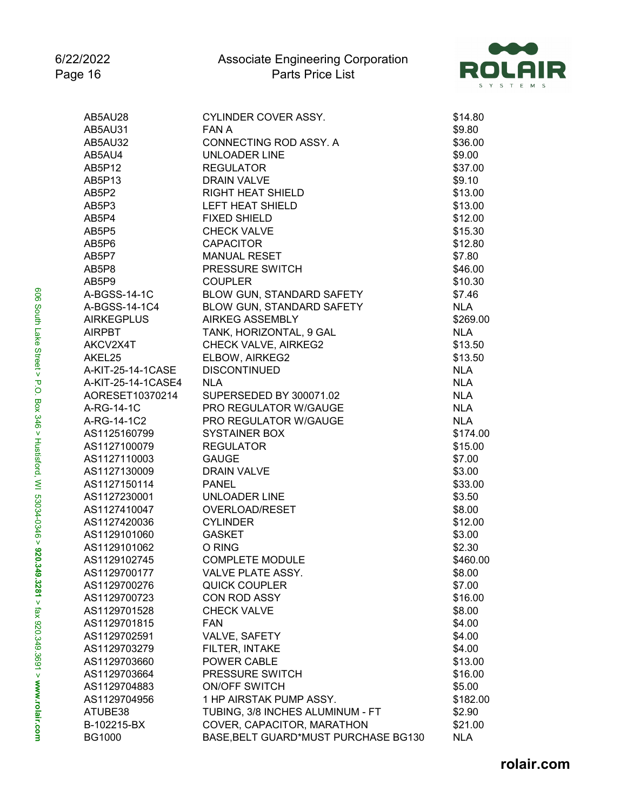

| AB5AU28            | CYLINDER COVER ASSY.                 | \$14.80                  |
|--------------------|--------------------------------------|--------------------------|
| AB5AU31            | FAN A                                | \$9.80                   |
| AB5AU32            | CONNECTING ROD ASSY. A               | \$36.00                  |
| AB5AU4             | <b>UNLOADER LINE</b>                 | \$9.00                   |
| AB5P12             | <b>REGULATOR</b>                     | \$37.00                  |
| AB5P13             | <b>DRAIN VALVE</b>                   | \$9.10                   |
| AB5P2              | <b>RIGHT HEAT SHIELD</b>             | \$13.00                  |
| AB5P3              | LEFT HEAT SHIELD                     | \$13.00                  |
| AB5P4              | <b>FIXED SHIELD</b>                  | \$12.00                  |
| AB5P5              | <b>CHECK VALVE</b>                   | \$15.30                  |
| AB5P6              | <b>CAPACITOR</b>                     | \$12.80                  |
| AB5P7              | <b>MANUAL RESET</b>                  | \$7.80                   |
| AB5P8              | PRESSURE SWITCH                      | \$46.00                  |
| AB5P9              | <b>COUPLER</b>                       | \$10.30                  |
| A-BGSS-14-1C       | BLOW GUN, STANDARD SAFETY            | \$7.46                   |
| A-BGSS-14-1C4      | BLOW GUN, STANDARD SAFETY            | <b>NLA</b>               |
| <b>AIRKEGPLUS</b>  | <b>AIRKEG ASSEMBLY</b>               | \$269.00                 |
| <b>AIRPBT</b>      | TANK, HORIZONTAL, 9 GAL              | <b>NLA</b>               |
| AKCV2X4T           | CHECK VALVE, AIRKEG2                 | \$13.50                  |
| AKEL25             | ELBOW, AIRKEG2                       |                          |
| A-KIT-25-14-1CASE  | <b>DISCONTINUED</b>                  | \$13.50                  |
| A-KIT-25-14-1CASE4 | <b>NLA</b>                           | <b>NLA</b><br><b>NLA</b> |
|                    | SUPERSEDED BY 300071.02              |                          |
| AORESET10370214    |                                      | <b>NLA</b>               |
| A-RG-14-1C         | PRO REGULATOR W/GAUGE                | <b>NLA</b>               |
| A-RG-14-1C2        | PRO REGULATOR W/GAUGE                | <b>NLA</b>               |
| AS1125160799       | <b>SYSTAINER BOX</b>                 | \$174.00                 |
| AS1127100079       | <b>REGULATOR</b>                     | \$15.00                  |
| AS1127110003       | <b>GAUGE</b>                         | \$7.00                   |
| AS1127130009       | <b>DRAIN VALVE</b>                   | \$3.00                   |
| AS1127150114       | <b>PANEL</b>                         | \$33.00                  |
| AS1127230001       | <b>UNLOADER LINE</b>                 | \$3.50                   |
| AS1127410047       | OVERLOAD/RESET                       | \$8.00                   |
| AS1127420036       | <b>CYLINDER</b>                      | \$12.00                  |
| AS1129101060       | <b>GASKET</b>                        | \$3.00                   |
| AS1129101062       | O RING                               | \$2.30                   |
| AS1129102745       | <b>COMPLETE MODULE</b>               | \$460.00                 |
| AS1129700177       | VALVE PLATE ASSY.                    | \$8.00                   |
| AS1129700276       | <b>QUICK COUPLER</b>                 | \$7.00                   |
| AS1129700723       | CON ROD ASSY                         | \$16.00                  |
| AS1129701528       | <b>CHECK VALVE</b>                   | \$8.00                   |
| AS1129701815       | <b>FAN</b>                           | \$4.00                   |
| AS1129702591       | VALVE, SAFETY                        | \$4.00                   |
| AS1129703279       | FILTER, INTAKE                       | \$4.00                   |
| AS1129703660       | POWER CABLE                          | \$13.00                  |
| AS1129703664       | PRESSURE SWITCH                      | \$16.00                  |
| AS1129704883       | <b>ON/OFF SWITCH</b>                 | \$5.00                   |
| AS1129704956       | 1 HP AIRSTAK PUMP ASSY.              | \$182.00                 |
| ATUBE38            | TUBING, 3/8 INCHES ALUMINUM - FT     | \$2.90                   |
| B-102215-BX        | COVER, CAPACITOR, MARATHON           | \$21.00                  |
| <b>BG1000</b>      | BASE, BELT GUARD*MUST PURCHASE BG130 | <b>NLA</b>               |
|                    |                                      |                          |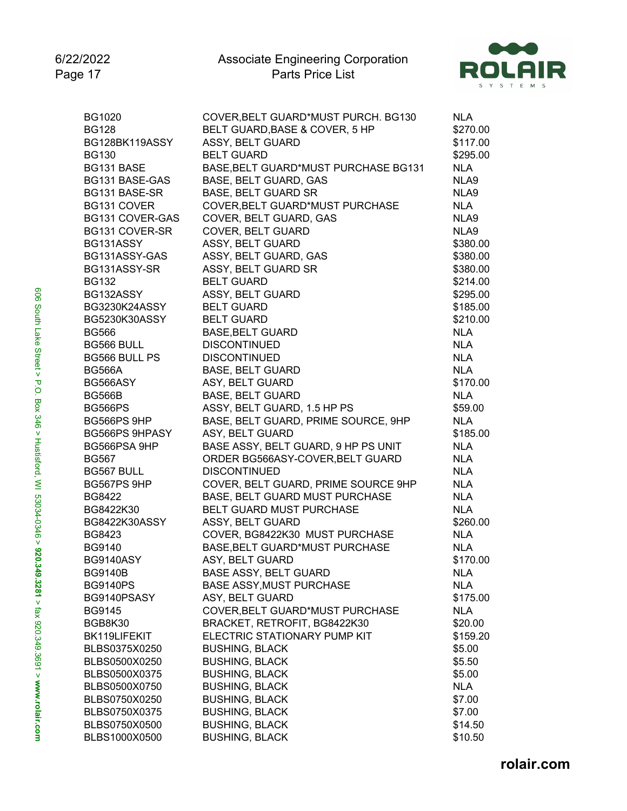

| <b>BG1020</b>         | COVER, BELT GUARD*MUST PURCH. BG130  | <b>NLA</b> |
|-----------------------|--------------------------------------|------------|
| <b>BG128</b>          | BELT GUARD, BASE & COVER, 5 HP       | \$270.00   |
| BG128BK119ASSY        | ASSY, BELT GUARD                     | \$117.00   |
| <b>BG130</b>          | <b>BELT GUARD</b>                    | \$295.00   |
| BG131 BASE            | BASE, BELT GUARD*MUST PURCHASE BG131 | <b>NLA</b> |
| BG131 BASE-GAS        | BASE, BELT GUARD, GAS                | NLA9       |
| BG131 BASE-SR         | <b>BASE, BELT GUARD SR</b>           | NLA9       |
| BG131 COVER           | COVER, BELT GUARD*MUST PURCHASE      | <b>NLA</b> |
| BG131 COVER-GAS       | COVER, BELT GUARD, GAS               | NLA9       |
| BG131 COVER-SR        | <b>COVER, BELT GUARD</b>             | NLA9       |
| BG131ASSY             | ASSY, BELT GUARD                     | \$380.00   |
| BG131ASSY-GAS         | ASSY, BELT GUARD, GAS                | \$380.00   |
| BG131ASSY-SR          | ASSY, BELT GUARD SR                  | \$380.00   |
| <b>BG132</b>          | <b>BELT GUARD</b>                    | \$214.00   |
| BG132ASSY             | ASSY, BELT GUARD                     | \$295.00   |
| BG3230K24ASSY         | <b>BELT GUARD</b>                    | \$185.00   |
| BG5230K30ASSY         | <b>BELT GUARD</b>                    | \$210.00   |
| <b>BG566</b>          | <b>BASE, BELT GUARD</b>              | <b>NLA</b> |
| BG566 BULL            | <b>DISCONTINUED</b>                  | <b>NLA</b> |
| <b>BG566 BULL PS</b>  | <b>DISCONTINUED</b>                  | <b>NLA</b> |
| <b>BG566A</b>         | <b>BASE, BELT GUARD</b>              | <b>NLA</b> |
| BG566ASY              | ASY, BELT GUARD                      | \$170.00   |
| <b>BG566B</b>         | <b>BASE, BELT GUARD</b>              | <b>NLA</b> |
| <b>BG566PS</b>        | ASSY, BELT GUARD, 1.5 HP PS          | \$59.00    |
| BG566PS 9HP           | BASE, BELT GUARD, PRIME SOURCE, 9HP  | <b>NLA</b> |
| <b>BG566PS 9HPASY</b> | ASY, BELT GUARD                      | \$185.00   |
| BG566PSA 9HP          | BASE ASSY, BELT GUARD, 9 HP PS UNIT  | <b>NLA</b> |
| <b>BG567</b>          | ORDER BG566ASY-COVER, BELT GUARD     | <b>NLA</b> |
| BG567 BULL            | <b>DISCONTINUED</b>                  | <b>NLA</b> |
| BG567PS 9HP           | COVER, BELT GUARD, PRIME SOURCE 9HP  | <b>NLA</b> |
| <b>BG8422</b>         | BASE, BELT GUARD MUST PURCHASE       | <b>NLA</b> |
| BG8422K30             | BELT GUARD MUST PURCHASE             | <b>NLA</b> |
| BG8422K30ASSY         | ASSY, BELT GUARD                     | \$260.00   |
| <b>BG8423</b>         | COVER, BG8422K30 MUST PURCHASE       | <b>NLA</b> |
| <b>BG9140</b>         | BASE, BELT GUARD*MUST PURCHASE       | <b>NLA</b> |
| <b>BG9140ASY</b>      | ASY, BELT GUARD                      | \$170.00   |
| <b>BG9140B</b>        | <b>BASE ASSY, BELT GUARD</b>         | <b>NLA</b> |
| <b>BG9140PS</b>       | <b>BASE ASSY, MUST PURCHASE</b>      | <b>NLA</b> |
| BG9140PSASY           | ASY, BELT GUARD                      | \$175.00   |
| <b>BG9145</b>         | COVER, BELT GUARD*MUST PURCHASE      | <b>NLA</b> |
| BGB8K30               | BRACKET, RETROFIT, BG8422K30         | \$20.00    |
| BK119LIFEKIT          | ELECTRIC STATIONARY PUMP KIT         | \$159.20   |
| BLBS0375X0250         | <b>BUSHING, BLACK</b>                | \$5.00     |
| BLBS0500X0250         | <b>BUSHING, BLACK</b>                | \$5.50     |
| BLBS0500X0375         | <b>BUSHING, BLACK</b>                | \$5.00     |
| BLBS0500X0750         | <b>BUSHING, BLACK</b>                | <b>NLA</b> |
| BLBS0750X0250         | <b>BUSHING, BLACK</b>                | \$7.00     |
| BLBS0750X0375         | <b>BUSHING, BLACK</b>                | \$7.00     |
| BLBS0750X0500         | <b>BUSHING, BLACK</b>                | \$14.50    |
| BLBS1000X0500         | <b>BUSHING, BLACK</b>                | \$10.50    |
|                       |                                      |            |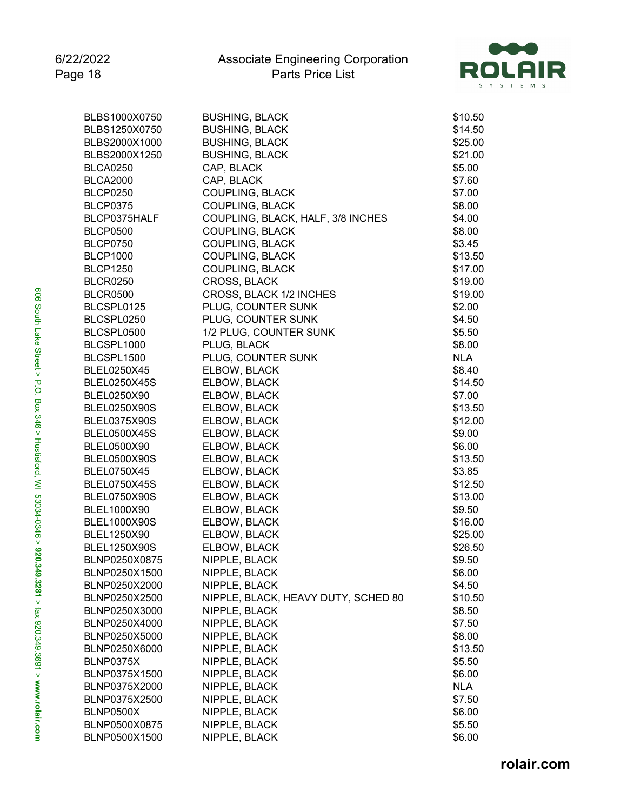

| BLBS1000X0750       | <b>BUSHING, BLACK</b>               | \$10.50              |
|---------------------|-------------------------------------|----------------------|
| BLBS1250X0750       | <b>BUSHING, BLACK</b>               | \$14.50              |
| BLBS2000X1000       | <b>BUSHING, BLACK</b>               | \$25.00              |
| BLBS2000X1250       | <b>BUSHING, BLACK</b>               | \$21.00              |
| <b>BLCA0250</b>     | CAP, BLACK                          | \$5.00               |
| <b>BLCA2000</b>     | CAP, BLACK                          | \$7.60               |
| <b>BLCP0250</b>     | <b>COUPLING, BLACK</b>              | \$7.00               |
| <b>BLCP0375</b>     | <b>COUPLING, BLACK</b>              | \$8.00               |
| BLCP0375HALF        | COUPLING, BLACK, HALF, 3/8 INCHES   | \$4.00               |
| <b>BLCP0500</b>     | <b>COUPLING, BLACK</b>              | \$8.00               |
| <b>BLCP0750</b>     | <b>COUPLING, BLACK</b>              | \$3.45               |
| <b>BLCP1000</b>     | <b>COUPLING, BLACK</b>              | \$13.50              |
| <b>BLCP1250</b>     | <b>COUPLING, BLACK</b>              | \$17.00              |
| <b>BLCR0250</b>     | CROSS, BLACK                        | \$19.00              |
| <b>BLCR0500</b>     | CROSS, BLACK 1/2 INCHES             | \$19.00              |
| BLCSPL0125          | PLUG, COUNTER SUNK                  | \$2.00               |
| BLCSPL0250          | PLUG, COUNTER SUNK                  | \$4.50               |
| BLCSPL0500          | 1/2 PLUG, COUNTER SUNK              | \$5.50               |
| BLCSPL1000          | PLUG, BLACK                         | \$8.00               |
| BLCSPL1500          | PLUG, COUNTER SUNK                  | <b>NLA</b>           |
| BLEL0250X45         | ELBOW, BLACK                        | \$8.40               |
| <b>BLEL0250X45S</b> | ELBOW, BLACK                        | \$14.50              |
| BLEL0250X90         | ELBOW, BLACK                        | \$7.00               |
| BLEL0250X90S        | ELBOW, BLACK                        | \$13.50              |
| BLEL0375X90S        | ELBOW, BLACK                        | \$12.00              |
| <b>BLEL0500X45S</b> | ELBOW, BLACK                        | \$9.00               |
| BLEL0500X90         | ELBOW, BLACK                        | \$6.00               |
| BLEL0500X90S        | ELBOW, BLACK                        | \$13.50              |
| BLEL0750X45         | ELBOW, BLACK                        | \$3.85               |
| <b>BLEL0750X45S</b> | ELBOW, BLACK                        | \$12.50              |
| <b>BLEL0750X90S</b> | ELBOW, BLACK                        | \$13.00              |
| BLEL1000X90         | ELBOW, BLACK                        | \$9.50               |
| <b>BLEL1000X90S</b> | ELBOW, BLACK                        | \$16.00              |
| BLEL1250X90         | ELBOW, BLACK                        | \$25.00              |
| <b>BLEL1250X90S</b> | ELBOW, BLACK                        | \$26.50              |
| BLNP0250X0875       | NIPPLE, BLACK                       | \$9.50               |
| BLNP0250X1500       | NIPPLE, BLACK                       | \$6.00               |
| BLNP0250X2000       | NIPPLE, BLACK                       | \$4.50               |
| BLNP0250X2500       | NIPPLE, BLACK, HEAVY DUTY, SCHED 80 | \$10.50              |
| BLNP0250X3000       | NIPPLE, BLACK                       | \$8.50               |
| BLNP0250X4000       | NIPPLE, BLACK                       | \$7.50               |
| BLNP0250X5000       | NIPPLE, BLACK                       | \$8.00               |
| BLNP0250X6000       | NIPPLE, BLACK                       | \$13.50              |
| BLNP0375X           | NIPPLE, BLACK                       | \$5.50               |
| BLNP0375X1500       | NIPPLE, BLACK                       | \$6.00               |
| BLNP0375X2000       |                                     |                      |
| BLNP0375X2500       | NIPPLE, BLACK<br>NIPPLE, BLACK      | <b>NLA</b><br>\$7.50 |
|                     |                                     |                      |
| BLNP0500X           | NIPPLE, BLACK                       | \$6.00               |
| BLNP0500X0875       | NIPPLE, BLACK                       | \$5.50               |
| BLNP0500X1500       | NIPPLE, BLACK                       | \$6.00               |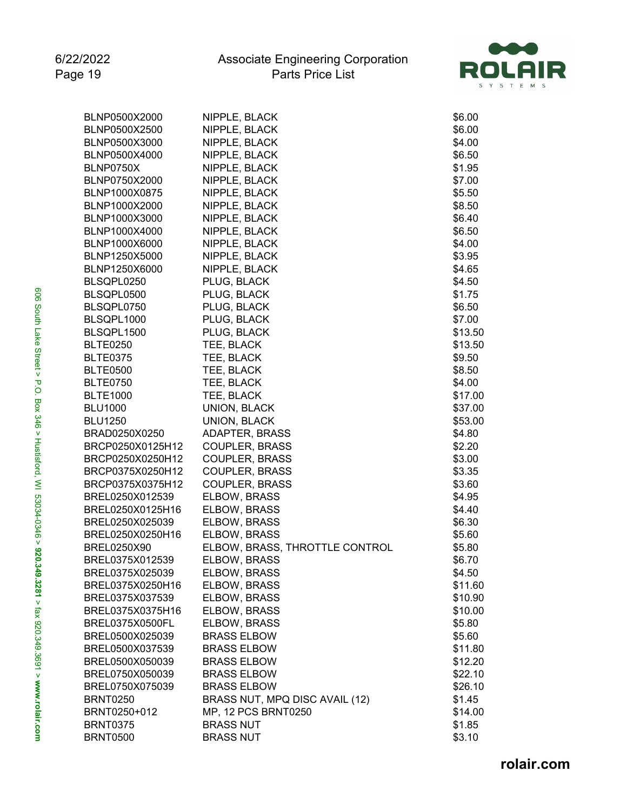

| BLNP0500X2000          | NIPPLE, BLACK                  | \$6.00  |
|------------------------|--------------------------------|---------|
| BLNP0500X2500          | NIPPLE, BLACK                  | \$6.00  |
| BLNP0500X3000          | NIPPLE, BLACK                  | \$4.00  |
| BLNP0500X4000          | NIPPLE, BLACK                  | \$6.50  |
| BLNP0750X              | NIPPLE, BLACK                  | \$1.95  |
| BLNP0750X2000          | NIPPLE, BLACK                  | \$7.00  |
| BLNP1000X0875          | NIPPLE, BLACK                  | \$5.50  |
| BLNP1000X2000          | NIPPLE, BLACK                  | \$8.50  |
| BLNP1000X3000          | NIPPLE, BLACK                  | \$6.40  |
| BLNP1000X4000          | NIPPLE, BLACK                  | \$6.50  |
| BLNP1000X6000          | NIPPLE, BLACK                  | \$4.00  |
| BLNP1250X5000          | NIPPLE, BLACK                  | \$3.95  |
| BLNP1250X6000          | NIPPLE, BLACK                  | \$4.65  |
| BLSQPL0250             | PLUG, BLACK                    | \$4.50  |
| BLSQPL0500             | PLUG, BLACK                    | \$1.75  |
| BLSQPL0750             | PLUG, BLACK                    | \$6.50  |
| BLSQPL1000             | PLUG, BLACK                    | \$7.00  |
| BLSQPL1500             | PLUG, BLACK                    | \$13.50 |
| <b>BLTE0250</b>        | TEE, BLACK                     | \$13.50 |
| <b>BLTE0375</b>        | TEE, BLACK                     | \$9.50  |
| <b>BLTE0500</b>        | TEE, BLACK                     | \$8.50  |
| <b>BLTE0750</b>        | TEE, BLACK                     | \$4.00  |
| <b>BLTE1000</b>        | TEE, BLACK                     | \$17.00 |
| <b>BLU1000</b>         | UNION, BLACK                   | \$37.00 |
| <b>BLU1250</b>         | UNION, BLACK                   | \$53.00 |
| BRAD0250X0250          | <b>ADAPTER, BRASS</b>          | \$4.80  |
| BRCP0250X0125H12       | <b>COUPLER, BRASS</b>          | \$2.20  |
| BRCP0250X0250H12       | <b>COUPLER, BRASS</b>          | \$3.00  |
| BRCP0375X0250H12       | <b>COUPLER, BRASS</b>          | \$3.35  |
| BRCP0375X0375H12       | <b>COUPLER, BRASS</b>          | \$3.60  |
| BREL0250X012539        | ELBOW, BRASS                   | \$4.95  |
| BREL0250X0125H16       | ELBOW, BRASS                   | \$4.40  |
| BREL0250X025039        | ELBOW, BRASS                   | \$6.30  |
| BREL0250X0250H16       | ELBOW, BRASS                   | \$5.60  |
| <b>BREL0250X90</b>     | ELBOW, BRASS, THROTTLE CONTROL | \$5.80  |
| BREL0375X012539        | ELBOW, BRASS                   | \$6.70  |
| BREL0375X025039        | ELBOW, BRASS                   | \$4.50  |
| BREL0375X0250H16       | ELBOW, BRASS                   | \$11.60 |
| BREL0375X037539        | ELBOW, BRASS                   | \$10.90 |
| BREL0375X0375H16       | ELBOW, BRASS                   | \$10.00 |
| <b>BREL0375X0500FL</b> | ELBOW, BRASS                   | \$5.80  |
| BREL0500X025039        | <b>BRASS ELBOW</b>             | \$5.60  |
| BREL0500X037539        | <b>BRASS ELBOW</b>             | \$11.80 |
| BREL0500X050039        | <b>BRASS ELBOW</b>             | \$12.20 |
| BREL0750X050039        | <b>BRASS ELBOW</b>             | \$22.10 |
| BREL0750X075039        | <b>BRASS ELBOW</b>             | \$26.10 |
| <b>BRNT0250</b>        | BRASS NUT, MPQ DISC AVAIL (12) | \$1.45  |
| BRNT0250+012           | MP, 12 PCS BRNT0250            | \$14.00 |
| <b>BRNT0375</b>        | <b>BRASS NUT</b>               | \$1.85  |
| <b>BRNT0500</b>        | <b>BRASS NUT</b>               | \$3.10  |
|                        |                                |         |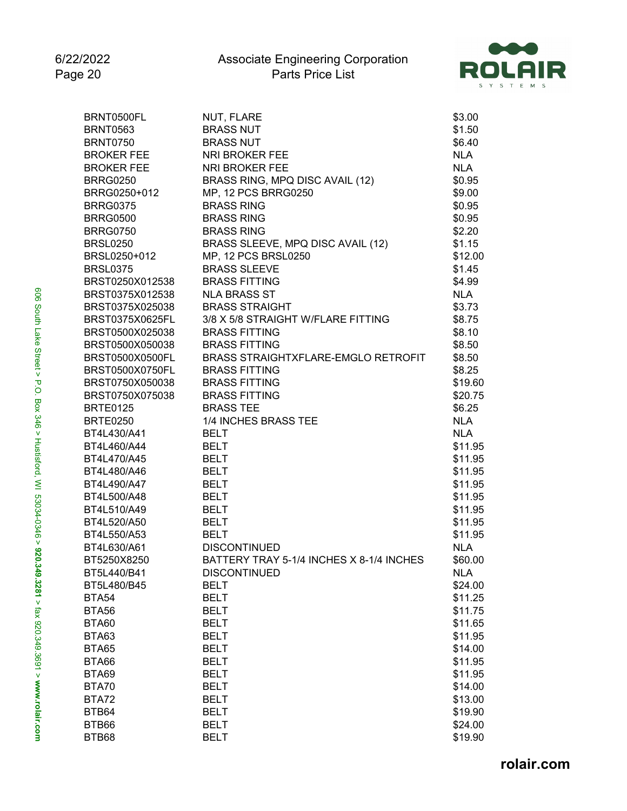

| BRNT0500FL             | NUT, FLARE                               | \$3.00     |
|------------------------|------------------------------------------|------------|
| <b>BRNT0563</b>        | <b>BRASS NUT</b>                         | \$1.50     |
| <b>BRNT0750</b>        | <b>BRASS NUT</b>                         | \$6.40     |
| <b>BROKER FEE</b>      | <b>NRI BROKER FEE</b>                    | <b>NLA</b> |
| <b>BROKER FEE</b>      | <b>NRI BROKER FEE</b>                    | <b>NLA</b> |
| <b>BRRG0250</b>        | BRASS RING, MPQ DISC AVAIL (12)          | \$0.95     |
| BRRG0250+012           | MP, 12 PCS BRRG0250                      | \$9.00     |
| <b>BRRG0375</b>        | <b>BRASS RING</b>                        | \$0.95     |
| <b>BRRG0500</b>        | <b>BRASS RING</b>                        | \$0.95     |
| <b>BRRG0750</b>        | <b>BRASS RING</b>                        | \$2.20     |
| <b>BRSL0250</b>        | BRASS SLEEVE, MPQ DISC AVAIL (12)        | \$1.15     |
| BRSL0250+012           | MP, 12 PCS BRSL0250                      | \$12.00    |
| <b>BRSL0375</b>        | <b>BRASS SLEEVE</b>                      | \$1.45     |
| BRST0250X012538        | <b>BRASS FITTING</b>                     | \$4.99     |
| BRST0375X012538        | <b>NLA BRASS ST</b>                      | <b>NLA</b> |
| BRST0375X025038        | <b>BRASS STRAIGHT</b>                    | \$3.73     |
| <b>BRST0375X0625FL</b> | 3/8 X 5/8 STRAIGHT W/FLARE FITTING       | \$8.75     |
| BRST0500X025038        | <b>BRASS FITTING</b>                     | \$8.10     |
| BRST0500X050038        | <b>BRASS FITTING</b>                     | \$8.50     |
| BRST0500X0500FL        | BRASS STRAIGHTXFLARE-EMGLO RETROFIT      | \$8.50     |
| <b>BRST0500X0750FL</b> | <b>BRASS FITTING</b>                     | \$8.25     |
| BRST0750X050038        | <b>BRASS FITTING</b>                     | \$19.60    |
| BRST0750X075038        | <b>BRASS FITTING</b>                     | \$20.75    |
| <b>BRTE0125</b>        | <b>BRASS TEE</b>                         | \$6.25     |
| <b>BRTE0250</b>        | 1/4 INCHES BRASS TEE                     | <b>NLA</b> |
| BT4L430/A41            | <b>BELT</b>                              | <b>NLA</b> |
| BT4L460/A44            | <b>BELT</b>                              | \$11.95    |
| BT4L470/A45            | <b>BELT</b>                              | \$11.95    |
| BT4L480/A46            | <b>BELT</b>                              | \$11.95    |
| BT4L490/A47            | <b>BELT</b>                              | \$11.95    |
| BT4L500/A48            | <b>BELT</b>                              | \$11.95    |
| BT4L510/A49            | <b>BELT</b>                              | \$11.95    |
| BT4L520/A50            | <b>BELT</b>                              | \$11.95    |
| BT4L550/A53            | <b>BELT</b>                              | \$11.95    |
| BT4L630/A61            | <b>DISCONTINUED</b>                      | <b>NLA</b> |
| BT5250X8250            | BATTERY TRAY 5-1/4 INCHES X 8-1/4 INCHES | \$60.00    |
| BT5L440/B41            | <b>DISCONTINUED</b>                      | <b>NLA</b> |
| BT5L480/B45            | <b>BELT</b>                              | \$24.00    |
| <b>BTA54</b>           | <b>BELT</b>                              | \$11.25    |
|                        |                                          | \$11.75    |
| <b>BTA56</b>           | <b>BELT</b>                              |            |
| <b>BTA60</b>           | <b>BELT</b>                              | \$11.65    |
| BTA63                  | <b>BELT</b>                              | \$11.95    |
| <b>BTA65</b>           | <b>BELT</b>                              | \$14.00    |
| <b>BTA66</b>           | <b>BELT</b>                              | \$11.95    |
| <b>BTA69</b>           | <b>BELT</b>                              | \$11.95    |
| BTA70                  | <b>BELT</b>                              | \$14.00    |
| BTA72                  | <b>BELT</b>                              | \$13.00    |
| BTB64                  | <b>BELT</b>                              | \$19.90    |
| BTB66                  | <b>BELT</b>                              | \$24.00    |
| BTB68                  | <b>BELT</b>                              | \$19.90    |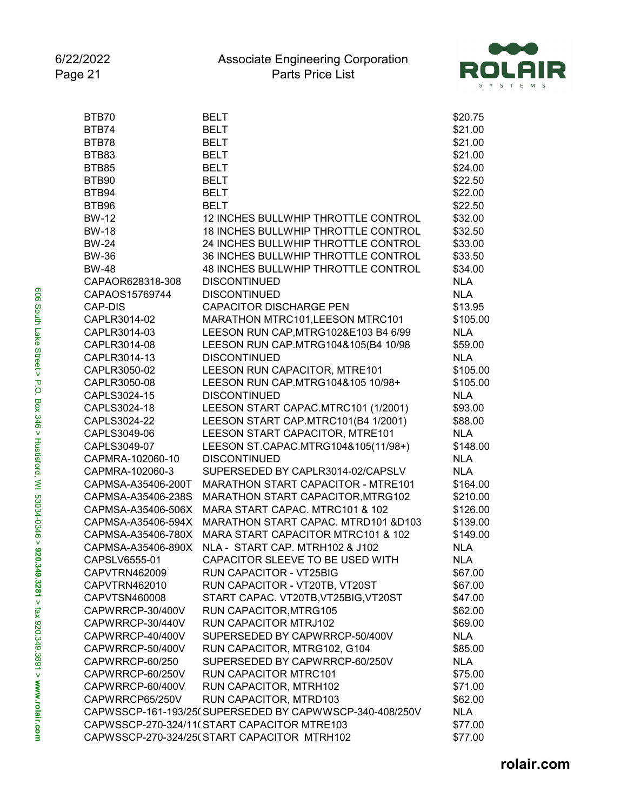

| BTB70              | <b>BELT</b>                                             | \$20.75    |
|--------------------|---------------------------------------------------------|------------|
| BTB74              | <b>BELT</b>                                             | \$21.00    |
| BTB78              | <b>BELT</b>                                             | \$21.00    |
| BTB83              | <b>BELT</b>                                             | \$21.00    |
| <b>BTB85</b>       | <b>BELT</b>                                             | \$24.00    |
| BTB90              | <b>BELT</b>                                             | \$22.50    |
| BTB94              | <b>BELT</b>                                             | \$22.00    |
| BTB96              | <b>BELT</b>                                             | \$22.50    |
| <b>BW-12</b>       | 12 INCHES BULLWHIP THROTTLE CONTROL                     | \$32.00    |
| <b>BW-18</b>       | 18 INCHES BULLWHIP THROTTLE CONTROL                     | \$32.50    |
| <b>BW-24</b>       | 24 INCHES BULLWHIP THROTTLE CONTROL                     | \$33.00    |
| <b>BW-36</b>       | 36 INCHES BULLWHIP THROTTLE CONTROL                     | \$33.50    |
| <b>BW-48</b>       | 48 INCHES BULLWHIP THROTTLE CONTROL                     | \$34.00    |
| CAPAOR628318-308   | <b>DISCONTINUED</b>                                     | <b>NLA</b> |
| CAPAOS15769744     | <b>DISCONTINUED</b>                                     | <b>NLA</b> |
| CAP-DIS            | <b>CAPACITOR DISCHARGE PEN</b>                          | \$13.95    |
| CAPLR3014-02       | MARATHON MTRC101, LEESON MTRC101                        | \$105.00   |
| CAPLR3014-03       | LEESON RUN CAP, MTRG102&E103 B4 6/99                    | <b>NLA</b> |
| CAPLR3014-08       | LEESON RUN CAP.MTRG104&105(B4 10/98                     | \$59.00    |
| CAPLR3014-13       | <b>DISCONTINUED</b>                                     | <b>NLA</b> |
| CAPLR3050-02       | LEESON RUN CAPACITOR, MTRE101                           | \$105.00   |
| CAPLR3050-08       | LEESON RUN CAP.MTRG104&105 10/98+                       | \$105.00   |
| CAPLS3024-15       | <b>DISCONTINUED</b>                                     | <b>NLA</b> |
| CAPLS3024-18       | LEESON START CAPAC.MTRC101 (1/2001)                     | \$93.00    |
| CAPLS3024-22       | LEESON START CAP.MTRC101(B4 1/2001)                     | \$88.00    |
| CAPLS3049-06       | LEESON START CAPACITOR, MTRE101                         | <b>NLA</b> |
| CAPLS3049-07       | LEESON ST.CAPAC.MTRG104&105(11/98+)                     | \$148.00   |
| CAPMRA-102060-10   | <b>DISCONTINUED</b>                                     | <b>NLA</b> |
| CAPMRA-102060-3    | SUPERSEDED BY CAPLR3014-02/CAPSLV                       | <b>NLA</b> |
| CAPMSA-A35406-200T | MARATHON START CAPACITOR - MTRE101                      | \$164.00   |
| CAPMSA-A35406-238S | MARATHON START CAPACITOR, MTRG102                       | \$210.00   |
| CAPMSA-A35406-506X | MARA START CAPAC. MTRC101 & 102                         | \$126.00   |
| CAPMSA-A35406-594X | MARATHON START CAPAC. MTRD101 &D103                     | \$139.00   |
| CAPMSA-A35406-780X | MARA START CAPACITOR MTRC101 & 102                      | \$149.00   |
| CAPMSA-A35406-890X | NLA - START CAP. MTRH102 & J102                         | <b>NLA</b> |
| CAPSLV6555-01      | CAPACITOR SLEEVE TO BE USED WITH                        | <b>NLA</b> |
| CAPVTRN462009      | RUN CAPACITOR - VT25BIG                                 | \$67.00    |
| CAPVTRN462010      | RUN CAPACITOR - VT20TB, VT20ST                          | \$67.00    |
| CAPVTSN460008      | START CAPAC. VT20TB, VT25BIG, VT20ST                    | \$47.00    |
| CAPWRRCP-30/400V   | RUN CAPACITOR, MTRG105                                  | \$62.00    |
| CAPWRRCP-30/440V   | RUN CAPACITOR MTRJ102                                   | \$69.00    |
| CAPWRRCP-40/400V   | SUPERSEDED BY CAPWRRCP-50/400V                          | <b>NLA</b> |
| CAPWRRCP-50/400V   | RUN CAPACITOR, MTRG102, G104                            | \$85.00    |
| CAPWRRCP-60/250    | SUPERSEDED BY CAPWRRCP-60/250V                          | <b>NLA</b> |
| CAPWRRCP-60/250V   | <b>RUN CAPACITOR MTRC101</b>                            | \$75.00    |
| CAPWRRCP-60/400V   | RUN CAPACITOR, MTRH102                                  | \$71.00    |
| CAPWRRCP65/250V    | RUN CAPACITOR, MTRD103                                  | \$62.00    |
|                    | CAPWSSCP-161-193/25(SUPERSEDED BY CAPWWSCP-340-408/250V | <b>NLA</b> |
|                    | CAPWSSCP-270-324/11(START CAPACITOR MTRE103             | \$77.00    |
|                    | CAPWSSCP-270-324/25(START CAPACITOR MTRH102             | \$77.00    |
|                    |                                                         |            |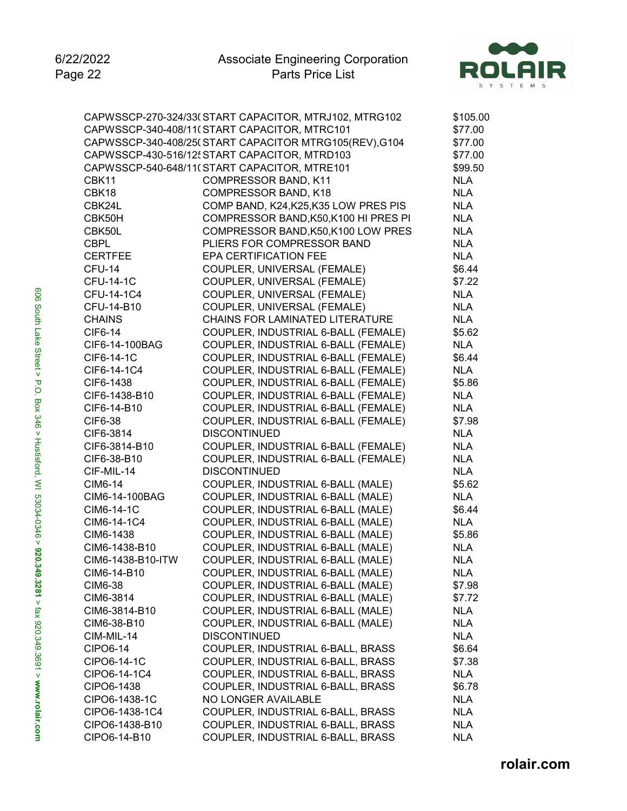

|                   | CAPWSSCP-270-324/33(START CAPACITOR, MTRJ102, MTRG102 | \$105.00   |
|-------------------|-------------------------------------------------------|------------|
|                   | CAPWSSCP-340-408/11(START CAPACITOR, MTRC101          | \$77.00    |
|                   | CAPWSSCP-340-408/25(START CAPACITOR MTRG105(REV),G104 | \$77.00    |
|                   | CAPWSSCP-430-516/12 START CAPACITOR, MTRD103          | \$77.00    |
|                   | CAPWSSCP-540-648/11(START CAPACITOR, MTRE101          | \$99.50    |
| CBK11             | <b>COMPRESSOR BAND, K11</b>                           | <b>NLA</b> |
| CBK18             | COMPRESSOR BAND, K18                                  | <b>NLA</b> |
| CBK24L            | COMP BAND, K24, K25, K35 LOW PRES PIS                 | <b>NLA</b> |
| CBK50H            | COMPRESSOR BAND, K50, K100 HI PRES PI                 | <b>NLA</b> |
| CBK50L            | COMPRESSOR BAND, K50, K100 LOW PRES                   | <b>NLA</b> |
| <b>CBPL</b>       | PLIERS FOR COMPRESSOR BAND                            | <b>NLA</b> |
| <b>CERTFEE</b>    | EPA CERTIFICATION FEE                                 | <b>NLA</b> |
| CFU-14            | COUPLER, UNIVERSAL (FEMALE)                           | \$6.44     |
| <b>CFU-14-1C</b>  | COUPLER, UNIVERSAL (FEMALE)                           | \$7.22     |
| CFU-14-1C4        | COUPLER, UNIVERSAL (FEMALE)                           | <b>NLA</b> |
| CFU-14-B10        | COUPLER, UNIVERSAL (FEMALE)                           | <b>NLA</b> |
| <b>CHAINS</b>     | CHAINS FOR LAMINATED LITERATURE                       | <b>NLA</b> |
| <b>CIF6-14</b>    | COUPLER, INDUSTRIAL 6-BALL (FEMALE)                   | \$5.62     |
| CIF6-14-100BAG    | COUPLER, INDUSTRIAL 6-BALL (FEMALE)                   | <b>NLA</b> |
| CIF6-14-1C        | COUPLER, INDUSTRIAL 6-BALL (FEMALE)                   | \$6.44     |
| CIF6-14-1C4       | COUPLER, INDUSTRIAL 6-BALL (FEMALE)                   | <b>NLA</b> |
| CIF6-1438         | COUPLER, INDUSTRIAL 6-BALL (FEMALE)                   | \$5.86     |
| CIF6-1438-B10     | COUPLER, INDUSTRIAL 6-BALL (FEMALE)                   | <b>NLA</b> |
| CIF6-14-B10       | COUPLER, INDUSTRIAL 6-BALL (FEMALE)                   | <b>NLA</b> |
| CIF6-38           | COUPLER, INDUSTRIAL 6-BALL (FEMALE)                   | \$7.98     |
| CIF6-3814         | <b>DISCONTINUED</b>                                   | <b>NLA</b> |
| CIF6-3814-B10     | COUPLER, INDUSTRIAL 6-BALL (FEMALE)                   | <b>NLA</b> |
| CIF6-38-B10       | COUPLER, INDUSTRIAL 6-BALL (FEMALE)                   | <b>NLA</b> |
| CIF-MIL-14        | <b>DISCONTINUED</b>                                   | <b>NLA</b> |
| <b>CIM6-14</b>    | COUPLER, INDUSTRIAL 6-BALL (MALE)                     | \$5.62     |
| CIM6-14-100BAG    | COUPLER, INDUSTRIAL 6-BALL (MALE)                     | <b>NLA</b> |
| CIM6-14-1C        | COUPLER, INDUSTRIAL 6-BALL (MALE)                     | \$6.44     |
| CIM6-14-1C4       | COUPLER, INDUSTRIAL 6-BALL (MALE)                     | <b>NLA</b> |
| CIM6-1438         | COUPLER, INDUSTRIAL 6-BALL (MALE)                     | \$5.86     |
| CIM6-1438-B10     | COUPLER, INDUSTRIAL 6-BALL (MALE)                     | <b>NLA</b> |
| CIM6-1438-B10-ITW | COUPLER, INDUSTRIAL 6-BALL (MALE)                     | <b>NLA</b> |
| CIM6-14-B10       | COUPLER, INDUSTRIAL 6-BALL (MALE)                     | <b>NLA</b> |
| <b>CIM6-38</b>    | COUPLER, INDUSTRIAL 6-BALL (MALE)                     | \$7.98     |
| CIM6-3814         | COUPLER, INDUSTRIAL 6-BALL (MALE)                     | \$7.72     |
| CIM6-3814-B10     | COUPLER, INDUSTRIAL 6-BALL (MALE)                     | <b>NLA</b> |
| CIM6-38-B10       | COUPLER, INDUSTRIAL 6-BALL (MALE)                     | <b>NLA</b> |
| CIM-MIL-14        | <b>DISCONTINUED</b>                                   | <b>NLA</b> |
| CIPO6-14          | COUPLER, INDUSTRIAL 6-BALL, BRASS                     | \$6.64     |
| CIPO6-14-1C       | COUPLER, INDUSTRIAL 6-BALL, BRASS                     | \$7.38     |
| CIPO6-14-1C4      | COUPLER, INDUSTRIAL 6-BALL, BRASS                     | <b>NLA</b> |
| CIPO6-1438        | COUPLER, INDUSTRIAL 6-BALL, BRASS                     | \$6.78     |
| CIPO6-1438-1C     | NO LONGER AVAILABLE                                   | <b>NLA</b> |
| CIPO6-1438-1C4    | COUPLER, INDUSTRIAL 6-BALL, BRASS                     | <b>NLA</b> |
| CIPO6-1438-B10    | COUPLER, INDUSTRIAL 6-BALL, BRASS                     | <b>NLA</b> |
| CIPO6-14-B10      | COUPLER, INDUSTRIAL 6-BALL, BRASS                     | <b>NLA</b> |
|                   |                                                       |            |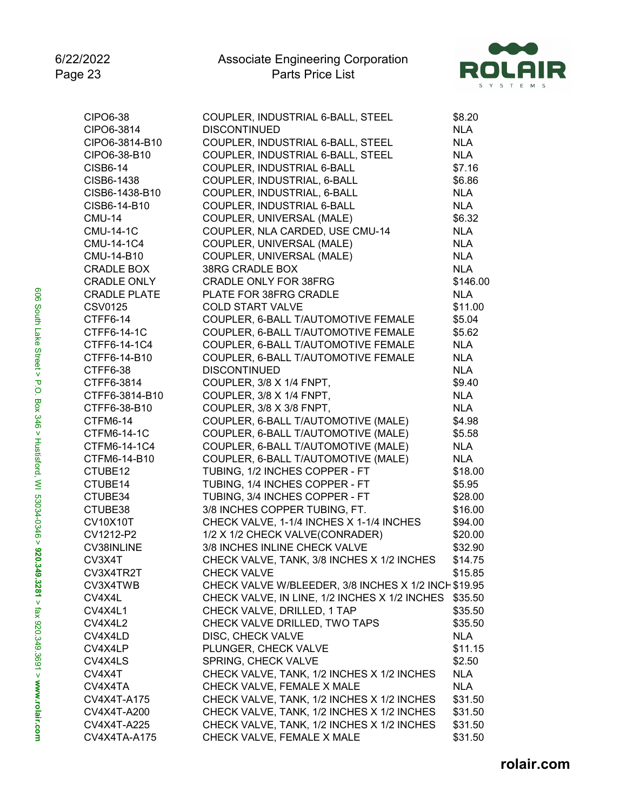

| <b>CIPO6-38</b>     | COUPLER, INDUSTRIAL 6-BALL, STEEL                   | \$8.20     |
|---------------------|-----------------------------------------------------|------------|
| CIPO6-3814          | <b>DISCONTINUED</b>                                 | <b>NLA</b> |
| CIPO6-3814-B10      | COUPLER, INDUSTRIAL 6-BALL, STEEL                   | <b>NLA</b> |
| CIPO6-38-B10        | COUPLER, INDUSTRIAL 6-BALL, STEEL                   | <b>NLA</b> |
| <b>CISB6-14</b>     | COUPLER, INDUSTRIAL 6-BALL                          | \$7.16     |
| CISB6-1438          | COUPLER, INDUSTRIAL, 6-BALL                         | \$6.86     |
| CISB6-1438-B10      | COUPLER, INDUSTRIAL, 6-BALL                         | <b>NLA</b> |
| CISB6-14-B10        | COUPLER, INDUSTRIAL 6-BALL                          | <b>NLA</b> |
| <b>CMU-14</b>       | COUPLER, UNIVERSAL (MALE)                           | \$6.32     |
| <b>CMU-14-1C</b>    | COUPLER, NLA CARDED, USE CMU-14                     | <b>NLA</b> |
| CMU-14-1C4          | COUPLER, UNIVERSAL (MALE)                           | <b>NLA</b> |
| CMU-14-B10          | COUPLER, UNIVERSAL (MALE)                           | <b>NLA</b> |
| <b>CRADLE BOX</b>   | 38RG CRADLE BOX                                     | <b>NLA</b> |
| <b>CRADLE ONLY</b>  | <b>CRADLE ONLY FOR 38FRG</b>                        | \$146.00   |
| <b>CRADLE PLATE</b> | PLATE FOR 38FRG CRADLE                              | <b>NLA</b> |
| <b>CSV0125</b>      | <b>COLD START VALVE</b>                             | \$11.00    |
| CTFF6-14            | COUPLER, 6-BALL T/AUTOMOTIVE FEMALE                 | \$5.04     |
| CTFF6-14-1C         | COUPLER, 6-BALL T/AUTOMOTIVE FEMALE                 | \$5.62     |
| CTFF6-14-1C4        | COUPLER, 6-BALL T/AUTOMOTIVE FEMALE                 | <b>NLA</b> |
| CTFF6-14-B10        | COUPLER, 6-BALL T/AUTOMOTIVE FEMALE                 | <b>NLA</b> |
| CTFF6-38            | <b>DISCONTINUED</b>                                 | <b>NLA</b> |
| CTFF6-3814          | COUPLER, 3/8 X 1/4 FNPT,                            | \$9.40     |
| CTFF6-3814-B10      | COUPLER, 3/8 X 1/4 FNPT,                            | <b>NLA</b> |
| CTFF6-38-B10        | COUPLER, 3/8 X 3/8 FNPT,                            | <b>NLA</b> |
| CTFM6-14            | COUPLER, 6-BALL T/AUTOMOTIVE (MALE)                 | \$4.98     |
|                     |                                                     |            |
| CTFM6-14-1C         | COUPLER, 6-BALL T/AUTOMOTIVE (MALE)                 | \$5.58     |
| CTFM6-14-1C4        | COUPLER, 6-BALL T/AUTOMOTIVE (MALE)                 | <b>NLA</b> |
| CTFM6-14-B10        | COUPLER, 6-BALL T/AUTOMOTIVE (MALE)                 | <b>NLA</b> |
| CTUBE12             | TUBING, 1/2 INCHES COPPER - FT                      | \$18.00    |
| CTUBE14             | TUBING, 1/4 INCHES COPPER - FT                      | \$5.95     |
| CTUBE34             | TUBING, 3/4 INCHES COPPER - FT                      | \$28.00    |
| CTUBE38             | 3/8 INCHES COPPER TUBING, FT.                       | \$16.00    |
| <b>CV10X10T</b>     | CHECK VALVE, 1-1/4 INCHES X 1-1/4 INCHES            | \$94.00    |
| CV1212-P2           | 1/2 X 1/2 CHECK VALVE(CONRADER)                     | \$20.00    |
| CV38INLINE          | 3/8 INCHES INLINE CHECK VALVE                       | \$32.90    |
| CV3X4T              | CHECK VALVE, TANK, 3/8 INCHES X 1/2 INCHES          | \$14.75    |
| CV3X4TR2T           | <b>CHECK VALVE</b>                                  | \$15.85    |
| CV3X4TWB            | CHECK VALVE W/BLEEDER, 3/8 INCHES X 1/2 INCH\$19.95 |            |
| CV4X4L              | CHECK VALVE, IN LINE, 1/2 INCHES X 1/2 INCHES       | \$35.50    |
| CV4X4L1             | CHECK VALVE, DRILLED, 1 TAP                         | \$35.50    |
| CV4X4L2             | CHECK VALVE DRILLED, TWO TAPS                       | \$35.50    |
| CV4X4LD             | DISC, CHECK VALVE                                   | <b>NLA</b> |
| CV4X4LP             | PLUNGER, CHECK VALVE                                | \$11.15    |
| CV4X4LS             | SPRING, CHECK VALVE                                 | \$2.50     |
| CV4X4T              | CHECK VALVE, TANK, 1/2 INCHES X 1/2 INCHES          | <b>NLA</b> |
| CV4X4TA             | CHECK VALVE, FEMALE X MALE                          | <b>NLA</b> |
| CV4X4T-A175         | CHECK VALVE, TANK, 1/2 INCHES X 1/2 INCHES          | \$31.50    |
| CV4X4T-A200         | CHECK VALVE, TANK, 1/2 INCHES X 1/2 INCHES          | \$31.50    |
| CV4X4T-A225         | CHECK VALVE, TANK, 1/2 INCHES X 1/2 INCHES          | \$31.50    |
| CV4X4TA-A175        | CHECK VALVE, FEMALE X MALE                          | \$31.50    |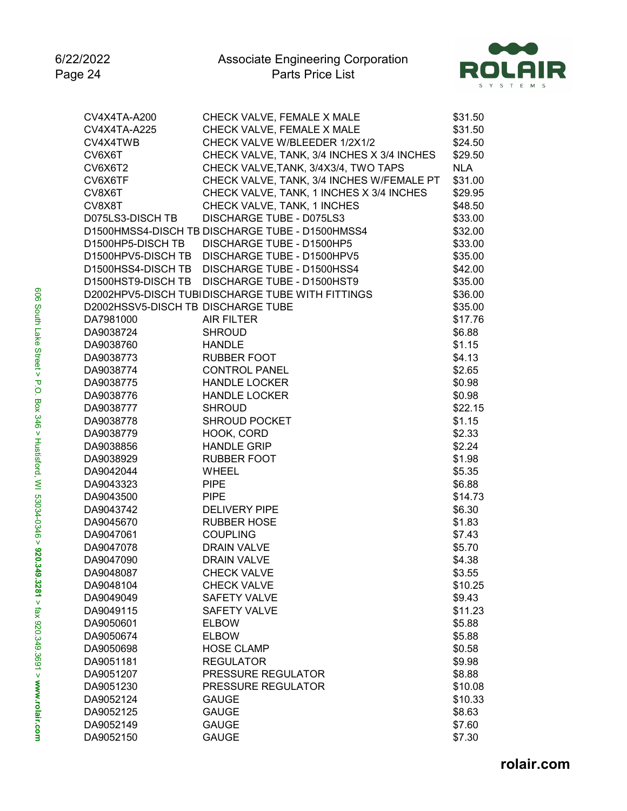

| CV4X4TA-A200                       | CHECK VALVE, FEMALE X MALE                       | \$31.50    |
|------------------------------------|--------------------------------------------------|------------|
| CV4X4TA-A225                       | CHECK VALVE, FEMALE X MALE                       | \$31.50    |
| CV4X4TWB                           | CHECK VALVE W/BLEEDER 1/2X1/2                    | \$24.50    |
| CV6X6T                             | CHECK VALVE, TANK, 3/4 INCHES X 3/4 INCHES       | \$29.50    |
| CV6X6T2                            | CHECK VALVE, TANK, 3/4X3/4, TWO TAPS             | <b>NLA</b> |
| CV6X6TF                            | CHECK VALVE, TANK, 3/4 INCHES W/FEMALE PT        | \$31.00    |
| CV8X6T                             | CHECK VALVE, TANK, 1 INCHES X 3/4 INCHES         | \$29.95    |
| CV8X8T                             | CHECK VALVE, TANK, 1 INCHES                      | \$48.50    |
| D075LS3-DISCH TB                   | DISCHARGE TUBE - D075LS3                         | \$33.00    |
|                                    | D1500HMSS4-DISCH TB DISCHARGE TUBE - D1500HMSS4  | \$32.00    |
| D1500HP5-DISCH TB                  | DISCHARGE TUBE - D1500HP5                        | \$33.00    |
|                                    | D1500HPV5-DISCH TB DISCHARGE TUBE - D1500HPV5    | \$35.00    |
|                                    | D1500HSS4-DISCH TB DISCHARGE TUBE - D1500HSS4    | \$42.00    |
| D1500HST9-DISCH TB                 | DISCHARGE TUBE - D1500HST9                       | \$35.00    |
|                                    | D2002HPV5-DISCH TUBIDISCHARGE TUBE WITH FITTINGS | \$36.00    |
| D2002HSSV5-DISCH TB DISCHARGE TUBE |                                                  | \$35.00    |
| DA7981000                          | <b>AIR FILTER</b>                                | \$17.76    |
| DA9038724                          | <b>SHROUD</b>                                    | \$6.88     |
| DA9038760                          | <b>HANDLE</b>                                    | \$1.15     |
| DA9038773                          | <b>RUBBER FOOT</b>                               | \$4.13     |
| DA9038774                          | <b>CONTROL PANEL</b>                             | \$2.65     |
| DA9038775                          | <b>HANDLE LOCKER</b>                             | \$0.98     |
| DA9038776                          | <b>HANDLE LOCKER</b>                             | \$0.98     |
| DA9038777                          | <b>SHROUD</b>                                    | \$22.15    |
| DA9038778                          | <b>SHROUD POCKET</b>                             | \$1.15     |
| DA9038779                          | HOOK, CORD                                       | \$2.33     |
| DA9038856                          | <b>HANDLE GRIP</b>                               | \$2.24     |
| DA9038929                          | <b>RUBBER FOOT</b>                               | \$1.98     |
| DA9042044                          | <b>WHEEL</b>                                     | \$5.35     |
| DA9043323                          | <b>PIPE</b>                                      | \$6.88     |
| DA9043500                          | <b>PIPE</b>                                      | \$14.73    |
| DA9043742                          | <b>DELIVERY PIPE</b>                             | \$6.30     |
| DA9045670                          | <b>RUBBER HOSE</b>                               | \$1.83     |
| DA9047061                          | <b>COUPLING</b>                                  | \$7.43     |
| DA9047078                          | <b>DRAIN VALVE</b>                               | \$5.70     |
| DA9047090                          | <b>DRAIN VALVE</b>                               | \$4.38     |
| DA9048087                          | <b>CHECK VALVE</b>                               | \$3.55     |
| DA9048104                          | <b>CHECK VALVE</b>                               | \$10.25    |
| DA9049049                          | <b>SAFETY VALVE</b>                              | \$9.43     |
| DA9049115                          | <b>SAFETY VALVE</b>                              | \$11.23    |
| DA9050601                          | <b>ELBOW</b>                                     | \$5.88     |
| DA9050674                          | <b>ELBOW</b>                                     | \$5.88     |
| DA9050698                          | <b>HOSE CLAMP</b>                                | \$0.58     |
| DA9051181                          | <b>REGULATOR</b>                                 | \$9.98     |
| DA9051207                          | PRESSURE REGULATOR                               | \$8.88     |
| DA9051230                          | PRESSURE REGULATOR                               | \$10.08    |
| DA9052124                          | <b>GAUGE</b>                                     | \$10.33    |
| DA9052125                          | <b>GAUGE</b>                                     | \$8.63     |
| DA9052149                          | <b>GAUGE</b>                                     | \$7.60     |
| DA9052150                          | <b>GAUGE</b>                                     | \$7.30     |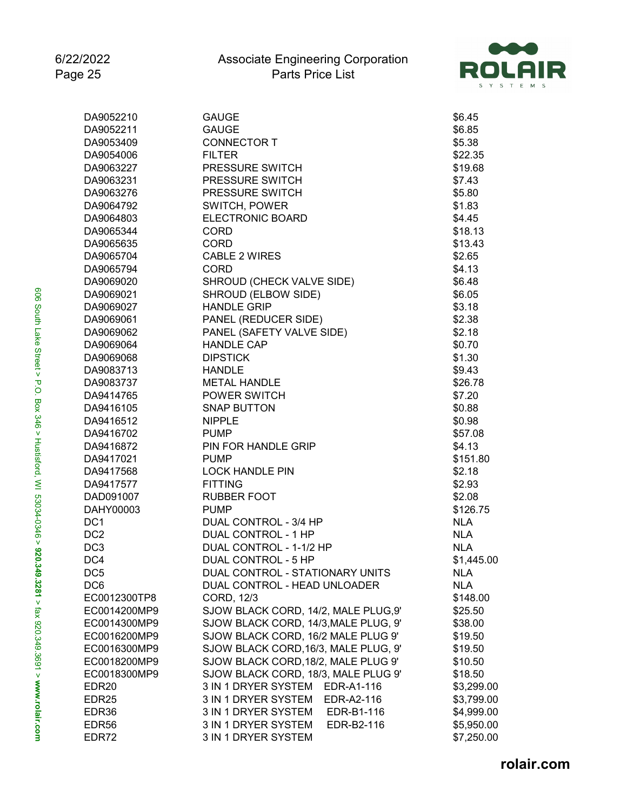

| DA9052210         | <b>GAUGE</b>                         | \$6.45     |
|-------------------|--------------------------------------|------------|
| DA9052211         | <b>GAUGE</b>                         | \$6.85     |
| DA9053409         | <b>CONNECTOR T</b>                   | \$5.38     |
| DA9054006         | <b>FILTER</b>                        | \$22.35    |
| DA9063227         | PRESSURE SWITCH                      | \$19.68    |
| DA9063231         | PRESSURE SWITCH                      | \$7.43     |
| DA9063276         | PRESSURE SWITCH                      | \$5.80     |
| DA9064792         | SWITCH, POWER                        | \$1.83     |
| DA9064803         | ELECTRONIC BOARD                     | \$4.45     |
| DA9065344         | <b>CORD</b>                          | \$18.13    |
| DA9065635         | <b>CORD</b>                          | \$13.43    |
| DA9065704         | <b>CABLE 2 WIRES</b>                 | \$2.65     |
| DA9065794         | <b>CORD</b>                          | \$4.13     |
| DA9069020         | SHROUD (CHECK VALVE SIDE)            | \$6.48     |
| DA9069021         | SHROUD (ELBOW SIDE)                  | \$6.05     |
| DA9069027         | <b>HANDLE GRIP</b>                   | \$3.18     |
| DA9069061         | PANEL (REDUCER SIDE)                 | \$2.38     |
| DA9069062         | PANEL (SAFETY VALVE SIDE)            | \$2.18     |
| DA9069064         | <b>HANDLE CAP</b>                    | \$0.70     |
| DA9069068         | <b>DIPSTICK</b>                      | \$1.30     |
| DA9083713         | <b>HANDLE</b>                        | \$9.43     |
| DA9083737         | <b>METAL HANDLE</b>                  | \$26.78    |
| DA9414765         | <b>POWER SWITCH</b>                  | \$7.20     |
| DA9416105         | <b>SNAP BUTTON</b>                   | \$0.88     |
| DA9416512         | <b>NIPPLE</b>                        | \$0.98     |
| DA9416702         | <b>PUMP</b>                          | \$57.08    |
| DA9416872         | PIN FOR HANDLE GRIP                  | \$4.13     |
| DA9417021         | <b>PUMP</b>                          | \$151.80   |
| DA9417568         | <b>LOCK HANDLE PIN</b>               | \$2.18     |
| DA9417577         | <b>FITTING</b>                       | \$2.93     |
| DAD091007         | <b>RUBBER FOOT</b>                   | \$2.08     |
| DAHY00003         | <b>PUMP</b>                          | \$126.75   |
| DC <sub>1</sub>   | DUAL CONTROL - 3/4 HP                | <b>NLA</b> |
| DC <sub>2</sub>   | DUAL CONTROL - 1 HP                  | <b>NLA</b> |
| DC <sub>3</sub>   | DUAL CONTROL - 1-1/2 HP              | <b>NLA</b> |
| DC4               | DUAL CONTROL - 5 HP                  | \$1,445.00 |
| DC <sub>5</sub>   | DUAL CONTROL - STATIONARY UNITS      | NLA        |
| DC <sub>6</sub>   | DUAL CONTROL - HEAD UNLOADER         | <b>NLA</b> |
| EC0012300TP8      | CORD, 12/3                           | \$148.00   |
| EC0014200MP9      | SJOW BLACK CORD, 14/2, MALE PLUG,9'  | \$25.50    |
| EC0014300MP9      | SJOW BLACK CORD, 14/3, MALE PLUG, 9' | \$38.00    |
| EC0016200MP9      | SJOW BLACK CORD, 16/2 MALE PLUG 9'   | \$19.50    |
| EC0016300MP9      | SJOW BLACK CORD, 16/3, MALE PLUG, 9' | \$19.50    |
| EC0018200MP9      | SJOW BLACK CORD, 18/2, MALE PLUG 9'  | \$10.50    |
| EC0018300MP9      | SJOW BLACK CORD, 18/3, MALE PLUG 9'  | \$18.50    |
| EDR <sub>20</sub> | 3 IN 1 DRYER SYSTEM<br>EDR-A1-116    | \$3,299.00 |
| EDR <sub>25</sub> | 3 IN 1 DRYER SYSTEM<br>EDR-A2-116    | \$3,799.00 |
| EDR36             | 3 IN 1 DRYER SYSTEM<br>EDR-B1-116    | \$4,999.00 |
| EDR <sub>56</sub> | 3 IN 1 DRYER SYSTEM<br>EDR-B2-116    | \$5,950.00 |
| EDR72             | 3 IN 1 DRYER SYSTEM                  | \$7,250.00 |
|                   |                                      |            |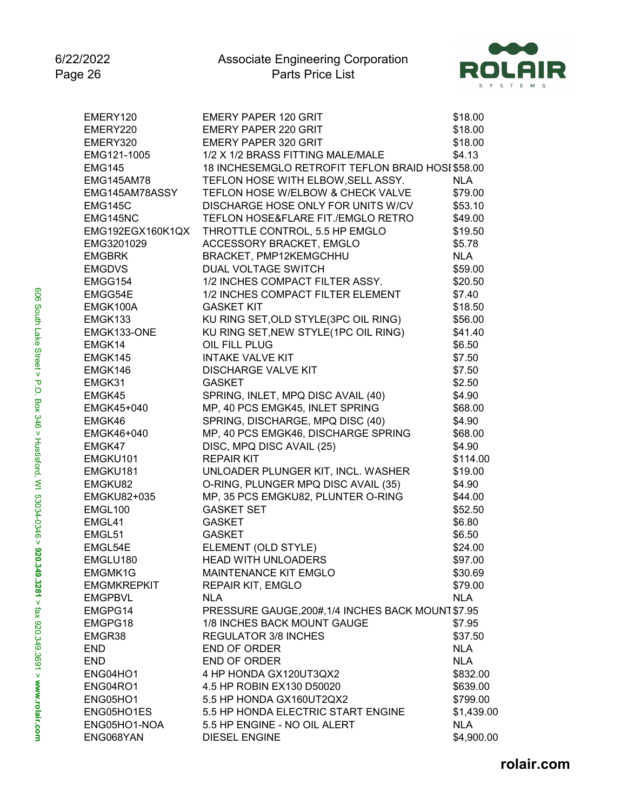

| EMERY120             | <b>EMERY PAPER 120 GRIT</b>                        | \$18.00    |
|----------------------|----------------------------------------------------|------------|
| EMERY220             | <b>EMERY PAPER 220 GRIT</b>                        | \$18.00    |
| EMERY320             | <b>EMERY PAPER 320 GRIT</b>                        | \$18.00    |
| EMG121-1005          | 1/2 X 1/2 BRASS FITTING MALE/MALE                  | \$4.13     |
| <b>EMG145</b>        | 18 INCHESEMGLO RETROFIT TEFLON BRAID HOSI \$58.00  |            |
| <b>EMG145AM78</b>    | TEFLON HOSE WITH ELBOW, SELL ASSY.                 | <b>NLA</b> |
| EMG145AM78ASSY       | TEFLON HOSE W/ELBOW & CHECK VALVE                  | \$79.00    |
| EMG145C              | DISCHARGE HOSE ONLY FOR UNITS W/CV                 | \$53.10    |
| EMG145NC             | TEFLON HOSE&FLARE FIT./EMGLO RETRO                 | \$49.00    |
| EMG192EGX160K1QX     | THROTTLE CONTROL, 5.5 HP EMGLO                     | \$19.50    |
| EMG3201029           | ACCESSORY BRACKET, EMGLO                           | \$5.78     |
| <b>EMGBRK</b>        | BRACKET, PMP12KEMGCHHU                             | <b>NLA</b> |
| <b>EMGDVS</b>        | <b>DUAL VOLTAGE SWITCH</b>                         | \$59.00    |
| EMGG154              | 1/2 INCHES COMPACT FILTER ASSY.                    | \$20.50    |
| EMGG54E              | 1/2 INCHES COMPACT FILTER ELEMENT                  | \$7.40     |
| EMGK100A             | <b>GASKET KIT</b>                                  | \$18.50    |
| EMGK133              | KU RING SET, OLD STYLE (3PC OIL RING)              | \$56.00    |
| EMGK133-ONE          | KU RING SET, NEW STYLE(1PC OIL RING)               | \$41.40    |
| EMGK14               | OIL FILL PLUG                                      | \$6.50     |
| EMGK145              | <b>INTAKE VALVE KIT</b>                            | \$7.50     |
| EMGK146              | <b>DISCHARGE VALVE KIT</b>                         | \$7.50     |
| EMGK31               | <b>GASKET</b>                                      | \$2.50     |
| EMGK45               | SPRING, INLET, MPQ DISC AVAIL (40)                 | \$4.90     |
| EMGK45+040           | MP, 40 PCS EMGK45, INLET SPRING                    | \$68.00    |
| EMGK46               | SPRING, DISCHARGE, MPQ DISC (40)                   | \$4.90     |
|                      | MP, 40 PCS EMGK46, DISCHARGE SPRING                | \$68.00    |
| EMGK46+040<br>EMGK47 |                                                    |            |
|                      | DISC, MPQ DISC AVAIL (25)                          | \$4.90     |
| EMGKU101             | <b>REPAIR KIT</b>                                  | \$114.00   |
| EMGKU181             | UNLOADER PLUNGER KIT, INCL. WASHER                 | \$19.00    |
| EMGKU82              | O-RING, PLUNGER MPQ DISC AVAIL (35)                | \$4.90     |
| EMGKU82+035          | MP, 35 PCS EMGKU82, PLUNTER O-RING                 | \$44.00    |
| EMGL100              | <b>GASKET SET</b>                                  | \$52.50    |
| EMGL41               | <b>GASKET</b>                                      | \$6.80     |
| EMGL51               | <b>GASKET</b>                                      | \$6.50     |
| EMGL54E              | ELEMENT (OLD STYLE)                                | \$24.00    |
| EMGLU180             | <b>HEAD WITH UNLOADERS</b>                         | \$97.00    |
| EMGMK1G              | <b>MAINTENANCE KIT EMGLO</b>                       | \$30.69    |
| <b>EMGMKREPKIT</b>   | <b>REPAIR KIT, EMGLO</b>                           | \$79.00    |
| <b>EMGPBVL</b>       | <b>NLA</b>                                         | <b>NLA</b> |
| EMGPG14              | PRESSURE GAUGE, 200#, 1/4 INCHES BACK MOUNT \$7.95 |            |
| EMGPG18              | 1/8 INCHES BACK MOUNT GAUGE                        | \$7.95     |
| EMGR38               | <b>REGULATOR 3/8 INCHES</b>                        | \$37.50    |
| <b>END</b>           | END OF ORDER                                       | <b>NLA</b> |
| <b>END</b>           | END OF ORDER                                       | <b>NLA</b> |
| ENG04HO1             | 4 HP HONDA GX120UT3QX2                             | \$832.00   |
| ENG04RO1             | 4.5 HP ROBIN EX130 D50020                          | \$639.00   |
| ENG05HO1             | 5.5 HP HONDA GX160UT2QX2                           | \$799.00   |
| ENG05HO1ES           | 5.5 HP HONDA ELECTRIC START ENGINE                 | \$1,439.00 |
| ENG05HO1-NOA         | 5.5 HP ENGINE - NO OIL ALERT                       | <b>NLA</b> |
| ENG068YAN            | <b>DIESEL ENGINE</b>                               | \$4,900.00 |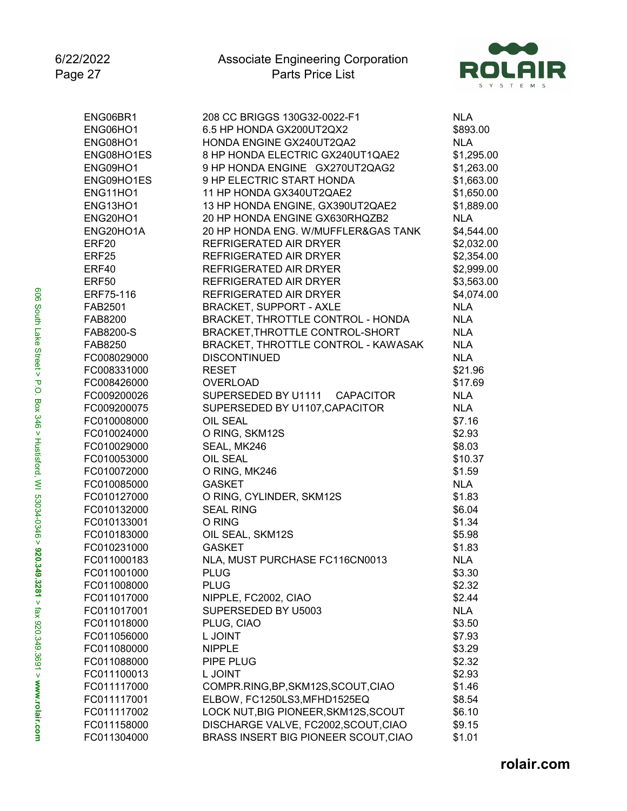

| ENG06BR1          | 208 CC BRIGGS 130G32-0022-F1            | <b>NLA</b> |
|-------------------|-----------------------------------------|------------|
| ENG06HO1          | 6.5 HP HONDA GX200UT2QX2                | \$893.00   |
| ENG08HO1          | HONDA ENGINE GX240UT2QA2                | <b>NLA</b> |
| ENG08HO1ES        | 8 HP HONDA ELECTRIC GX240UT1QAE2        | \$1,295.00 |
| ENG09HO1          | 9 HP HONDA ENGINE GX270UT2QAG2          | \$1,263.00 |
| ENG09HO1ES        | 9 HP ELECTRIC START HONDA               | \$1,663.00 |
| ENG11HO1          | 11 HP HONDA GX340UT2QAE2                | \$1,650.00 |
| ENG13HO1          | 13 HP HONDA ENGINE, GX390UT2QAE2        | \$1,889.00 |
| ENG20HO1          | 20 HP HONDA ENGINE GX630RHQZB2          | <b>NLA</b> |
| ENG20HO1A         | 20 HP HONDA ENG. W/MUFFLER&GAS TANK     | \$4,544.00 |
| ERF <sub>20</sub> | <b>REFRIGERATED AIR DRYER</b>           | \$2,032.00 |
| ERF <sub>25</sub> | REFRIGERATED AIR DRYER                  | \$2,354.00 |
| ERF40             | REFRIGERATED AIR DRYER                  | \$2,999.00 |
| <b>ERF50</b>      | REFRIGERATED AIR DRYER                  | \$3,563.00 |
| ERF75-116         | REFRIGERATED AIR DRYER                  | \$4,074.00 |
| FAB2501           | <b>BRACKET, SUPPORT - AXLE</b>          | <b>NLA</b> |
| FAB8200           | BRACKET, THROTTLE CONTROL - HONDA       | <b>NLA</b> |
| FAB8200-S         | BRACKET, THROTTLE CONTROL-SHORT         | <b>NLA</b> |
| FAB8250           | BRACKET, THROTTLE CONTROL - KAWASAK     | <b>NLA</b> |
| FC008029000       | <b>DISCONTINUED</b>                     | <b>NLA</b> |
| FC008331000       | <b>RESET</b>                            | \$21.96    |
| FC008426000       | <b>OVERLOAD</b>                         | \$17.69    |
| FC009200026       | SUPERSEDED BY U1111<br><b>CAPACITOR</b> | <b>NLA</b> |
| FC009200075       | SUPERSEDED BY U1107, CAPACITOR          | <b>NLA</b> |
| FC010008000       | OIL SEAL                                | \$7.16     |
| FC010024000       | O RING, SKM12S                          | \$2.93     |
| FC010029000       | SEAL, MK246                             | \$8.03     |
| FC010053000       | OIL SEAL                                | \$10.37    |
| FC010072000       | O RING, MK246                           | \$1.59     |
| FC010085000       | <b>GASKET</b>                           | <b>NLA</b> |
| FC010127000       | O RING, CYLINDER, SKM12S                | \$1.83     |
| FC010132000       | <b>SEAL RING</b>                        | \$6.04     |
| FC010133001       | O RING                                  | \$1.34     |
| FC010183000       | OIL SEAL, SKM12S                        | \$5.98     |
| FC010231000       | <b>GASKET</b>                           | \$1.83     |
| FC011000183       | NLA, MUST PURCHASE FC116CN0013          | <b>NLA</b> |
| FC011001000       | <b>PLUG</b>                             | \$3.30     |
| FC011008000       | <b>PLUG</b>                             | \$2.32     |
| FC011017000       | NIPPLE, FC2002, CIAO                    | \$2.44     |
| FC011017001       | SUPERSEDED BY U5003                     | <b>NLA</b> |
| FC011018000       | PLUG, CIAO                              | \$3.50     |
| FC011056000       | L JOINT                                 | \$7.93     |
| FC011080000       | <b>NIPPLE</b>                           | \$3.29     |
| FC011088000       | PIPE PLUG                               | \$2.32     |
| FC011100013       | L JOINT                                 | \$2.93     |
| FC011117000       | COMPR.RING, BP, SKM12S, SCOUT, CIAO     | \$1.46     |
| FC011117001       | ELBOW, FC1250LS3, MFHD1525EQ            | \$8.54     |
| FC011117002       | LOCK NUT, BIG PIONEER, SKM12S, SCOUT    | \$6.10     |
| FC011158000       | DISCHARGE VALVE, FC2002, SCOUT, CIAO    | \$9.15     |
| FC011304000       | BRASS INSERT BIG PIONEER SCOUT, CIAO    | \$1.01     |
|                   |                                         |            |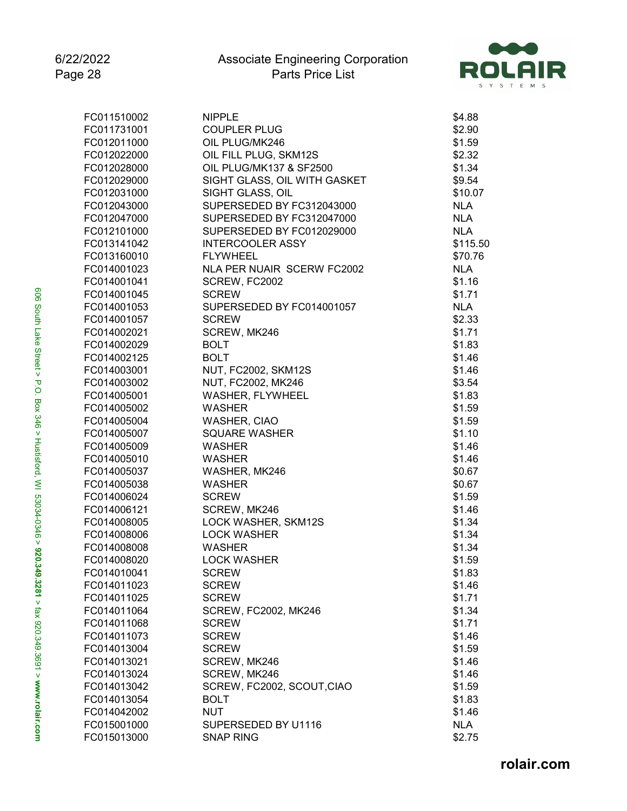

| FC011510002 | <b>NIPPLE</b>                | \$4.88     |
|-------------|------------------------------|------------|
| FC011731001 | <b>COUPLER PLUG</b>          | \$2.90     |
| FC012011000 | OIL PLUG/MK246               | \$1.59     |
| FC012022000 | OIL FILL PLUG, SKM12S        | \$2.32     |
| FC012028000 | OIL PLUG/MK137 & SF2500      | \$1.34     |
| FC012029000 | SIGHT GLASS, OIL WITH GASKET | \$9.54     |
| FC012031000 | SIGHT GLASS, OIL             | \$10.07    |
| FC012043000 | SUPERSEDED BY FC312043000    | <b>NLA</b> |
| FC012047000 | SUPERSEDED BY FC312047000    | <b>NLA</b> |
| FC012101000 | SUPERSEDED BY FC012029000    | <b>NLA</b> |
| FC013141042 | <b>INTERCOOLER ASSY</b>      | \$115.50   |
| FC013160010 | <b>FLYWHEEL</b>              | \$70.76    |
| FC014001023 | NLA PER NUAIR SCERW FC2002   | <b>NLA</b> |
| FC014001041 | SCREW, FC2002                | \$1.16     |
| FC014001045 | <b>SCREW</b>                 | \$1.71     |
| FC014001053 | SUPERSEDED BY FC014001057    | <b>NLA</b> |
| FC014001057 | <b>SCREW</b>                 | \$2.33     |
| FC014002021 | SCREW, MK246                 | \$1.71     |
| FC014002029 | <b>BOLT</b>                  | \$1.83     |
| FC014002125 | <b>BOLT</b>                  | \$1.46     |
| FC014003001 | <b>NUT, FC2002, SKM12S</b>   | \$1.46     |
| FC014003002 | NUT, FC2002, MK246           | \$3.54     |
| FC014005001 | WASHER, FLYWHEEL             | \$1.83     |
| FC014005002 | <b>WASHER</b>                | \$1.59     |
| FC014005004 | WASHER, CIAO                 | \$1.59     |
| FC014005007 | <b>SQUARE WASHER</b>         | \$1.10     |
| FC014005009 | <b>WASHER</b>                | \$1.46     |
| FC014005010 | <b>WASHER</b>                | \$1.46     |
| FC014005037 | WASHER, MK246                | \$0.67     |
| FC014005038 | <b>WASHER</b>                | \$0.67     |
| FC014006024 | <b>SCREW</b>                 | \$1.59     |
| FC014006121 | SCREW, MK246                 | \$1.46     |
| FC014008005 | LOCK WASHER, SKM12S          | \$1.34     |
| FC014008006 | <b>LOCK WASHER</b>           | \$1.34     |
| FC014008008 | <b>WASHER</b>                | \$1.34     |
| FC014008020 | <b>LOCK WASHER</b>           | \$1.59     |
| FC014010041 | <b>SCREW</b>                 | \$1.83     |
| FC014011023 | <b>SCREW</b>                 | \$1.46     |
| FC014011025 | <b>SCREW</b>                 | \$1.71     |
| FC014011064 | <b>SCREW, FC2002, MK246</b>  | \$1.34     |
| FC014011068 | <b>SCREW</b>                 | \$1.71     |
| FC014011073 | <b>SCREW</b>                 | \$1.46     |
| FC014013004 | <b>SCREW</b>                 | \$1.59     |
| FC014013021 | SCREW, MK246                 | \$1.46     |
| FC014013024 | SCREW, MK246                 | \$1.46     |
| FC014013042 | SCREW, FC2002, SCOUT, CIAO   | \$1.59     |
| FC014013054 | <b>BOLT</b>                  | \$1.83     |
| FC014042002 | NUT                          | \$1.46     |
| FC015001000 | SUPERSEDED BY U1116          | <b>NLA</b> |
| FC015013000 | <b>SNAP RING</b>             | \$2.75     |
|             |                              |            |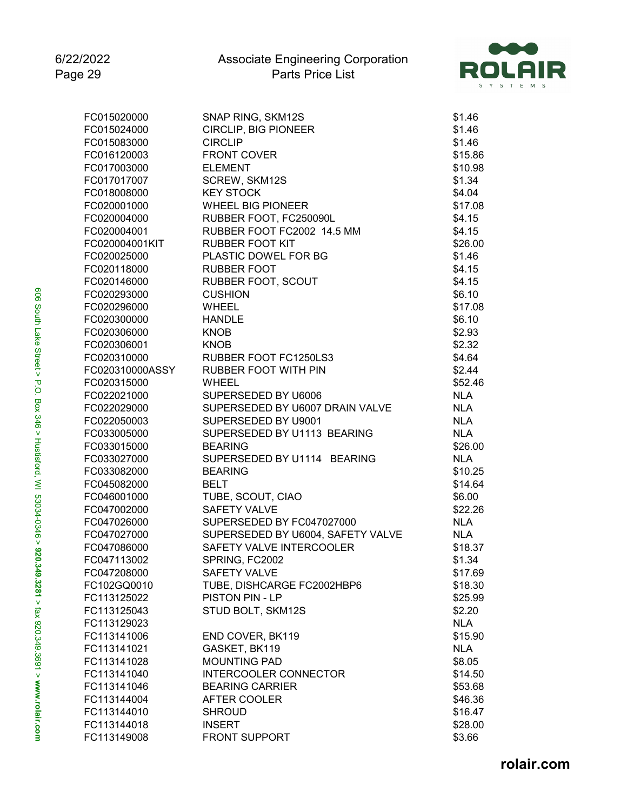

| FC015020000     | SNAP RING, SKM12S                 | \$1.46     |
|-----------------|-----------------------------------|------------|
| FC015024000     | CIRCLIP, BIG PIONEER              | \$1.46     |
| FC015083000     | <b>CIRCLIP</b>                    | \$1.46     |
| FC016120003     | <b>FRONT COVER</b>                | \$15.86    |
| FC017003000     | <b>ELEMENT</b>                    | \$10.98    |
| FC017017007     | SCREW, SKM12S                     | \$1.34     |
| FC018008000     | <b>KEY STOCK</b>                  | \$4.04     |
| FC020001000     | <b>WHEEL BIG PIONEER</b>          | \$17.08    |
| FC020004000     | RUBBER FOOT, FC250090L            | \$4.15     |
| FC020004001     | RUBBER FOOT FC2002 14.5 MM        | \$4.15     |
| FC020004001KIT  | <b>RUBBER FOOT KIT</b>            | \$26.00    |
| FC020025000     | PLASTIC DOWEL FOR BG              | \$1.46     |
| FC020118000     | <b>RUBBER FOOT</b>                | \$4.15     |
| FC020146000     | RUBBER FOOT, SCOUT                | \$4.15     |
| FC020293000     | <b>CUSHION</b>                    | \$6.10     |
| FC020296000     | <b>WHEEL</b>                      | \$17.08    |
| FC020300000     | <b>HANDLE</b>                     | \$6.10     |
| FC020306000     | <b>KNOB</b>                       | \$2.93     |
| FC020306001     | <b>KNOB</b>                       | \$2.32     |
| FC020310000     | RUBBER FOOT FC1250LS3             | \$4.64     |
| FC020310000ASSY | <b>RUBBER FOOT WITH PIN</b>       | \$2.44     |
| FC020315000     | WHEEL                             | \$52.46    |
| FC022021000     | SUPERSEDED BY U6006               | <b>NLA</b> |
| FC022029000     | SUPERSEDED BY U6007 DRAIN VALVE   | <b>NLA</b> |
| FC022050003     | SUPERSEDED BY U9001               | <b>NLA</b> |
| FC033005000     | SUPERSEDED BY U1113 BEARING       | <b>NLA</b> |
|                 | <b>BEARING</b>                    |            |
| FC033015000     |                                   | \$26.00    |
| FC033027000     | SUPERSEDED BY U1114 BEARING       | <b>NLA</b> |
| FC033082000     | <b>BEARING</b>                    | \$10.25    |
| FC045082000     | <b>BELT</b>                       | \$14.64    |
| FC046001000     | TUBE, SCOUT, CIAO                 | \$6.00     |
| FC047002000     | <b>SAFETY VALVE</b>               | \$22.26    |
| FC047026000     | SUPERSEDED BY FC047027000         | <b>NLA</b> |
| FC047027000     | SUPERSEDED BY U6004, SAFETY VALVE | <b>NLA</b> |
| FC047086000     | SAFETY VALVE INTERCOOLER          | \$18.37    |
| FC047113002     | SPRING, FC2002                    | \$1.34     |
| FC047208000     | <b>SAFETY VALVE</b>               | \$17.69    |
| FC102GQ0010     | TUBE, DISHCARGE FC2002HBP6        | \$18.30    |
| FC113125022     | PISTON PIN - LP                   | \$25.99    |
| FC113125043     | STUD BOLT, SKM12S                 | \$2.20     |
| FC113129023     |                                   | <b>NLA</b> |
| FC113141006     | END COVER, BK119                  | \$15.90    |
| FC113141021     | GASKET, BK119                     | <b>NLA</b> |
| FC113141028     | <b>MOUNTING PAD</b>               | \$8.05     |
| FC113141040     | <b>INTERCOOLER CONNECTOR</b>      | \$14.50    |
| FC113141046     | <b>BEARING CARRIER</b>            | \$53.68    |
| FC113144004     | AFTER COOLER                      | \$46.36    |
| FC113144010     | <b>SHROUD</b>                     | \$16.47    |
| FC113144018     | <b>INSERT</b>                     | \$28.00    |
| FC113149008     | <b>FRONT SUPPORT</b>              | \$3.66     |
|                 |                                   |            |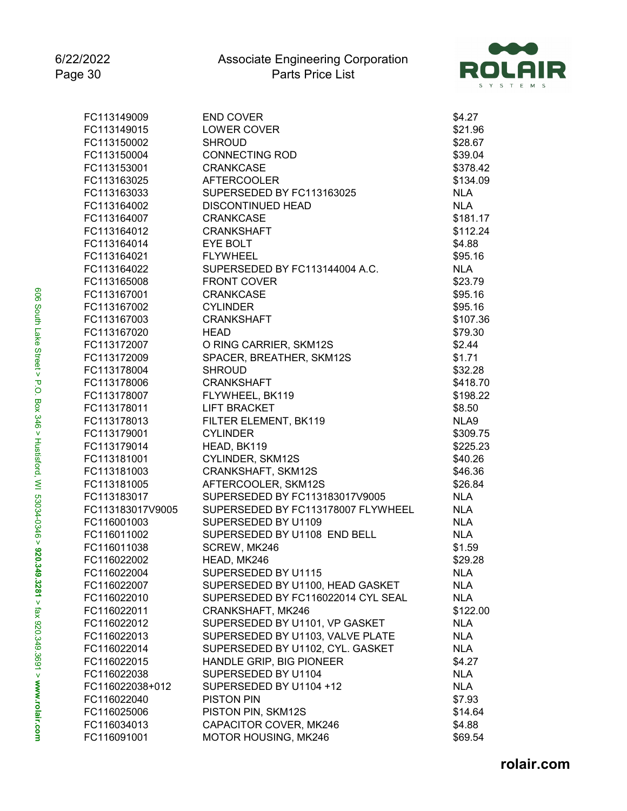

| FC113149009                | <b>END COVER</b>                   | \$4.27            |
|----------------------------|------------------------------------|-------------------|
| FC113149015                | LOWER COVER                        | \$21.96           |
| FC113150002                | <b>SHROUD</b>                      | \$28.67           |
| FC113150004                | <b>CONNECTING ROD</b>              | \$39.04           |
| FC113153001                | <b>CRANKCASE</b>                   | \$378.42          |
| FC113163025                | <b>AFTERCOOLER</b>                 | \$134.09          |
| FC113163033                | SUPERSEDED BY FC113163025          | <b>NLA</b>        |
| FC113164002                | <b>DISCONTINUED HEAD</b>           | <b>NLA</b>        |
| FC113164007                | <b>CRANKCASE</b>                   | \$181.17          |
| FC113164012                | <b>CRANKSHAFT</b>                  | \$112.24          |
| FC113164014                | EYE BOLT                           | \$4.88            |
| FC113164021                | <b>FLYWHEEL</b>                    | \$95.16           |
| FC113164022                | SUPERSEDED BY FC113144004 A.C.     | <b>NLA</b>        |
| FC113165008                | <b>FRONT COVER</b>                 | \$23.79           |
| FC113167001                | <b>CRANKCASE</b>                   | \$95.16           |
| FC113167002                | <b>CYLINDER</b>                    | \$95.16           |
| FC113167003                | <b>CRANKSHAFT</b>                  | \$107.36          |
| FC113167020                | <b>HEAD</b>                        | \$79.30           |
| FC113172007                | O RING CARRIER, SKM12S             | \$2.44            |
| FC113172009                | SPACER, BREATHER, SKM12S           | \$1.71            |
| FC113178004                | <b>SHROUD</b>                      | \$32.28           |
| FC113178006                | <b>CRANKSHAFT</b>                  | \$418.70          |
| FC113178007                | FLYWHEEL, BK119                    | \$198.22          |
| FC113178011                | <b>LIFT BRACKET</b>                | \$8.50            |
| FC113178013                | FILTER ELEMENT, BK119              | NLA9              |
| FC113179001                | <b>CYLINDER</b>                    | \$309.75          |
| FC113179014                | HEAD, BK119                        | \$225.23          |
| FC113181001                | CYLINDER, SKM12S                   | \$40.26           |
| FC113181003                | CRANKSHAFT, SKM12S                 | \$46.36           |
| FC113181005                | AFTERCOOLER, SKM12S                | \$26.84           |
| FC113183017                | SUPERSEDED BY FC113183017V9005     | <b>NLA</b>        |
| FC113183017V9005           | SUPERSEDED BY FC113178007 FLYWHEEL | <b>NLA</b>        |
| FC116001003                | SUPERSEDED BY U1109                | <b>NLA</b>        |
|                            |                                    | <b>NLA</b>        |
| FC116011002<br>FC116011038 | SUPERSEDED BY U1108 END BELL       |                   |
| FC116022002                | SCREW, MK246                       | \$1.59<br>\$29.28 |
|                            | HEAD, MK246                        |                   |
| FC116022004                | SUPERSEDED BY U1115                | <b>NLA</b>        |
| FC116022007                | SUPERSEDED BY U1100, HEAD GASKET   | <b>NLA</b>        |
| FC116022010                | SUPERSEDED BY FC116022014 CYL SEAL | <b>NLA</b>        |
| FC116022011                | CRANKSHAFT, MK246                  | \$122.00          |
| FC116022012                | SUPERSEDED BY U1101, VP GASKET     | <b>NLA</b>        |
| FC116022013                | SUPERSEDED BY U1103, VALVE PLATE   | <b>NLA</b>        |
| FC116022014                | SUPERSEDED BY U1102, CYL. GASKET   | <b>NLA</b>        |
| FC116022015                | HANDLE GRIP, BIG PIONEER           | \$4.27            |
| FC116022038                | SUPERSEDED BY U1104                | <b>NLA</b>        |
| FC116022038+012            | SUPERSEDED BY U1104 +12            | <b>NLA</b>        |
| FC116022040                | <b>PISTON PIN</b>                  | \$7.93            |
| FC116025006                | PISTON PIN, SKM12S                 | \$14.64           |
| FC116034013                | CAPACITOR COVER, MK246             | \$4.88            |
| FC116091001                | MOTOR HOUSING, MK246               | \$69.54           |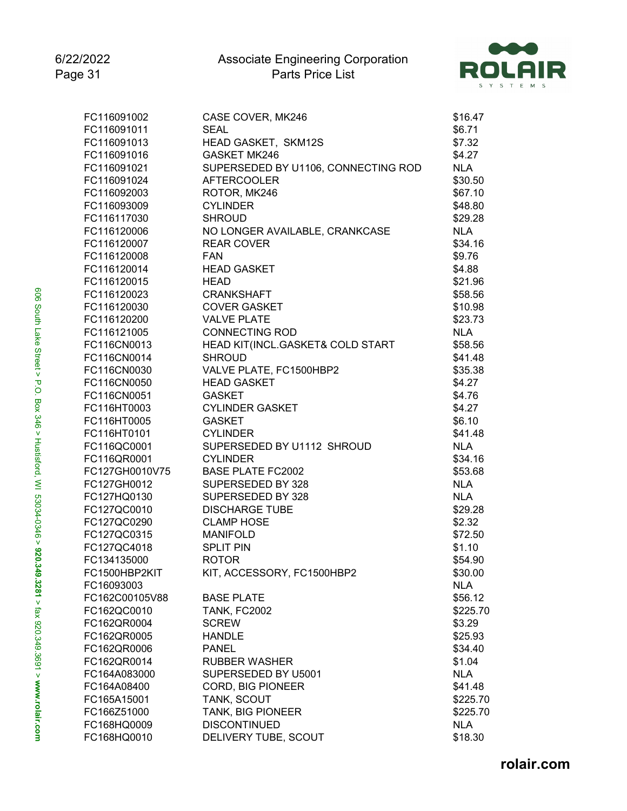

| FC116091002                 | CASE COVER, MK246                   | \$16.47    |
|-----------------------------|-------------------------------------|------------|
| FC116091011                 | <b>SEAL</b>                         | \$6.71     |
| FC116091013                 | HEAD GASKET, SKM12S                 | \$7.32     |
| FC116091016                 | <b>GASKET MK246</b>                 | \$4.27     |
| FC116091021                 | SUPERSEDED BY U1106, CONNECTING ROD | <b>NLA</b> |
| FC116091024                 | <b>AFTERCOOLER</b>                  | \$30.50    |
| FC116092003                 | ROTOR, MK246                        | \$67.10    |
| FC116093009                 | <b>CYLINDER</b>                     | \$48.80    |
| FC116117030                 | <b>SHROUD</b>                       | \$29.28    |
| FC116120006                 | NO LONGER AVAILABLE, CRANKCASE      | <b>NLA</b> |
| FC116120007                 | <b>REAR COVER</b>                   | \$34.16    |
| FC116120008                 | <b>FAN</b>                          | \$9.76     |
| FC116120014                 | <b>HEAD GASKET</b>                  | \$4.88     |
| FC116120015                 | <b>HEAD</b>                         | \$21.96    |
| FC116120023                 | <b>CRANKSHAFT</b>                   | \$58.56    |
| FC116120030                 | <b>COVER GASKET</b>                 | \$10.98    |
| FC116120200                 | <b>VALVE PLATE</b>                  | \$23.73    |
| FC116121005                 | <b>CONNECTING ROD</b>               | <b>NLA</b> |
| FC116CN0013                 | HEAD KIT(INCL.GASKET& COLD START    | \$58.56    |
| FC116CN0014                 | <b>SHROUD</b>                       | \$41.48    |
| FC116CN0030                 | VALVE PLATE, FC1500HBP2             | \$35.38    |
| FC116CN0050                 | <b>HEAD GASKET</b>                  | \$4.27     |
| FC116CN0051                 | <b>GASKET</b>                       | \$4.76     |
| FC116HT0003                 | <b>CYLINDER GASKET</b>              | \$4.27     |
| FC116HT0005                 | <b>GASKET</b>                       | \$6.10     |
| FC116HT0101                 | <b>CYLINDER</b>                     | \$41.48    |
| FC116QC0001                 | SUPERSEDED BY U1112 SHROUD          | <b>NLA</b> |
| FC116QR0001                 | <b>CYLINDER</b>                     | \$34.16    |
| FC127GH0010V75              | <b>BASE PLATE FC2002</b>            | \$53.68    |
| FC127GH0012                 | SUPERSEDED BY 328                   | <b>NLA</b> |
| FC127HQ0130                 | SUPERSEDED BY 328                   | <b>NLA</b> |
| FC127QC0010                 | <b>DISCHARGE TUBE</b>               | \$29.28    |
| FC127QC0290                 | <b>CLAMP HOSE</b>                   | \$2.32     |
| FC127QC0315                 | <b>MANIFOLD</b>                     | \$72.50    |
| FC127QC4018                 | <b>SPLIT PIN</b>                    | \$1.10     |
| FC134135000                 | <b>ROTOR</b>                        | \$54.90    |
| FC1500HBP2KIT               | KIT, ACCESSORY, FC1500HBP2          | \$30.00    |
| FC16093003                  |                                     | <b>NLA</b> |
| FC162C00105V88              | <b>BASE PLATE</b>                   | \$56.12    |
| FC162QC0010                 | <b>TANK, FC2002</b>                 | \$225.70   |
| FC162QR0004                 | <b>SCREW</b>                        | \$3.29     |
| FC162QR0005                 | <b>HANDLE</b>                       | \$25.93    |
| FC162QR0006                 | <b>PANEL</b>                        | \$34.40    |
| FC162QR0014                 | <b>RUBBER WASHER</b>                | \$1.04     |
|                             |                                     | <b>NLA</b> |
| FC164A083000<br>FC164A08400 | SUPERSEDED BY U5001                 |            |
|                             | CORD, BIG PIONEER                   | \$41.48    |
| FC165A15001                 | TANK, SCOUT                         | \$225.70   |
| FC166Z51000                 | TANK, BIG PIONEER                   | \$225.70   |
| FC168HQ0009                 | <b>DISCONTINUED</b>                 | <b>NLA</b> |
| FC168HQ0010                 | DELIVERY TUBE, SCOUT                | \$18.30    |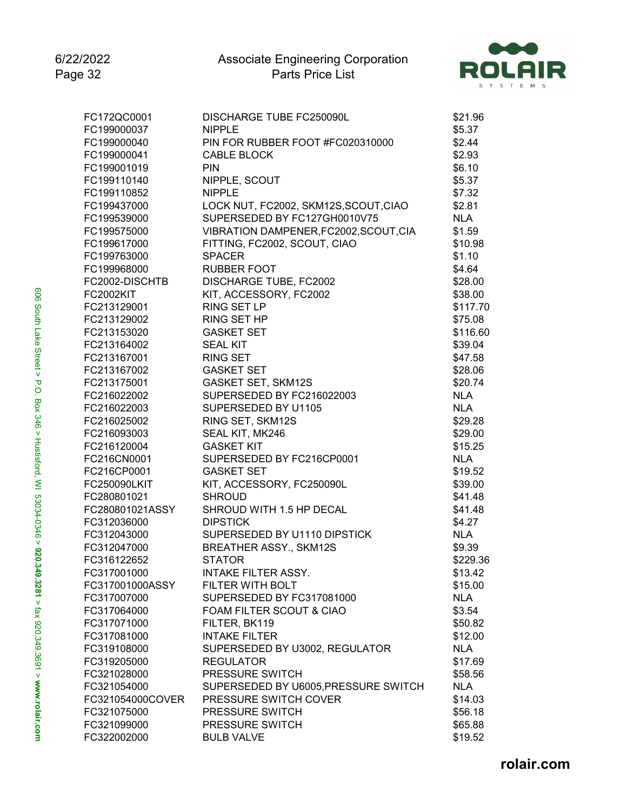

| FC172QC0001      | DISCHARGE TUBE FC250090L               | \$21.96    |
|------------------|----------------------------------------|------------|
| FC199000037      | <b>NIPPLE</b>                          | \$5.37     |
| FC199000040      | PIN FOR RUBBER FOOT #FC020310000       | \$2.44     |
| FC199000041      | CABLE BLOCK                            | \$2.93     |
| FC199001019      | <b>PIN</b>                             | \$6.10     |
| FC199110140      | NIPPLE, SCOUT                          | \$5.37     |
| FC199110852      | <b>NIPPLE</b>                          | \$7.32     |
| FC199437000      | LOCK NUT, FC2002, SKM12S, SCOUT, CIAO  | \$2.81     |
| FC199539000      | SUPERSEDED BY FC127GH0010V75           | <b>NLA</b> |
| FC199575000      | VIBRATION DAMPENER, FC2002, SCOUT, CIA | \$1.59     |
| FC199617000      | FITTING, FC2002, SCOUT, CIAO           | \$10.98    |
| FC199763000      | <b>SPACER</b>                          | \$1.10     |
| FC199968000      | <b>RUBBER FOOT</b>                     | \$4.64     |
| FC2002-DISCHTB   | DISCHARGE TUBE, FC2002                 | \$28.00    |
| <b>FC2002KIT</b> | KIT, ACCESSORY, FC2002                 | \$38.00    |
| FC213129001      | RING SET LP                            | \$117.70   |
| FC213129002      | RING SET HP                            | \$75.08    |
| FC213153020      | <b>GASKET SET</b>                      | \$116.60   |
| FC213164002      | <b>SEAL KIT</b>                        | \$39.04    |
| FC213167001      | <b>RING SET</b>                        | \$47.58    |
| FC213167002      | <b>GASKET SET</b>                      | \$28.06    |
| FC213175001      | <b>GASKET SET, SKM12S</b>              | \$20.74    |
| FC216022002      | SUPERSEDED BY FC216022003              | <b>NLA</b> |
| FC216022003      | SUPERSEDED BY U1105                    | <b>NLA</b> |
| FC216025002      | RING SET, SKM12S                       | \$29.28    |
| FC216093003      | SEAL KIT, MK246                        | \$29.00    |
| FC216120004      | <b>GASKET KIT</b>                      | \$15.25    |
| FC216CN0001      | SUPERSEDED BY FC216CP0001              | <b>NLA</b> |
| FC216CP0001      | <b>GASKET SET</b>                      | \$19.52    |
| FC250090LKIT     | KIT, ACCESSORY, FC250090L              | \$39.00    |
| FC280801021      | <b>SHROUD</b>                          | \$41.48    |
| FC280801021ASSY  | SHROUD WITH 1.5 HP DECAL               | \$41.48    |
| FC312036000      | <b>DIPSTICK</b>                        | \$4.27     |
| FC312043000      | SUPERSEDED BY U1110 DIPSTICK           | <b>NLA</b> |
| FC312047000      | <b>BREATHER ASSY., SKM12S</b>          | \$9.39     |
| FC316122652      | <b>STATOR</b>                          | \$229.36   |
| FC317001000      | <b>INTAKE FILTER ASSY.</b>             | \$13.42    |
| FC317001000ASSY  | FILTER WITH BOLT                       | \$15.00    |
| FC317007000      | SUPERSEDED BY FC317081000              | <b>NLA</b> |
| FC317064000      | FOAM FILTER SCOUT & CIAO               | \$3.54     |
| FC317071000      | FILTER, BK119                          | \$50.82    |
| FC317081000      | <b>INTAKE FILTER</b>                   | \$12.00    |
| FC319108000      | SUPERSEDED BY U3002, REGULATOR         | <b>NLA</b> |
| FC319205000      | <b>REGULATOR</b>                       | \$17.69    |
| FC321028000      | PRESSURE SWITCH                        | \$58.56    |
| FC321054000      | SUPERSEDED BY U6005, PRESSURE SWITCH   | <b>NLA</b> |
| FC321054000COVER | PRESSURE SWITCH COVER                  | \$14.03    |
| FC321075000      | PRESSURE SWITCH                        | \$56.18    |
| FC321099000      | PRESSURE SWITCH                        | \$65.88    |
| FC322002000      | <b>BULB VALVE</b>                      | \$19.52    |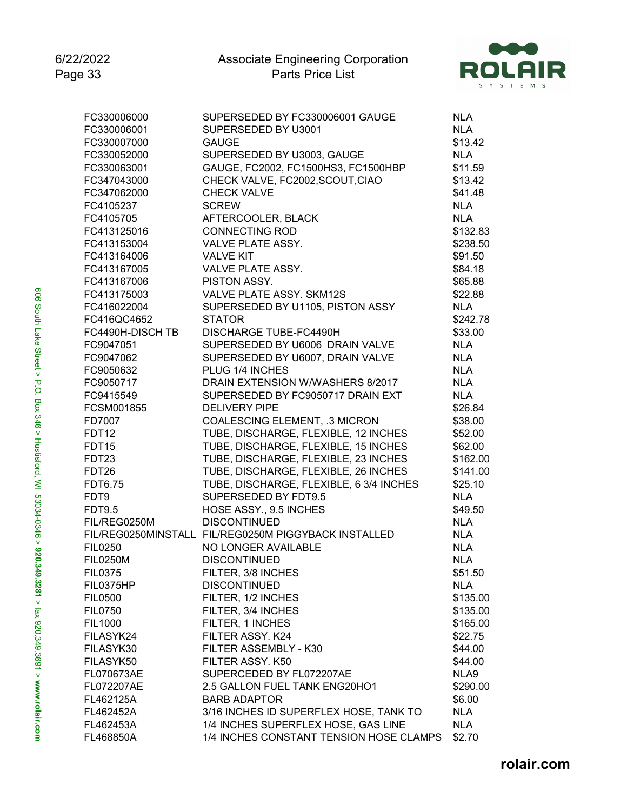

| FC330006000                   | SUPERSEDED BY FC330006001 GAUGE                      | <b>NLA</b>           |
|-------------------------------|------------------------------------------------------|----------------------|
| FC330006001                   | SUPERSEDED BY U3001                                  | <b>NLA</b>           |
| FC330007000                   | <b>GAUGE</b>                                         | \$13.42              |
| FC330052000                   | SUPERSEDED BY U3003, GAUGE                           | <b>NLA</b>           |
| FC330063001                   | GAUGE, FC2002, FC1500HS3, FC1500HBP                  | \$11.59              |
| FC347043000                   | CHECK VALVE, FC2002, SCOUT, CIAO                     | \$13.42              |
| FC347062000                   | <b>CHECK VALVE</b>                                   | \$41.48              |
| FC4105237                     | <b>SCREW</b>                                         | <b>NLA</b>           |
| FC4105705                     | AFTERCOOLER, BLACK                                   | <b>NLA</b>           |
| FC413125016                   | <b>CONNECTING ROD</b>                                | \$132.83             |
| FC413153004                   | <b>VALVE PLATE ASSY.</b>                             | \$238.50             |
| FC413164006                   | <b>VALVE KIT</b>                                     | \$91.50              |
| FC413167005                   | VALVE PLATE ASSY.                                    | \$84.18              |
| FC413167006                   | PISTON ASSY.                                         | \$65.88              |
| FC413175003                   | VALVE PLATE ASSY, SKM12S                             | \$22.88              |
| FC416022004                   | SUPERSEDED BY U1105, PISTON ASSY                     | <b>NLA</b>           |
| FC416QC4652                   | <b>STATOR</b>                                        | \$242.78             |
| FC4490H-DISCH TB              | <b>DISCHARGE TUBE-FC4490H</b>                        | \$33.00              |
| FC9047051                     | SUPERSEDED BY U6006 DRAIN VALVE                      | <b>NLA</b>           |
| FC9047062                     | SUPERSEDED BY U6007, DRAIN VALVE                     | <b>NLA</b>           |
| FC9050632                     | PLUG 1/4 INCHES                                      | <b>NLA</b>           |
| FC9050717                     | DRAIN EXTENSION W/WASHERS 8/2017                     | <b>NLA</b>           |
| FC9415549                     | SUPERSEDED BY FC9050717 DRAIN EXT                    | <b>NLA</b>           |
| FCSM001855                    | <b>DELIVERY PIPE</b>                                 | \$26.84              |
| FD7007                        | <b>COALESCING ELEMENT, .3 MICRON</b>                 | \$38.00              |
| FDT12                         | TUBE, DISCHARGE, FLEXIBLE, 12 INCHES                 | \$52.00              |
| <b>FDT15</b>                  | TUBE, DISCHARGE, FLEXIBLE, 15 INCHES                 | \$62.00              |
| FDT23                         | TUBE, DISCHARGE, FLEXIBLE, 23 INCHES                 | \$162.00             |
|                               | TUBE, DISCHARGE, FLEXIBLE, 26 INCHES                 | \$141.00             |
| FDT26                         | TUBE, DISCHARGE, FLEXIBLE, 6 3/4 INCHES              | \$25.10              |
| <b>FDT6.75</b><br>FDT9        | SUPERSEDED BY FDT9.5                                 | <b>NLA</b>           |
|                               | HOSE ASSY., 9.5 INCHES                               | \$49.50              |
| <b>FDT9.5</b><br>FIL/REG0250M | <b>DISCONTINUED</b>                                  | <b>NLA</b>           |
|                               | FIL/REG0250MINSTALL FIL/REG0250M PIGGYBACK INSTALLED | <b>NLA</b>           |
| <b>FIL0250</b>                | NO LONGER AVAILABLE                                  | <b>NLA</b>           |
|                               | <b>DISCONTINUED</b>                                  | <b>NLA</b>           |
| <b>FIL0250M</b>               | FILTER, 3/8 INCHES                                   | \$51.50              |
| <b>FIL0375</b>                | <b>DISCONTINUED</b>                                  | <b>NLA</b>           |
| FIL0375HP                     | FILTER, 1/2 INCHES                                   |                      |
| <b>FIL0500</b>                |                                                      | \$135.00<br>\$135.00 |
| <b>FIL0750</b>                | FILTER, 3/4 INCHES                                   |                      |
| <b>FIL1000</b>                | FILTER, 1 INCHES                                     | \$165.00             |
| FILASYK24                     | FILTER ASSY. K24                                     | \$22.75              |
| FILASYK30                     | FILTER ASSEMBLY - K30                                | \$44.00              |
| FILASYK50                     | FILTER ASSY. K50                                     | \$44.00              |
| FL070673AE                    | SUPERCEDED BY FL072207AE                             | NLA9                 |
| FL072207AE                    | 2.5 GALLON FUEL TANK ENG20HO1                        | \$290.00             |
| FL462125A                     | <b>BARB ADAPTOR</b>                                  | \$6.00               |
| FL462452A                     | 3/16 INCHES ID SUPERFLEX HOSE, TANK TO               | <b>NLA</b>           |
| FL462453A                     | 1/4 INCHES SUPERFLEX HOSE, GAS LINE                  | <b>NLA</b>           |
| FL468850A                     | 1/4 INCHES CONSTANT TENSION HOSE CLAMPS              | \$2.70               |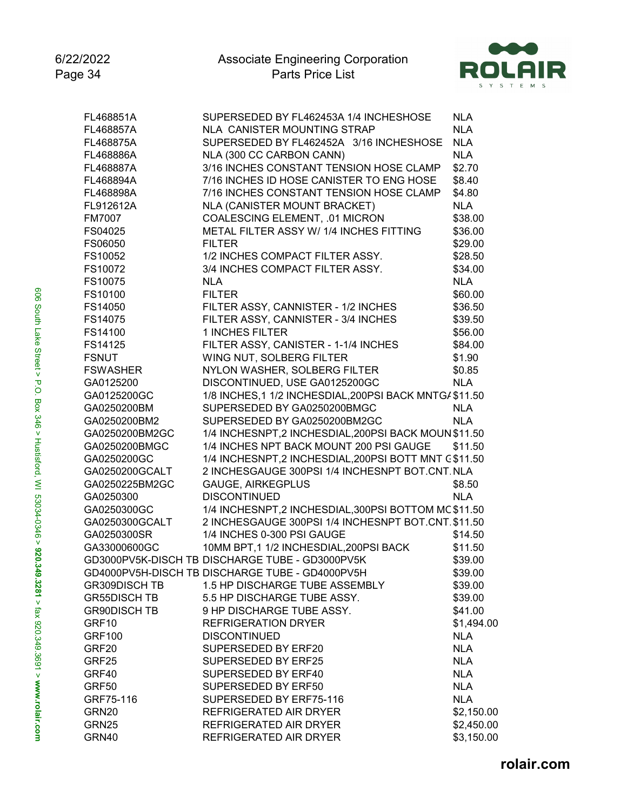

| FL468851A            | SUPERSEDED BY FL462453A 1/4 INCHESHOSE                  | <b>NLA</b> |
|----------------------|---------------------------------------------------------|------------|
| FL468857A            | <b>NLA CANISTER MOUNTING STRAP</b>                      | <b>NLA</b> |
| FL468875A            | SUPERSEDED BY FL462452A 3/16 INCHESHOSE                 | <b>NLA</b> |
| FL468886A            | NLA (300 CC CARBON CANN)                                | <b>NLA</b> |
| FL468887A            | 3/16 INCHES CONSTANT TENSION HOSE CLAMP                 | \$2.70     |
| FL468894A            | 7/16 INCHES ID HOSE CANISTER TO ENG HOSE                | \$8.40     |
| FL468898A            | 7/16 INCHES CONSTANT TENSION HOSE CLAMP                 | \$4.80     |
| FL912612A            | NLA (CANISTER MOUNT BRACKET)                            | <b>NLA</b> |
| <b>FM7007</b>        | <b>COALESCING ELEMENT, .01 MICRON</b>                   | \$38.00    |
| FS04025              | METAL FILTER ASSY W/ 1/4 INCHES FITTING                 | \$36.00    |
| FS06050              | <b>FILTER</b>                                           | \$29.00    |
| FS10052              | 1/2 INCHES COMPACT FILTER ASSY.                         | \$28.50    |
| FS10072              | 3/4 INCHES COMPACT FILTER ASSY.                         | \$34.00    |
| FS10075              | <b>NLA</b>                                              | <b>NLA</b> |
| FS10100              | <b>FILTER</b>                                           | \$60.00    |
| FS14050              | FILTER ASSY, CANNISTER - 1/2 INCHES                     | \$36.50    |
| FS14075              | FILTER ASSY, CANNISTER - 3/4 INCHES                     | \$39.50    |
| FS14100              | 1 INCHES FILTER                                         | \$56.00    |
| FS14125              | FILTER ASSY, CANISTER - 1-1/4 INCHES                    | \$84.00    |
| <b>FSNUT</b>         | WING NUT, SOLBERG FILTER                                | \$1.90     |
| <b>FSWASHER</b>      | NYLON WASHER, SOLBERG FILTER                            | \$0.85     |
| GA0125200            | DISCONTINUED, USE GA0125200GC                           | <b>NLA</b> |
| GA0125200GC          | 1/8 INCHES, 1 1/2 INCHESDIAL, 200PSI BACK MNTG/ \$11.50 |            |
| GA0250200BM          | SUPERSEDED BY GA0250200BMGC                             | <b>NLA</b> |
| GA0250200BM2         | SUPERSEDED BY GA0250200BM2GC                            | <b>NLA</b> |
| GA0250200BM2GC       | 1/4 INCHESNPT,2 INCHESDIAL,200PSI BACK MOUN \$11.50     |            |
| GA0250200BMGC        | 1/4 INCHES NPT BACK MOUNT 200 PSI GAUGE                 | \$11.50    |
| GA0250200GC          | 1/4 INCHESNPT,2 INCHESDIAL, 200PSI BOTT MNT C \$11.50   |            |
| GA0250200GCALT       | 2 INCHESGAUGE 300PSI 1/4 INCHESNPT BOT.CNT. NLA         |            |
| GA0250225BM2GC       | <b>GAUGE, AIRKEGPLUS</b>                                | \$8.50     |
| GA0250300            | <b>DISCONTINUED</b>                                     | <b>NLA</b> |
| GA0250300GC          | 1/4 INCHESNPT,2 INCHESDIAL,300PSI BOTTOM MC \$11.50     |            |
| GA0250300GCALT       | 2 INCHESGAUGE 300PSI 1/4 INCHESNPT BOT.CNT. \$11.50     |            |
| GA0250300SR          | 1/4 INCHES 0-300 PSI GAUGE                              | \$14.50    |
| GA33000600GC         | 10MM BPT, 1 1/2 INCHESDIAL, 200PSI BACK                 | \$11.50    |
|                      | GD3000PV5K-DISCH TB DISCHARGE TUBE - GD3000PV5K         | \$39.00    |
|                      | GD4000PV5H-DISCH TB DISCHARGE TUBE - GD4000PV5H         | \$39.00    |
| <b>GR309DISCH TB</b> | 1.5 HP DISCHARGE TUBE ASSEMBLY                          | \$39.00    |
| <b>GR55DISCH TB</b>  | 5.5 HP DISCHARGE TUBE ASSY.                             | \$39.00    |
| <b>GR90DISCH TB</b>  | 9 HP DISCHARGE TUBE ASSY.                               | \$41.00    |
| GRF10                | <b>REFRIGERATION DRYER</b>                              | \$1,494.00 |
| <b>GRF100</b>        | <b>DISCONTINUED</b>                                     | <b>NLA</b> |
| GRF <sub>20</sub>    | SUPERSEDED BY ERF20                                     | <b>NLA</b> |
| GRF25                | SUPERSEDED BY ERF25                                     | <b>NLA</b> |
| GRF40                | SUPERSEDED BY ERF40                                     | <b>NLA</b> |
| GRF50                | SUPERSEDED BY ERF50                                     | <b>NLA</b> |
| GRF75-116            | SUPERSEDED BY ERF75-116                                 | <b>NLA</b> |
| GRN20                | REFRIGERATED AIR DRYER                                  | \$2,150.00 |
| GRN25                | REFRIGERATED AIR DRYER                                  | \$2,450.00 |
| GRN40                | REFRIGERATED AIR DRYER                                  | \$3,150.00 |
|                      |                                                         |            |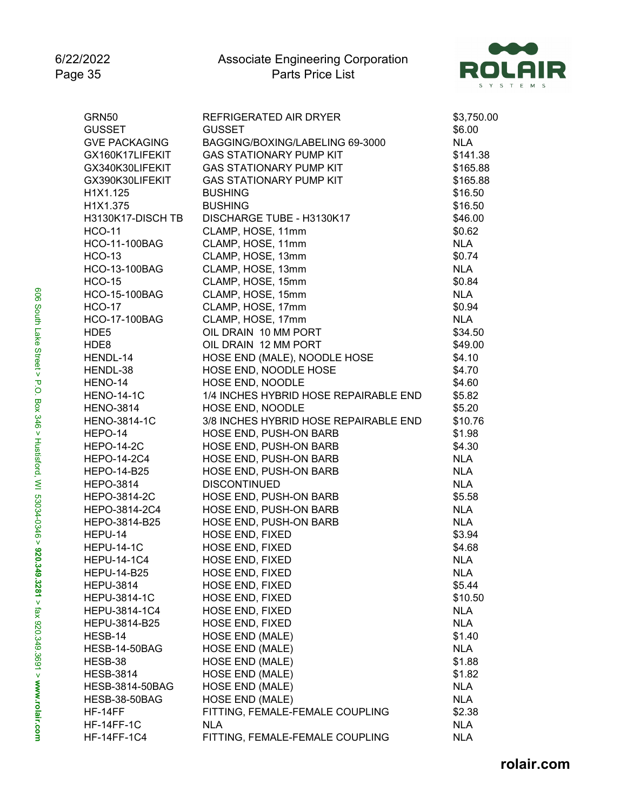

| <b>GRN50</b>           | REFRIGERATED AIR DRYER                | \$3,750.00 |
|------------------------|---------------------------------------|------------|
| <b>GUSSET</b>          | <b>GUSSET</b>                         | \$6.00     |
| <b>GVE PACKAGING</b>   | BAGGING/BOXING/LABELING 69-3000       | <b>NLA</b> |
| GX160K17LIFEKIT        | <b>GAS STATIONARY PUMP KIT</b>        | \$141.38   |
| GX340K30LIFEKIT        | <b>GAS STATIONARY PUMP KIT</b>        | \$165.88   |
| GX390K30LIFEKIT        | <b>GAS STATIONARY PUMP KIT</b>        | \$165.88   |
| H1X1.125               | <b>BUSHING</b>                        | \$16.50    |
| H1X1.375               | <b>BUSHING</b>                        | \$16.50    |
| H3130K17-DISCH TB      | DISCHARGE TUBE - H3130K17             | \$46.00    |
| <b>HCO-11</b>          | CLAMP, HOSE, 11mm                     | \$0.62     |
| <b>HCO-11-100BAG</b>   | CLAMP, HOSE, 11mm                     | <b>NLA</b> |
| <b>HCO-13</b>          | CLAMP, HOSE, 13mm                     | \$0.74     |
| <b>HCO-13-100BAG</b>   | CLAMP, HOSE, 13mm                     | <b>NLA</b> |
| <b>HCO-15</b>          | CLAMP, HOSE, 15mm                     | \$0.84     |
| <b>HCO-15-100BAG</b>   | CLAMP, HOSE, 15mm                     | <b>NLA</b> |
| <b>HCO-17</b>          | CLAMP, HOSE, 17mm                     | \$0.94     |
| <b>HCO-17-100BAG</b>   | CLAMP, HOSE, 17mm                     | <b>NLA</b> |
| HDE5                   | OIL DRAIN 10 MM PORT                  | \$34.50    |
| HDE8                   | OIL DRAIN 12 MM PORT                  | \$49.00    |
| HENDL-14               | HOSE END (MALE), NOODLE HOSE          | \$4.10     |
| HENDL-38               | HOSE END, NOODLE HOSE                 | \$4.70     |
| HENO-14                | HOSE END, NOODLE                      | \$4.60     |
| <b>HENO-14-1C</b>      | 1/4 INCHES HYBRID HOSE REPAIRABLE END | \$5.82     |
| <b>HENO-3814</b>       | HOSE END, NOODLE                      | \$5.20     |
| <b>HENO-3814-1C</b>    | 3/8 INCHES HYBRID HOSE REPAIRABLE END | \$10.76    |
| HEPO-14                | HOSE END, PUSH-ON BARB                | \$1.98     |
| <b>HEPO-14-2C</b>      | HOSE END, PUSH-ON BARB                | \$4.30     |
| <b>HEPO-14-2C4</b>     | HOSE END, PUSH-ON BARB                | <b>NLA</b> |
| <b>HEPO-14-B25</b>     | HOSE END, PUSH-ON BARB                | <b>NLA</b> |
| <b>HEPO-3814</b>       | <b>DISCONTINUED</b>                   | <b>NLA</b> |
| HEPO-3814-2C           | HOSE END, PUSH-ON BARB                | \$5.58     |
| HEPO-3814-2C4          | HOSE END, PUSH-ON BARB                | <b>NLA</b> |
| HEPO-3814-B25          | HOSE END, PUSH-ON BARB                | <b>NLA</b> |
| HEPU-14                | HOSE END, FIXED                       | \$3.94     |
| <b>HEPU-14-1C</b>      | HOSE END, FIXED                       | \$4.68     |
| <b>HEPU-14-1C4</b>     | <b>HOSE END, FIXED</b>                | <b>NLA</b> |
| HEPU-14-B25            | HOSE END, FIXED                       | NLA.       |
| <b>HEPU-3814</b>       | <b>HOSE END, FIXED</b>                | \$5.44     |
| <b>HEPU-3814-1C</b>    | HOSE END, FIXED                       | \$10.50    |
| HEPU-3814-1C4          | <b>HOSE END, FIXED</b>                | <b>NLA</b> |
| HEPU-3814-B25          | <b>HOSE END, FIXED</b>                | <b>NLA</b> |
| HESB-14                | <b>HOSE END (MALE)</b>                | \$1.40     |
| HESB-14-50BAG          | <b>HOSE END (MALE)</b>                | <b>NLA</b> |
| HESB-38                | <b>HOSE END (MALE)</b>                | \$1.88     |
| <b>HESB-3814</b>       | HOSE END (MALE)                       | \$1.82     |
| <b>HESB-3814-50BAG</b> | <b>HOSE END (MALE)</b>                | <b>NLA</b> |
| HESB-38-50BAG          | <b>HOSE END (MALE)</b>                | <b>NLA</b> |
| HF-14FF                | FITTING, FEMALE-FEMALE COUPLING       | \$2.38     |
| HF-14FF-1C             | <b>NLA</b>                            | <b>NLA</b> |
| <b>HF-14FF-1C4</b>     | FITTING, FEMALE-FEMALE COUPLING       | <b>NLA</b> |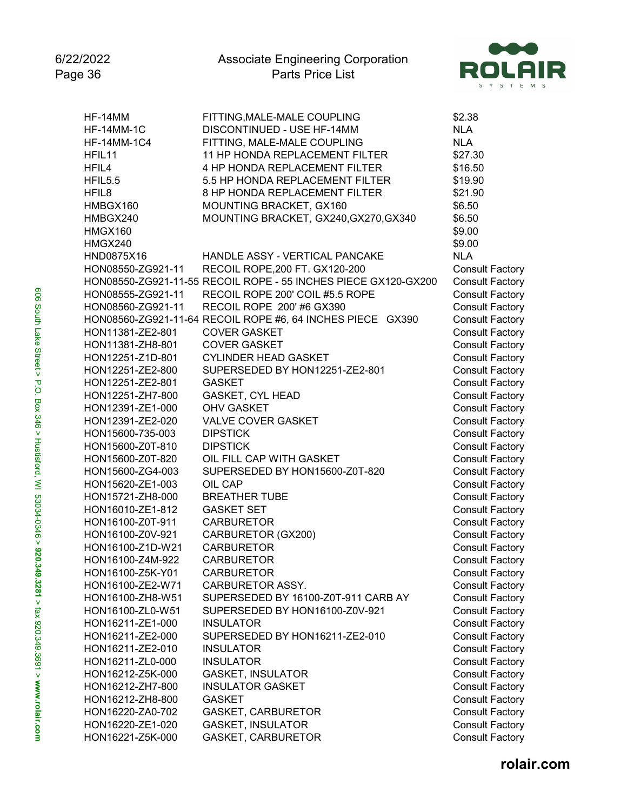

| HF-14MM            | FITTING, MALE-MALE COUPLING                                    | \$2.38                 |
|--------------------|----------------------------------------------------------------|------------------------|
| <b>HF-14MM-1C</b>  | DISCONTINUED - USE HF-14MM                                     | <b>NLA</b>             |
| <b>HF-14MM-1C4</b> | FITTING, MALE-MALE COUPLING                                    | <b>NLA</b>             |
| HFIL <sub>11</sub> | 11 HP HONDA REPLACEMENT FILTER                                 | \$27.30                |
| HFIL4              | 4 HP HONDA REPLACEMENT FILTER                                  | \$16.50                |
| HFIL5.5            | 5.5 HP HONDA REPLACEMENT FILTER                                | \$19.90                |
| HFIL <sub>8</sub>  | 8 HP HONDA REPLACEMENT FILTER                                  | \$21.90                |
| HMBGX160           | MOUNTING BRACKET, GX160                                        | \$6.50                 |
| HMBGX240           | MOUNTING BRACKET, GX240, GX270, GX340                          | \$6.50                 |
| <b>HMGX160</b>     |                                                                | \$9.00                 |
| HMGX240            |                                                                | \$9.00                 |
| HND0875X16         | HANDLE ASSY - VERTICAL PANCAKE                                 | <b>NLA</b>             |
| HON08550-ZG921-11  | RECOIL ROPE, 200 FT. GX120-200                                 | <b>Consult Factory</b> |
|                    | HON08550-ZG921-11-55 RECOIL ROPE - 55 INCHES PIECE GX120-GX200 | <b>Consult Factory</b> |
| HON08555-ZG921-11  | RECOIL ROPE 200' COIL #5.5 ROPE                                | <b>Consult Factory</b> |
| HON08560-ZG921-11  | RECOIL ROPE 200' #6 GX390                                      | <b>Consult Factory</b> |
|                    | HON08560-ZG921-11-64 RECOIL ROPE #6, 64 INCHES PIECE GX390     | <b>Consult Factory</b> |
| HON11381-ZE2-801   | <b>COVER GASKET</b>                                            | <b>Consult Factory</b> |
| HON11381-ZH8-801   | <b>COVER GASKET</b>                                            | <b>Consult Factory</b> |
| HON12251-Z1D-801   | <b>CYLINDER HEAD GASKET</b>                                    | <b>Consult Factory</b> |
| HON12251-ZE2-800   | SUPERSEDED BY HON12251-ZE2-801                                 | <b>Consult Factory</b> |
| HON12251-ZE2-801   | <b>GASKET</b>                                                  | <b>Consult Factory</b> |
| HON12251-ZH7-800   | <b>GASKET, CYL HEAD</b>                                        | <b>Consult Factory</b> |
| HON12391-ZE1-000   | <b>OHV GASKET</b>                                              | <b>Consult Factory</b> |
| HON12391-ZE2-020   | VALVE COVER GASKET                                             | <b>Consult Factory</b> |
| HON15600-735-003   | <b>DIPSTICK</b>                                                |                        |
|                    | <b>DIPSTICK</b>                                                | <b>Consult Factory</b> |
| HON15600-Z0T-810   |                                                                | <b>Consult Factory</b> |
| HON15600-Z0T-820   | OIL FILL CAP WITH GASKET                                       | <b>Consult Factory</b> |
| HON15600-ZG4-003   | SUPERSEDED BY HON15600-Z0T-820                                 | <b>Consult Factory</b> |
| HON15620-ZE1-003   | OIL CAP                                                        | <b>Consult Factory</b> |
| HON15721-ZH8-000   | <b>BREATHER TUBE</b>                                           | <b>Consult Factory</b> |
| HON16010-ZE1-812   | <b>GASKET SET</b>                                              | <b>Consult Factory</b> |
| HON16100-Z0T-911   | <b>CARBURETOR</b>                                              | <b>Consult Factory</b> |
| HON16100-Z0V-921   | CARBURETOR (GX200)                                             | <b>Consult Factory</b> |
| HON16100-Z1D-W21   | <b>CARBURETOR</b>                                              | <b>Consult Factory</b> |
| HON16100-Z4M-922   | <b>CARBURETOR</b>                                              | <b>Consult Factory</b> |
| HON16100-Z5K-Y01   | <b>CARBURETOR</b>                                              | <b>Consult Factory</b> |
| HON16100-ZE2-W71   | <b>CARBURETOR ASSY.</b>                                        | <b>Consult Factory</b> |
| HON16100-ZH8-W51   | SUPERSEDED BY 16100-Z0T-911 CARB AY                            | <b>Consult Factory</b> |
| HON16100-ZL0-W51   | SUPERSEDED BY HON16100-Z0V-921                                 | <b>Consult Factory</b> |
| HON16211-ZE1-000   | <b>INSULATOR</b>                                               | <b>Consult Factory</b> |
| HON16211-ZE2-000   | SUPERSEDED BY HON16211-ZE2-010                                 | <b>Consult Factory</b> |
| HON16211-ZE2-010   | <b>INSULATOR</b>                                               | <b>Consult Factory</b> |
| HON16211-ZL0-000   | <b>INSULATOR</b>                                               | <b>Consult Factory</b> |
| HON16212-Z5K-000   | <b>GASKET, INSULATOR</b>                                       | <b>Consult Factory</b> |
| HON16212-ZH7-800   | <b>INSULATOR GASKET</b>                                        | <b>Consult Factory</b> |
| HON16212-ZH8-800   | <b>GASKET</b>                                                  | <b>Consult Factory</b> |
| HON16220-ZA0-702   | <b>GASKET, CARBURETOR</b>                                      | <b>Consult Factory</b> |
| HON16220-ZE1-020   | <b>GASKET, INSULATOR</b>                                       | <b>Consult Factory</b> |
| HON16221-Z5K-000   | GASKET, CARBURETOR                                             | <b>Consult Factory</b> |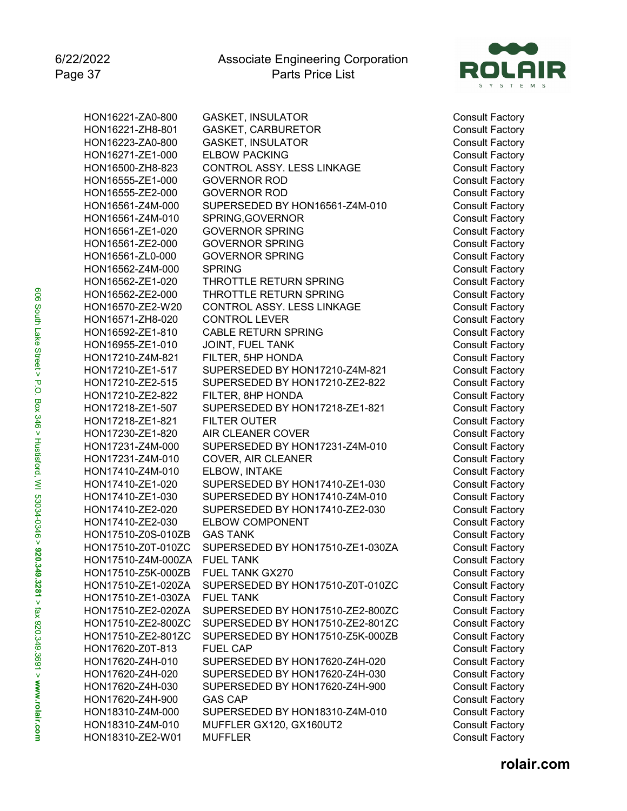

| HON16221-ZA0-800   | <b>GASKET, INSULATOR</b>         |
|--------------------|----------------------------------|
| HON16221-ZH8-801   | <b>GASKET, CARBURETOR</b>        |
| HON16223-ZA0-800   | <b>GASKET, INSULATOR</b>         |
| HON16271-ZE1-000   | <b>ELBOW PACKING</b>             |
| HON16500-ZH8-823   | CONTROL ASSY. LESS LINKAGE       |
| HON16555-ZE1-000   | <b>GOVERNOR ROD</b>              |
| HON16555-ZE2-000   | <b>GOVERNOR ROD</b>              |
| HON16561-Z4M-000   | SUPERSEDED BY HON16561-Z4M-010   |
| HON16561-Z4M-010   | SPRING, GOVERNOR                 |
| HON16561-ZE1-020   | <b>GOVERNOR SPRING</b>           |
| HON16561-ZE2-000   | <b>GOVERNOR SPRING</b>           |
| HON16561-ZL0-000   | <b>GOVERNOR SPRING</b>           |
| HON16562-Z4M-000   | <b>SPRING</b>                    |
| HON16562-ZE1-020   | THROTTLE RETURN SPRING           |
| HON16562-ZE2-000   | THROTTLE RETURN SPRING           |
| HON16570-ZE2-W20   | CONTROL ASSY. LESS LINKAGE       |
| HON16571-ZH8-020   | <b>CONTROL LEVER</b>             |
| HON16592-ZE1-810   | <b>CABLE RETURN SPRING</b>       |
| HON16955-ZE1-010   | JOINT, FUEL TANK                 |
| HON17210-Z4M-821   | FILTER, 5HP HONDA                |
| HON17210-ZE1-517   | SUPERSEDED BY HON17210-Z4M-821   |
| HON17210-ZE2-515   | SUPERSEDED BY HON17210-ZE2-822   |
| HON17210-ZE2-822   | FILTER, 8HP HONDA                |
| HON17218-ZE1-507   | SUPERSEDED BY HON17218-ZE1-821   |
| HON17218-ZE1-821   | <b>FILTER OUTER</b>              |
| HON17230-ZE1-820   | <b>AIR CLEANER COVER</b>         |
| HON17231-Z4M-000   | SUPERSEDED BY HON17231-Z4M-010   |
| HON17231-Z4M-010   | <b>COVER, AIR CLEANER</b>        |
| HON17410-Z4M-010   | ELBOW, INTAKE                    |
| HON17410-ZE1-020   | SUPERSEDED BY HON17410-ZE1-030   |
| HON17410-ZE1-030   | SUPERSEDED BY HON17410-Z4M-010   |
| HON17410-ZE2-020   | SUPERSEDED BY HON17410-ZE2-030   |
| HON17410-ZE2-030   | <b>ELBOW COMPONENT</b>           |
| HON17510-Z0S-010ZB | <b>GAS TANK</b>                  |
| HON17510-Z0T-010ZC | SUPERSEDED BY HON17510-ZE1-030ZA |
| HON17510-Z4M-000ZA | <b>FUEL TANK</b>                 |
| HON17510-Z5K-000ZB | <b>FUEL TANK GX270</b>           |
| HON17510-ZE1-020ZA | SUPERSEDED BY HON17510-Z0T-010ZC |
| HON17510-ZE1-030ZA | <b>FUEL TANK</b>                 |
| HON17510-ZE2-020ZA | SUPERSEDED BY HON17510-ZE2-800ZC |
| HON17510-ZE2-800ZC | SUPERSEDED BY HON17510-ZE2-801ZC |
| HON17510-ZE2-801ZC | SUPERSEDED BY HON17510-Z5K-000ZB |
| HON17620-Z0T-813   | <b>FUEL CAP</b>                  |
| HON17620-Z4H-010   | SUPERSEDED BY HON17620-Z4H-020   |
| HON17620-Z4H-020   | SUPERSEDED BY HON17620-Z4H-030   |
| HON17620-Z4H-030   | SUPERSEDED BY HON17620-Z4H-900   |
| HON17620-Z4H-900   | <b>GAS CAP</b>                   |
| HON18310-Z4M-000   | SUPERSEDED BY HON18310-Z4M-010   |
| HON18310-Z4M-010   | MUFFLER GX120, GX160UT2          |
| HON18310-ZE2-W01   | <b>MUFFLER</b>                   |

Consult Factory Consult Factory Consult Factory Consult Factory Consult Factory Consult Factory Consult Factory Consult Factory Consult Factory Consult Factory Consult Factory Consult Factory Consult Factory Consult Factory Consult Factory Consult Factory Consult Factory Consult Factory Consult Factory Consult Factory Consult Factory Consult Factory Consult Factory Consult Factory Consult Factory Consult Factory Consult Factory Consult Factory Consult Factory Consult Factory Consult Factory Consult Factory Consult Factory Consult Factory Consult Factory Consult Factory Consult Factory Consult Factory Consult Factory Consult Factory Consult Factory Consult Factory Consult Factory Consult Factory Consult Factory Consult Factory Consult Factory Consult Factory Consult Factory Consult Factory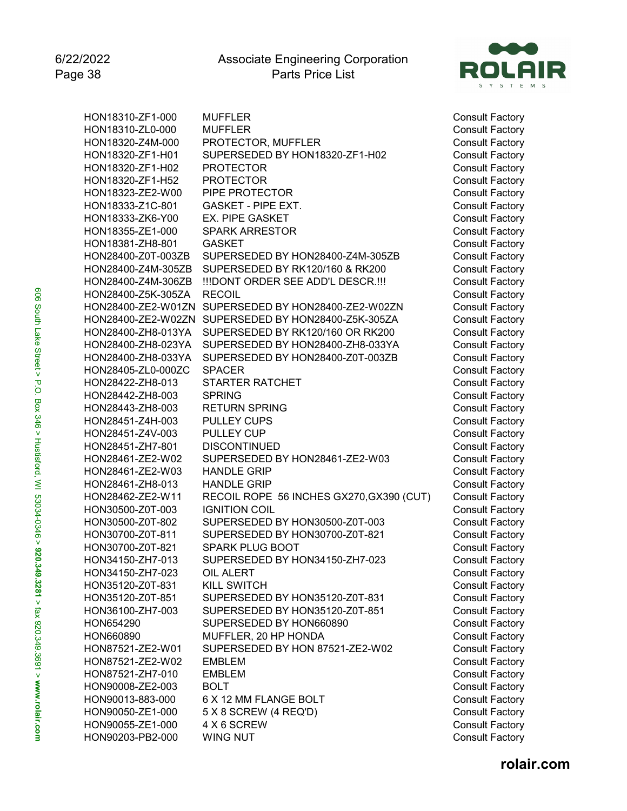

| HON18310-ZF1-000   | <b>MUFFLER</b>                         |
|--------------------|----------------------------------------|
| HON18310-ZL0-000   | <b>MUFFLER</b>                         |
| HON18320-Z4M-000   | PROTECTOR, MUFFLER                     |
| HON18320-ZF1-H01   | SUPERSEDED BY HON18320-ZF1-H02         |
| HON18320-ZF1-H02   | <b>PROTECTOR</b>                       |
| HON18320-ZF1-H52   | <b>PROTECTOR</b>                       |
| HON18323-ZE2-W00   | PIPE PROTECTOR                         |
| HON18333-Z1C-801   | <b>GASKET - PIPE EXT.</b>              |
| HON18333-ZK6-Y00   | <b>EX. PIPE GASKET</b>                 |
| HON18355-ZE1-000   | <b>SPARK ARRESTOR</b>                  |
| HON18381-ZH8-801   | <b>GASKET</b>                          |
| HON28400-Z0T-003ZB | SUPERSEDED BY HON28400-Z4M-305ZB       |
| HON28400-Z4M-305ZB | SUPERSEDED BY RK120/160 & RK200        |
| HON28400-Z4M-306ZB | !!!DONT ORDER SEE ADD'L DESCR.!!!      |
| HON28400-Z5K-305ZA | <b>RECOIL</b>                          |
| HON28400-ZE2-W01ZN | SUPERSEDED BY HON28400-ZE2-W02ZN       |
| HON28400-ZE2-W02ZN | SUPERSEDED BY HON28400-Z5K-305ZA       |
| HON28400-ZH8-013YA | SUPERSEDED BY RK120/160 OR RK200       |
| HON28400-ZH8-023YA | SUPERSEDED BY HON28400-ZH8-033YA       |
|                    | SUPERSEDED BY HON28400-Z0T-003ZB       |
| HON28400-ZH8-033YA | <b>SPACER</b>                          |
| HON28405-ZL0-000ZC | <b>STARTER RATCHET</b>                 |
| HON28422-ZH8-013   |                                        |
| HON28442-ZH8-003   | <b>SPRING</b>                          |
| HON28443-ZH8-003   | <b>RETURN SPRING</b>                   |
| HON28451-Z4H-003   | <b>PULLEY CUPS</b>                     |
| HON28451-Z4V-003   | <b>PULLEY CUP</b>                      |
| HON28451-ZH7-801   | <b>DISCONTINUED</b>                    |
| HON28461-ZE2-W02   | SUPERSEDED BY HON28461-ZE2-W03         |
| HON28461-ZE2-W03   | <b>HANDLE GRIP</b>                     |
| HON28461-ZH8-013   | <b>HANDLE GRIP</b>                     |
| HON28462-ZE2-W11   | RECOIL ROPE 56 INCHES GX270, GX390 (CU |
| HON30500-Z0T-003   | <b>IGNITION COIL</b>                   |
| HON30500-Z0T-802   | SUPERSEDED BY HON30500-Z0T-003         |
| HON30700-Z0T-811   | SUPERSEDED BY HON30700-Z0T-821         |
| HON30700-Z0T-821   | <b>SPARK PLUG BOOT</b>                 |
| HON34150-ZH7-013   | SUPERSEDED BY HON34150-ZH7-023         |
| HON34150-ZH7-023   | OIL ALERT                              |
| HON35120-Z0T-831   | <b>KILL SWITCH</b>                     |
| HON35120-Z0T-851   | SUPERSEDED BY HON35120-Z0T-831         |
| HON36100-ZH7-003   | SUPERSEDED BY HON35120-Z0T-851         |
| HON654290          | SUPERSEDED BY HON660890                |
| HON660890          | MUFFLER, 20 HP HONDA                   |
| HON87521-ZE2-W01   | SUPERSEDED BY HON 87521-ZE2-W02        |
| HON87521-ZE2-W02   | <b>EMBLEM</b>                          |
| HON87521-ZH7-010   | <b>EMBLEM</b>                          |
| HON90008-ZE2-003   | <b>BOLT</b>                            |
| HON90013-883-000   | 6 X 12 MM FLANGE BOLT                  |
| HON90050-ZE1-000   | 5 X 8 SCREW (4 REQ'D)                  |
| HON90055-ZE1-000   | 4 X 6 SCREW                            |
| HON90203-PB2-000   | WING NUT                               |
|                    |                                        |

Consult Factory Consult Factory Consult Factory Consult Factory Consult Factory Consult Factory Consult Factory Consult Factory Consult Factory Consult Factory Consult Factory Consult Factory Consult Factory Consult Factory Consult Factory Consult Factory Consult Factory Consult Factory Consult Factory Consult Factory Consult Factory Consult Factory Consult Factory Consult Factory Consult Factory Consult Factory Consult Factory Consult Factory Consult Factory Consult Factory T) Consult Factory Consult Factory Consult Factory Consult Factory Consult Factory Consult Factory Consult Factory Consult Factory Consult Factory Consult Factory Consult Factory Consult Factory Consult Factory Consult Factory Consult Factory Consult Factory Consult Factory Consult Factory Consult Factory Consult Factory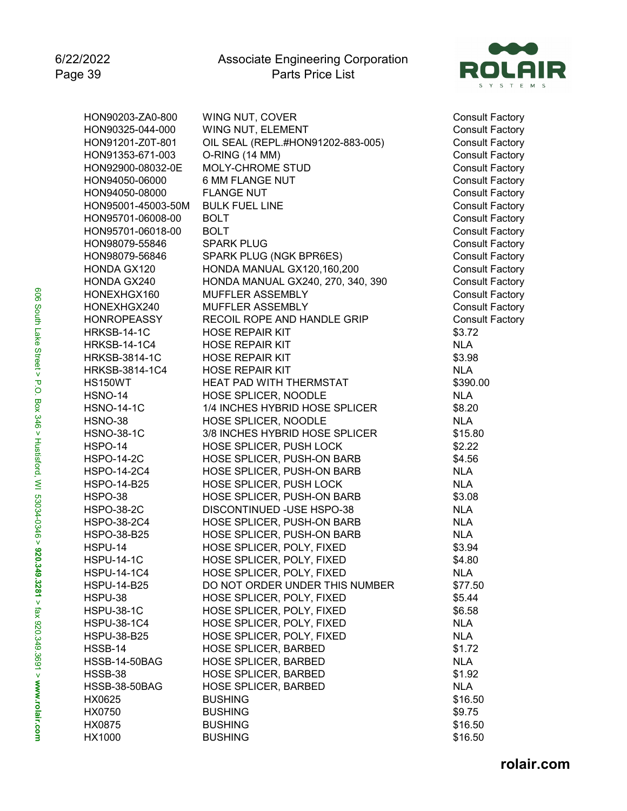

| HON90203-ZA0-800     | WING NUT, COVER                   | Consult    |
|----------------------|-----------------------------------|------------|
| HON90325-044-000     | WING NUT, ELEMENT                 | Consult    |
| HON91201-Z0T-801     | OIL SEAL (REPL.#HON91202-883-005) | Consult    |
| HON91353-671-003     | O-RING (14 MM)                    | Consult    |
| HON92900-08032-0E    | <b>MOLY-CHROME STUD</b>           | Consult    |
| HON94050-06000       | 6 MM FLANGE NUT                   | Consult    |
| HON94050-08000       | <b>FLANGE NUT</b>                 | Consult    |
| HON95001-45003-50M   | <b>BULK FUEL LINE</b>             | Consult    |
| HON95701-06008-00    | <b>BOLT</b>                       | Consult    |
| HON95701-06018-00    | <b>BOLT</b>                       | Consult    |
| HON98079-55846       | <b>SPARK PLUG</b>                 | Consult    |
| HON98079-56846       | SPARK PLUG (NGK BPR6ES)           | Consult    |
| HONDA GX120          | HONDA MANUAL GX120,160,200        | Consult    |
| <b>HONDA GX240</b>   | HONDA MANUAL GX240, 270, 340, 390 | Consult    |
| HONEXHGX160          | MUFFLER ASSEMBLY                  | Consult    |
| HONEXHGX240          | MUFFLER ASSEMBLY                  | Consult    |
| <b>HONROPEASSY</b>   | RECOIL ROPE AND HANDLE GRIP       | Consult    |
| HRKSB-14-1C          | <b>HOSE REPAIR KIT</b>            | \$3.72     |
| <b>HRKSB-14-1C4</b>  | <b>HOSE REPAIR KIT</b>            | NLA        |
| <b>HRKSB-3814-1C</b> | <b>HOSE REPAIR KIT</b>            | \$3.98     |
| HRKSB-3814-1C4       | <b>HOSE REPAIR KIT</b>            | <b>NLA</b> |
| <b>HS150WT</b>       | HEAT PAD WITH THERMSTAT           | \$390.00   |
|                      | HOSE SPLICER, NOODLE              |            |
| <b>HSNO-14</b>       |                                   | <b>NLA</b> |
| <b>HSNO-14-1C</b>    | 1/4 INCHES HYBRID HOSE SPLICER    | \$8.20     |
| HSNO-38              | HOSE SPLICER, NOODLE              | <b>NLA</b> |
| <b>HSNO-38-1C</b>    | 3/8 INCHES HYBRID HOSE SPLICER    | \$15.80    |
| HSPO-14              | HOSE SPLICER, PUSH LOCK           | \$2.22     |
| <b>HSPO-14-2C</b>    | HOSE SPLICER, PUSH-ON BARB        | \$4.56     |
| <b>HSPO-14-2C4</b>   | HOSE SPLICER, PUSH-ON BARB        | <b>NLA</b> |
| <b>HSPO-14-B25</b>   | HOSE SPLICER, PUSH LOCK           | <b>NLA</b> |
| HSPO-38              | HOSE SPLICER, PUSH-ON BARB        | \$3.08     |
| <b>HSPO-38-2C</b>    | DISCONTINUED - USE HSPO-38        | <b>NLA</b> |
| <b>HSPO-38-2C4</b>   | HOSE SPLICER, PUSH-ON BARB        | <b>NLA</b> |
| <b>HSPO-38-B25</b>   | HOSE SPLICER, PUSH-ON BARB        | <b>NLA</b> |
| HSPU-14              | HOSE SPLICER, POLY, FIXED         | \$3.94     |
| <b>HSPU-14-1C</b>    | HOSE SPLICER, POLY, FIXED         | \$4.80     |
| <b>HSPU-14-1C4</b>   | HOSE SPLICER, POLY, FIXED         | <b>NLA</b> |
| <b>HSPU-14-B25</b>   | DO NOT ORDER UNDER THIS NUMBER    | \$77.50    |
| HSPU-38              | HOSE SPLICER, POLY, FIXED         | \$5.44     |
| <b>HSPU-38-1C</b>    | HOSE SPLICER, POLY, FIXED         | \$6.58     |
| <b>HSPU-38-1C4</b>   | HOSE SPLICER, POLY, FIXED         | <b>NLA</b> |
| HSPU-38-B25          | HOSE SPLICER, POLY, FIXED         | <b>NLA</b> |
| HSSB-14              | <b>HOSE SPLICER, BARBED</b>       | \$1.72     |
| <b>HSSB-14-50BAG</b> | <b>HOSE SPLICER, BARBED</b>       | <b>NLA</b> |
| HSSB-38              | <b>HOSE SPLICER, BARBED</b>       | \$1.92     |
| HSSB-38-50BAG        | <b>HOSE SPLICER, BARBED</b>       | <b>NLA</b> |
| HX0625               | <b>BUSHING</b>                    | \$16.50    |
| HX0750               | <b>BUSHING</b>                    | \$9.75     |
| HX0875               | <b>BUSHING</b>                    | \$16.50    |
| HX1000               | <b>BUSHING</b>                    | \$16.50    |

Consult Factory Consult Factory Consult Factory Consult Factory Consult Factory Consult Factory Consult Factory Consult Factory Consult Factory Consult Factory Consult Factory Consult Factory Consult Factory Consult Factory Consult Factory Consult Factory Consult Factory

606 South Lake Street > P.O. Box 346 > Hustisford, WI 53034-0346 > **920.349.3281** > fax 920.349.3691 > www.rol**ai**r.com 606 South Lake Street > P.O. Box 346 > Hustisford, WI 53034-0346 > **920.349.3281** > fax 920.349.3691 > **www.rolair.com**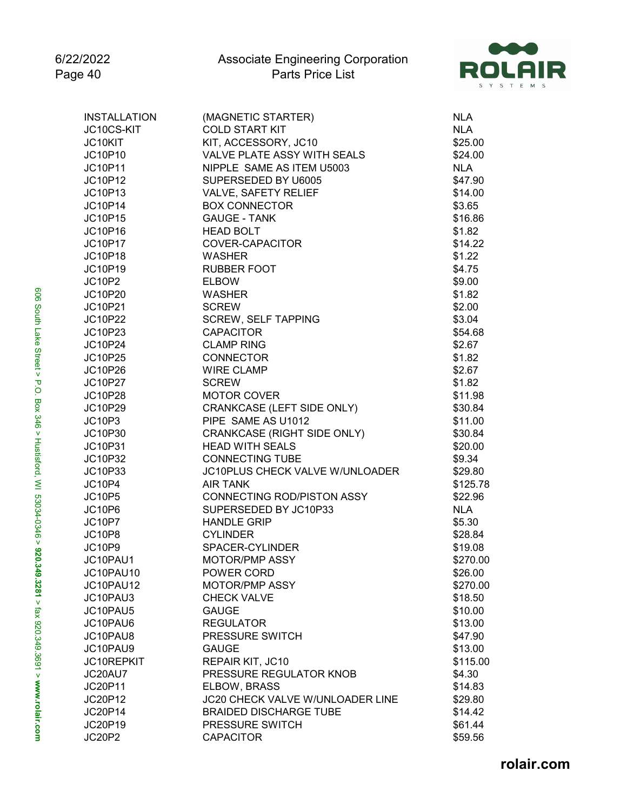

| <b>INSTALLATION</b> | (MAGNETIC STARTER)               | <b>NLA</b> |
|---------------------|----------------------------------|------------|
| JC10CS-KIT          | <b>COLD START KIT</b>            | <b>NLA</b> |
| JC10KIT             | KIT, ACCESSORY, JC10             | \$25.00    |
| JC10P10             | VALVE PLATE ASSY WITH SEALS      | \$24.00    |
| JC10P11             | NIPPLE SAME AS ITEM U5003        | <b>NLA</b> |
| JC10P12             | SUPERSEDED BY U6005              | \$47.90    |
| JC10P13             | VALVE, SAFETY RELIEF             | \$14.00    |
| JC10P14             | <b>BOX CONNECTOR</b>             | \$3.65     |
| JC10P15             | <b>GAUGE - TANK</b>              | \$16.86    |
| JC10P16             | <b>HEAD BOLT</b>                 | \$1.82     |
| JC10P17             | COVER-CAPACITOR                  | \$14.22    |
| <b>JC10P18</b>      | <b>WASHER</b>                    | \$1.22     |
| JC10P19             | <b>RUBBER FOOT</b>               | \$4.75     |
| <b>JC10P2</b>       | <b>ELBOW</b>                     | \$9.00     |
| JC10P20             | <b>WASHER</b>                    | \$1.82     |
| JC10P21             | <b>SCREW</b>                     | \$2.00     |
| JC10P22             | <b>SCREW, SELF TAPPING</b>       | \$3.04     |
| JC10P23             | <b>CAPACITOR</b>                 | \$54.68    |
| JC10P24             | <b>CLAMP RING</b>                | \$2.67     |
| JC10P25             | <b>CONNECTOR</b>                 | \$1.82     |
| JC10P26             | <b>WIRE CLAMP</b>                | \$2.67     |
| JC10P27             | <b>SCREW</b>                     | \$1.82     |
| JC10P28             | <b>MOTOR COVER</b>               | \$11.98    |
| JC10P29             | CRANKCASE (LEFT SIDE ONLY)       | \$30.84    |
| <b>JC10P3</b>       | PIPE SAME AS U1012               | \$11.00    |
| <b>JC10P30</b>      | CRANKCASE (RIGHT SIDE ONLY)      | \$30.84    |
| JC10P31             | <b>HEAD WITH SEALS</b>           | \$20.00    |
| JC10P32             | <b>CONNECTING TUBE</b>           | \$9.34     |
| JC10P33             | JC10PLUS CHECK VALVE W/UNLOADER  | \$29.80    |
| <b>JC10P4</b>       | <b>AIR TANK</b>                  | \$125.78   |
| <b>JC10P5</b>       | CONNECTING ROD/PISTON ASSY       | \$22.96    |
| <b>JC10P6</b>       | SUPERSEDED BY JC10P33            | <b>NLA</b> |
| <b>JC10P7</b>       | <b>HANDLE GRIP</b>               | \$5.30     |
| <b>JC10P8</b>       | <b>CYLINDER</b>                  | \$28.84    |
| <b>JC10P9</b>       | SPACER-CYLINDER                  | \$19.08    |
| JC10PAU1            | MOTOR/PMP ASSY                   | \$270.00   |
| JC10PAU10           | POWER CORD                       | \$26.00    |
| JC10PAU12           | <b>MOTOR/PMP ASSY</b>            | \$270.00   |
| JC10PAU3            | <b>CHECK VALVE</b>               | \$18.50    |
| JC10PAU5            | <b>GAUGE</b>                     | \$10.00    |
| JC10PAU6            | <b>REGULATOR</b>                 | \$13.00    |
| JC10PAU8            | PRESSURE SWITCH                  | \$47.90    |
| JC10PAU9            | <b>GAUGE</b>                     | \$13.00    |
| JC10REPKIT          | REPAIR KIT, JC10                 | \$115.00   |
| JC20AU7             | PRESSURE REGULATOR KNOB          | \$4.30     |
| JC20P11             | ELBOW, BRASS                     | \$14.83    |
| <b>JC20P12</b>      | JC20 CHECK VALVE W/UNLOADER LINE | \$29.80    |
| <b>JC20P14</b>      | <b>BRAIDED DISCHARGE TUBE</b>    | \$14.42    |
| JC20P19             | PRESSURE SWITCH                  | \$61.44    |
| JC20P2              | <b>CAPACITOR</b>                 | \$59.56    |
|                     |                                  |            |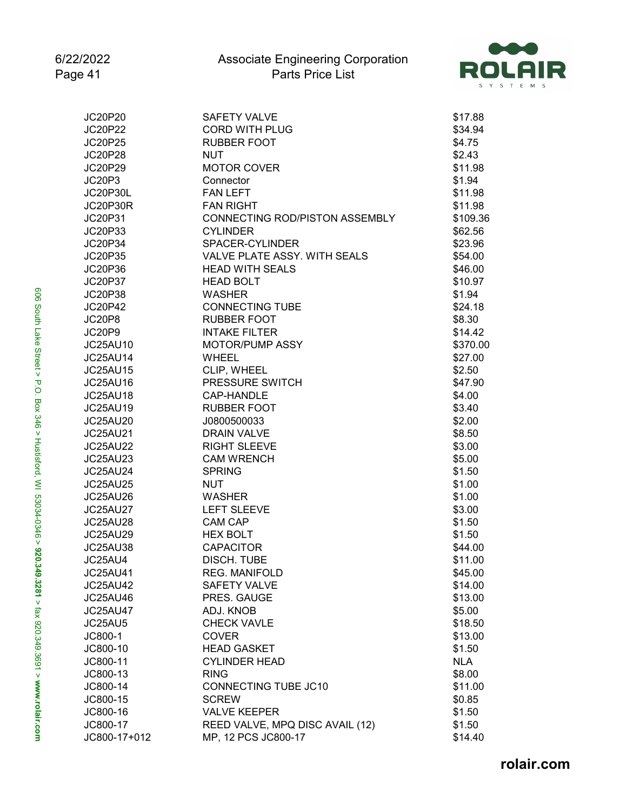

| JC20P20         | <b>SAFETY VALVE</b>             | \$17.88    |
|-----------------|---------------------------------|------------|
| <b>JC20P22</b>  | <b>CORD WITH PLUG</b>           | \$34.94    |
| JC20P25         | <b>RUBBER FOOT</b>              | \$4.75     |
| <b>JC20P28</b>  | <b>NUT</b>                      | \$2.43     |
| JC20P29         | <b>MOTOR COVER</b>              | \$11.98    |
| JC20P3          | Connector                       | \$1.94     |
| <b>JC20P30L</b> | <b>FAN LEFT</b>                 | \$11.98    |
| JC20P30R        | <b>FAN RIGHT</b>                | \$11.98    |
| JC20P31         | CONNECTING ROD/PISTON ASSEMBLY  | \$109.36   |
| JC20P33         | <b>CYLINDER</b>                 | \$62.56    |
| JC20P34         | SPACER-CYLINDER                 | \$23.96    |
| JC20P35         | VALVE PLATE ASSY, WITH SEALS    | \$54.00    |
| JC20P36         | <b>HEAD WITH SEALS</b>          | \$46.00    |
| <b>JC20P37</b>  | <b>HEAD BOLT</b>                | \$10.97    |
| JC20P38         | <b>WASHER</b>                   | \$1.94     |
| JC20P42         | <b>CONNECTING TUBE</b>          | \$24.18    |
| JC20P8          | <b>RUBBER FOOT</b>              | \$8.30     |
| JC20P9          | <b>INTAKE FILTER</b>            | \$14.42    |
| JC25AU10        | MOTOR/PUMP ASSY                 | \$370.00   |
| <b>JC25AU14</b> | <b>WHEEL</b>                    | \$27.00    |
| <b>JC25AU15</b> | CLIP, WHEEL                     | \$2.50     |
| <b>JC25AU16</b> | PRESSURE SWITCH                 | \$47.90    |
| JC25AU18        | CAP-HANDLE                      | \$4.00     |
| JC25AU19        | <b>RUBBER FOOT</b>              | \$3.40     |
| JC25AU20        | J0800500033                     | \$2.00     |
| JC25AU21        | <b>DRAIN VALVE</b>              | \$8.50     |
| <b>JC25AU22</b> | <b>RIGHT SLEEVE</b>             | \$3.00     |
| <b>JC25AU23</b> | <b>CAM WRENCH</b>               | \$5.00     |
| <b>JC25AU24</b> | <b>SPRING</b>                   | \$1.50     |
| <b>JC25AU25</b> | <b>NUT</b>                      | \$1.00     |
| <b>JC25AU26</b> | <b>WASHER</b>                   | \$1.00     |
| <b>JC25AU27</b> | <b>LEFT SLEEVE</b>              | \$3.00     |
| <b>JC25AU28</b> | <b>CAM CAP</b>                  | \$1.50     |
| <b>JC25AU29</b> | <b>HEX BOLT</b>                 | \$1.50     |
| <b>JC25AU38</b> | <b>CAPACITOR</b>                | \$44.00    |
| JC25AU4         | DISCH. TUBE                     | \$11.00    |
| JC25AU41        | REG. MANIFOLD                   | \$45.00    |
| <b>JC25AU42</b> | <b>SAFETY VALVE</b>             | \$14.00    |
| <b>JC25AU46</b> | PRES. GAUGE                     | \$13.00    |
| <b>JC25AU47</b> | ADJ. KNOB                       | \$5.00     |
| JC25AU5         | <b>CHECK VAVLE</b>              | \$18.50    |
| JC800-1         | <b>COVER</b>                    | \$13.00    |
| JC800-10        | <b>HEAD GASKET</b>              | \$1.50     |
| JC800-11        | <b>CYLINDER HEAD</b>            | <b>NLA</b> |
| JC800-13        | <b>RING</b>                     | \$8.00     |
| JC800-14        | CONNECTING TUBE JC10            | \$11.00    |
| JC800-15        | <b>SCREW</b>                    | \$0.85     |
| JC800-16        | <b>VALVE KEEPER</b>             | \$1.50     |
| JC800-17        | REED VALVE, MPQ DISC AVAIL (12) | \$1.50     |
| JC800-17+012    | MP, 12 PCS JC800-17             | \$14.40    |
|                 |                                 |            |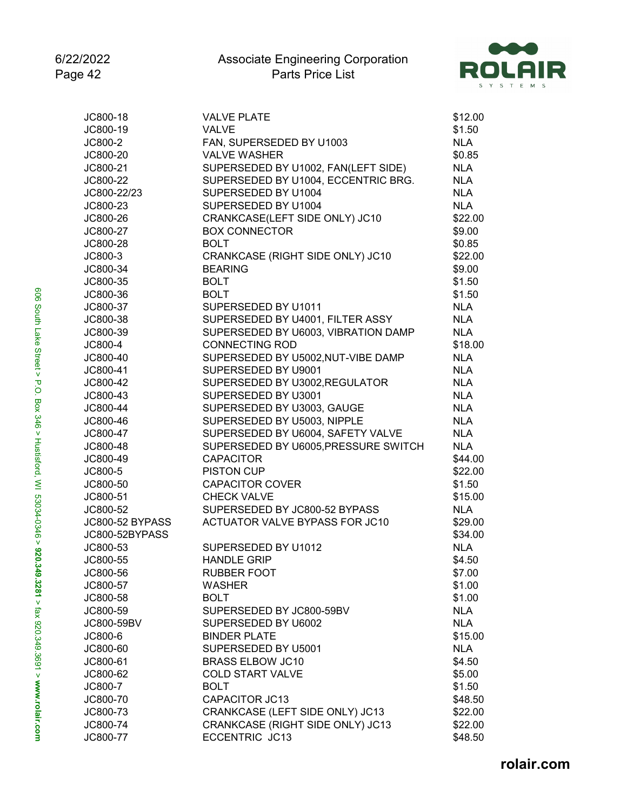

| JC800-18               | <b>VALVE PLATE</b>                   | \$12.00    |
|------------------------|--------------------------------------|------------|
| JC800-19               | VALVE                                | \$1.50     |
| JC800-2                | FAN, SUPERSEDED BY U1003             | <b>NLA</b> |
| JC800-20               | <b>VALVE WASHER</b>                  | \$0.85     |
| JC800-21               | SUPERSEDED BY U1002, FAN(LEFT SIDE)  | <b>NLA</b> |
| JC800-22               | SUPERSEDED BY U1004, ECCENTRIC BRG.  | <b>NLA</b> |
| JC800-22/23            | SUPERSEDED BY U1004                  | <b>NLA</b> |
| JC800-23               | SUPERSEDED BY U1004                  | <b>NLA</b> |
| JC800-26               | CRANKCASE(LEFT SIDE ONLY) JC10       | \$22.00    |
| JC800-27               | <b>BOX CONNECTOR</b>                 | \$9.00     |
| JC800-28               | <b>BOLT</b>                          | \$0.85     |
| JC800-3                | CRANKCASE (RIGHT SIDE ONLY) JC10     | \$22.00    |
| JC800-34               | <b>BEARING</b>                       | \$9.00     |
| JC800-35               | <b>BOLT</b>                          | \$1.50     |
| JC800-36               | <b>BOLT</b>                          | \$1.50     |
| JC800-37               | SUPERSEDED BY U1011                  | <b>NLA</b> |
| JC800-38               | SUPERSEDED BY U4001, FILTER ASSY     | <b>NLA</b> |
| JC800-39               | SUPERSEDED BY U6003, VIBRATION DAMP  | <b>NLA</b> |
| JC800-4                | <b>CONNECTING ROD</b>                | \$18.00    |
| JC800-40               | SUPERSEDED BY U5002, NUT-VIBE DAMP   | <b>NLA</b> |
| JC800-41               | SUPERSEDED BY U9001                  | <b>NLA</b> |
| JC800-42               | SUPERSEDED BY U3002, REGULATOR       | <b>NLA</b> |
| JC800-43               | SUPERSEDED BY U3001                  | <b>NLA</b> |
| JC800-44               | SUPERSEDED BY U3003, GAUGE           | <b>NLA</b> |
| JC800-46               | SUPERSEDED BY U5003, NIPPLE          | <b>NLA</b> |
| JC800-47               | SUPERSEDED BY U6004, SAFETY VALVE    | <b>NLA</b> |
| JC800-48               | SUPERSEDED BY U6005, PRESSURE SWITCH | <b>NLA</b> |
| JC800-49               | <b>CAPACITOR</b>                     | \$44.00    |
| JC800-5                | <b>PISTON CUP</b>                    | \$22.00    |
| JC800-50               | <b>CAPACITOR COVER</b>               | \$1.50     |
| JC800-51               | <b>CHECK VALVE</b>                   | \$15.00    |
| JC800-52               | SUPERSEDED BY JC800-52 BYPASS        | <b>NLA</b> |
| <b>JC800-52 BYPASS</b> | ACTUATOR VALVE BYPASS FOR JC10       | \$29.00    |
| JC800-52BYPASS         |                                      | \$34.00    |
| JC800-53               | SUPERSEDED BY U1012                  | <b>NLA</b> |
| JC800-55               | <b>HANDLE GRIP</b>                   | \$4.50     |
| JC800-56               | <b>RUBBER FOOT</b>                   | \$7.00     |
| JC800-57               | WASHER                               | \$1.00     |
| JC800-58               | <b>BOLT</b>                          | \$1.00     |
| JC800-59               | SUPERSEDED BY JC800-59BV             | <b>NLA</b> |
| JC800-59BV             | SUPERSEDED BY U6002                  | <b>NLA</b> |
| JC800-6                | <b>BINDER PLATE</b>                  | \$15.00    |
| JC800-60               | SUPERSEDED BY U5001                  | <b>NLA</b> |
| JC800-61               | <b>BRASS ELBOW JC10</b>              | \$4.50     |
| JC800-62               | <b>COLD START VALVE</b>              | \$5.00     |
| JC800-7                | <b>BOLT</b>                          | \$1.50     |
| JC800-70               | <b>CAPACITOR JC13</b>                | \$48.50    |
| JC800-73               | CRANKCASE (LEFT SIDE ONLY) JC13      | \$22.00    |
| JC800-74               | CRANKCASE (RIGHT SIDE ONLY) JC13     | \$22.00    |
| JC800-77               | ECCENTRIC JC13                       | \$48.50    |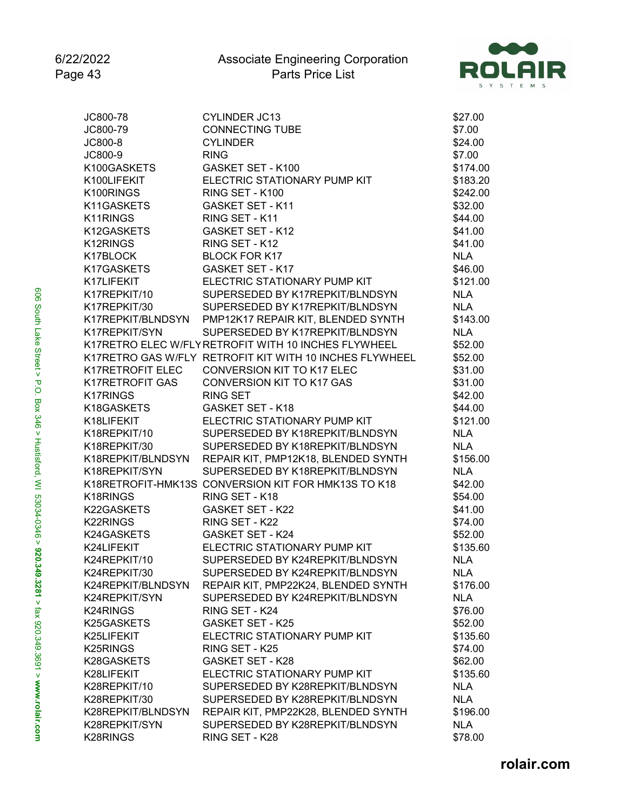

| JC800-78              | <b>CYLINDER JC13</b>                                    | \$27.00    |
|-----------------------|---------------------------------------------------------|------------|
| JC800-79              | <b>CONNECTING TUBE</b>                                  | \$7.00     |
| JC800-8               | <b>CYLINDER</b>                                         | \$24.00    |
| JC800-9               | <b>RING</b>                                             | \$7.00     |
| K100GASKETS           | GASKET SET - K100                                       | \$174.00   |
| K100LIFEKIT           | ELECTRIC STATIONARY PUMP KIT                            | \$183.20   |
| K100RINGS             | RING SET - K100                                         | \$242.00   |
| K11GASKETS            | <b>GASKET SET - K11</b>                                 | \$32.00    |
| K11RINGS              | RING SET - K11                                          | \$44.00    |
| K12GASKETS            | <b>GASKET SET - K12</b>                                 | \$41.00    |
| K12RINGS              | RING SET - K12                                          | \$41.00    |
| K17BLOCK              | <b>BLOCK FOR K17</b>                                    | <b>NLA</b> |
| K17GASKETS            | <b>GASKET SET - K17</b>                                 | \$46.00    |
| K17LIFEKIT            | ELECTRIC STATIONARY PUMP KIT                            | \$121.00   |
| K17REPKIT/10          | SUPERSEDED BY K17REPKIT/BLNDSYN                         | <b>NLA</b> |
| K17REPKIT/30          | SUPERSEDED BY K17REPKIT/BLNDSYN                         | <b>NLA</b> |
| K17REPKIT/BLNDSYN     | PMP12K17 REPAIR KIT, BLENDED SYNTH                      | \$143.00   |
| K17REPKIT/SYN         | SUPERSEDED BY K17REPKIT/BLNDSYN                         | <b>NLA</b> |
|                       | K17RETRO ELEC W/FLY RETROFIT WITH 10 INCHES FLYWHEEL    | \$52.00    |
|                       | K17RETRO GAS W/FLY RETROFIT KIT WITH 10 INCHES FLYWHEEL | \$52.00    |
| K17RETROFIT ELEC      | <b>CONVERSION KIT TO K17 ELEC</b>                       | \$31.00    |
| K17RETROFIT GAS       | <b>CONVERSION KIT TO K17 GAS</b>                        | \$31.00    |
| K17RINGS              | <b>RING SET</b>                                         | \$42.00    |
| K18GASKETS            | <b>GASKET SET - K18</b>                                 | \$44.00    |
| K18LIFEKIT            | ELECTRIC STATIONARY PUMP KIT                            | \$121.00   |
| K18REPKIT/10          | SUPERSEDED BY K18REPKIT/BLNDSYN                         | <b>NLA</b> |
| K18REPKIT/30          | SUPERSEDED BY K18REPKIT/BLNDSYN                         | <b>NLA</b> |
| K18REPKIT/BLNDSYN     | REPAIR KIT, PMP12K18, BLENDED SYNTH                     | \$156.00   |
| K18REPKIT/SYN         | SUPERSEDED BY K18REPKIT/BLNDSYN                         | <b>NLA</b> |
|                       | K18RETROFIT-HMK13S CONVERSION KIT FOR HMK13S TO K18     | \$42.00    |
| K18RINGS              | RING SET - K18                                          | \$54.00    |
| K22GASKETS            | <b>GASKET SET - K22</b>                                 | \$41.00    |
| K22RINGS              | RING SET - K22                                          | \$74.00    |
| K24GASKETS            | <b>GASKET SET - K24</b>                                 | \$52.00    |
| K24LIFEKIT            | ELECTRIC STATIONARY PUMP KIT                            | \$135.60   |
| K24REPKIT/10          | SUPERSEDED BY K24REPKIT/BLNDSYN                         | <b>NLA</b> |
| K24REPKIT/30          | SUPERSEDED BY K24REPKIT/BLNDSYN                         | <b>NLA</b> |
| K24REPKIT/BLNDSYN     | REPAIR KIT, PMP22K24, BLENDED SYNTH                     | \$176.00   |
| K24REPKIT/SYN         | SUPERSEDED BY K24REPKIT/BLNDSYN                         | <b>NLA</b> |
| K24RINGS              | RING SET - K24                                          | \$76.00    |
| K25GASKETS            | <b>GASKET SET - K25</b>                                 | \$52.00    |
| K25LIFEKIT            | ELECTRIC STATIONARY PUMP KIT                            | \$135.60   |
| K <sub>25</sub> RINGS | RING SET - K25                                          | \$74.00    |
| K28GASKETS            | <b>GASKET SET - K28</b>                                 | \$62.00    |
| K28LIFEKIT            | ELECTRIC STATIONARY PUMP KIT                            | \$135.60   |
| K28REPKIT/10          | SUPERSEDED BY K28REPKIT/BLNDSYN                         | <b>NLA</b> |
| K28REPKIT/30          | SUPERSEDED BY K28REPKIT/BLNDSYN                         | <b>NLA</b> |
| K28REPKIT/BLNDSYN     | REPAIR KIT, PMP22K28, BLENDED SYNTH                     | \$196.00   |
| K28REPKIT/SYN         | SUPERSEDED BY K28REPKIT/BLNDSYN                         | <b>NLA</b> |
| K28RINGS              | RING SET - K28                                          | \$78.00    |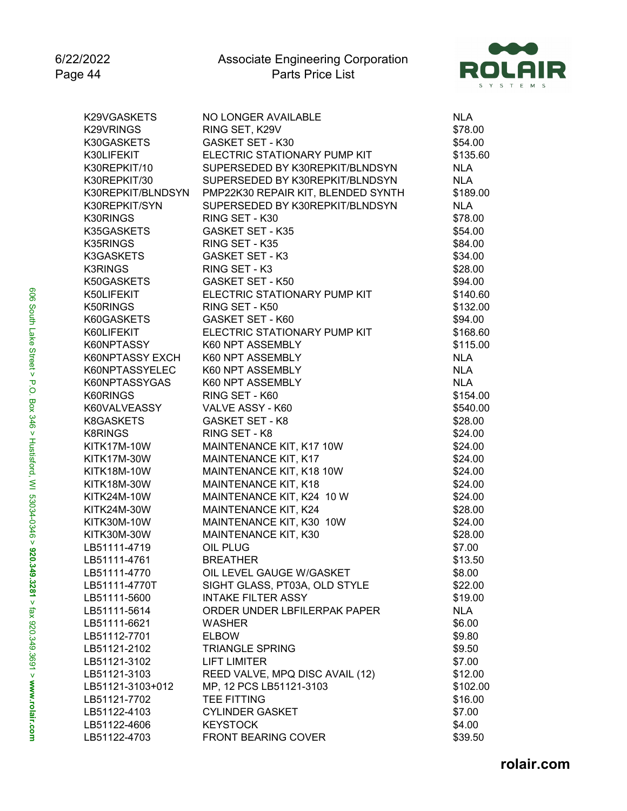

| K29VGASKETS        | NO LONGER AVAILABLE                | <b>NLA</b> |
|--------------------|------------------------------------|------------|
| K29VRINGS          | RING SET, K29V                     | \$78.00    |
| K30GASKETS         | <b>GASKET SET - K30</b>            | \$54.00    |
| K30LIFEKIT         | ELECTRIC STATIONARY PUMP KIT       | \$135.60   |
| K30REPKIT/10       | SUPERSEDED BY K30REPKIT/BLNDSYN    | <b>NLA</b> |
| K30REPKIT/30       | SUPERSEDED BY K30REPKIT/BLNDSYN    | <b>NLA</b> |
| K30REPKIT/BLNDSYN  | PMP22K30 REPAIR KIT, BLENDED SYNTH | \$189.00   |
| K30REPKIT/SYN      | SUPERSEDED BY K30REPKIT/BLNDSYN    | <b>NLA</b> |
| K30RINGS           | RING SET - K30                     | \$78.00    |
| K35GASKETS         | <b>GASKET SET - K35</b>            | \$54.00    |
| K35RINGS           | RING SET - K35                     | \$84.00    |
| K3GASKETS          | <b>GASKET SET - K3</b>             | \$34.00    |
| <b>K3RINGS</b>     | RING SET - K3                      | \$28.00    |
| K50GASKETS         | GASKET SET - K50                   | \$94.00    |
| K50LIFEKIT         | ELECTRIC STATIONARY PUMP KIT       | \$140.60   |
| K50RINGS           | RING SET - K50                     | \$132.00   |
| K60GASKETS         | GASKET SET - K60                   | \$94.00    |
| K60LIFEKIT         | ELECTRIC STATIONARY PUMP KIT       | \$168.60   |
| K60NPTASSY         | K60 NPT ASSEMBLY                   | \$115.00   |
| K60NPTASSY EXCH    | K60 NPT ASSEMBLY                   | <b>NLA</b> |
| K60NPTASSYELEC     | K60 NPT ASSEMBLY                   | <b>NLA</b> |
| K60NPTASSYGAS      | K60 NPT ASSEMBLY                   | <b>NLA</b> |
| K60RINGS           | RING SET - K60                     | \$154.00   |
| K60VALVEASSY       | VALVE ASSY - K60                   | \$540.00   |
| K8GASKETS          | <b>GASKET SET - K8</b>             | \$28.00    |
| <b>K8RINGS</b>     | RING SET - K8                      | \$24.00    |
| <b>KITK17M-10W</b> | MAINTENANCE KIT, K17 10W           | \$24.00    |
| KITK17M-30W        | MAINTENANCE KIT, K17               | \$24.00    |
| <b>KITK18M-10W</b> | MAINTENANCE KIT, K18 10W           | \$24.00    |
| <b>KITK18M-30W</b> | MAINTENANCE KIT, K18               | \$24.00    |
| <b>KITK24M-10W</b> | MAINTENANCE KIT, K24 10 W          | \$24.00    |
| <b>KITK24M-30W</b> | MAINTENANCE KIT, K24               | \$28.00    |
| <b>KITK30M-10W</b> | MAINTENANCE KIT, K30 10W           | \$24.00    |
| KITK30M-30W        | MAINTENANCE KIT, K30               | \$28.00    |
| LB51111-4719       | OIL PLUG                           | \$7.00     |
| LB51111-4761       | <b>BREATHER</b>                    | \$13.50    |
| LB51111-4770       | OIL LEVEL GAUGE W/GASKET           | \$8.00     |
| LB51111-4770T      | SIGHT GLASS, PT03A, OLD STYLE      | \$22.00    |
| LB51111-5600       | <b>INTAKE FILTER ASSY</b>          | \$19.00    |
| LB51111-5614       | ORDER UNDER LBFILERPAK PAPER       | NLA        |
| LB51111-6621       | <b>WASHER</b>                      | \$6.00     |
| LB51112-7701       | <b>ELBOW</b>                       | \$9.80     |
| LB51121-2102       | <b>TRIANGLE SPRING</b>             | \$9.50     |
| LB51121-3102       | <b>LIFT LIMITER</b>                | \$7.00     |
| LB51121-3103       | REED VALVE, MPQ DISC AVAIL (12)    | \$12.00    |
| LB51121-3103+012   | MP, 12 PCS LB51121-3103            | \$102.00   |
| LB51121-7702       | <b>TEE FITTING</b>                 | \$16.00    |
| LB51122-4103       | <b>CYLINDER GASKET</b>             | \$7.00     |
| LB51122-4606       | <b>KEYSTOCK</b>                    | \$4.00     |
| LB51122-4703       | <b>FRONT BEARING COVER</b>         | \$39.50    |
|                    |                                    |            |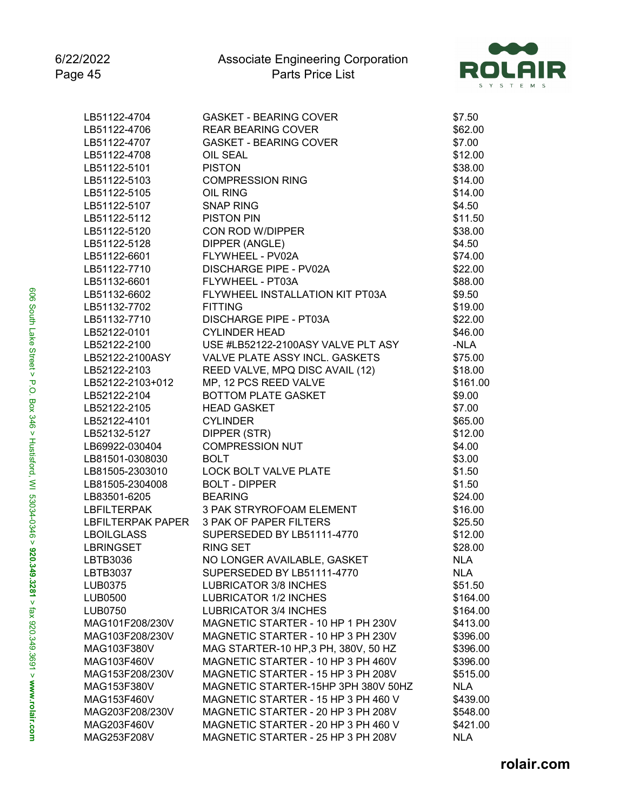

| LB51122-4704       | <b>GASKET - BEARING COVER</b>                   | \$7.50     |
|--------------------|-------------------------------------------------|------------|
| LB51122-4706       | <b>REAR BEARING COVER</b>                       | \$62.00    |
| LB51122-4707       | <b>GASKET - BEARING COVER</b>                   | \$7.00     |
| LB51122-4708       | OIL SEAL                                        | \$12.00    |
| LB51122-5101       | <b>PISTON</b>                                   | \$38.00    |
| LB51122-5103       | <b>COMPRESSION RING</b>                         | \$14.00    |
| LB51122-5105       | OIL RING                                        | \$14.00    |
| LB51122-5107       | <b>SNAP RING</b>                                | \$4.50     |
| LB51122-5112       | <b>PISTON PIN</b>                               | \$11.50    |
| LB51122-5120       | CON ROD W/DIPPER                                | \$38.00    |
| LB51122-5128       | DIPPER (ANGLE)                                  | \$4.50     |
| LB51122-6601       | FLYWHEEL - PV02A                                | \$74.00    |
| LB51122-7710       | <b>DISCHARGE PIPE - PV02A</b>                   | \$22.00    |
| LB51132-6601       | FLYWHEEL - PT03A                                | \$88.00    |
| LB51132-6602       | FLYWHEEL INSTALLATION KIT PT03A                 | \$9.50     |
| LB51132-7702       | <b>FITTING</b>                                  | \$19.00    |
| LB51132-7710       | <b>DISCHARGE PIPE - PT03A</b>                   | \$22.00    |
| LB52122-0101       | <b>CYLINDER HEAD</b>                            | \$46.00    |
|                    | LB52122-2100 USE #LB52122-2100ASY VALVE PLT ASY | -NLA       |
| LB52122-2100ASY    | VALVE PLATE ASSY INCL. GASKETS                  | \$75.00    |
| LB52122-2103       | REED VALVE, MPQ DISC AVAIL (12)                 | \$18.00    |
| LB52122-2103+012   | MP, 12 PCS REED VALVE                           | \$161.00   |
|                    | <b>BOTTOM PLATE GASKET</b>                      |            |
| LB52122-2104       | <b>HEAD GASKET</b>                              | \$9.00     |
| LB52122-2105       |                                                 | \$7.00     |
| LB52122-4101       | <b>CYLINDER</b>                                 | \$65.00    |
| LB52132-5127       | DIPPER (STR)                                    | \$12.00    |
| LB69922-030404     | <b>COMPRESSION NUT</b>                          | \$4.00     |
| LB81501-0308030    | <b>BOLT</b>                                     | \$3.00     |
| LB81505-2303010    | LOCK BOLT VALVE PLATE                           | \$1.50     |
| LB81505-2304008    | <b>BOLT - DIPPER</b>                            | \$1.50     |
| LB83501-6205       | <b>BEARING</b>                                  | \$24.00    |
| <b>LBFILTERPAK</b> | 3 PAK STRYROFOAM ELEMENT                        | \$16.00    |
|                    | LBFILTERPAK PAPER 3 PAK OF PAPER FILTERS        | \$25.50    |
| LBOILGLASS         | SUPERSEDED BY LB51111-4770                      | \$12.00    |
| LBRINGSET          | <b>RING SET</b>                                 | \$28.00    |
| LBTB3036           | NO LONGER AVAILABLE, GASKET                     | <b>NLA</b> |
| LBTB3037           | SUPERSEDED BY LB51111-4770                      | <b>NLA</b> |
| LUB0375            | <b>LUBRICATOR 3/8 INCHES</b>                    | \$51.50    |
| LUB0500            | <b>LUBRICATOR 1/2 INCHES</b>                    | \$164.00   |
| <b>LUB0750</b>     | <b>LUBRICATOR 3/4 INCHES</b>                    | \$164.00   |
| MAG101F208/230V    | MAGNETIC STARTER - 10 HP 1 PH 230V              | \$413.00   |
| MAG103F208/230V    | MAGNETIC STARTER - 10 HP 3 PH 230V              | \$396.00   |
| MAG103F380V        | MAG STARTER-10 HP, 3 PH, 380V, 50 HZ            | \$396.00   |
| MAG103F460V        | MAGNETIC STARTER - 10 HP 3 PH 460V              | \$396.00   |
| MAG153F208/230V    | MAGNETIC STARTER - 15 HP 3 PH 208V              | \$515.00   |
| MAG153F380V        | MAGNETIC STARTER-15HP 3PH 380V 50HZ             | <b>NLA</b> |
| MAG153F460V        | MAGNETIC STARTER - 15 HP 3 PH 460 V             | \$439.00   |
| MAG203F208/230V    | MAGNETIC STARTER - 20 HP 3 PH 208V              | \$548.00   |
| MAG203F460V        | MAGNETIC STARTER - 20 HP 3 PH 460 V             | \$421.00   |
| MAG253F208V        | MAGNETIC STARTER - 25 HP 3 PH 208V              | <b>NLA</b> |
|                    |                                                 |            |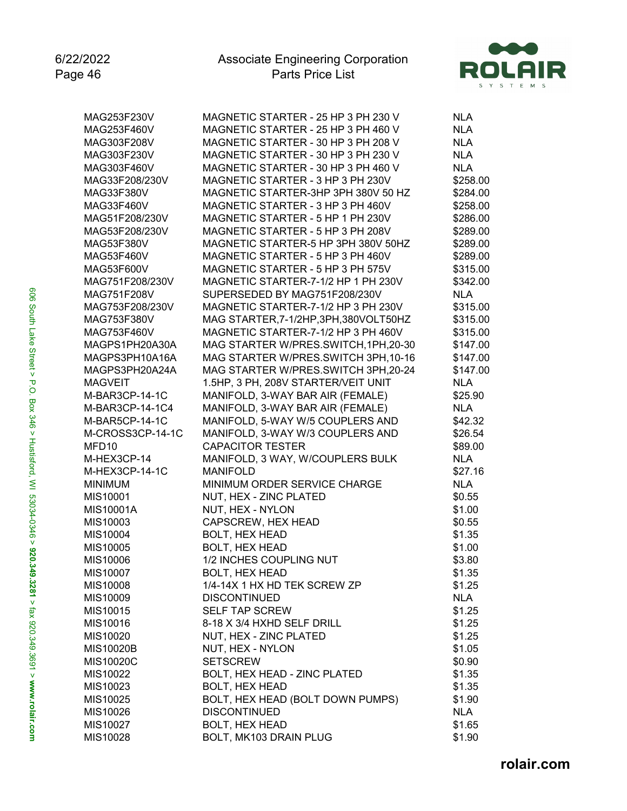

| MAG253F230V                  | MAGNETIC STARTER - 25 HP 3 PH 230 V                                      | <b>NLA</b> |
|------------------------------|--------------------------------------------------------------------------|------------|
| MAG253F460V                  | MAGNETIC STARTER - 25 HP 3 PH 460 V                                      | <b>NLA</b> |
| MAG303F208V                  | MAGNETIC STARTER - 30 HP 3 PH 208 V                                      | <b>NLA</b> |
| MAG303F230V                  | MAGNETIC STARTER - 30 HP 3 PH 230 V                                      | <b>NLA</b> |
| MAG303F460V                  | MAGNETIC STARTER - 30 HP 3 PH 460 V                                      | <b>NLA</b> |
| MAG33F208/230V               | MAGNETIC STARTER - 3 HP 3 PH 230V                                        | \$258.00   |
| MAG33F380V                   | MAGNETIC STARTER-3HP 3PH 380V 50 HZ                                      | \$284.00   |
|                              | MAGNETIC STARTER - 3 HP 3 PH 460V                                        | \$258.00   |
| MAG33F460V<br>MAG51F208/230V | MAGNETIC STARTER - 5 HP 1 PH 230V                                        | \$286.00   |
| MAG53F208/230V               |                                                                          |            |
|                              | MAGNETIC STARTER - 5 HP 3 PH 208V<br>MAGNETIC STARTER-5 HP 3PH 380V 50HZ | \$289.00   |
| MAG53F380V                   |                                                                          | \$289.00   |
| MAG53F460V                   | MAGNETIC STARTER - 5 HP 3 PH 460V                                        | \$289.00   |
| MAG53F600V                   | MAGNETIC STARTER - 5 HP 3 PH 575V                                        | \$315.00   |
| MAG751F208/230V              | MAGNETIC STARTER-7-1/2 HP 1 PH 230V                                      | \$342.00   |
| MAG751F208V                  | SUPERSEDED BY MAG751F208/230V                                            | <b>NLA</b> |
| MAG753F208/230V              | MAGNETIC STARTER-7-1/2 HP 3 PH 230V                                      | \$315.00   |
| MAG753F380V                  | MAG STARTER, 7-1/2HP, 3PH, 380VOLT50HZ                                   | \$315.00   |
| MAG753F460V                  | MAGNETIC STARTER-7-1/2 HP 3 PH 460V                                      | \$315.00   |
| MAGPS1PH20A30A               | MAG STARTER W/PRES.SWITCH, 1PH, 20-30                                    | \$147.00   |
| MAGPS3PH10A16A               | MAG STARTER W/PRES.SWITCH 3PH, 10-16                                     | \$147.00   |
| MAGPS3PH20A24A               | MAG STARTER W/PRES.SWITCH 3PH,20-24                                      | \$147.00   |
| <b>MAGVEIT</b>               | 1.5HP, 3 PH, 208V STARTER/VEIT UNIT                                      | <b>NLA</b> |
| M-BAR3CP-14-1C               | MANIFOLD, 3-WAY BAR AIR (FEMALE)                                         | \$25.90    |
| M-BAR3CP-14-1C4              | MANIFOLD, 3-WAY BAR AIR (FEMALE)                                         | <b>NLA</b> |
| M-BAR5CP-14-1C               | MANIFOLD, 5-WAY W/5 COUPLERS AND                                         | \$42.32    |
| M-CROSS3CP-14-1C             | MANIFOLD, 3-WAY W/3 COUPLERS AND                                         | \$26.54    |
| MFD10                        | <b>CAPACITOR TESTER</b>                                                  | \$89.00    |
| M-HEX3CP-14                  | MANIFOLD, 3 WAY, W/COUPLERS BULK                                         | <b>NLA</b> |
| M-HEX3CP-14-1C               | <b>MANIFOLD</b>                                                          | \$27.16    |
| <b>MINIMUM</b>               | MINIMUM ORDER SERVICE CHARGE                                             | <b>NLA</b> |
| MIS10001                     | NUT, HEX - ZINC PLATED                                                   | \$0.55     |
| MIS10001A                    | NUT, HEX - NYLON                                                         | \$1.00     |
| MIS10003                     | CAPSCREW, HEX HEAD                                                       | \$0.55     |
| MIS10004                     | <b>BOLT, HEX HEAD</b>                                                    | \$1.35     |
| MIS10005                     | <b>BOLT, HEX HEAD</b>                                                    | \$1.00     |
| MIS10006                     | 1/2 INCHES COUPLING NUT                                                  | \$3.80     |
| MIS10007                     | <b>BOLT, HEX HEAD</b>                                                    | \$1.35     |
| MIS10008                     | 1/4-14X 1 HX HD TEK SCREW ZP                                             | \$1.25     |
| MIS10009                     | <b>DISCONTINUED</b>                                                      | <b>NLA</b> |
| MIS10015                     | <b>SELF TAP SCREW</b>                                                    | \$1.25     |
| MIS10016                     | 8-18 X 3/4 HXHD SELF DRILL                                               | \$1.25     |
| MIS10020                     | NUT, HEX - ZINC PLATED                                                   | \$1.25     |
| MIS10020B                    | NUT, HEX - NYLON                                                         | \$1.05     |
| MIS10020C                    | <b>SETSCREW</b>                                                          | \$0.90     |
| MIS10022                     | BOLT, HEX HEAD - ZINC PLATED                                             | \$1.35     |
| MIS10023                     | BOLT, HEX HEAD                                                           | \$1.35     |
| MIS10025                     | BOLT, HEX HEAD (BOLT DOWN PUMPS)                                         | \$1.90     |
| MIS10026                     | <b>DISCONTINUED</b>                                                      | <b>NLA</b> |
| MIS10027                     | BOLT, HEX HEAD                                                           | \$1.65     |
| MIS10028                     | BOLT, MK103 DRAIN PLUG                                                   | \$1.90     |
|                              |                                                                          |            |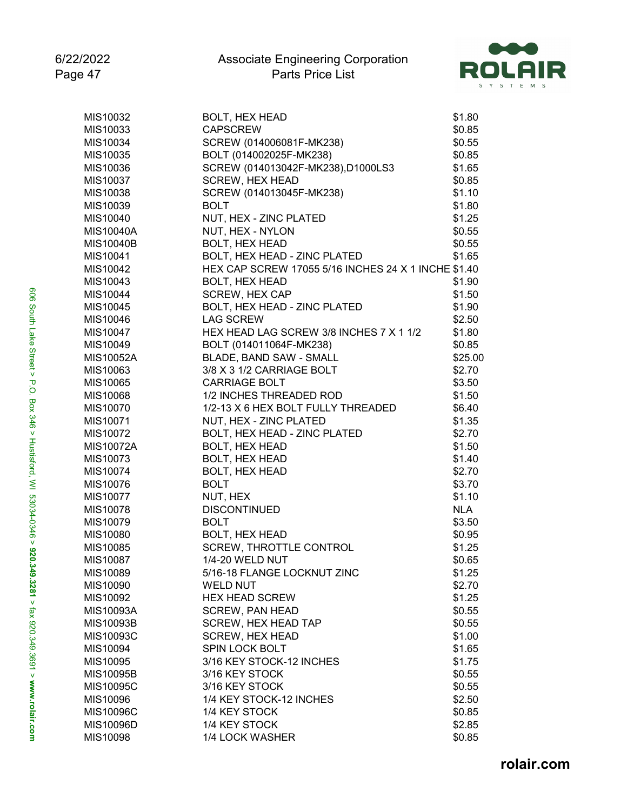

| MIS10032  | <b>BOLT, HEX HEAD</b>                               | \$1.80           |
|-----------|-----------------------------------------------------|------------------|
| MIS10033  | <b>CAPSCREW</b>                                     | \$0.85           |
| MIS10034  | SCREW (014006081F-MK238)                            | \$0.55           |
| MIS10035  | BOLT (014002025F-MK238)                             | \$0.85           |
| MIS10036  | SCREW (014013042F-MK238),D1000LS3                   | \$1.65           |
| MIS10037  | <b>SCREW, HEX HEAD</b>                              | \$0.85           |
| MIS10038  | SCREW (014013045F-MK238)                            | \$1.10           |
| MIS10039  | <b>BOLT</b>                                         | \$1.80           |
| MIS10040  | NUT, HEX - ZINC PLATED                              | \$1.25           |
| MIS10040A | NUT, HEX - NYLON                                    | \$0.55           |
| MIS10040B | <b>BOLT, HEX HEAD</b>                               | \$0.55           |
| MIS10041  | BOLT, HEX HEAD - ZINC PLATED                        | \$1.65           |
| MIS10042  | HEX CAP SCREW 17055 5/16 INCHES 24 X 1 INCHE \$1.40 |                  |
| MIS10043  | <b>BOLT, HEX HEAD</b>                               | \$1.90           |
| MIS10044  | <b>SCREW, HEX CAP</b>                               | \$1.50           |
| MIS10045  | BOLT, HEX HEAD - ZINC PLATED                        | \$1.90           |
| MIS10046  | <b>LAG SCREW</b>                                    | \$2.50           |
| MIS10047  | HEX HEAD LAG SCREW 3/8 INCHES 7 X 1 1/2             | \$1.80           |
| MIS10049  | BOLT (014011064F-MK238)                             | \$0.85           |
| MIS10052A | BLADE, BAND SAW - SMALL                             | \$25.00          |
| MIS10063  | 3/8 X 3 1/2 CARRIAGE BOLT                           | \$2.70           |
| MIS10065  | <b>CARRIAGE BOLT</b>                                | \$3.50           |
| MIS10068  | 1/2 INCHES THREADED ROD                             | \$1.50           |
| MIS10070  | 1/2-13 X 6 HEX BOLT FULLY THREADED                  | \$6.40           |
| MIS10071  | NUT, HEX - ZINC PLATED                              | \$1.35           |
| MIS10072  | BOLT, HEX HEAD - ZINC PLATED                        | \$2.70           |
| MIS10072A | <b>BOLT, HEX HEAD</b>                               | \$1.50           |
| MIS10073  | <b>BOLT, HEX HEAD</b>                               | \$1.40           |
| MIS10074  | <b>BOLT, HEX HEAD</b>                               | \$2.70           |
| MIS10076  | <b>BOLT</b>                                         | \$3.70           |
| MIS10077  | NUT, HEX                                            | \$1.10           |
| MIS10078  | <b>DISCONTINUED</b>                                 | <b>NLA</b>       |
| MIS10079  | <b>BOLT</b>                                         | \$3.50           |
| MIS10080  | <b>BOLT, HEX HEAD</b>                               | \$0.95           |
| MIS10085  | <b>SCREW, THROTTLE CONTROL</b>                      | \$1.25           |
| MIS10087  | <b>1/4-20 WELD NUT</b>                              | \$0.65           |
| MIS10089  | 5/16-18 FLANGE LOCKNUT ZINC                         | \$1.25           |
| MIS10090  | <b>WELD NUT</b>                                     | \$2.70           |
| MIS10092  | <b>HEX HEAD SCREW</b>                               | \$1.25           |
| MIS10093A | <b>SCREW, PAN HEAD</b>                              | \$0.55           |
| MIS10093B | SCREW, HEX HEAD TAP                                 | \$0.55           |
| MIS10093C | <b>SCREW, HEX HEAD</b>                              | \$1.00           |
| MIS10094  | SPIN LOCK BOLT                                      | \$1.65           |
| MIS10095  | 3/16 KEY STOCK-12 INCHES                            | \$1.75           |
| MIS10095B | 3/16 KEY STOCK                                      |                  |
| MIS10095C | 3/16 KEY STOCK                                      | \$0.55<br>\$0.55 |
| MIS10096  | 1/4 KEY STOCK-12 INCHES                             | \$2.50           |
|           |                                                     |                  |
| MIS10096C | 1/4 KEY STOCK                                       | \$0.85           |
| MIS10096D | 1/4 KEY STOCK                                       | \$2.85           |
| MIS10098  | 1/4 LOCK WASHER                                     | \$0.85           |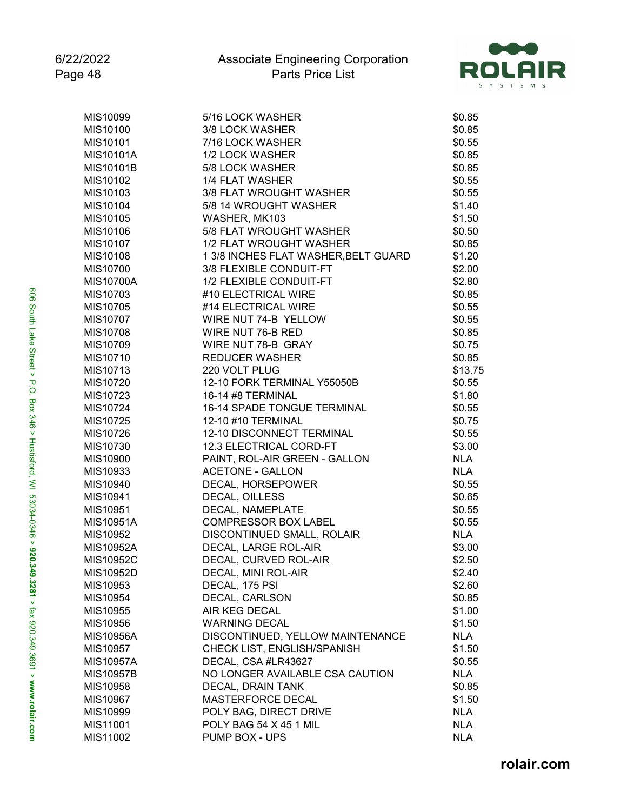

| MIS10099         | 5/16 LOCK WASHER                     | \$0.85     |
|------------------|--------------------------------------|------------|
| MIS10100         | 3/8 LOCK WASHER                      | \$0.85     |
| MIS10101         | 7/16 LOCK WASHER                     | \$0.55     |
| MIS10101A        | 1/2 LOCK WASHER                      | \$0.85     |
| MIS10101B        | 5/8 LOCK WASHER                      | \$0.85     |
| MIS10102         | 1/4 FLAT WASHER                      | \$0.55     |
| MIS10103         | 3/8 FLAT WROUGHT WASHER              | \$0.55     |
| MIS10104         | 5/8 14 WROUGHT WASHER                | \$1.40     |
| MIS10105         | WASHER, MK103                        | \$1.50     |
| MIS10106         | 5/8 FLAT WROUGHT WASHER              | \$0.50     |
| MIS10107         | 1/2 FLAT WROUGHT WASHER              | \$0.85     |
| MIS10108         | 1 3/8 INCHES FLAT WASHER, BELT GUARD | \$1.20     |
| MIS10700         | 3/8 FLEXIBLE CONDUIT-FT              | \$2.00     |
| <b>MIS10700A</b> | 1/2 FLEXIBLE CONDUIT-FT              | \$2.80     |
| MIS10703         | #10 ELECTRICAL WIRE                  | \$0.85     |
| MIS10705         | #14 ELECTRICAL WIRE                  | \$0.55     |
| MIS10707         | WIRE NUT 74-B YELLOW                 | \$0.55     |
| MIS10708         | WIRE NUT 76-B RED                    | \$0.85     |
| MIS10709         | WIRE NUT 78-B GRAY                   | \$0.75     |
| MIS10710         | <b>REDUCER WASHER</b>                | \$0.85     |
| MIS10713         | 220 VOLT PLUG                        | \$13.75    |
| MIS10720         | 12-10 FORK TERMINAL Y55050B          | \$0.55     |
| MIS10723         | 16-14 #8 TERMINAL                    | \$1.80     |
| MIS10724         | 16-14 SPADE TONGUE TERMINAL          | \$0.55     |
| MIS10725         | 12-10 #10 TERMINAL                   | \$0.75     |
| MIS10726         | 12-10 DISCONNECT TERMINAL            | \$0.55     |
| MIS10730         | 12.3 ELECTRICAL CORD-FT              | \$3.00     |
| MIS10900         | PAINT, ROL-AIR GREEN - GALLON        | <b>NLA</b> |
| MIS10933         | <b>ACETONE - GALLON</b>              | <b>NLA</b> |
| MIS10940         | DECAL, HORSEPOWER                    | \$0.55     |
| MIS10941         | DECAL, OILLESS                       | \$0.65     |
| MIS10951         | DECAL, NAMEPLATE                     | \$0.55     |
| MIS10951A        | COMPRESSOR BOX LABEL                 | \$0.55     |
| MIS10952         | DISCONTINUED SMALL, ROLAIR           | <b>NLA</b> |
| MIS10952A        | DECAL, LARGE ROL-AIR                 | \$3.00     |
| MIS10952C        | DECAL, CURVED ROL-AIR                | \$2.50     |
| MIS10952D        | DECAL, MINI ROL-AIR                  | \$2.40     |
| MIS10953         | DECAL, 175 PSI                       | \$2.60     |
| MIS10954         | DECAL, CARLSON                       | \$0.85     |
| MIS10955         | AIR KEG DECAL                        | \$1.00     |
| MIS10956         | <b>WARNING DECAL</b>                 | \$1.50     |
| MIS10956A        | DISCONTINUED, YELLOW MAINTENANCE     | <b>NLA</b> |
| MIS10957         | CHECK LIST, ENGLISH/SPANISH          | \$1.50     |
| <b>MIS10957A</b> | DECAL, CSA #LR43627                  | \$0.55     |
| MIS10957B        | NO LONGER AVAILABLE CSA CAUTION      | <b>NLA</b> |
| MIS10958         | DECAL, DRAIN TANK                    | \$0.85     |
| MIS10967         | MASTERFORCE DECAL                    | \$1.50     |
| MIS10999         | POLY BAG, DIRECT DRIVE               | <b>NLA</b> |
| MIS11001         | POLY BAG 54 X 45 1 MIL               | <b>NLA</b> |
| MIS11002         | PUMP BOX - UPS                       | <b>NLA</b> |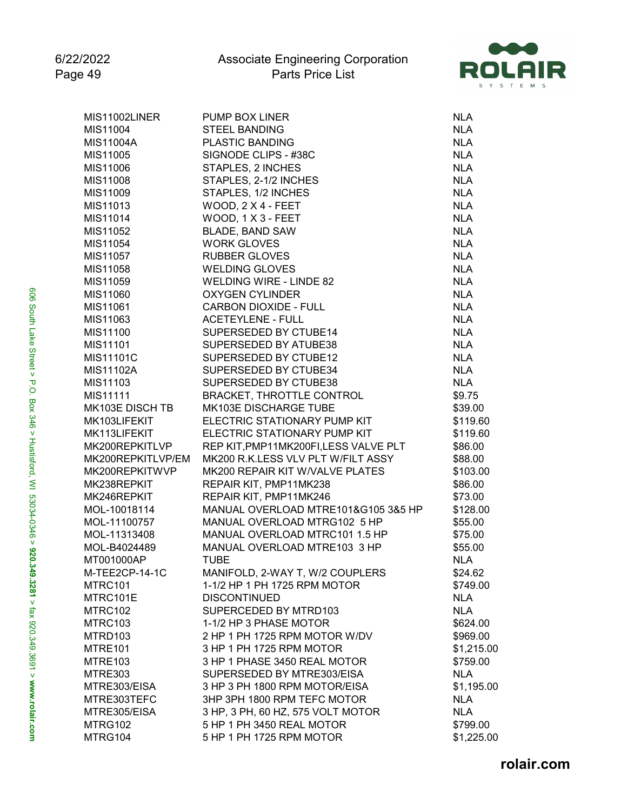

| MIS11004<br><b>STEEL BANDING</b><br><b>NLA</b><br>MIS11004A<br><b>PLASTIC BANDING</b><br><b>NLA</b><br>MIS11005<br>SIGNODE CLIPS - #38C<br><b>NLA</b><br>MIS11006<br>STAPLES, 2 INCHES<br><b>NLA</b><br>MIS11008<br>STAPLES, 2-1/2 INCHES<br><b>NLA</b><br>MIS11009<br>STAPLES, 1/2 INCHES<br><b>NLA</b><br>MIS11013<br>WOOD, 2 X 4 - FEET<br><b>NLA</b><br><b>NLA</b><br>MIS11014<br>WOOD, 1 X 3 - FEET<br><b>NLA</b><br>MIS11052<br><b>BLADE, BAND SAW</b><br>MIS11054<br><b>WORK GLOVES</b><br><b>NLA</b><br>MIS11057<br><b>RUBBER GLOVES</b><br><b>NLA</b><br>MIS11058<br><b>WELDING GLOVES</b><br><b>NLA</b><br><b>WELDING WIRE - LINDE 82</b><br><b>NLA</b><br>MIS11059<br><b>OXYGEN CYLINDER</b><br><b>NLA</b><br>MIS11060<br><b>CARBON DIOXIDE - FULL</b><br><b>NLA</b><br>MIS11061<br>MIS11063<br><b>ACETEYLENE - FULL</b><br><b>NLA</b><br><b>NLA</b><br>MIS11100<br>SUPERSEDED BY CTUBE14<br>MIS11101<br>SUPERSEDED BY ATUBE38<br><b>NLA</b><br><b>MIS11101C</b><br>SUPERSEDED BY CTUBE12<br><b>NLA</b><br><b>MIS11102A</b><br>SUPERSEDED BY CTUBE34<br><b>NLA</b><br>MIS11103<br>SUPERSEDED BY CTUBE38<br><b>NLA</b><br>MIS11111<br>BRACKET, THROTTLE CONTROL<br>\$9.75<br>MK103E DISCH TB<br>MK103E DISCHARGE TUBE<br>\$39.00<br>MK103LIFEKIT<br>ELECTRIC STATIONARY PUMP KIT<br>\$119.60<br>MK113LIFEKIT<br>ELECTRIC STATIONARY PUMP KIT<br>\$119.60<br>MK200REPKITLVP<br>REP KIT, PMP11MK200FI, LESS VALVE PLT<br>\$86.00<br>MK200REPKITLVP/EM<br>MK200 R.K.LESS VLV PLT W/FILT ASSY<br>\$88.00<br>MK200REPKITWVP<br>MK200 REPAIR KIT W/VALVE PLATES<br>\$103.00<br>MK238REPKIT<br>REPAIR KIT, PMP11MK238<br>\$86.00<br>MK246REPKIT<br>REPAIR KIT, PMP11MK246<br>\$73.00<br>MOL-10018114<br>MANUAL OVERLOAD MTRE101&G105 3&5 HP<br>\$128.00<br>MOL-11100757<br>MANUAL OVERLOAD MTRG102 5 HP<br>\$55.00<br>MANUAL OVERLOAD MTRC101 1.5 HP<br>MOL-11313408<br>\$75.00<br>MANUAL OVERLOAD MTRE103 3 HP<br>MOL-B4024489<br>\$55.00<br>MT001000AP<br><b>TUBE</b><br><b>NLA</b><br>M-TEE2CP-14-1C<br>MANIFOLD, 2-WAY T, W/2 COUPLERS<br>\$24.62<br>1-1/2 HP 1 PH 1725 RPM MOTOR<br>MTRC101<br>\$749.00<br>MTRC101E<br><b>DISCONTINUED</b><br><b>NLA</b><br><b>NLA</b><br>MTRC102<br>SUPERCEDED BY MTRD103<br>MTRC103<br>1-1/2 HP 3 PHASE MOTOR<br>\$624.00<br>MTRD103<br>2 HP 1 PH 1725 RPM MOTOR W/DV<br>\$969.00<br>3 HP 1 PH 1725 RPM MOTOR<br>MTRE101<br>\$1,215.00<br>3 HP 1 PHASE 3450 REAL MOTOR<br>MTRE103<br>\$759.00<br>SUPERSEDED BY MTRE303/EISA<br><b>NLA</b><br>MTRE303<br>3 HP 3 PH 1800 RPM MOTOR/EISA<br>MTRE303/EISA<br>\$1,195.00<br>3HP 3PH 1800 RPM TEFC MOTOR<br>MTRE303TEFC<br><b>NLA</b><br>3 HP, 3 PH, 60 HZ, 575 VOLT MOTOR<br><b>NLA</b><br>MTRE305/EISA<br>5 HP 1 PH 3450 REAL MOTOR<br>\$799.00<br>MTRG102<br>MTRG104<br>5 HP 1 PH 1725 RPM MOTOR<br>\$1,225.00 | MIS11002LINER | PUMP BOX LINER | <b>NLA</b> |
|-------------------------------------------------------------------------------------------------------------------------------------------------------------------------------------------------------------------------------------------------------------------------------------------------------------------------------------------------------------------------------------------------------------------------------------------------------------------------------------------------------------------------------------------------------------------------------------------------------------------------------------------------------------------------------------------------------------------------------------------------------------------------------------------------------------------------------------------------------------------------------------------------------------------------------------------------------------------------------------------------------------------------------------------------------------------------------------------------------------------------------------------------------------------------------------------------------------------------------------------------------------------------------------------------------------------------------------------------------------------------------------------------------------------------------------------------------------------------------------------------------------------------------------------------------------------------------------------------------------------------------------------------------------------------------------------------------------------------------------------------------------------------------------------------------------------------------------------------------------------------------------------------------------------------------------------------------------------------------------------------------------------------------------------------------------------------------------------------------------------------------------------------------------------------------------------------------------------------------------------------------------------------------------------------------------------------------------------------------------------------------------------------------------------------------------------------------------------------------------------------------------------------------------------------------------------------------------------------------------------------------------------------------------------------------------------------------------------------------------------------------------------------------------------------------|---------------|----------------|------------|
|                                                                                                                                                                                                                                                                                                                                                                                                                                                                                                                                                                                                                                                                                                                                                                                                                                                                                                                                                                                                                                                                                                                                                                                                                                                                                                                                                                                                                                                                                                                                                                                                                                                                                                                                                                                                                                                                                                                                                                                                                                                                                                                                                                                                                                                                                                                                                                                                                                                                                                                                                                                                                                                                                                                                                                                                       |               |                |            |
|                                                                                                                                                                                                                                                                                                                                                                                                                                                                                                                                                                                                                                                                                                                                                                                                                                                                                                                                                                                                                                                                                                                                                                                                                                                                                                                                                                                                                                                                                                                                                                                                                                                                                                                                                                                                                                                                                                                                                                                                                                                                                                                                                                                                                                                                                                                                                                                                                                                                                                                                                                                                                                                                                                                                                                                                       |               |                |            |
|                                                                                                                                                                                                                                                                                                                                                                                                                                                                                                                                                                                                                                                                                                                                                                                                                                                                                                                                                                                                                                                                                                                                                                                                                                                                                                                                                                                                                                                                                                                                                                                                                                                                                                                                                                                                                                                                                                                                                                                                                                                                                                                                                                                                                                                                                                                                                                                                                                                                                                                                                                                                                                                                                                                                                                                                       |               |                |            |
|                                                                                                                                                                                                                                                                                                                                                                                                                                                                                                                                                                                                                                                                                                                                                                                                                                                                                                                                                                                                                                                                                                                                                                                                                                                                                                                                                                                                                                                                                                                                                                                                                                                                                                                                                                                                                                                                                                                                                                                                                                                                                                                                                                                                                                                                                                                                                                                                                                                                                                                                                                                                                                                                                                                                                                                                       |               |                |            |
|                                                                                                                                                                                                                                                                                                                                                                                                                                                                                                                                                                                                                                                                                                                                                                                                                                                                                                                                                                                                                                                                                                                                                                                                                                                                                                                                                                                                                                                                                                                                                                                                                                                                                                                                                                                                                                                                                                                                                                                                                                                                                                                                                                                                                                                                                                                                                                                                                                                                                                                                                                                                                                                                                                                                                                                                       |               |                |            |
|                                                                                                                                                                                                                                                                                                                                                                                                                                                                                                                                                                                                                                                                                                                                                                                                                                                                                                                                                                                                                                                                                                                                                                                                                                                                                                                                                                                                                                                                                                                                                                                                                                                                                                                                                                                                                                                                                                                                                                                                                                                                                                                                                                                                                                                                                                                                                                                                                                                                                                                                                                                                                                                                                                                                                                                                       |               |                |            |
|                                                                                                                                                                                                                                                                                                                                                                                                                                                                                                                                                                                                                                                                                                                                                                                                                                                                                                                                                                                                                                                                                                                                                                                                                                                                                                                                                                                                                                                                                                                                                                                                                                                                                                                                                                                                                                                                                                                                                                                                                                                                                                                                                                                                                                                                                                                                                                                                                                                                                                                                                                                                                                                                                                                                                                                                       |               |                |            |
|                                                                                                                                                                                                                                                                                                                                                                                                                                                                                                                                                                                                                                                                                                                                                                                                                                                                                                                                                                                                                                                                                                                                                                                                                                                                                                                                                                                                                                                                                                                                                                                                                                                                                                                                                                                                                                                                                                                                                                                                                                                                                                                                                                                                                                                                                                                                                                                                                                                                                                                                                                                                                                                                                                                                                                                                       |               |                |            |
|                                                                                                                                                                                                                                                                                                                                                                                                                                                                                                                                                                                                                                                                                                                                                                                                                                                                                                                                                                                                                                                                                                                                                                                                                                                                                                                                                                                                                                                                                                                                                                                                                                                                                                                                                                                                                                                                                                                                                                                                                                                                                                                                                                                                                                                                                                                                                                                                                                                                                                                                                                                                                                                                                                                                                                                                       |               |                |            |
|                                                                                                                                                                                                                                                                                                                                                                                                                                                                                                                                                                                                                                                                                                                                                                                                                                                                                                                                                                                                                                                                                                                                                                                                                                                                                                                                                                                                                                                                                                                                                                                                                                                                                                                                                                                                                                                                                                                                                                                                                                                                                                                                                                                                                                                                                                                                                                                                                                                                                                                                                                                                                                                                                                                                                                                                       |               |                |            |
|                                                                                                                                                                                                                                                                                                                                                                                                                                                                                                                                                                                                                                                                                                                                                                                                                                                                                                                                                                                                                                                                                                                                                                                                                                                                                                                                                                                                                                                                                                                                                                                                                                                                                                                                                                                                                                                                                                                                                                                                                                                                                                                                                                                                                                                                                                                                                                                                                                                                                                                                                                                                                                                                                                                                                                                                       |               |                |            |
|                                                                                                                                                                                                                                                                                                                                                                                                                                                                                                                                                                                                                                                                                                                                                                                                                                                                                                                                                                                                                                                                                                                                                                                                                                                                                                                                                                                                                                                                                                                                                                                                                                                                                                                                                                                                                                                                                                                                                                                                                                                                                                                                                                                                                                                                                                                                                                                                                                                                                                                                                                                                                                                                                                                                                                                                       |               |                |            |
|                                                                                                                                                                                                                                                                                                                                                                                                                                                                                                                                                                                                                                                                                                                                                                                                                                                                                                                                                                                                                                                                                                                                                                                                                                                                                                                                                                                                                                                                                                                                                                                                                                                                                                                                                                                                                                                                                                                                                                                                                                                                                                                                                                                                                                                                                                                                                                                                                                                                                                                                                                                                                                                                                                                                                                                                       |               |                |            |
|                                                                                                                                                                                                                                                                                                                                                                                                                                                                                                                                                                                                                                                                                                                                                                                                                                                                                                                                                                                                                                                                                                                                                                                                                                                                                                                                                                                                                                                                                                                                                                                                                                                                                                                                                                                                                                                                                                                                                                                                                                                                                                                                                                                                                                                                                                                                                                                                                                                                                                                                                                                                                                                                                                                                                                                                       |               |                |            |
|                                                                                                                                                                                                                                                                                                                                                                                                                                                                                                                                                                                                                                                                                                                                                                                                                                                                                                                                                                                                                                                                                                                                                                                                                                                                                                                                                                                                                                                                                                                                                                                                                                                                                                                                                                                                                                                                                                                                                                                                                                                                                                                                                                                                                                                                                                                                                                                                                                                                                                                                                                                                                                                                                                                                                                                                       |               |                |            |
|                                                                                                                                                                                                                                                                                                                                                                                                                                                                                                                                                                                                                                                                                                                                                                                                                                                                                                                                                                                                                                                                                                                                                                                                                                                                                                                                                                                                                                                                                                                                                                                                                                                                                                                                                                                                                                                                                                                                                                                                                                                                                                                                                                                                                                                                                                                                                                                                                                                                                                                                                                                                                                                                                                                                                                                                       |               |                |            |
|                                                                                                                                                                                                                                                                                                                                                                                                                                                                                                                                                                                                                                                                                                                                                                                                                                                                                                                                                                                                                                                                                                                                                                                                                                                                                                                                                                                                                                                                                                                                                                                                                                                                                                                                                                                                                                                                                                                                                                                                                                                                                                                                                                                                                                                                                                                                                                                                                                                                                                                                                                                                                                                                                                                                                                                                       |               |                |            |
|                                                                                                                                                                                                                                                                                                                                                                                                                                                                                                                                                                                                                                                                                                                                                                                                                                                                                                                                                                                                                                                                                                                                                                                                                                                                                                                                                                                                                                                                                                                                                                                                                                                                                                                                                                                                                                                                                                                                                                                                                                                                                                                                                                                                                                                                                                                                                                                                                                                                                                                                                                                                                                                                                                                                                                                                       |               |                |            |
|                                                                                                                                                                                                                                                                                                                                                                                                                                                                                                                                                                                                                                                                                                                                                                                                                                                                                                                                                                                                                                                                                                                                                                                                                                                                                                                                                                                                                                                                                                                                                                                                                                                                                                                                                                                                                                                                                                                                                                                                                                                                                                                                                                                                                                                                                                                                                                                                                                                                                                                                                                                                                                                                                                                                                                                                       |               |                |            |
|                                                                                                                                                                                                                                                                                                                                                                                                                                                                                                                                                                                                                                                                                                                                                                                                                                                                                                                                                                                                                                                                                                                                                                                                                                                                                                                                                                                                                                                                                                                                                                                                                                                                                                                                                                                                                                                                                                                                                                                                                                                                                                                                                                                                                                                                                                                                                                                                                                                                                                                                                                                                                                                                                                                                                                                                       |               |                |            |
|                                                                                                                                                                                                                                                                                                                                                                                                                                                                                                                                                                                                                                                                                                                                                                                                                                                                                                                                                                                                                                                                                                                                                                                                                                                                                                                                                                                                                                                                                                                                                                                                                                                                                                                                                                                                                                                                                                                                                                                                                                                                                                                                                                                                                                                                                                                                                                                                                                                                                                                                                                                                                                                                                                                                                                                                       |               |                |            |
|                                                                                                                                                                                                                                                                                                                                                                                                                                                                                                                                                                                                                                                                                                                                                                                                                                                                                                                                                                                                                                                                                                                                                                                                                                                                                                                                                                                                                                                                                                                                                                                                                                                                                                                                                                                                                                                                                                                                                                                                                                                                                                                                                                                                                                                                                                                                                                                                                                                                                                                                                                                                                                                                                                                                                                                                       |               |                |            |
|                                                                                                                                                                                                                                                                                                                                                                                                                                                                                                                                                                                                                                                                                                                                                                                                                                                                                                                                                                                                                                                                                                                                                                                                                                                                                                                                                                                                                                                                                                                                                                                                                                                                                                                                                                                                                                                                                                                                                                                                                                                                                                                                                                                                                                                                                                                                                                                                                                                                                                                                                                                                                                                                                                                                                                                                       |               |                |            |
|                                                                                                                                                                                                                                                                                                                                                                                                                                                                                                                                                                                                                                                                                                                                                                                                                                                                                                                                                                                                                                                                                                                                                                                                                                                                                                                                                                                                                                                                                                                                                                                                                                                                                                                                                                                                                                                                                                                                                                                                                                                                                                                                                                                                                                                                                                                                                                                                                                                                                                                                                                                                                                                                                                                                                                                                       |               |                |            |
|                                                                                                                                                                                                                                                                                                                                                                                                                                                                                                                                                                                                                                                                                                                                                                                                                                                                                                                                                                                                                                                                                                                                                                                                                                                                                                                                                                                                                                                                                                                                                                                                                                                                                                                                                                                                                                                                                                                                                                                                                                                                                                                                                                                                                                                                                                                                                                                                                                                                                                                                                                                                                                                                                                                                                                                                       |               |                |            |
|                                                                                                                                                                                                                                                                                                                                                                                                                                                                                                                                                                                                                                                                                                                                                                                                                                                                                                                                                                                                                                                                                                                                                                                                                                                                                                                                                                                                                                                                                                                                                                                                                                                                                                                                                                                                                                                                                                                                                                                                                                                                                                                                                                                                                                                                                                                                                                                                                                                                                                                                                                                                                                                                                                                                                                                                       |               |                |            |
|                                                                                                                                                                                                                                                                                                                                                                                                                                                                                                                                                                                                                                                                                                                                                                                                                                                                                                                                                                                                                                                                                                                                                                                                                                                                                                                                                                                                                                                                                                                                                                                                                                                                                                                                                                                                                                                                                                                                                                                                                                                                                                                                                                                                                                                                                                                                                                                                                                                                                                                                                                                                                                                                                                                                                                                                       |               |                |            |
|                                                                                                                                                                                                                                                                                                                                                                                                                                                                                                                                                                                                                                                                                                                                                                                                                                                                                                                                                                                                                                                                                                                                                                                                                                                                                                                                                                                                                                                                                                                                                                                                                                                                                                                                                                                                                                                                                                                                                                                                                                                                                                                                                                                                                                                                                                                                                                                                                                                                                                                                                                                                                                                                                                                                                                                                       |               |                |            |
|                                                                                                                                                                                                                                                                                                                                                                                                                                                                                                                                                                                                                                                                                                                                                                                                                                                                                                                                                                                                                                                                                                                                                                                                                                                                                                                                                                                                                                                                                                                                                                                                                                                                                                                                                                                                                                                                                                                                                                                                                                                                                                                                                                                                                                                                                                                                                                                                                                                                                                                                                                                                                                                                                                                                                                                                       |               |                |            |
|                                                                                                                                                                                                                                                                                                                                                                                                                                                                                                                                                                                                                                                                                                                                                                                                                                                                                                                                                                                                                                                                                                                                                                                                                                                                                                                                                                                                                                                                                                                                                                                                                                                                                                                                                                                                                                                                                                                                                                                                                                                                                                                                                                                                                                                                                                                                                                                                                                                                                                                                                                                                                                                                                                                                                                                                       |               |                |            |
|                                                                                                                                                                                                                                                                                                                                                                                                                                                                                                                                                                                                                                                                                                                                                                                                                                                                                                                                                                                                                                                                                                                                                                                                                                                                                                                                                                                                                                                                                                                                                                                                                                                                                                                                                                                                                                                                                                                                                                                                                                                                                                                                                                                                                                                                                                                                                                                                                                                                                                                                                                                                                                                                                                                                                                                                       |               |                |            |
|                                                                                                                                                                                                                                                                                                                                                                                                                                                                                                                                                                                                                                                                                                                                                                                                                                                                                                                                                                                                                                                                                                                                                                                                                                                                                                                                                                                                                                                                                                                                                                                                                                                                                                                                                                                                                                                                                                                                                                                                                                                                                                                                                                                                                                                                                                                                                                                                                                                                                                                                                                                                                                                                                                                                                                                                       |               |                |            |
|                                                                                                                                                                                                                                                                                                                                                                                                                                                                                                                                                                                                                                                                                                                                                                                                                                                                                                                                                                                                                                                                                                                                                                                                                                                                                                                                                                                                                                                                                                                                                                                                                                                                                                                                                                                                                                                                                                                                                                                                                                                                                                                                                                                                                                                                                                                                                                                                                                                                                                                                                                                                                                                                                                                                                                                                       |               |                |            |
|                                                                                                                                                                                                                                                                                                                                                                                                                                                                                                                                                                                                                                                                                                                                                                                                                                                                                                                                                                                                                                                                                                                                                                                                                                                                                                                                                                                                                                                                                                                                                                                                                                                                                                                                                                                                                                                                                                                                                                                                                                                                                                                                                                                                                                                                                                                                                                                                                                                                                                                                                                                                                                                                                                                                                                                                       |               |                |            |
|                                                                                                                                                                                                                                                                                                                                                                                                                                                                                                                                                                                                                                                                                                                                                                                                                                                                                                                                                                                                                                                                                                                                                                                                                                                                                                                                                                                                                                                                                                                                                                                                                                                                                                                                                                                                                                                                                                                                                                                                                                                                                                                                                                                                                                                                                                                                                                                                                                                                                                                                                                                                                                                                                                                                                                                                       |               |                |            |
|                                                                                                                                                                                                                                                                                                                                                                                                                                                                                                                                                                                                                                                                                                                                                                                                                                                                                                                                                                                                                                                                                                                                                                                                                                                                                                                                                                                                                                                                                                                                                                                                                                                                                                                                                                                                                                                                                                                                                                                                                                                                                                                                                                                                                                                                                                                                                                                                                                                                                                                                                                                                                                                                                                                                                                                                       |               |                |            |
|                                                                                                                                                                                                                                                                                                                                                                                                                                                                                                                                                                                                                                                                                                                                                                                                                                                                                                                                                                                                                                                                                                                                                                                                                                                                                                                                                                                                                                                                                                                                                                                                                                                                                                                                                                                                                                                                                                                                                                                                                                                                                                                                                                                                                                                                                                                                                                                                                                                                                                                                                                                                                                                                                                                                                                                                       |               |                |            |
|                                                                                                                                                                                                                                                                                                                                                                                                                                                                                                                                                                                                                                                                                                                                                                                                                                                                                                                                                                                                                                                                                                                                                                                                                                                                                                                                                                                                                                                                                                                                                                                                                                                                                                                                                                                                                                                                                                                                                                                                                                                                                                                                                                                                                                                                                                                                                                                                                                                                                                                                                                                                                                                                                                                                                                                                       |               |                |            |
|                                                                                                                                                                                                                                                                                                                                                                                                                                                                                                                                                                                                                                                                                                                                                                                                                                                                                                                                                                                                                                                                                                                                                                                                                                                                                                                                                                                                                                                                                                                                                                                                                                                                                                                                                                                                                                                                                                                                                                                                                                                                                                                                                                                                                                                                                                                                                                                                                                                                                                                                                                                                                                                                                                                                                                                                       |               |                |            |
|                                                                                                                                                                                                                                                                                                                                                                                                                                                                                                                                                                                                                                                                                                                                                                                                                                                                                                                                                                                                                                                                                                                                                                                                                                                                                                                                                                                                                                                                                                                                                                                                                                                                                                                                                                                                                                                                                                                                                                                                                                                                                                                                                                                                                                                                                                                                                                                                                                                                                                                                                                                                                                                                                                                                                                                                       |               |                |            |
|                                                                                                                                                                                                                                                                                                                                                                                                                                                                                                                                                                                                                                                                                                                                                                                                                                                                                                                                                                                                                                                                                                                                                                                                                                                                                                                                                                                                                                                                                                                                                                                                                                                                                                                                                                                                                                                                                                                                                                                                                                                                                                                                                                                                                                                                                                                                                                                                                                                                                                                                                                                                                                                                                                                                                                                                       |               |                |            |
|                                                                                                                                                                                                                                                                                                                                                                                                                                                                                                                                                                                                                                                                                                                                                                                                                                                                                                                                                                                                                                                                                                                                                                                                                                                                                                                                                                                                                                                                                                                                                                                                                                                                                                                                                                                                                                                                                                                                                                                                                                                                                                                                                                                                                                                                                                                                                                                                                                                                                                                                                                                                                                                                                                                                                                                                       |               |                |            |
|                                                                                                                                                                                                                                                                                                                                                                                                                                                                                                                                                                                                                                                                                                                                                                                                                                                                                                                                                                                                                                                                                                                                                                                                                                                                                                                                                                                                                                                                                                                                                                                                                                                                                                                                                                                                                                                                                                                                                                                                                                                                                                                                                                                                                                                                                                                                                                                                                                                                                                                                                                                                                                                                                                                                                                                                       |               |                |            |
|                                                                                                                                                                                                                                                                                                                                                                                                                                                                                                                                                                                                                                                                                                                                                                                                                                                                                                                                                                                                                                                                                                                                                                                                                                                                                                                                                                                                                                                                                                                                                                                                                                                                                                                                                                                                                                                                                                                                                                                                                                                                                                                                                                                                                                                                                                                                                                                                                                                                                                                                                                                                                                                                                                                                                                                                       |               |                |            |
|                                                                                                                                                                                                                                                                                                                                                                                                                                                                                                                                                                                                                                                                                                                                                                                                                                                                                                                                                                                                                                                                                                                                                                                                                                                                                                                                                                                                                                                                                                                                                                                                                                                                                                                                                                                                                                                                                                                                                                                                                                                                                                                                                                                                                                                                                                                                                                                                                                                                                                                                                                                                                                                                                                                                                                                                       |               |                |            |
|                                                                                                                                                                                                                                                                                                                                                                                                                                                                                                                                                                                                                                                                                                                                                                                                                                                                                                                                                                                                                                                                                                                                                                                                                                                                                                                                                                                                                                                                                                                                                                                                                                                                                                                                                                                                                                                                                                                                                                                                                                                                                                                                                                                                                                                                                                                                                                                                                                                                                                                                                                                                                                                                                                                                                                                                       |               |                |            |
|                                                                                                                                                                                                                                                                                                                                                                                                                                                                                                                                                                                                                                                                                                                                                                                                                                                                                                                                                                                                                                                                                                                                                                                                                                                                                                                                                                                                                                                                                                                                                                                                                                                                                                                                                                                                                                                                                                                                                                                                                                                                                                                                                                                                                                                                                                                                                                                                                                                                                                                                                                                                                                                                                                                                                                                                       |               |                |            |
|                                                                                                                                                                                                                                                                                                                                                                                                                                                                                                                                                                                                                                                                                                                                                                                                                                                                                                                                                                                                                                                                                                                                                                                                                                                                                                                                                                                                                                                                                                                                                                                                                                                                                                                                                                                                                                                                                                                                                                                                                                                                                                                                                                                                                                                                                                                                                                                                                                                                                                                                                                                                                                                                                                                                                                                                       |               |                |            |
|                                                                                                                                                                                                                                                                                                                                                                                                                                                                                                                                                                                                                                                                                                                                                                                                                                                                                                                                                                                                                                                                                                                                                                                                                                                                                                                                                                                                                                                                                                                                                                                                                                                                                                                                                                                                                                                                                                                                                                                                                                                                                                                                                                                                                                                                                                                                                                                                                                                                                                                                                                                                                                                                                                                                                                                                       |               |                |            |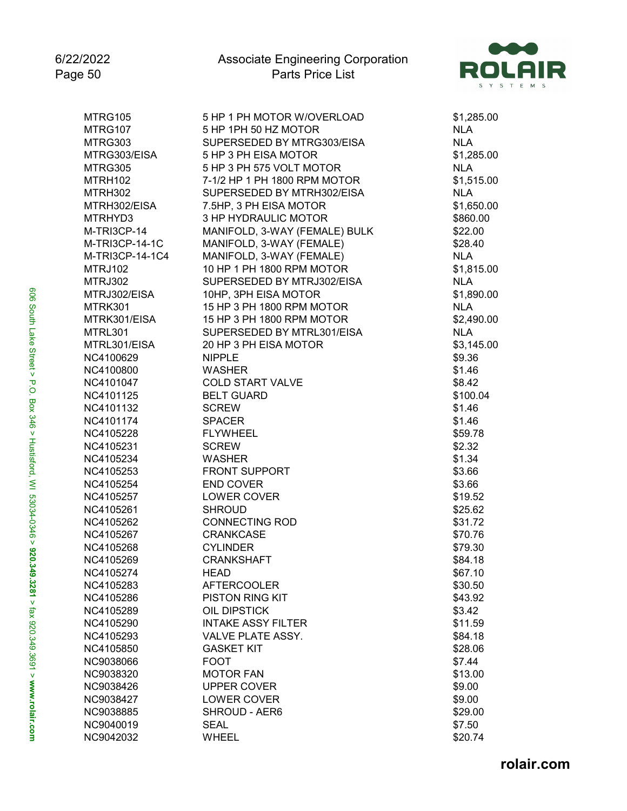

| \$1,285.00<br><b>NLA</b><br><b>NLA</b><br>\$1,285.00<br><b>NLA</b><br>\$1,515.00<br><b>NLA</b><br>\$1,650.00<br>\$860.00<br>\$22.00<br>\$28.40<br><b>NLA</b><br>\$1,815.00<br><b>NLA</b><br>\$1,890.00<br><b>NLA</b> |
|----------------------------------------------------------------------------------------------------------------------------------------------------------------------------------------------------------------------|
|                                                                                                                                                                                                                      |
|                                                                                                                                                                                                                      |
|                                                                                                                                                                                                                      |
|                                                                                                                                                                                                                      |
|                                                                                                                                                                                                                      |
|                                                                                                                                                                                                                      |
|                                                                                                                                                                                                                      |
|                                                                                                                                                                                                                      |
|                                                                                                                                                                                                                      |
|                                                                                                                                                                                                                      |
|                                                                                                                                                                                                                      |
|                                                                                                                                                                                                                      |
|                                                                                                                                                                                                                      |
|                                                                                                                                                                                                                      |
|                                                                                                                                                                                                                      |
| \$2,490.00                                                                                                                                                                                                           |
| <b>NLA</b>                                                                                                                                                                                                           |
| \$3,145.00                                                                                                                                                                                                           |
| \$9.36                                                                                                                                                                                                               |
| \$1.46                                                                                                                                                                                                               |
| \$8.42                                                                                                                                                                                                               |
| \$100.04                                                                                                                                                                                                             |
| \$1.46                                                                                                                                                                                                               |
| \$1.46                                                                                                                                                                                                               |
| \$59.78                                                                                                                                                                                                              |
| \$2.32                                                                                                                                                                                                               |
| \$1.34                                                                                                                                                                                                               |
| \$3.66                                                                                                                                                                                                               |
| \$3.66                                                                                                                                                                                                               |
| \$19.52                                                                                                                                                                                                              |
| \$25.62                                                                                                                                                                                                              |
| \$31.72                                                                                                                                                                                                              |
| \$70.76                                                                                                                                                                                                              |
| \$79.30                                                                                                                                                                                                              |
| \$84.18                                                                                                                                                                                                              |
| \$67.10                                                                                                                                                                                                              |
| \$30.50                                                                                                                                                                                                              |
| \$43.92                                                                                                                                                                                                              |
| \$3.42                                                                                                                                                                                                               |
| \$11.59                                                                                                                                                                                                              |
| \$84.18                                                                                                                                                                                                              |
| \$28.06                                                                                                                                                                                                              |
| \$7.44                                                                                                                                                                                                               |
| \$13.00                                                                                                                                                                                                              |
| \$9.00                                                                                                                                                                                                               |
| \$9.00                                                                                                                                                                                                               |
| \$29.00                                                                                                                                                                                                              |
| \$7.50                                                                                                                                                                                                               |
| \$20.74                                                                                                                                                                                                              |
|                                                                                                                                                                                                                      |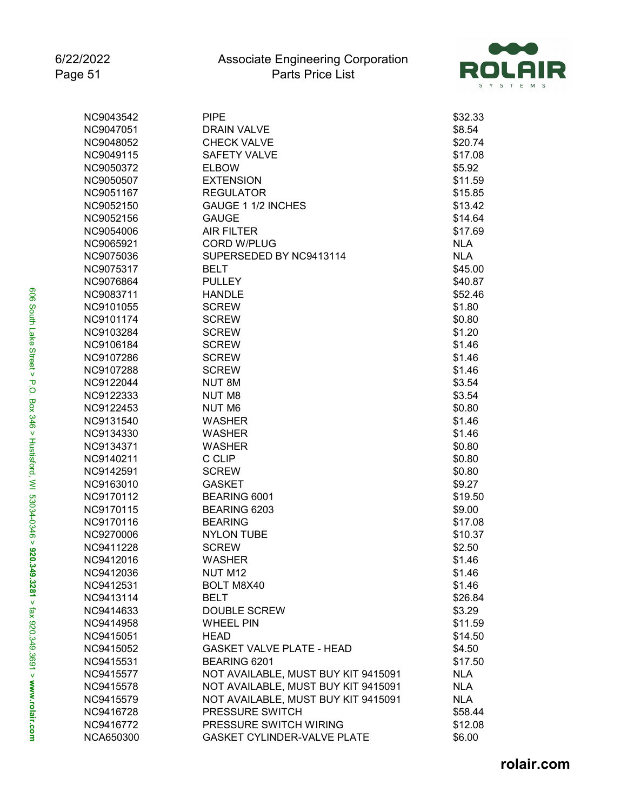

| NC9043542 | <b>PIPE</b>                         | \$32.33    |
|-----------|-------------------------------------|------------|
| NC9047051 | DRAIN VALVE                         | \$8.54     |
| NC9048052 | <b>CHECK VALVE</b>                  | \$20.74    |
| NC9049115 | <b>SAFETY VALVE</b>                 | \$17.08    |
| NC9050372 | <b>ELBOW</b>                        | \$5.92     |
| NC9050507 | <b>EXTENSION</b>                    | \$11.59    |
| NC9051167 | <b>REGULATOR</b>                    | \$15.85    |
| NC9052150 | GAUGE 1 1/2 INCHES                  | \$13.42    |
| NC9052156 | <b>GAUGE</b>                        | \$14.64    |
| NC9054006 | <b>AIR FILTER</b>                   | \$17.69    |
| NC9065921 | <b>CORD W/PLUG</b>                  | <b>NLA</b> |
| NC9075036 | SUPERSEDED BY NC9413114             | <b>NLA</b> |
| NC9075317 | <b>BELT</b>                         | \$45.00    |
| NC9076864 | <b>PULLEY</b>                       | \$40.87    |
| NC9083711 | <b>HANDLE</b>                       | \$52.46    |
| NC9101055 | <b>SCREW</b>                        | \$1.80     |
| NC9101174 | <b>SCREW</b>                        | \$0.80     |
| NC9103284 | <b>SCREW</b>                        | \$1.20     |
| NC9106184 | <b>SCREW</b>                        | \$1.46     |
| NC9107286 | <b>SCREW</b>                        | \$1.46     |
| NC9107288 | <b>SCREW</b>                        | \$1.46     |
| NC9122044 | NUT 8M                              | \$3.54     |
| NC9122333 | <b>NUT M8</b>                       | \$3.54     |
| NC9122453 | NUT M6                              | \$0.80     |
| NC9131540 | <b>WASHER</b>                       | \$1.46     |
| NC9134330 | <b>WASHER</b>                       | \$1.46     |
| NC9134371 | <b>WASHER</b>                       | \$0.80     |
| NC9140211 | C CLIP                              | \$0.80     |
| NC9142591 | <b>SCREW</b>                        | \$0.80     |
| NC9163010 | <b>GASKET</b>                       | \$9.27     |
| NC9170112 | BEARING 6001                        | \$19.50    |
| NC9170115 | BEARING 6203                        | \$9.00     |
| NC9170116 | <b>BEARING</b>                      | \$17.08    |
| NC9270006 | <b>NYLON TUBE</b>                   | \$10.37    |
| NC9411228 | <b>SCREW</b>                        | \$2.50     |
| NC9412016 | WASHER                              | \$1.46     |
| NC9412036 | NUT M12                             | \$1.46     |
| NC9412531 | <b>BOLT M8X40</b>                   | \$1.46     |
| NC9413114 | <b>BELT</b>                         | \$26.84    |
| NC9414633 | <b>DOUBLE SCREW</b>                 | \$3.29     |
| NC9414958 | <b>WHEEL PIN</b>                    | \$11.59    |
| NC9415051 | <b>HEAD</b>                         | \$14.50    |
| NC9415052 | <b>GASKET VALVE PLATE - HEAD</b>    | \$4.50     |
| NC9415531 | BEARING 6201                        | \$17.50    |
| NC9415577 | NOT AVAILABLE, MUST BUY KIT 9415091 | <b>NLA</b> |
| NC9415578 | NOT AVAILABLE, MUST BUY KIT 9415091 | <b>NLA</b> |
| NC9415579 | NOT AVAILABLE, MUST BUY KIT 9415091 | <b>NLA</b> |
| NC9416728 | PRESSURE SWITCH                     | \$58.44    |
| NC9416772 | PRESSURE SWITCH WIRING              | \$12.08    |
| NCA650300 | GASKET CYLINDER-VALVE PLATE         | \$6.00     |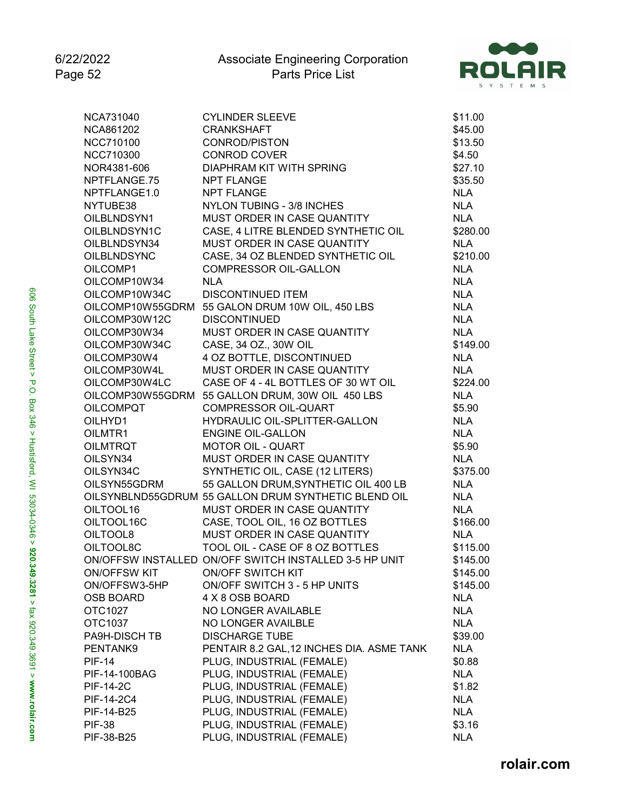

| NCA731040          | <b>CYLINDER SLEEVE</b>                                 | \$11.00    |
|--------------------|--------------------------------------------------------|------------|
| NCA861202          | <b>CRANKSHAFT</b>                                      | \$45.00    |
| NCC710100          | CONROD/PISTON                                          | \$13.50    |
| <b>NCC710300</b>   | <b>CONROD COVER</b>                                    | \$4.50     |
| NOR4381-606        | DIAPHRAM KIT WITH SPRING                               | \$27.10    |
| NPTFLANGE.75       | <b>NPT FLANGE</b>                                      | \$35.50    |
| NPTFLANGE1.0       | <b>NPT FLANGE</b>                                      | <b>NLA</b> |
| NYTUBE38           | <b>NYLON TUBING - 3/8 INCHES</b>                       | <b>NLA</b> |
| OILBLNDSYN1        | MUST ORDER IN CASE QUANTITY                            | <b>NLA</b> |
| OILBLNDSYN1C       | CASE, 4 LITRE BLENDED SYNTHETIC OIL                    | \$280.00   |
| OILBLNDSYN34       | MUST ORDER IN CASE QUANTITY                            | <b>NLA</b> |
| <b>OILBLNDSYNC</b> | CASE, 34 OZ BLENDED SYNTHETIC OIL                      | \$210.00   |
| OILCOMP1           | COMPRESSOR OIL-GALLON                                  | <b>NLA</b> |
| OILCOMP10W34       | <b>NLA</b>                                             | <b>NLA</b> |
| OILCOMP10W34C      | <b>DISCONTINUED ITEM</b>                               | <b>NLA</b> |
|                    | OILCOMP10W55GDRM 55 GALON DRUM 10W OIL, 450 LBS        | <b>NLA</b> |
| OILCOMP30W12C      | <b>DISCONTINUED</b>                                    | <b>NLA</b> |
| OILCOMP30W34       | MUST ORDER IN CASE QUANTITY                            | <b>NLA</b> |
| OILCOMP30W34C      | CASE, 34 OZ., 30W OIL                                  | \$149.00   |
| OILCOMP30W4        | 4 OZ BOTTLE, DISCONTINUED                              | <b>NLA</b> |
| OILCOMP30W4L       | MUST ORDER IN CASE QUANTITY                            | <b>NLA</b> |
| OILCOMP30W4LC      | CASE OF 4 - 4L BOTTLES OF 30 WT OIL                    | \$224.00   |
|                    | OILCOMP30W55GDRM 55 GALLON DRUM, 30W OIL 450 LBS       | <b>NLA</b> |
| <b>OILCOMPQT</b>   | <b>COMPRESSOR OIL-QUART</b>                            | \$5.90     |
| OILHYD1            | HYDRAULIC OIL-SPLITTER-GALLON                          | <b>NLA</b> |
| OILMTR1            | <b>ENGINE OIL-GALLON</b>                               | <b>NLA</b> |
| OILMTRQT           | <b>MOTOR OIL - QUART</b>                               | \$5.90     |
| OILSYN34           | MUST ORDER IN CASE QUANTITY                            | <b>NLA</b> |
| OILSYN34C          | SYNTHETIC OIL, CASE (12 LITERS)                        | \$375.00   |
| OILSYN55GDRM       | 55 GALLON DRUM, SYNTHETIC OIL 400 LB                   | <b>NLA</b> |
|                    | OILSYNBLND55GDRUM 55 GALLON DRUM SYNTHETIC BLEND OIL   | <b>NLA</b> |
| OILTOOL16          | MUST ORDER IN CASE QUANTITY                            | <b>NLA</b> |
| OILTOOL16C         | CASE, TOOL OIL, 16 OZ BOTTLES                          | \$166.00   |
| OILTOOL8           | MUST ORDER IN CASE QUANTITY                            | <b>NLA</b> |
| OILTOOL8C          | TOOL OIL - CASE OF 8 OZ BOTTLES                        | \$115.00   |
|                    | ON/OFFSW INSTALLED ON/OFF SWITCH INSTALLED 3-5 HP UNIT | \$145.00   |
| ON/OFFSW KIT       | ON/OFF SWITCH KIT                                      | \$145.00   |
| ON/OFFSW3-5HP      | ON/OFF SWITCH 3 - 5 HP UNITS                           | \$145.00   |
| <b>OSB BOARD</b>   | 4 X 8 OSB BOARD                                        | <b>NLA</b> |
| OTC1027            | NO LONGER AVAILABLE                                    | <b>NLA</b> |
|                    |                                                        | <b>NLA</b> |
| OTC1037            | NO LONGER AVAILBLE                                     |            |
| PA9H-DISCH TB      | <b>DISCHARGE TUBE</b>                                  | \$39.00    |
| PENTANK9           | PENTAIR 8.2 GAL, 12 INCHES DIA. ASME TANK              | <b>NLA</b> |
| <b>PIF-14</b>      | PLUG, INDUSTRIAL (FEMALE)                              | \$0.88     |
| PIF-14-100BAG      | PLUG, INDUSTRIAL (FEMALE)                              | <b>NLA</b> |
| <b>PIF-14-2C</b>   | PLUG, INDUSTRIAL (FEMALE)                              | \$1.82     |
| PIF-14-2C4         | PLUG, INDUSTRIAL (FEMALE)                              | <b>NLA</b> |
| PIF-14-B25         | PLUG, INDUSTRIAL (FEMALE)                              | <b>NLA</b> |
| <b>PIF-38</b>      | PLUG, INDUSTRIAL (FEMALE)                              | \$3.16     |
| PIF-38-B25         | PLUG, INDUSTRIAL (FEMALE)                              | <b>NLA</b> |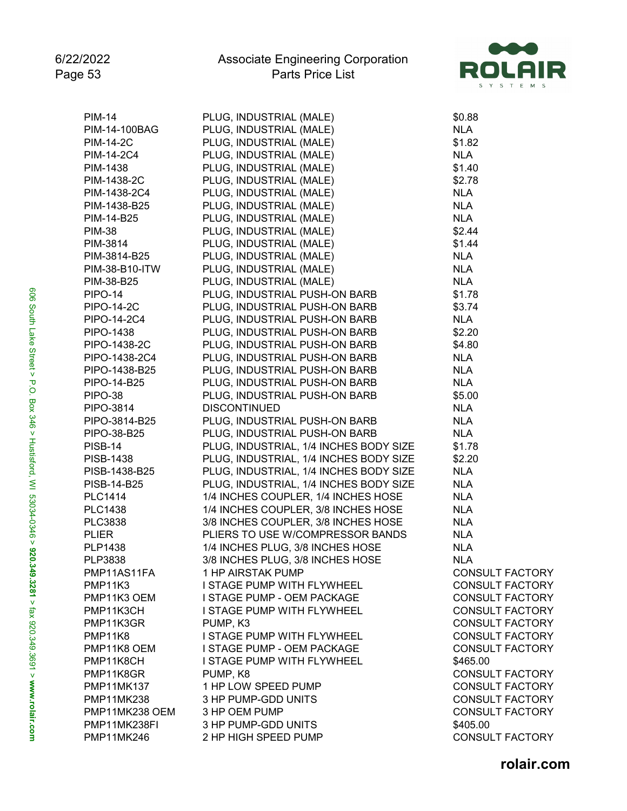

| <b>PIM-14</b>                  | PLUG, INDUSTRIAL (MALE)                | \$0.88                                           |
|--------------------------------|----------------------------------------|--------------------------------------------------|
| PIM-14-100BAG                  | PLUG, INDUSTRIAL (MALE)                | <b>NLA</b>                                       |
| <b>PIM-14-2C</b>               | PLUG, INDUSTRIAL (MALE)                | \$1.82                                           |
| PIM-14-2C4                     | PLUG, INDUSTRIAL (MALE)                | <b>NLA</b>                                       |
| PIM-1438                       | PLUG, INDUSTRIAL (MALE)                | \$1.40                                           |
| PIM-1438-2C                    | PLUG, INDUSTRIAL (MALE)                | \$2.78                                           |
| PIM-1438-2C4                   | PLUG, INDUSTRIAL (MALE)                | <b>NLA</b>                                       |
| PIM-1438-B25                   | PLUG, INDUSTRIAL (MALE)                | <b>NLA</b>                                       |
| PIM-14-B25                     | PLUG, INDUSTRIAL (MALE)                | <b>NLA</b>                                       |
| <b>PIM-38</b>                  | PLUG, INDUSTRIAL (MALE)                | \$2.44                                           |
| PIM-3814                       | PLUG, INDUSTRIAL (MALE)                | \$1.44                                           |
| PIM-3814-B25                   | PLUG, INDUSTRIAL (MALE)                | <b>NLA</b>                                       |
| PIM-38-B10-ITW                 | PLUG, INDUSTRIAL (MALE)                | <b>NLA</b>                                       |
| PIM-38-B25                     | PLUG, INDUSTRIAL (MALE)                | <b>NLA</b>                                       |
| <b>PIPO-14</b>                 | PLUG, INDUSTRIAL PUSH-ON BARB          | \$1.78                                           |
| <b>PIPO-14-2C</b>              | PLUG, INDUSTRIAL PUSH-ON BARB          | \$3.74                                           |
| PIPO-14-2C4                    | PLUG, INDUSTRIAL PUSH-ON BARB          | <b>NLA</b>                                       |
| <b>PIPO-1438</b>               | PLUG, INDUSTRIAL PUSH-ON BARB          | \$2.20                                           |
| PIPO-1438-2C                   | PLUG, INDUSTRIAL PUSH-ON BARB          | \$4.80                                           |
| PIPO-1438-2C4                  | PLUG, INDUSTRIAL PUSH-ON BARB          | <b>NLA</b>                                       |
| PIPO-1438-B25                  | PLUG, INDUSTRIAL PUSH-ON BARB          | <b>NLA</b>                                       |
| PIPO-14-B25                    | PLUG, INDUSTRIAL PUSH-ON BARB          | <b>NLA</b>                                       |
| <b>PIPO-38</b>                 | PLUG, INDUSTRIAL PUSH-ON BARB          | \$5.00                                           |
| PIPO-3814                      | <b>DISCONTINUED</b>                    | <b>NLA</b>                                       |
| PIPO-3814-B25                  | PLUG, INDUSTRIAL PUSH-ON BARB          | <b>NLA</b>                                       |
| PIPO-38-B25                    | PLUG, INDUSTRIAL PUSH-ON BARB          | <b>NLA</b>                                       |
| <b>PISB-14</b>                 | PLUG, INDUSTRIAL, 1/4 INCHES BODY SIZE | \$1.78                                           |
| PISB-1438                      | PLUG, INDUSTRIAL, 1/4 INCHES BODY SIZE | \$2.20                                           |
| PISB-1438-B25                  | PLUG, INDUSTRIAL, 1/4 INCHES BODY SIZE | <b>NLA</b>                                       |
| PISB-14-B25                    | PLUG, INDUSTRIAL, 1/4 INCHES BODY SIZE | <b>NLA</b>                                       |
| <b>PLC1414</b>                 | 1/4 INCHES COUPLER, 1/4 INCHES HOSE    | <b>NLA</b>                                       |
| <b>PLC1438</b>                 | 1/4 INCHES COUPLER, 3/8 INCHES HOSE    | <b>NLA</b>                                       |
| <b>PLC3838</b>                 | 3/8 INCHES COUPLER, 3/8 INCHES HOSE    | <b>NLA</b>                                       |
| <b>PLIER</b>                   | PLIERS TO USE W/COMPRESSOR BANDS       | <b>NLA</b>                                       |
| <b>PLP1438</b>                 | 1/4 INCHES PLUG, 3/8 INCHES HOSE       | <b>NLA</b>                                       |
| PLP3838                        | 3/8 INCHES PLUG, 3/8 INCHES HOSE       | <b>NLA</b>                                       |
| PMP11AS11FA                    | 1 HP AIRSTAK PUMP                      | <b>CONSULT FACTORY</b>                           |
| PMP11K3                        | I STAGE PUMP WITH FLYWHEEL             | <b>CONSULT FACTORY</b>                           |
| PMP11K3 OEM                    | I STAGE PUMP - OEM PACKAGE             | <b>CONSULT FACTORY</b>                           |
| PMP11K3CH                      | I STAGE PUMP WITH FLYWHEEL             | <b>CONSULT FACTORY</b>                           |
| PMP11K3GR                      | PUMP, K3                               | <b>CONSULT FACTORY</b>                           |
| PMP11K8                        | I STAGE PUMP WITH FLYWHEEL             | <b>CONSULT FACTORY</b>                           |
| PMP11K8 OEM                    | I STAGE PUMP - OEM PACKAGE             | <b>CONSULT FACTORY</b>                           |
| PMP11K8CH                      | I STAGE PUMP WITH FLYWHEEL             | \$465.00                                         |
| PMP11K8GR                      | PUMP, K8                               | <b>CONSULT FACTORY</b>                           |
|                                | 1 HP LOW SPEED PUMP                    | <b>CONSULT FACTORY</b>                           |
| <b>PMP11MK137</b>              |                                        |                                                  |
| <b>PMP11MK238</b>              | 3 HP PUMP-GDD UNITS                    | <b>CONSULT FACTORY</b><br><b>CONSULT FACTORY</b> |
| PMP11MK238 OEM<br>PMP11MK238FI | 3 HP OEM PUMP<br>3 HP PUMP-GDD UNITS   |                                                  |
|                                |                                        | \$405.00                                         |
| PMP11MK246                     | 2 HP HIGH SPEED PUMP                   | <b>CONSULT FACTORY</b>                           |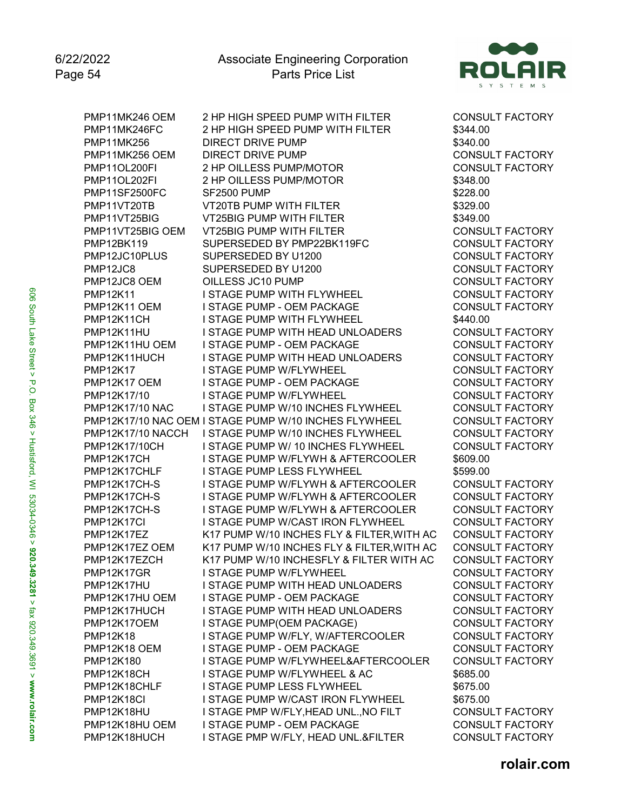

PMP11MK246 OEM 2 HP HIGH SPEED PUMP WITH FILTER CONSULT FACTORY PMP11MK246FC 2 HP HIGH SPEED PUMP WITH FILTER \$344.00<br>PMP11MK256 DIRECT DRIVE PUMP **DIRECT DRIVE PUMP** PMP11MK256 OEM DIRECT DRIVE PUMP CONSULT FACTORY PMP11OL200FI 2 HP OILLESS PUMP/MOTOR CONSULT FACTORY PMP11OL202FI 2 HP OILLESS PUMP/MOTOR  $$348.00$ <br>PMP11SF2500FC SF2500 PUMP PMP11SF2500FC PMP11VT20TB VT20TB PUMP WITH FILTER \$329.00 PMP11VT25BIG VT25BIG PUMP WITH FILTER \$349.00 PMP11VT25BIG OEM VT25BIG PUMP WITH FILTER CONSULT FACTORY PMP12BK119 SUPERSEDED BY PMP22BK119FC CONSULT FACTORY PMP12JC10PLUS SUPERSEDED BY U1200 CONSULT FACTORY PMP12JC8 SUPERSEDED BY U1200 CONSULT FACTORY PMP12JC8 OEM OILLESS JC10 PUMP CONSULT FACTORY PMP12K11 I STAGE PUMP WITH FLYWHEEL CONSULT FACTORY PMP12K11 OEM I STAGE PUMP - OEM PACKAGE PMP12K11CH I STAGE PUMP WITH FLYWHEEL \$440.00 PMP12K11HU I STAGE PUMP WITH HEAD UNLOADERS CONSULT FACTORY PMP12K11HU OEM ISTAGE PUMP - OEM PACKAGE CONSULT FACTORY<br>PMP12K11HUCH ISTAGE PUMP WITH HEAD UNLOADERS CONSULT FACTORY PMP12K11HUCH I STAGE PUMP WITH HEAD UNLOADERS PMP12K17 I STAGE PUMP W/FLYWHEEL CONSULT FACTORY PMP12K17 OEM I STAGE PUMP - OEM PACKAGE CONSULT FACTORY PMP12K17/10 I STAGE PUMP W/FLYWHEEL CONSULT FACTORY PMP12K17/10 NAC ISTAGE PUMP W/10 INCHES FLYWHEEL CONSULT FACTORY PMP12K17/10 NAC OEM I STAGE PUMP W/10 INCHES FLYWHEEL CONSULT FACTORY PMP12K17/10 NACCH I STAGE PUMP W/10 INCHES FLYWHEEL CONSULT FACTORY PMP12K17/10CH I STAGE PUMP W/ 10 INCHES FLYWHEEL CONSULT FACTORY PMP12K17CH I STAGE PUMP W/FLYWH & AFTERCOOLER \$609.00 PMP12K17CHLF I STAGE PUMP LESS FLYWHEEL \$599.00 PMP12K17CH-S I STAGE PUMP W/FLYWH & AFTERCOOLER CONSULT FACTORY PMP12K17CH-S I STAGE PUMP W/FLYWH & AFTERCOOLER CONSULT FACTORY PMP12K17CH-S I STAGE PUMP W/FLYWH & AFTERCOOLER CONSULT FACTORY PMP12K17CI I STAGE PUMP W/CAST IRON FLYWHEEL CONSULT FACTORY PMP12K17EZ K17 PUMP W/10 INCHES FLY & FILTER,WITH AC CONSULT FACTORY PMP12K17EZ OEM K17 PUMP W/10 INCHES FLY & FILTER,WITH AC CONSULT FACTORY PMP12K17EZCH K17 PUMP W/10 INCHESFLY & FILTER WITH AC CONSULT FACTORY PMP12K17GR I STAGE PUMP W/FLYWHEEL PMP12K17HU I STAGE PUMP WITH HEAD UNLOADERS CONSULT FACTORY PMP12K17HU OEM ISTAGE PUMP - OEM PACKAGE CONSULT FACTORY PMP12K17HUCH I STAGE PUMP WITH HEAD UNLOADERS CONSULT FACTORY PMP12K17OEM I STAGE PUMP(OEM PACKAGE) CONSULT FACTORY PMP12K18 I STAGE PUMP W/FLY, W/AFTERCOOLER CONSULT FACTORY PMP12K18 OEM I STAGE PUMP - OEM PACKAGE CONSULT FACTORY PMP12K180 I STAGE PUMP W/FLYWHEEL&AFTERCOOLER CONSULT FACTORY PMP12K18CH I STAGE PUMP W/FLYWHEEL & AC \$685.00 PMP12K18CHLF I STAGE PUMP LESS FLYWHEEL \$675.00 PMP12K18CI I STAGE PUMP W/CAST IRON FLYWHEEL \$675.00 PMP12K18HU I STAGE PMP W/FLY, HEAD UNL., NO FILT CONSULT FACTORY PMP12K18HU OEM I STAGE PUMP - OEM PACKAGE CONSULT FACTORY PMP12K18HUCH I STAGE PMP W/FLY, HEAD UNL.&FILTER CONSULT FACTORY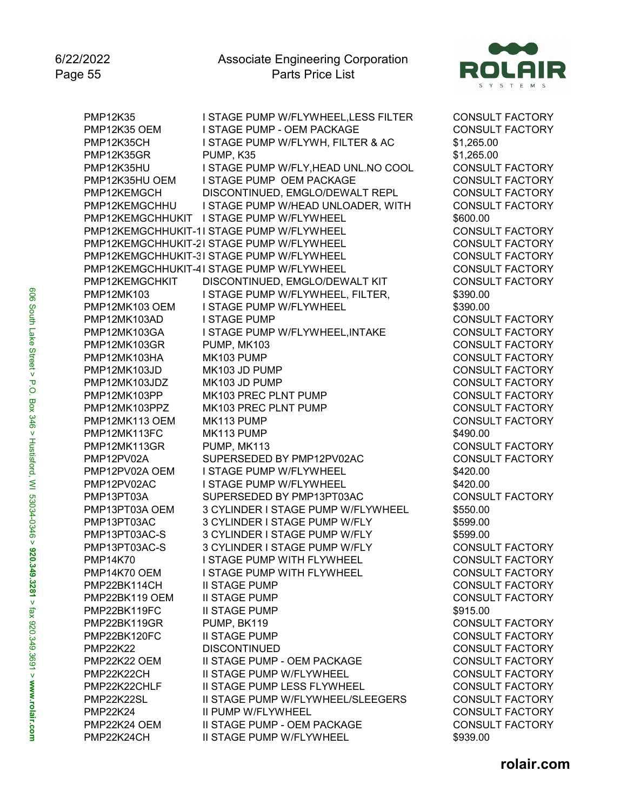

PMP12K35 I STAGE PUMP W/FLYWHEEL,LESS FILTER CONSULT FACTORY PMP12K35 OEM I STAGE PUMP - OEM PACKAGE CONSULT FACTORY<br>PMP12K35CH I STAGE PUMP W/FLYWH. FILTER & AC \$1.265.00 I STAGE PUMP W/FLYWH, FILTER & AC \$1,265.00 PMP12K35GR PUMP, K35 \$1,265.00 PMP12K35HU I STAGE PUMP W/FLY,HEAD UNL.NO COOL CONSULT FACTORY PMP12K35HU OEM I STAGE PUMP OEM PACKAGE  $\overline{C}$  consult factory<br>PMP12KEMGCH DISCONTINUED. EMGLO/DEWALT REPL  $\overline{C}$  consult factory DISCONTINUED, EMGLO/DEWALT REPL PMP12KEMGCHHU I STAGE PUMP W/HEAD UNLOADER, WITH CONSULT FACTORY PMP12KEMGCHHUKIT I STAGE PUMP W/FLYWHEEL \$600.00 PMP12KEMGCHHUKIT-1I STAGE PUMP W/FLYWHEEL CONSULT FACTORY PMP12KEMGCHHUKIT-2I STAGE PUMP W/FLYWHEEL CONSULT FACTORY PMP12KEMGCHHUKIT-3I STAGE PUMP W/FLYWHEEL CONSULT FACTORY PMP12KEMGCHHUKIT-4I STAGE PUMP W/FLYWHEEL CONSULT FACTORY PMP12KEMGCHKIT DISCONTINUED, EMGLO/DEWALT KIT CONSULT FACTORY PMP12MK103 I STAGE PUMP W/FLYWHEEL, FILTER,  $$390.00$ PMP12MK103 OEM I STAGE PUMP W/FLYWHEEL \$390.00 PMP12MK103AD I STAGE PUMP CONSULT FACTORY PMP12MK103GA I STAGE PUMP W/FLYWHEEL, INTAKE CONSULT FACTORY PMP12MK103GR PUMP, MK103 CONSULT FACTORY<br>PMP12MK103HA MK103 PUMP CONSULT FACTORY PMP12MK103HA MK103 PUMP CONSULT FACTORY PMP12MK103JD MK103 JD PUMP CONSULT FACTORY PMP12MK103JDZ MK103 JD PUMP CONSULT FACTORY PMP12MK103PP MK103 PREC PLNT PUMP CONSULT FACTORY PMP12MK103PPZ MK103 PREC PLNT PUMP CONSULT FACTORY PMP12MK113 OEM MK113 PUMP CONSULT FACTORY PMP12MK113FC MK113 PUMP **12MHz** MK113 PUMP PMP12MK113GR PUMP, MK113 CONSULT FACTORY PMP12PV02A SUPERSEDED BY PMP12PV02AC CONSULT FACTORY PMP12PV02A OEM I STAGE PUMP W/FLYWHEEL \$420.00 PMP12PV02AC I STAGE PUMP W/FLYWHEEL \$420.00 PMP13PT03A SUPERSEDED BY PMP13PT03AC CONSULT FACTORY PMP13PT03A OEM 3 CYLINDER I STAGE PUMP W/FLYWHEEL \$550.00 PMP13PT03AC 3 CYLINDER I STAGE PUMP W/FLY \$599.00 PMP13PT03AC-S 3 CYLINDER I STAGE PUMP W/FLY \$599.00<br>PMP13PT03AC-S 3 CYLINDER I STAGE PUMP W/FLY CONSU 3 CYLINDER I STAGE PUMP W/FLY CONSULT FACTORY PMP14K70 I STAGE PUMP WITH FLYWHEEL CONSULT FACTORY PMP14K70 OEM I STAGE PUMP WITH FLYWHEEL CONSULT FACTORY PMP22BK114CH II STAGE PUMP CONSULT FACTORY PMP22BK119 OEM II STAGE PUMP CONSULT FACTORY PMP22BK119FC II STAGE PUMP **EXAMPLE 19915.00** PMP22BK119GR PUMP, BK119 PUMP, 200 CONSULT FACTORY PMP22BK120FC II STAGE PUMP CONSULT FACTORY PMP22K22 DISCONTINUED CONSULT FACTORY PMP22K22 OEM II STAGE PUMP - OEM PACKAGE NAMEL CONSULT FACTORY PMP22K22CH II STAGE PUMP W/FLYWHEEL CONSULT FACTORY PMP22K22CHLF II STAGE PUMP LESS FLYWHEEL CONSULT FACTORY PMP22K22SL II STAGE PUMP W/FLYWHEEL/SLEEGERS CONSULT FACTORY PMP22K24 II PUMP W/FLYWHEEL CONSULT FACTORY PMP22K24 OEM II STAGE PUMP - OEM PACKAGE CONSULT FACTORY PMP22K24CH II STAGE PUMP W/FLYWHEEL \$939.00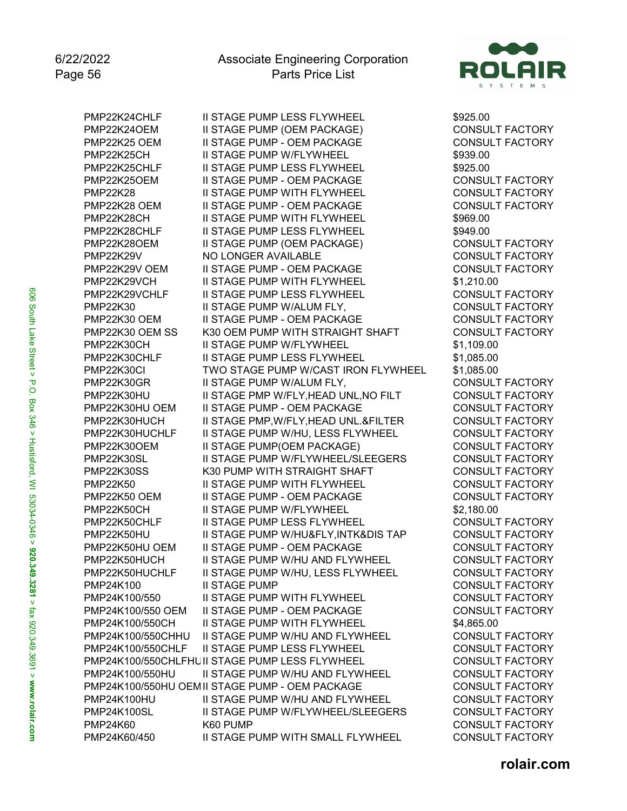

PMP22K24CHLF II STAGE PUMP LESS FLYWHEEL \$925.00 PMP22K24OEM II STAGE PUMP (OEM PACKAGE) CONSULT FACTORY **II STAGE PUMP - OEM PACKAGE** PMP22K25CH II STAGE PUMP W/FLYWHEEL \$939.00 PMP22K25CHLF II STAGE PUMP LESS FLYWHEEL PMP22K25OEM II STAGE PUMP - OEM PACKAGE CONSULT FACTORY **II STAGE PUMP WITH FLYWHEEL** PMP22K28 OEM II STAGE PUMP - OEM PACKAGE CONSULT FACTORY PMP22K28CH II STAGE PUMP WITH FLYWHEEL \$969.00 PMP22K28CHLF II STAGE PUMP LESS FLYWHEEL \$949.00 PMP22K28OEM II STAGE PUMP (OEM PACKAGE) CONSULT FACTORY NO LONGER AVAILABLE CONSULT FACTORY PMP22K29V OEM II STAGE PUMP - OEM PACKAGE CONSULT FACTORY PMP22K29VCH II STAGE PUMP WITH FLYWHEEL \$1.210.00 PMP22K29VCHLF II STAGE PUMP LESS FLYWHEEL CONSULT FACTORY PMP22K30 II STAGE PUMP W/ALUM FLY, CONSULT FACTORY PMP22K30 OEM II STAGE PUMP - OEM PACKAGE CONSULT FACTORY PMP22K30 OEM SS K30 OEM PUMP WITH STRAIGHT SHAFT CONSULT FACTORY PMP22K30CH II STAGE PUMP W/FLYWHEEL \$1,109.00 PMP22K30CHLF II STAGE PUMP LESS FLYWHEEL \$1,085.00 PMP22K30CI TWO STAGE PUMP W/CAST IRON FLYWHEEL \$1,085.00 PMP22K30GR II STAGE PUMP W/ALUM FLY, PMP22K30HU II STAGE PMP W/FLY, HEAD UNL, NO FILT CONSULT FACTORY PMP22K30HU OEM II STAGE PUMP - OEM PACKAGE CONSULT FACTORY<br>PMP22K30HUCH II STAGE PMP,W/FLY,HEAD UNL.&FILTER CONSULT FACTORY PMP22K30HUCH II STAGE PMP, W/FLY, HEAD UNL.& FILTER PMP22K30HUCHLF II STAGE PUMP W/HU, LESS FLYWHEEL CONSULT FACTORY PMP22K30OEM II STAGE PUMP(OEM PACKAGE) CONSULT FACTORY<br>PMP22K30SL II STAGE PUMP W/FLYWHEEL/SLEEGERS CONSULT FACTORY PMP22K30SL II STAGE PUMP W/FLYWHEEL/SLEEGERS PMP22K30SS K30 PUMP WITH STRAIGHT SHAFT CONSULT FACTORY PMP22K50 II STAGE PUMP WITH FLYWHEEL CONSULT FACTORY PMP22K50 OEM II STAGE PUMP - OEM PACKAGE CONSULT FACTORY PMP22K50CH II STAGE PUMP W/FLYWHEEL \$2,180.00 PMP22K50CHLF II STAGE PUMP LESS FLYWHEEL CONSULT FACTORY PMP22K50HU II STAGE PUMP W/HU&FLY,INTK&DIS TAP CONSULT FACTORY PMP22K50HU OEM II STAGE PUMP - OEM PACKAGE CONSULT FACTORY PMP22K50HUCH II STAGE PUMP W/HU AND FLYWHEEL CONSULT FACTORY PMP22K50HUCHLF II STAGE PUMP W/HU, LESS FLYWHEEL CONSULT FACTORY PMP24K100 II STAGE PUMP CONSULT FACTORY PMP24K100/550 II STAGE PUMP WITH FLYWHEEL CONSULT FACTORY PMP24K100/550 OEM II STAGE PUMP - OEM PACKAGE CONSULT FACTORY PMP24K100/550CH II STAGE PUMP WITH FLYWHEEL \$4,865.00 PMP24K100/550CHHU II STAGE PUMP W/HU AND FLYWHEEL CONSULT FACTORY PMP24K100/550CHLF II STAGE PUMP LESS FLYWHEEL CONSULT FACTORY PMP24K100/550CHLFHUII STAGE PUMP LESS FLYWHEEL CONSULT FACTORY PMP24K100/550HU II STAGE PUMP W/HU AND FLYWHEEL CONSULT FACTORY PMP24K100/550HU OEMII STAGE PUMP - OEM PACKAGE CONSULT FACTORY PMP24K100HU II STAGE PUMP W/HU AND FLYWHEEL CONSULT FACTORY<br>PMP24K100SL II STAGE PUMP W/FLYWHEEL/SLEEGERS CONSULT FACTORY II STAGE PUMP W/FLYWHEEL/SLEEGERS CONSULT FACTORY PMP24K60 K60 PUMP CONSULT FACTORY PMP24K60/450 II STAGE PUMP WITH SMALL FLYWHEEL CONSULT FACTORY

606 South Lake Street > P.O. Box 346 > Hustisford, WI 53034-0346 > **920.349.3281** > fax 920.349.3691 > www.rolair.com 606 South Lake Street > P.O. Box 346 > Hustisford, WI 53034-0346 > **920.349.3281** > fax 920.349.3691 > **www.rolair.com**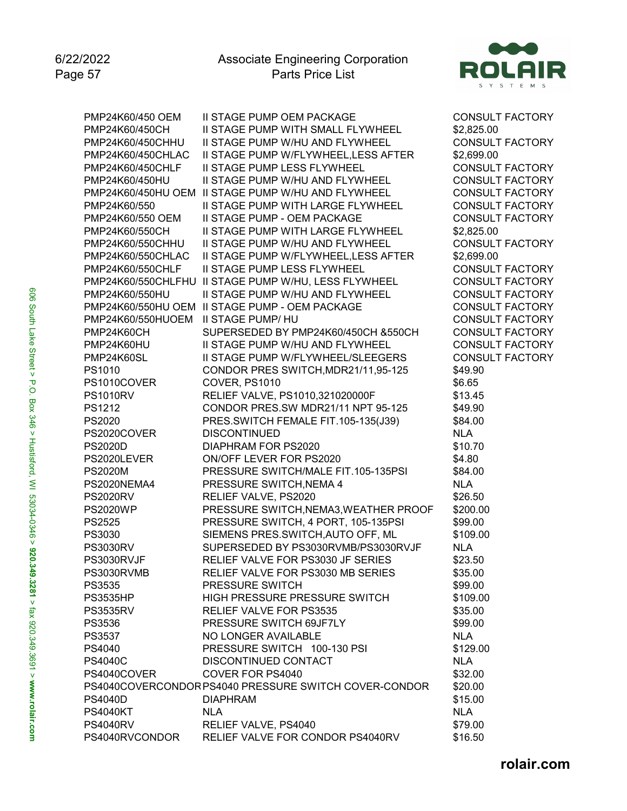

PMP24K60/450 OEM II STAGE PUMP OEM PACKAGE CONSULT FACTORY PMP24K60/450CH II STAGE PUMP WITH SMALL FLYWHEEL \$2,825.00<br>PMP24K60/450CHHU II STAGE PUMP W/HU AND FLYWHEEL CONSULT FACTORY **II STAGE PUMP W/HU AND FLYWHEEL** PMP24K60/450CHLAC II STAGE PUMP W/FLYWHEEL,LESS AFTER \$2,699.00 PMP24K60/450CHLF II STAGE PUMP LESS FLYWHEEL CONSULT FACTORY PMP24K60/450HU II STAGE PUMP W/HU AND FLYWHEEL CONSULT FACTORY<br>PMP24K60/450HU OEM II STAGE PUMP W/HU AND FLYWHEEL CONSULT FACTORY PMP24K60/450HU OEM II STAGE PUMP W/HU AND FLYWHEEL PMP24K60/550 II STAGE PUMP WITH LARGE FLYWHEEL CONSULT FACTORY PMP24K60/550 OEM II STAGE PUMP - OEM PACKAGE CONSULT FACTORY<br>PMP24K60/550CH II STAGE PUMP WITH LARGE FLYWHEEL \$2,825.00 PMP24K60/550CH II STAGE PUMP WITH LARGE FLYWHEEL PMP24K60/550CHHU II STAGE PUMP W/HU AND FLYWHEEL CONSULT FACTORY PMP24K60/550CHLAC II STAGE PUMP W/FLYWHEEL,LESS AFTER \$2,699.00 PMP24K60/550CHLF II STAGE PUMP LESS FLYWHEEL CONSULT FACTORY PMP24K60/550CHLFHU II STAGE PUMP W/HU, LESS FLYWHEEL CONSULT FACTORY PMP24K60/550HU II STAGE PUMP W/HU AND FLYWHEEL CONSULT FACTORY PMP24K60/550HU OEM II STAGE PUMP - OEM PACKAGE CONSULT FACTORY PMP24K60/550HUOEM II STAGE PUMP/ HU CONSULT FACTORY PMP24K60CH SUPERSEDED BY PMP24K60/450CH &550CH CONSULT FACTORY PMP24K60HU II STAGE PUMP W/HU AND FLYWHEEL CONSULT FACTORY PMP24K60SL II STAGE PUMP W/FLYWHEEL/SLEEGERS CONSULT FACTORY PS1010 CONDOR PRES SWITCH,MDR21/11,95-125 \$49.90 PS1010COVER COVER, PS1010 66.65 PS1010RV RELIEF VALVE, PS1010,321020000F \$13.45 PS1212 CONDOR PRES.SW MDR21/11 NPT 95-125 \$49.90 PS2020 PRES.SWITCH FEMALE FIT.105-135(J39) \$84.00 PS2020COVER DISCONTINUED NLA PS2020D DIAPHRAM FOR PS2020 \$10.70 PS2020LEVER ON/OFF LEVER FOR PS2020 \$4.80 PS2020M PRESSURE SWITCH/MALE FIT.105-135PSI PS2020NEMA4 PRESSURE SWITCH,NEMA 4 NLA PS2020RV RELIEF VALVE, PS2020 \$26.50 PS2020WP PRESSURE SWITCH, NEMA3, WEATHER PROOF \$200.00 PS2525 PRESSURE SWITCH, 4 PORT, 105-135PSI \$99.00 PS3030 SIEMENS PRES.SWITCH, AUTO OFF, ML \$109.00 PS3030RV SUPERSEDED BY PS3030RVMB/PS3030RVJF NLA PS3030RVJF RELIEF VALVE FOR PS3030 JF SERIES \$23.50 PS3030RVMB RELIEF VALVE FOR PS3030 MB SERIES \$35.00 PS3535 PRESSURE SWITCH \$99.00 PS3535HP 
HIGH PRESSURE PRESSURE SWITCH

S109.00 PS3535RV RELIEF VALVE FOR PS3535 \$35.00 PS3536 PRESSURE SWITCH 69JF7LY \$99.00 PS3537 NO LONGER AVAILABLE NUMBER AND NUMBER AND NUMBER AND NUMBER AND NUMBER AND NUMBER AND NUMBER AND NUMBER PS4040 PRESSURE SWITCH 100-130 PSI \$129.00 PS4040C DISCONTINUED CONTACT NLA PS4040COVER COVER FOR PS4040 \$32.00 PS4040COVERCONDORPS4040 PRESSURE SWITCH COVER-CONDOR \$20.00 PS4040D DIAPHRAM \$15.00 PS4040KT NLA NLA PS4040RV RELIEF VALVE, PS4040 \$79.00 PS4040RVCONDOR RELIEF VALVE FOR CONDOR PS4040RV \$16.50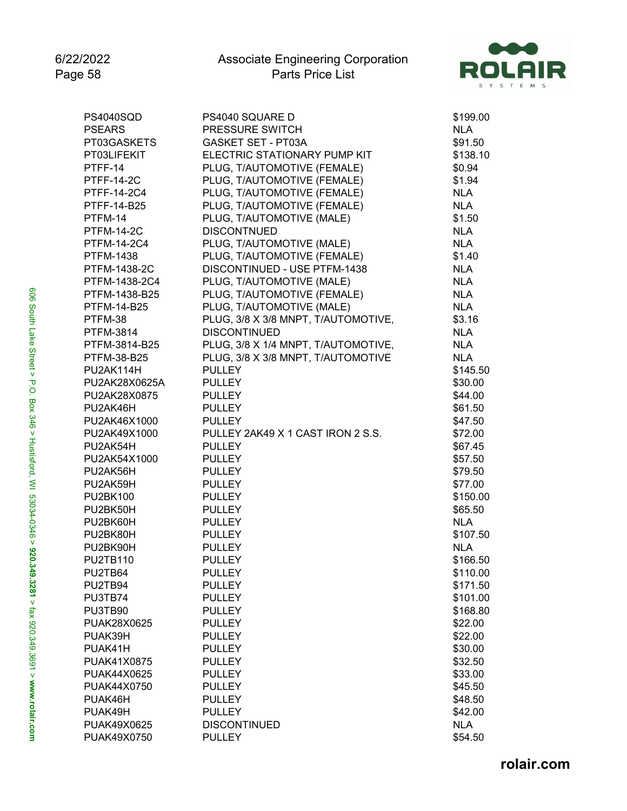

| <b>PS4040SQD</b>  | PS4040 SQUARE D                     | \$199.00   |
|-------------------|-------------------------------------|------------|
| <b>PSEARS</b>     | PRESSURE SWITCH                     | <b>NLA</b> |
| PT03GASKETS       | GASKET SET - PT03A                  | \$91.50    |
| PT03LIFEKIT       | ELECTRIC STATIONARY PUMP KIT        | \$138.10   |
| PTFF-14           | PLUG, T/AUTOMOTIVE (FEMALE)         | \$0.94     |
| <b>PTFF-14-2C</b> | PLUG, T/AUTOMOTIVE (FEMALE)         | \$1.94     |
| PTFF-14-2C4       | PLUG, T/AUTOMOTIVE (FEMALE)         | <b>NLA</b> |
| PTFF-14-B25       | PLUG, T/AUTOMOTIVE (FEMALE)         | <b>NLA</b> |
| PTFM-14           | PLUG, T/AUTOMOTIVE (MALE)           | \$1.50     |
| <b>PTFM-14-2C</b> | <b>DISCONTNUED</b>                  | <b>NLA</b> |
| PTFM-14-2C4       | PLUG, T/AUTOMOTIVE (MALE)           | <b>NLA</b> |
| <b>PTFM-1438</b>  | PLUG, T/AUTOMOTIVE (FEMALE)         | \$1.40     |
| PTFM-1438-2C      | DISCONTINUED - USE PTFM-1438        | <b>NLA</b> |
| PTFM-1438-2C4     | PLUG, T/AUTOMOTIVE (MALE)           | <b>NLA</b> |
| PTFM-1438-B25     | PLUG, T/AUTOMOTIVE (FEMALE)         | <b>NLA</b> |
| PTFM-14-B25       | PLUG, T/AUTOMOTIVE (MALE)           | <b>NLA</b> |
| PTFM-38           | PLUG, 3/8 X 3/8 MNPT, T/AUTOMOTIVE, | \$3.16     |
| <b>PTFM-3814</b>  | <b>DISCONTINUED</b>                 | <b>NLA</b> |
| PTFM-3814-B25     | PLUG, 3/8 X 1/4 MNPT, T/AUTOMOTIVE, | <b>NLA</b> |
| PTFM-38-B25       | PLUG, 3/8 X 3/8 MNPT, T/AUTOMOTIVE  | <b>NLA</b> |
| PU2AK114H         | <b>PULLEY</b>                       | \$145.50   |
| PU2AK28X0625A     | <b>PULLEY</b>                       | \$30.00    |
| PU2AK28X0875      | <b>PULLEY</b>                       | \$44.00    |
| PU2AK46H          | <b>PULLEY</b>                       | \$61.50    |
| PU2AK46X1000      | <b>PULLEY</b>                       | \$47.50    |
| PU2AK49X1000      | PULLEY 2AK49 X 1 CAST IRON 2 S.S.   |            |
|                   |                                     | \$72.00    |
| PU2AK54H          | <b>PULLEY</b>                       | \$67.45    |
| PU2AK54X1000      | <b>PULLEY</b>                       | \$57.50    |
| PU2AK56H          | <b>PULLEY</b>                       | \$79.50    |
| PU2AK59H          | <b>PULLEY</b>                       | \$77.00    |
| <b>PU2BK100</b>   | <b>PULLEY</b>                       | \$150.00   |
| PU2BK50H          | <b>PULLEY</b>                       | \$65.50    |
| PU2BK60H          | <b>PULLEY</b>                       | <b>NLA</b> |
| PU2BK80H          | <b>PULLEY</b>                       | \$107.50   |
| PU2BK90H          | <b>PULLEY</b>                       | <b>NLA</b> |
| <b>PU2TB110</b>   | <b>PULLEY</b>                       | \$166.50   |
| PU2TB64           | PULLEY                              | \$110.00   |
| PU2TB94           | <b>PULLEY</b>                       | \$171.50   |
| PU3TB74           | <b>PULLEY</b>                       | \$101.00   |
| PU3TB90           | <b>PULLEY</b>                       | \$168.80   |
| PUAK28X0625       | <b>PULLEY</b>                       | \$22.00    |
| PUAK39H           | <b>PULLEY</b>                       | \$22.00    |
| PUAK41H           | <b>PULLEY</b>                       | \$30.00    |
| PUAK41X0875       | <b>PULLEY</b>                       | \$32.50    |
| PUAK44X0625       | <b>PULLEY</b>                       | \$33.00    |
| PUAK44X0750       | <b>PULLEY</b>                       | \$45.50    |
| PUAK46H           | <b>PULLEY</b>                       | \$48.50    |
| PUAK49H           | <b>PULLEY</b>                       | \$42.00    |
| PUAK49X0625       | <b>DISCONTINUED</b>                 | <b>NLA</b> |
| PUAK49X0750       | <b>PULLEY</b>                       | \$54.50    |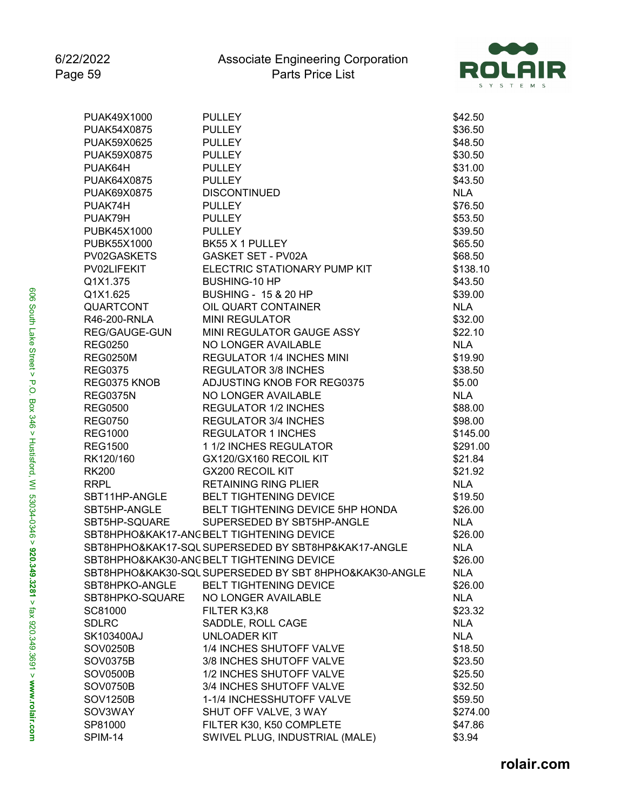

| PUAK49X1000      | <b>PULLEY</b>                                          | \$42.50    |
|------------------|--------------------------------------------------------|------------|
| PUAK54X0875      | <b>PULLEY</b>                                          | \$36.50    |
| PUAK59X0625      | <b>PULLEY</b>                                          | \$48.50    |
| PUAK59X0875      | <b>PULLEY</b>                                          | \$30.50    |
| PUAK64H          | <b>PULLEY</b>                                          | \$31.00    |
| PUAK64X0875      | <b>PULLEY</b>                                          | \$43.50    |
| PUAK69X0875      | <b>DISCONTINUED</b>                                    | <b>NLA</b> |
| PUAK74H          | <b>PULLEY</b>                                          | \$76.50    |
| PUAK79H          | <b>PULLEY</b>                                          | \$53.50    |
| PUBK45X1000      | <b>PULLEY</b>                                          | \$39.50    |
| PUBK55X1000      | BK55 X 1 PULLEY                                        | \$65.50    |
| PV02GASKETS      | <b>GASKET SET - PV02A</b>                              | \$68.50    |
| PV02LIFEKIT      | ELECTRIC STATIONARY PUMP KIT                           | \$138.10   |
| Q1X1.375         | <b>BUSHING-10 HP</b>                                   | \$43.50    |
| Q1X1.625         | <b>BUSHING - 15 &amp; 20 HP</b>                        | \$39.00    |
| <b>QUARTCONT</b> | OIL QUART CONTAINER                                    | <b>NLA</b> |
| R46-200-RNLA     | <b>MINI REGULATOR</b>                                  | \$32.00    |
| REG/GAUGE-GUN    | MINI REGULATOR GAUGE ASSY                              | \$22.10    |
| <b>REG0250</b>   | NO LONGER AVAILABLE                                    | <b>NLA</b> |
| <b>REG0250M</b>  | <b>REGULATOR 1/4 INCHES MINI</b>                       | \$19.90    |
| <b>REG0375</b>   | <b>REGULATOR 3/8 INCHES</b>                            | \$38.50    |
| REG0375 KNOB     | ADJUSTING KNOB FOR REG0375                             | \$5.00     |
| <b>REG0375N</b>  | NO LONGER AVAILABLE                                    | <b>NLA</b> |
| <b>REG0500</b>   | <b>REGULATOR 1/2 INCHES</b>                            | \$88.00    |
| <b>REG0750</b>   | <b>REGULATOR 3/4 INCHES</b>                            | \$98.00    |
| <b>REG1000</b>   | <b>REGULATOR 1 INCHES</b>                              | \$145.00   |
| <b>REG1500</b>   | 1 1/2 INCHES REGULATOR                                 | \$291.00   |
| RK120/160        | GX120/GX160 RECOIL KIT                                 | \$21.84    |
| <b>RK200</b>     | <b>GX200 RECOIL KIT</b>                                | \$21.92    |
| <b>RRPL</b>      | <b>RETAINING RING PLIER</b>                            | <b>NLA</b> |
| SBT11HP-ANGLE    | <b>BELT TIGHTENING DEVICE</b>                          | \$19.50    |
| SBT5HP-ANGLE     | BELT TIGHTENING DEVICE 5HP HONDA                       | \$26.00    |
| SBT5HP-SQUARE    | SUPERSEDED BY SBT5HP-ANGLE                             | <b>NLA</b> |
|                  | SBT8HPHO&KAK17-ANC BELT TIGHTENING DEVICE              | \$26.00    |
|                  | SBT8HPHO&KAK17-SQL SUPERSEDED BY SBT8HP&KAK17-ANGLE    | <b>NLA</b> |
|                  | SBT8HPHO&KAK30-ANC BELT TIGHTENING DEVICE              | \$26.00    |
|                  | SBT8HPHO&KAK30-SQL SUPERSEDED BY SBT 8HPHO&KAK30-ANGLE | <b>NLA</b> |
| SBT8HPKO-ANGLE   | <b>BELT TIGHTENING DEVICE</b>                          | \$26.00    |
| SBT8HPKO-SQUARE  | NO LONGER AVAILABLE                                    | <b>NLA</b> |
| SC81000          | FILTER K3,K8                                           | \$23.32    |
| <b>SDLRC</b>     | SADDLE, ROLL CAGE                                      | <b>NLA</b> |
| SK103400AJ       | <b>UNLOADER KIT</b>                                    | <b>NLA</b> |
| <b>SOV0250B</b>  | 1/4 INCHES SHUTOFF VALVE                               | \$18.50    |
| SOV0375B         | 3/8 INCHES SHUTOFF VALVE                               | \$23.50    |
| <b>SOV0500B</b>  | 1/2 INCHES SHUTOFF VALVE                               | \$25.50    |
| <b>SOV0750B</b>  | 3/4 INCHES SHUTOFF VALVE                               | \$32.50    |
| <b>SOV1250B</b>  | 1-1/4 INCHESSHUTOFF VALVE                              | \$59.50    |
| SOV3WAY          | SHUT OFF VALVE, 3 WAY                                  | \$274.00   |
| SP81000          | FILTER K30, K50 COMPLETE                               | \$47.86    |
| SPIM-14          | SWIVEL PLUG, INDUSTRIAL (MALE)                         | \$3.94     |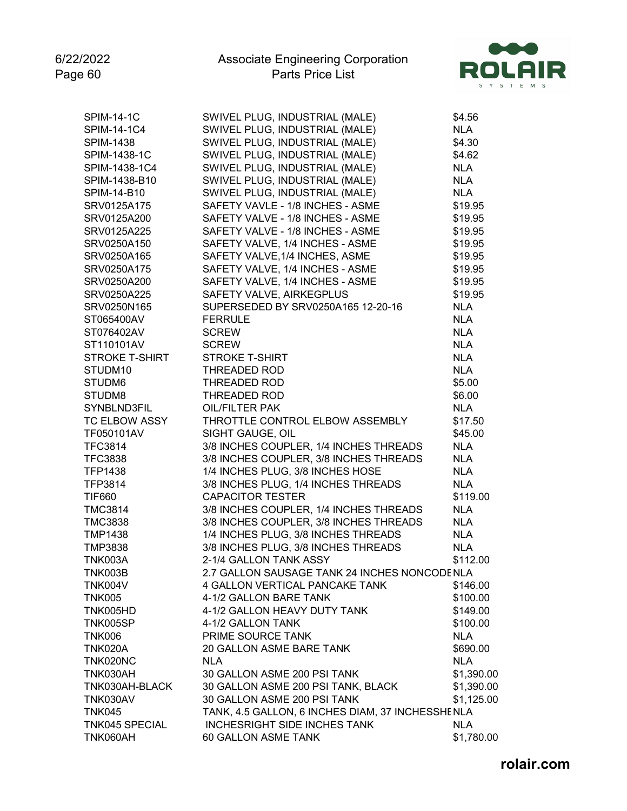

| <b>SPIM-14-1C</b>     | SWIVEL PLUG, INDUSTRIAL (MALE)                   | \$4.56     |
|-----------------------|--------------------------------------------------|------------|
| SPIM-14-1C4           | SWIVEL PLUG, INDUSTRIAL (MALE)                   | <b>NLA</b> |
| <b>SPIM-1438</b>      | SWIVEL PLUG, INDUSTRIAL (MALE)                   | \$4.30     |
| SPIM-1438-1C          | SWIVEL PLUG, INDUSTRIAL (MALE)                   | \$4.62     |
| SPIM-1438-1C4         | SWIVEL PLUG, INDUSTRIAL (MALE)                   | <b>NLA</b> |
| SPIM-1438-B10         | SWIVEL PLUG, INDUSTRIAL (MALE)                   | <b>NLA</b> |
| SPIM-14-B10           | SWIVEL PLUG, INDUSTRIAL (MALE)                   | <b>NLA</b> |
| SRV0125A175           | SAFETY VAVLE - 1/8 INCHES - ASME                 | \$19.95    |
| SRV0125A200           | SAFETY VALVE - 1/8 INCHES - ASME                 | \$19.95    |
| SRV0125A225           | SAFETY VALVE - 1/8 INCHES - ASME                 | \$19.95    |
| SRV0250A150           | SAFETY VALVE, 1/4 INCHES - ASME                  | \$19.95    |
| SRV0250A165           | SAFETY VALVE, 1/4 INCHES, ASME                   | \$19.95    |
| SRV0250A175           | SAFETY VALVE, 1/4 INCHES - ASME                  | \$19.95    |
| SRV0250A200           | SAFETY VALVE, 1/4 INCHES - ASME                  | \$19.95    |
| SRV0250A225           | SAFETY VALVE, AIRKEGPLUS                         | \$19.95    |
| SRV0250N165           | SUPERSEDED BY SRV0250A165 12-20-16               | <b>NLA</b> |
| ST065400AV            | <b>FERRULE</b>                                   | <b>NLA</b> |
| ST076402AV            | <b>SCREW</b>                                     | <b>NLA</b> |
| ST110101AV            | <b>SCREW</b>                                     | <b>NLA</b> |
| <b>STROKE T-SHIRT</b> | <b>STROKE T-SHIRT</b>                            | <b>NLA</b> |
| STUDM10               | THREADED ROD                                     | <b>NLA</b> |
| STUDM6                | THREADED ROD                                     | \$5.00     |
| STUDM8                | THREADED ROD                                     | \$6.00     |
| SYNBLND3FIL           | <b>OIL/FILTER PAK</b>                            | <b>NLA</b> |
| <b>TC ELBOW ASSY</b>  | THROTTLE CONTROL ELBOW ASSEMBLY                  | \$17.50    |
| TF050101AV            | SIGHT GAUGE, OIL                                 | \$45.00    |
| <b>TFC3814</b>        | 3/8 INCHES COUPLER, 1/4 INCHES THREADS           | <b>NLA</b> |
| <b>TFC3838</b>        | 3/8 INCHES COUPLER, 3/8 INCHES THREADS           | <b>NLA</b> |
| <b>TFP1438</b>        | 1/4 INCHES PLUG, 3/8 INCHES HOSE                 | <b>NLA</b> |
| TFP3814               | 3/8 INCHES PLUG, 1/4 INCHES THREADS              | <b>NLA</b> |
| <b>TIF660</b>         | <b>CAPACITOR TESTER</b>                          | \$119.00   |
| <b>TMC3814</b>        | 3/8 INCHES COUPLER, 1/4 INCHES THREADS           | <b>NLA</b> |
| <b>TMC3838</b>        | 3/8 INCHES COUPLER, 3/8 INCHES THREADS           | <b>NLA</b> |
| <b>TMP1438</b>        | 1/4 INCHES PLUG, 3/8 INCHES THREADS              | <b>NLA</b> |
| <b>TMP3838</b>        | 3/8 INCHES PLUG, 3/8 INCHES THREADS              | <b>NLA</b> |
| <b>TNK003A</b>        | 2-1/4 GALLON TANK ASSY                           | \$112.00   |
| <b>TNK003B</b>        | 2.7 GALLON SAUSAGE TANK 24 INCHES NONCODENLA     |            |
| TNK004V               | <b>4 GALLON VERTICAL PANCAKE TANK</b>            | \$146.00   |
| <b>TNK005</b>         | 4-1/2 GALLON BARE TANK                           | \$100.00   |
| TNK005HD              | 4-1/2 GALLON HEAVY DUTY TANK                     | \$149.00   |
| <b>TNK005SP</b>       | 4-1/2 GALLON TANK                                | \$100.00   |
| <b>TNK006</b>         | PRIME SOURCE TANK                                | <b>NLA</b> |
| TNK020A               | 20 GALLON ASME BARE TANK                         | \$690.00   |
| TNK020NC              | <b>NLA</b>                                       | <b>NLA</b> |
| TNK030AH              | 30 GALLON ASME 200 PSI TANK                      | \$1,390.00 |
| TNK030AH-BLACK        | 30 GALLON ASME 200 PSI TANK, BLACK               | \$1,390.00 |
| <b>TNK030AV</b>       | 30 GALLON ASME 200 PSI TANK                      | \$1,125.00 |
| <b>TNK045</b>         | TANK, 4.5 GALLON, 6 INCHES DIAM, 37 INCHESSHENLA |            |
| <b>TNK045 SPECIAL</b> | <b>INCHESRIGHT SIDE INCHES TANK</b>              | <b>NLA</b> |
| TNK060AH              | 60 GALLON ASME TANK                              | \$1,780.00 |
|                       |                                                  |            |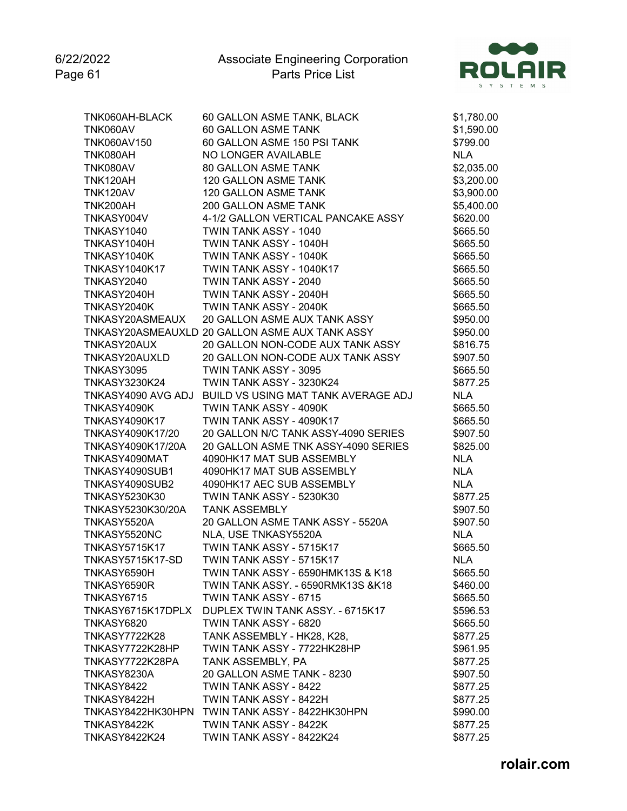6/22/2022 Page 61



| TNK060AH-BLACK       | 60 GALLON ASME TANK, BLACK                             | \$1,780.00 |
|----------------------|--------------------------------------------------------|------------|
| TNK060AV             | 60 GALLON ASME TANK                                    | \$1,590.00 |
| TNK060AV150          | 60 GALLON ASME 150 PSI TANK                            | \$799.00   |
| <b>TNK080AH</b>      | NO LONGER AVAILABLE                                    | <b>NLA</b> |
| TNK080AV             | <b>80 GALLON ASME TANK</b>                             | \$2,035.00 |
| <b>TNK120AH</b>      | 120 GALLON ASME TANK                                   | \$3,200.00 |
| TNK120AV             | 120 GALLON ASME TANK                                   | \$3,900.00 |
| <b>TNK200AH</b>      | 200 GALLON ASME TANK                                   | \$5,400.00 |
| TNKASY004V           | 4-1/2 GALLON VERTICAL PANCAKE ASSY                     | \$620.00   |
| TNKASY1040           | TWIN TANK ASSY - 1040                                  | \$665.50   |
| TNKASY1040H          | TWIN TANK ASSY - 1040H                                 | \$665.50   |
| TNKASY1040K          | TWIN TANK ASSY - 1040K                                 | \$665.50   |
| <b>TNKASY1040K17</b> | TWIN TANK ASSY - 1040K17                               | \$665.50   |
| TNKASY2040           | TWIN TANK ASSY - 2040                                  | \$665.50   |
| TNKASY2040H          | TWIN TANK ASSY - 2040H                                 | \$665.50   |
| TNKASY2040K          | TWIN TANK ASSY - 2040K                                 | \$665.50   |
| TNKASY20ASMEAUX      | 20 GALLON ASME AUX TANK ASSY                           | \$950.00   |
|                      | TNKASY20ASMEAUXLD 20 GALLON ASME AUX TANK ASSY         | \$950.00   |
| TNKASY20AUX          | 20 GALLON NON-CODE AUX TANK ASSY                       | \$816.75   |
| TNKASY20AUXLD        | 20 GALLON NON-CODE AUX TANK ASSY                       | \$907.50   |
| TNKASY3095           | TWIN TANK ASSY - 3095                                  | \$665.50   |
| <b>TNKASY3230K24</b> | TWIN TANK ASSY - 3230K24                               | \$877.25   |
|                      | TNKASY4090 AVG ADJ BUILD VS USING MAT TANK AVERAGE ADJ | <b>NLA</b> |
| TNKASY4090K          | TWIN TANK ASSY - 4090K                                 | \$665.50   |
| <b>TNKASY4090K17</b> | TWIN TANK ASSY - 4090K17                               | \$665.50   |
| TNKASY4090K17/20     |                                                        |            |
|                      | 20 GALLON N/C TANK ASSY-4090 SERIES                    | \$907.50   |
| TNKASY4090K17/20A    | 20 GALLON ASME TNK ASSY-4090 SERIES                    | \$825.00   |
| TNKASY4090MAT        | 4090HK17 MAT SUB ASSEMBLY                              | <b>NLA</b> |
| TNKASY4090SUB1       | 4090HK17 MAT SUB ASSEMBLY                              | <b>NLA</b> |
| TNKASY4090SUB2       | 4090HK17 AEC SUB ASSEMBLY                              | <b>NLA</b> |
| <b>TNKASY5230K30</b> | TWIN TANK ASSY - 5230K30                               | \$877.25   |
| TNKASY5230K30/20A    | <b>TANK ASSEMBLY</b>                                   | \$907.50   |
| TNKASY5520A          | 20 GALLON ASME TANK ASSY - 5520A                       | \$907.50   |
| TNKASY5520NC         | NLA, USE TNKASY5520A                                   | <b>NLA</b> |
| <b>TNKASY5715K17</b> | TWIN TANK ASSY - 5715K17                               | \$665.50   |
| TNKASY5715K17-SD     | TWIN TANK ASSY - 5715K17                               | <b>NLA</b> |
| TNKASY6590H          | TWIN TANK ASSY - 6590HMK13S & K18                      | \$665.50   |
| TNKASY6590R          | TWIN TANK ASSY. - 6590RMK13S &K18                      | \$460.00   |
| TNKASY6715           | TWIN TANK ASSY - 6715                                  | \$665.50   |
| TNKASY6715K17DPLX    | DUPLEX TWIN TANK ASSY. - 6715K17                       | \$596.53   |
| TNKASY6820           | TWIN TANK ASSY - 6820                                  | \$665.50   |
| <b>TNKASY7722K28</b> | TANK ASSEMBLY - HK28, K28,                             | \$877.25   |
| TNKASY7722K28HP      | TWIN TANK ASSY - 7722HK28HP                            | \$961.95   |
| TNKASY7722K28PA      | TANK ASSEMBLY, PA                                      | \$877.25   |
| TNKASY8230A          | 20 GALLON ASME TANK - 8230                             | \$907.50   |
| TNKASY8422           | TWIN TANK ASSY - 8422                                  | \$877.25   |
| TNKASY8422H          | TWIN TANK ASSY - 8422H                                 | \$877.25   |
| TNKASY8422HK30HPN    | TWIN TANK ASSY - 8422HK30HPN                           | \$990.00   |
| TNKASY8422K          | TWIN TANK ASSY - 8422K                                 | \$877.25   |
| <b>TNKASY8422K24</b> | TWIN TANK ASSY - 8422K24                               | \$877.25   |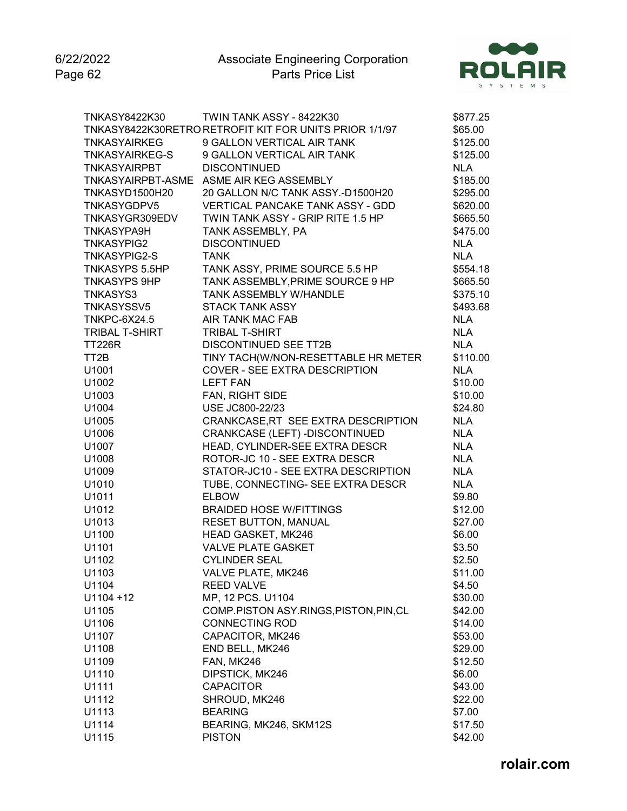6/22/2022 Page 62



| <b>TNKASY8422K30</b>  | TWIN TANK ASSY - 8422K30                               | \$877.25   |
|-----------------------|--------------------------------------------------------|------------|
|                       | TNKASY8422K30RETRO RETROFIT KIT FOR UNITS PRIOR 1/1/97 | \$65.00    |
| <b>TNKASYAIRKEG</b>   | 9 GALLON VERTICAL AIR TANK                             | \$125.00   |
| <b>TNKASYAIRKEG-S</b> | 9 GALLON VERTICAL AIR TANK                             | \$125.00   |
| <b>TNKASYAIRPBT</b>   | <b>DISCONTINUED</b>                                    | <b>NLA</b> |
|                       | TNKASYAIRPBT-ASME ASME AIR KEG ASSEMBLY                | \$185.00   |
| TNKASYD1500H20        | 20 GALLON N/C TANK ASSY.-D1500H20                      | \$295.00   |
| TNKASYGDPV5           | VERTICAL PANCAKE TANK ASSY - GDD                       | \$620.00   |
| TNKASYGR309EDV        | TWIN TANK ASSY - GRIP RITE 1.5 HP                      | \$665.50   |
| <b>TNKASYPA9H</b>     | TANK ASSEMBLY, PA                                      | \$475.00   |
| <b>TNKASYPIG2</b>     | <b>DISCONTINUED</b>                                    | <b>NLA</b> |
| <b>TNKASYPIG2-S</b>   | <b>TANK</b>                                            | <b>NLA</b> |
| <b>TNKASYPS 5.5HP</b> | TANK ASSY, PRIME SOURCE 5.5 HP                         | \$554.18   |
| <b>TNKASYPS 9HP</b>   | TANK ASSEMBLY, PRIME SOURCE 9 HP                       | \$665.50   |
| TNKASYS3              | TANK ASSEMBLY W/HANDLE                                 | \$375.10   |
| <b>TNKASYSSV5</b>     | <b>STACK TANK ASSY</b>                                 | \$493.68   |
| <b>TNKPC-6X24.5</b>   | AIR TANK MAC FAB                                       | <b>NLA</b> |
| <b>TRIBAL T-SHIRT</b> | <b>TRIBAL T-SHIRT</b>                                  | <b>NLA</b> |
| <b>TT226R</b>         | <b>DISCONTINUED SEE TT2B</b>                           | <b>NLA</b> |
| TT <sub>2</sub> B     | TINY TACH(W/NON-RESETTABLE HR METER                    | \$110.00   |
| U1001                 | <b>COVER - SEE EXTRA DESCRIPTION</b>                   | <b>NLA</b> |
| U1002                 | <b>LEFT FAN</b>                                        | \$10.00    |
| U1003                 | FAN, RIGHT SIDE                                        | \$10.00    |
| U1004                 | USE JC800-22/23                                        | \$24.80    |
|                       | CRANKCASE, RT SEE EXTRA DESCRIPTION                    | <b>NLA</b> |
| U1005                 |                                                        | <b>NLA</b> |
| U1006                 | CRANKCASE (LEFT) - DISCONTINUED                        |            |
| U1007                 | HEAD, CYLINDER-SEE EXTRA DESCR                         | <b>NLA</b> |
| U1008                 | ROTOR-JC 10 - SEE EXTRA DESCR                          | <b>NLA</b> |
| U1009                 | STATOR-JC10 - SEE EXTRA DESCRIPTION                    | <b>NLA</b> |
| U1010                 | TUBE, CONNECTING- SEE EXTRA DESCR                      | <b>NLA</b> |
| U1011                 | <b>ELBOW</b>                                           | \$9.80     |
| U1012                 | <b>BRAIDED HOSE W/FITTINGS</b>                         | \$12.00    |
| U1013                 | <b>RESET BUTTON, MANUAL</b>                            | \$27.00    |
| U1100                 | HEAD GASKET, MK246                                     | \$6.00     |
| U1101                 | <b>VALVE PLATE GASKET</b>                              | \$3.50     |
| U1102                 | <b>CYLINDER SEAL</b>                                   | \$2.50     |
| U1103                 | VALVE PLATE, MK246                                     | \$11.00    |
| U1104                 | <b>REED VALVE</b>                                      | \$4.50     |
| $U1104 + 12$          | MP, 12 PCS. U1104                                      | \$30.00    |
| U1105                 | COMP.PISTON ASY.RINGS, PISTON, PIN, CL                 | \$42.00    |
| U1106                 | <b>CONNECTING ROD</b>                                  | \$14.00    |
| U1107                 | CAPACITOR, MK246                                       | \$53.00    |
| U1108                 | END BELL, MK246                                        | \$29.00    |
| U1109                 | FAN, MK246                                             | \$12.50    |
| U1110                 | DIPSTICK, MK246                                        | \$6.00     |
| U1111                 | <b>CAPACITOR</b>                                       | \$43.00    |
| U1112                 | SHROUD, MK246                                          | \$22.00    |
| U1113                 | <b>BEARING</b>                                         | \$7.00     |
| U1114                 | BEARING, MK246, SKM12S                                 | \$17.50    |
| U1115                 | <b>PISTON</b>                                          | \$42.00    |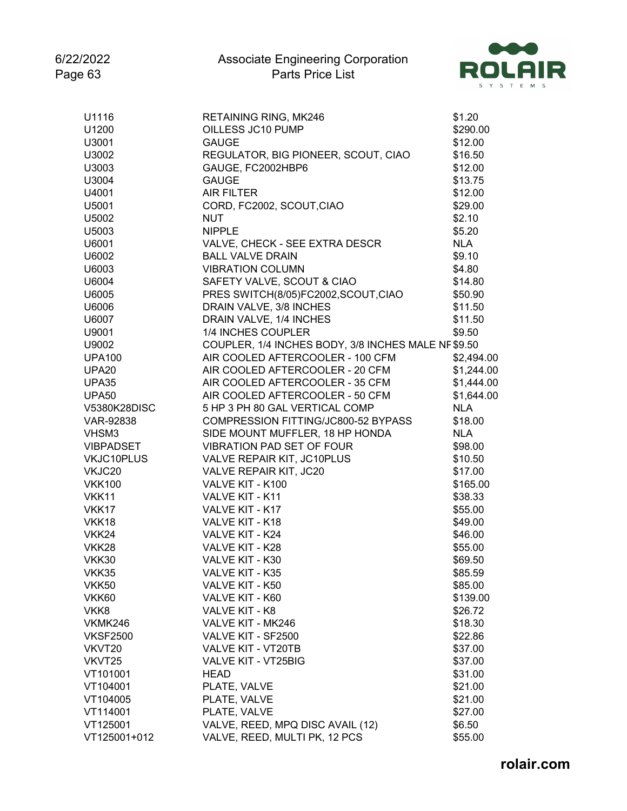

| OILLESS JC10 PUMP<br>U1200<br>\$290.00<br>U3001<br><b>GAUGE</b><br>\$12.00<br>REGULATOR, BIG PIONEER, SCOUT, CIAO<br>U3002<br>\$16.50<br>U3003<br>GAUGE, FC2002HBP6<br>\$12.00<br>U3004<br><b>GAUGE</b><br>\$13.75<br>U4001<br><b>AIR FILTER</b><br>\$12.00<br>CORD, FC2002, SCOUT, CIAO<br>\$29.00<br>U5001<br>\$2.10<br>U5002<br><b>NUT</b><br><b>NIPPLE</b><br>\$5.20<br>U5003<br>VALVE, CHECK - SEE EXTRA DESCR<br><b>NLA</b><br>U6001<br><b>BALL VALVE DRAIN</b><br>\$9.10<br>U6002<br><b>VIBRATION COLUMN</b><br>\$4.80<br>U6003<br>SAFETY VALVE, SCOUT & CIAO<br>\$14.80<br>U6004<br>PRES SWITCH(8/05)FC2002,SCOUT,CIAO<br>U6005<br>\$50.90<br>DRAIN VALVE, 3/8 INCHES<br>\$11.50<br>U6006<br>DRAIN VALVE, 1/4 INCHES<br>\$11.50<br>U6007<br>1/4 INCHES COUPLER<br>\$9.50<br>U9001<br>COUPLER, 1/4 INCHES BODY, 3/8 INCHES MALE NF \$9.50<br>U9002<br>AIR COOLED AFTERCOOLER - 100 CFM<br><b>UPA100</b><br>\$2,494.00<br>AIR COOLED AFTERCOOLER - 20 CFM<br>\$1,244.00<br>UPA <sub>20</sub><br>AIR COOLED AFTERCOOLER - 35 CFM<br>\$1,444.00<br>UPA35<br>AIR COOLED AFTERCOOLER - 50 CFM<br>\$1,644.00<br><b>UPA50</b><br>5 HP 3 PH 80 GAL VERTICAL COMP<br><b>NLA</b><br>V5380K28DISC<br>COMPRESSION FITTING/JC800-52 BYPASS<br>\$18.00<br>VAR-92838<br>SIDE MOUNT MUFFLER, 18 HP HONDA<br><b>NLA</b><br>VHSM3<br><b>VIBRATION PAD SET OF FOUR</b><br><b>VIBPADSET</b><br>\$98.00<br>VALVE REPAIR KIT, JC10PLUS<br>\$10.50<br>VKJC10PLUS<br>VKJC20<br>VALVE REPAIR KIT, JC20<br>\$17.00<br>VALVE KIT - K100<br>\$165.00<br><b>VKK100</b><br>VALVE KIT - K11<br>\$38.33<br>VKK11<br>VALVE KIT - K17<br>VKK17<br>\$55.00<br>VALVE KIT - K18<br>\$49.00<br>VKK18<br>VKK24<br>VALVE KIT - K24<br>\$46.00<br><b>VKK28</b><br>VALVE KIT - K28<br>\$55.00<br><b>VKK30</b><br>VALVE KIT - K30<br>\$69.50<br>VKK35<br>VALVE KIT - K35<br>\$85.59<br>VALVE KIT - K50<br>\$85.00<br>VKK50<br>VALVE KIT - K60<br>VKK60<br>\$139.00<br>VKK8<br>VALVE KIT - K8<br>\$26.72<br>VKMK246<br>VALVE KIT - MK246<br>\$18.30<br><b>VKSF2500</b><br>VALVE KIT - SF2500<br>\$22.86<br>VALVE KIT - VT20TB<br>\$37.00<br>VKVT20<br>VKVT25<br>VALVE KIT - VT25BIG<br>\$37.00<br>VT101001<br><b>HEAD</b><br>\$31.00<br>VT104001<br>PLATE, VALVE<br>\$21.00<br>\$21.00<br>VT104005<br>PLATE, VALVE<br>VT114001<br>PLATE, VALVE<br>\$27.00<br>VALVE, REED, MPQ DISC AVAIL (12)<br>VT125001<br>\$6.50 | U1116        | RETAINING RING, MK246         | \$1.20  |
|--------------------------------------------------------------------------------------------------------------------------------------------------------------------------------------------------------------------------------------------------------------------------------------------------------------------------------------------------------------------------------------------------------------------------------------------------------------------------------------------------------------------------------------------------------------------------------------------------------------------------------------------------------------------------------------------------------------------------------------------------------------------------------------------------------------------------------------------------------------------------------------------------------------------------------------------------------------------------------------------------------------------------------------------------------------------------------------------------------------------------------------------------------------------------------------------------------------------------------------------------------------------------------------------------------------------------------------------------------------------------------------------------------------------------------------------------------------------------------------------------------------------------------------------------------------------------------------------------------------------------------------------------------------------------------------------------------------------------------------------------------------------------------------------------------------------------------------------------------------------------------------------------------------------------------------------------------------------------------------------------------------------------------------------------------------------------------------------------------------------------------------------------------------------------------------------------------------------------------------------------------------------------------------------------------------------------------------------------------------------------------|--------------|-------------------------------|---------|
|                                                                                                                                                                                                                                                                                                                                                                                                                                                                                                                                                                                                                                                                                                                                                                                                                                                                                                                                                                                                                                                                                                                                                                                                                                                                                                                                                                                                                                                                                                                                                                                                                                                                                                                                                                                                                                                                                                                                                                                                                                                                                                                                                                                                                                                                                                                                                                                |              |                               |         |
|                                                                                                                                                                                                                                                                                                                                                                                                                                                                                                                                                                                                                                                                                                                                                                                                                                                                                                                                                                                                                                                                                                                                                                                                                                                                                                                                                                                                                                                                                                                                                                                                                                                                                                                                                                                                                                                                                                                                                                                                                                                                                                                                                                                                                                                                                                                                                                                |              |                               |         |
|                                                                                                                                                                                                                                                                                                                                                                                                                                                                                                                                                                                                                                                                                                                                                                                                                                                                                                                                                                                                                                                                                                                                                                                                                                                                                                                                                                                                                                                                                                                                                                                                                                                                                                                                                                                                                                                                                                                                                                                                                                                                                                                                                                                                                                                                                                                                                                                |              |                               |         |
|                                                                                                                                                                                                                                                                                                                                                                                                                                                                                                                                                                                                                                                                                                                                                                                                                                                                                                                                                                                                                                                                                                                                                                                                                                                                                                                                                                                                                                                                                                                                                                                                                                                                                                                                                                                                                                                                                                                                                                                                                                                                                                                                                                                                                                                                                                                                                                                |              |                               |         |
|                                                                                                                                                                                                                                                                                                                                                                                                                                                                                                                                                                                                                                                                                                                                                                                                                                                                                                                                                                                                                                                                                                                                                                                                                                                                                                                                                                                                                                                                                                                                                                                                                                                                                                                                                                                                                                                                                                                                                                                                                                                                                                                                                                                                                                                                                                                                                                                |              |                               |         |
|                                                                                                                                                                                                                                                                                                                                                                                                                                                                                                                                                                                                                                                                                                                                                                                                                                                                                                                                                                                                                                                                                                                                                                                                                                                                                                                                                                                                                                                                                                                                                                                                                                                                                                                                                                                                                                                                                                                                                                                                                                                                                                                                                                                                                                                                                                                                                                                |              |                               |         |
|                                                                                                                                                                                                                                                                                                                                                                                                                                                                                                                                                                                                                                                                                                                                                                                                                                                                                                                                                                                                                                                                                                                                                                                                                                                                                                                                                                                                                                                                                                                                                                                                                                                                                                                                                                                                                                                                                                                                                                                                                                                                                                                                                                                                                                                                                                                                                                                |              |                               |         |
|                                                                                                                                                                                                                                                                                                                                                                                                                                                                                                                                                                                                                                                                                                                                                                                                                                                                                                                                                                                                                                                                                                                                                                                                                                                                                                                                                                                                                                                                                                                                                                                                                                                                                                                                                                                                                                                                                                                                                                                                                                                                                                                                                                                                                                                                                                                                                                                |              |                               |         |
|                                                                                                                                                                                                                                                                                                                                                                                                                                                                                                                                                                                                                                                                                                                                                                                                                                                                                                                                                                                                                                                                                                                                                                                                                                                                                                                                                                                                                                                                                                                                                                                                                                                                                                                                                                                                                                                                                                                                                                                                                                                                                                                                                                                                                                                                                                                                                                                |              |                               |         |
|                                                                                                                                                                                                                                                                                                                                                                                                                                                                                                                                                                                                                                                                                                                                                                                                                                                                                                                                                                                                                                                                                                                                                                                                                                                                                                                                                                                                                                                                                                                                                                                                                                                                                                                                                                                                                                                                                                                                                                                                                                                                                                                                                                                                                                                                                                                                                                                |              |                               |         |
|                                                                                                                                                                                                                                                                                                                                                                                                                                                                                                                                                                                                                                                                                                                                                                                                                                                                                                                                                                                                                                                                                                                                                                                                                                                                                                                                                                                                                                                                                                                                                                                                                                                                                                                                                                                                                                                                                                                                                                                                                                                                                                                                                                                                                                                                                                                                                                                |              |                               |         |
|                                                                                                                                                                                                                                                                                                                                                                                                                                                                                                                                                                                                                                                                                                                                                                                                                                                                                                                                                                                                                                                                                                                                                                                                                                                                                                                                                                                                                                                                                                                                                                                                                                                                                                                                                                                                                                                                                                                                                                                                                                                                                                                                                                                                                                                                                                                                                                                |              |                               |         |
|                                                                                                                                                                                                                                                                                                                                                                                                                                                                                                                                                                                                                                                                                                                                                                                                                                                                                                                                                                                                                                                                                                                                                                                                                                                                                                                                                                                                                                                                                                                                                                                                                                                                                                                                                                                                                                                                                                                                                                                                                                                                                                                                                                                                                                                                                                                                                                                |              |                               |         |
|                                                                                                                                                                                                                                                                                                                                                                                                                                                                                                                                                                                                                                                                                                                                                                                                                                                                                                                                                                                                                                                                                                                                                                                                                                                                                                                                                                                                                                                                                                                                                                                                                                                                                                                                                                                                                                                                                                                                                                                                                                                                                                                                                                                                                                                                                                                                                                                |              |                               |         |
|                                                                                                                                                                                                                                                                                                                                                                                                                                                                                                                                                                                                                                                                                                                                                                                                                                                                                                                                                                                                                                                                                                                                                                                                                                                                                                                                                                                                                                                                                                                                                                                                                                                                                                                                                                                                                                                                                                                                                                                                                                                                                                                                                                                                                                                                                                                                                                                |              |                               |         |
|                                                                                                                                                                                                                                                                                                                                                                                                                                                                                                                                                                                                                                                                                                                                                                                                                                                                                                                                                                                                                                                                                                                                                                                                                                                                                                                                                                                                                                                                                                                                                                                                                                                                                                                                                                                                                                                                                                                                                                                                                                                                                                                                                                                                                                                                                                                                                                                |              |                               |         |
|                                                                                                                                                                                                                                                                                                                                                                                                                                                                                                                                                                                                                                                                                                                                                                                                                                                                                                                                                                                                                                                                                                                                                                                                                                                                                                                                                                                                                                                                                                                                                                                                                                                                                                                                                                                                                                                                                                                                                                                                                                                                                                                                                                                                                                                                                                                                                                                |              |                               |         |
|                                                                                                                                                                                                                                                                                                                                                                                                                                                                                                                                                                                                                                                                                                                                                                                                                                                                                                                                                                                                                                                                                                                                                                                                                                                                                                                                                                                                                                                                                                                                                                                                                                                                                                                                                                                                                                                                                                                                                                                                                                                                                                                                                                                                                                                                                                                                                                                |              |                               |         |
|                                                                                                                                                                                                                                                                                                                                                                                                                                                                                                                                                                                                                                                                                                                                                                                                                                                                                                                                                                                                                                                                                                                                                                                                                                                                                                                                                                                                                                                                                                                                                                                                                                                                                                                                                                                                                                                                                                                                                                                                                                                                                                                                                                                                                                                                                                                                                                                |              |                               |         |
|                                                                                                                                                                                                                                                                                                                                                                                                                                                                                                                                                                                                                                                                                                                                                                                                                                                                                                                                                                                                                                                                                                                                                                                                                                                                                                                                                                                                                                                                                                                                                                                                                                                                                                                                                                                                                                                                                                                                                                                                                                                                                                                                                                                                                                                                                                                                                                                |              |                               |         |
|                                                                                                                                                                                                                                                                                                                                                                                                                                                                                                                                                                                                                                                                                                                                                                                                                                                                                                                                                                                                                                                                                                                                                                                                                                                                                                                                                                                                                                                                                                                                                                                                                                                                                                                                                                                                                                                                                                                                                                                                                                                                                                                                                                                                                                                                                                                                                                                |              |                               |         |
|                                                                                                                                                                                                                                                                                                                                                                                                                                                                                                                                                                                                                                                                                                                                                                                                                                                                                                                                                                                                                                                                                                                                                                                                                                                                                                                                                                                                                                                                                                                                                                                                                                                                                                                                                                                                                                                                                                                                                                                                                                                                                                                                                                                                                                                                                                                                                                                |              |                               |         |
|                                                                                                                                                                                                                                                                                                                                                                                                                                                                                                                                                                                                                                                                                                                                                                                                                                                                                                                                                                                                                                                                                                                                                                                                                                                                                                                                                                                                                                                                                                                                                                                                                                                                                                                                                                                                                                                                                                                                                                                                                                                                                                                                                                                                                                                                                                                                                                                |              |                               |         |
|                                                                                                                                                                                                                                                                                                                                                                                                                                                                                                                                                                                                                                                                                                                                                                                                                                                                                                                                                                                                                                                                                                                                                                                                                                                                                                                                                                                                                                                                                                                                                                                                                                                                                                                                                                                                                                                                                                                                                                                                                                                                                                                                                                                                                                                                                                                                                                                |              |                               |         |
|                                                                                                                                                                                                                                                                                                                                                                                                                                                                                                                                                                                                                                                                                                                                                                                                                                                                                                                                                                                                                                                                                                                                                                                                                                                                                                                                                                                                                                                                                                                                                                                                                                                                                                                                                                                                                                                                                                                                                                                                                                                                                                                                                                                                                                                                                                                                                                                |              |                               |         |
|                                                                                                                                                                                                                                                                                                                                                                                                                                                                                                                                                                                                                                                                                                                                                                                                                                                                                                                                                                                                                                                                                                                                                                                                                                                                                                                                                                                                                                                                                                                                                                                                                                                                                                                                                                                                                                                                                                                                                                                                                                                                                                                                                                                                                                                                                                                                                                                |              |                               |         |
|                                                                                                                                                                                                                                                                                                                                                                                                                                                                                                                                                                                                                                                                                                                                                                                                                                                                                                                                                                                                                                                                                                                                                                                                                                                                                                                                                                                                                                                                                                                                                                                                                                                                                                                                                                                                                                                                                                                                                                                                                                                                                                                                                                                                                                                                                                                                                                                |              |                               |         |
|                                                                                                                                                                                                                                                                                                                                                                                                                                                                                                                                                                                                                                                                                                                                                                                                                                                                                                                                                                                                                                                                                                                                                                                                                                                                                                                                                                                                                                                                                                                                                                                                                                                                                                                                                                                                                                                                                                                                                                                                                                                                                                                                                                                                                                                                                                                                                                                |              |                               |         |
|                                                                                                                                                                                                                                                                                                                                                                                                                                                                                                                                                                                                                                                                                                                                                                                                                                                                                                                                                                                                                                                                                                                                                                                                                                                                                                                                                                                                                                                                                                                                                                                                                                                                                                                                                                                                                                                                                                                                                                                                                                                                                                                                                                                                                                                                                                                                                                                |              |                               |         |
|                                                                                                                                                                                                                                                                                                                                                                                                                                                                                                                                                                                                                                                                                                                                                                                                                                                                                                                                                                                                                                                                                                                                                                                                                                                                                                                                                                                                                                                                                                                                                                                                                                                                                                                                                                                                                                                                                                                                                                                                                                                                                                                                                                                                                                                                                                                                                                                |              |                               |         |
|                                                                                                                                                                                                                                                                                                                                                                                                                                                                                                                                                                                                                                                                                                                                                                                                                                                                                                                                                                                                                                                                                                                                                                                                                                                                                                                                                                                                                                                                                                                                                                                                                                                                                                                                                                                                                                                                                                                                                                                                                                                                                                                                                                                                                                                                                                                                                                                |              |                               |         |
|                                                                                                                                                                                                                                                                                                                                                                                                                                                                                                                                                                                                                                                                                                                                                                                                                                                                                                                                                                                                                                                                                                                                                                                                                                                                                                                                                                                                                                                                                                                                                                                                                                                                                                                                                                                                                                                                                                                                                                                                                                                                                                                                                                                                                                                                                                                                                                                |              |                               |         |
|                                                                                                                                                                                                                                                                                                                                                                                                                                                                                                                                                                                                                                                                                                                                                                                                                                                                                                                                                                                                                                                                                                                                                                                                                                                                                                                                                                                                                                                                                                                                                                                                                                                                                                                                                                                                                                                                                                                                                                                                                                                                                                                                                                                                                                                                                                                                                                                |              |                               |         |
|                                                                                                                                                                                                                                                                                                                                                                                                                                                                                                                                                                                                                                                                                                                                                                                                                                                                                                                                                                                                                                                                                                                                                                                                                                                                                                                                                                                                                                                                                                                                                                                                                                                                                                                                                                                                                                                                                                                                                                                                                                                                                                                                                                                                                                                                                                                                                                                |              |                               |         |
|                                                                                                                                                                                                                                                                                                                                                                                                                                                                                                                                                                                                                                                                                                                                                                                                                                                                                                                                                                                                                                                                                                                                                                                                                                                                                                                                                                                                                                                                                                                                                                                                                                                                                                                                                                                                                                                                                                                                                                                                                                                                                                                                                                                                                                                                                                                                                                                |              |                               |         |
|                                                                                                                                                                                                                                                                                                                                                                                                                                                                                                                                                                                                                                                                                                                                                                                                                                                                                                                                                                                                                                                                                                                                                                                                                                                                                                                                                                                                                                                                                                                                                                                                                                                                                                                                                                                                                                                                                                                                                                                                                                                                                                                                                                                                                                                                                                                                                                                |              |                               |         |
|                                                                                                                                                                                                                                                                                                                                                                                                                                                                                                                                                                                                                                                                                                                                                                                                                                                                                                                                                                                                                                                                                                                                                                                                                                                                                                                                                                                                                                                                                                                                                                                                                                                                                                                                                                                                                                                                                                                                                                                                                                                                                                                                                                                                                                                                                                                                                                                |              |                               |         |
|                                                                                                                                                                                                                                                                                                                                                                                                                                                                                                                                                                                                                                                                                                                                                                                                                                                                                                                                                                                                                                                                                                                                                                                                                                                                                                                                                                                                                                                                                                                                                                                                                                                                                                                                                                                                                                                                                                                                                                                                                                                                                                                                                                                                                                                                                                                                                                                |              |                               |         |
|                                                                                                                                                                                                                                                                                                                                                                                                                                                                                                                                                                                                                                                                                                                                                                                                                                                                                                                                                                                                                                                                                                                                                                                                                                                                                                                                                                                                                                                                                                                                                                                                                                                                                                                                                                                                                                                                                                                                                                                                                                                                                                                                                                                                                                                                                                                                                                                |              |                               |         |
|                                                                                                                                                                                                                                                                                                                                                                                                                                                                                                                                                                                                                                                                                                                                                                                                                                                                                                                                                                                                                                                                                                                                                                                                                                                                                                                                                                                                                                                                                                                                                                                                                                                                                                                                                                                                                                                                                                                                                                                                                                                                                                                                                                                                                                                                                                                                                                                |              |                               |         |
|                                                                                                                                                                                                                                                                                                                                                                                                                                                                                                                                                                                                                                                                                                                                                                                                                                                                                                                                                                                                                                                                                                                                                                                                                                                                                                                                                                                                                                                                                                                                                                                                                                                                                                                                                                                                                                                                                                                                                                                                                                                                                                                                                                                                                                                                                                                                                                                |              |                               |         |
|                                                                                                                                                                                                                                                                                                                                                                                                                                                                                                                                                                                                                                                                                                                                                                                                                                                                                                                                                                                                                                                                                                                                                                                                                                                                                                                                                                                                                                                                                                                                                                                                                                                                                                                                                                                                                                                                                                                                                                                                                                                                                                                                                                                                                                                                                                                                                                                |              |                               |         |
|                                                                                                                                                                                                                                                                                                                                                                                                                                                                                                                                                                                                                                                                                                                                                                                                                                                                                                                                                                                                                                                                                                                                                                                                                                                                                                                                                                                                                                                                                                                                                                                                                                                                                                                                                                                                                                                                                                                                                                                                                                                                                                                                                                                                                                                                                                                                                                                |              |                               |         |
|                                                                                                                                                                                                                                                                                                                                                                                                                                                                                                                                                                                                                                                                                                                                                                                                                                                                                                                                                                                                                                                                                                                                                                                                                                                                                                                                                                                                                                                                                                                                                                                                                                                                                                                                                                                                                                                                                                                                                                                                                                                                                                                                                                                                                                                                                                                                                                                |              |                               |         |
|                                                                                                                                                                                                                                                                                                                                                                                                                                                                                                                                                                                                                                                                                                                                                                                                                                                                                                                                                                                                                                                                                                                                                                                                                                                                                                                                                                                                                                                                                                                                                                                                                                                                                                                                                                                                                                                                                                                                                                                                                                                                                                                                                                                                                                                                                                                                                                                |              |                               |         |
|                                                                                                                                                                                                                                                                                                                                                                                                                                                                                                                                                                                                                                                                                                                                                                                                                                                                                                                                                                                                                                                                                                                                                                                                                                                                                                                                                                                                                                                                                                                                                                                                                                                                                                                                                                                                                                                                                                                                                                                                                                                                                                                                                                                                                                                                                                                                                                                |              |                               |         |
|                                                                                                                                                                                                                                                                                                                                                                                                                                                                                                                                                                                                                                                                                                                                                                                                                                                                                                                                                                                                                                                                                                                                                                                                                                                                                                                                                                                                                                                                                                                                                                                                                                                                                                                                                                                                                                                                                                                                                                                                                                                                                                                                                                                                                                                                                                                                                                                |              |                               |         |
|                                                                                                                                                                                                                                                                                                                                                                                                                                                                                                                                                                                                                                                                                                                                                                                                                                                                                                                                                                                                                                                                                                                                                                                                                                                                                                                                                                                                                                                                                                                                                                                                                                                                                                                                                                                                                                                                                                                                                                                                                                                                                                                                                                                                                                                                                                                                                                                |              |                               |         |
|                                                                                                                                                                                                                                                                                                                                                                                                                                                                                                                                                                                                                                                                                                                                                                                                                                                                                                                                                                                                                                                                                                                                                                                                                                                                                                                                                                                                                                                                                                                                                                                                                                                                                                                                                                                                                                                                                                                                                                                                                                                                                                                                                                                                                                                                                                                                                                                | VT125001+012 | VALVE, REED, MULTI PK, 12 PCS | \$55.00 |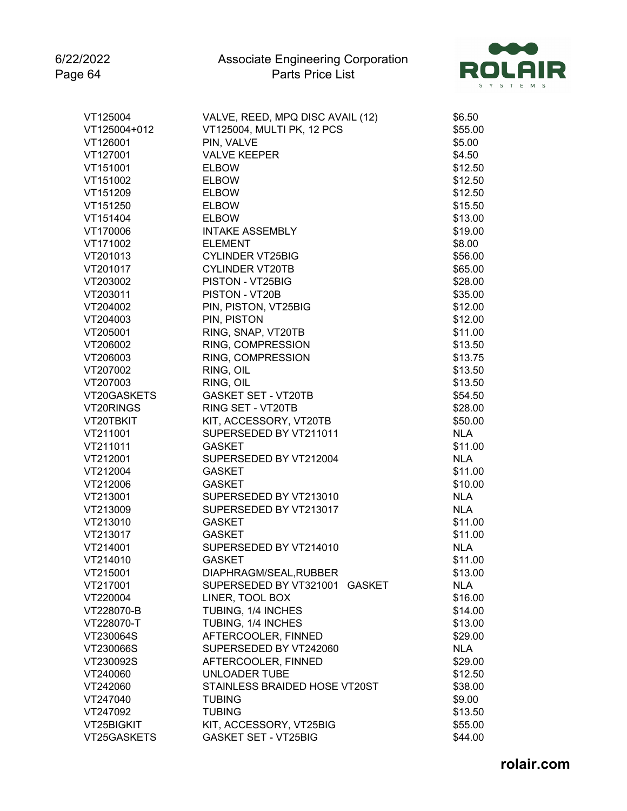

| VT125004     | VALVE, REED, MPQ DISC AVAIL (12) | \$6.50     |
|--------------|----------------------------------|------------|
| VT125004+012 | VT125004, MULTI PK, 12 PCS       | \$55.00    |
| VT126001     | PIN, VALVE                       | \$5.00     |
| VT127001     | <b>VALVE KEEPER</b>              | \$4.50     |
| VT151001     | <b>ELBOW</b>                     | \$12.50    |
| VT151002     | <b>ELBOW</b>                     | \$12.50    |
| VT151209     | <b>ELBOW</b>                     | \$12.50    |
| VT151250     | <b>ELBOW</b>                     | \$15.50    |
| VT151404     | <b>ELBOW</b>                     | \$13.00    |
| VT170006     | <b>INTAKE ASSEMBLY</b>           | \$19.00    |
| VT171002     | <b>ELEMENT</b>                   | \$8.00     |
| VT201013     | <b>CYLINDER VT25BIG</b>          | \$56.00    |
| VT201017     | <b>CYLINDER VT20TB</b>           | \$65.00    |
| VT203002     | PISTON - VT25BIG                 | \$28.00    |
| VT203011     | PISTON - VT20B                   | \$35.00    |
|              |                                  |            |
| VT204002     | PIN, PISTON, VT25BIG             | \$12.00    |
| VT204003     | PIN, PISTON                      | \$12.00    |
| VT205001     | RING, SNAP, VT20TB               | \$11.00    |
| VT206002     | RING, COMPRESSION                | \$13.50    |
| VT206003     | RING, COMPRESSION                | \$13.75    |
| VT207002     | RING, OIL                        | \$13.50    |
| VT207003     | RING, OIL                        | \$13.50    |
| VT20GASKETS  | <b>GASKET SET - VT20TB</b>       | \$54.50    |
| VT20RINGS    | RING SET - VT20TB                | \$28.00    |
| VT20TBKIT    | KIT, ACCESSORY, VT20TB           | \$50.00    |
| VT211001     | SUPERSEDED BY VT211011           | <b>NLA</b> |
| VT211011     | <b>GASKET</b>                    | \$11.00    |
| VT212001     | SUPERSEDED BY VT212004           | <b>NLA</b> |
| VT212004     | <b>GASKET</b>                    | \$11.00    |
| VT212006     | <b>GASKET</b>                    | \$10.00    |
| VT213001     | SUPERSEDED BY VT213010           | <b>NLA</b> |
| VT213009     | SUPERSEDED BY VT213017           | <b>NLA</b> |
| VT213010     | <b>GASKET</b>                    | \$11.00    |
| VT213017     | <b>GASKET</b>                    | \$11.00    |
| VT214001     | SUPERSEDED BY VT214010           | <b>NLA</b> |
| VT214010     | <b>GASKET</b>                    | \$11.00    |
| VT215001     | DIAPHRAGM/SEAL, RUBBER           | \$13.00    |
| VT217001     | SUPERSEDED BY VT321001 GASKET    | <b>NLA</b> |
| VT220004     | LINER, TOOL BOX                  | \$16.00    |
| VT228070-B   | TUBING, 1/4 INCHES               | \$14.00    |
| VT228070-T   | TUBING, 1/4 INCHES               | \$13.00    |
| VT230064S    | AFTERCOOLER, FINNED              | \$29.00    |
| VT230066S    | SUPERSEDED BY VT242060           | <b>NLA</b> |
| VT230092S    | AFTERCOOLER, FINNED              | \$29.00    |
| VT240060     | <b>UNLOADER TUBE</b>             | \$12.50    |
| VT242060     | STAINLESS BRAIDED HOSE VT20ST    | \$38.00    |
| VT247040     | <b>TUBING</b>                    | \$9.00     |
| VT247092     | <b>TUBING</b>                    | \$13.50    |
| VT25BIGKIT   | KIT, ACCESSORY, VT25BIG          | \$55.00    |
| VT25GASKETS  | <b>GASKET SET - VT25BIG</b>      | \$44.00    |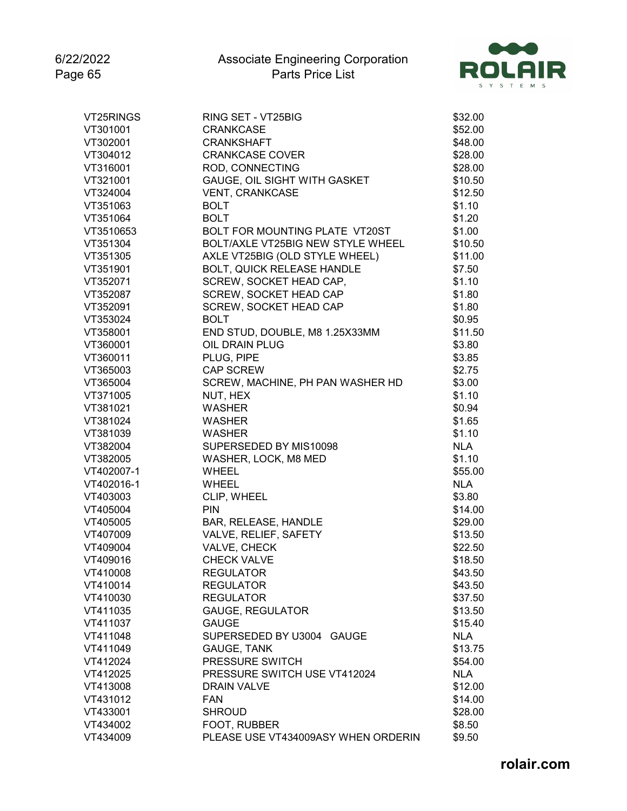

| VT25RINGS  | RING SET - VT25BIG                  | \$32.00    |
|------------|-------------------------------------|------------|
| VT301001   | <b>CRANKCASE</b>                    | \$52.00    |
| VT302001   | <b>CRANKSHAFT</b>                   | \$48.00    |
| VT304012   | <b>CRANKCASE COVER</b>              | \$28.00    |
| VT316001   | ROD, CONNECTING                     | \$28.00    |
| VT321001   | GAUGE, OIL SIGHT WITH GASKET        | \$10.50    |
| VT324004   | <b>VENT, CRANKCASE</b>              | \$12.50    |
| VT351063   | <b>BOLT</b>                         | \$1.10     |
| VT351064   | <b>BOLT</b>                         | \$1.20     |
| VT3510653  | BOLT FOR MOUNTING PLATE VT20ST      | \$1.00     |
| VT351304   | BOLT/AXLE VT25BIG NEW STYLE WHEEL   | \$10.50    |
| VT351305   | AXLE VT25BIG (OLD STYLE WHEEL)      | \$11.00    |
| VT351901   | <b>BOLT, QUICK RELEASE HANDLE</b>   | \$7.50     |
| VT352071   | SCREW, SOCKET HEAD CAP,             | \$1.10     |
| VT352087   | SCREW, SOCKET HEAD CAP              | \$1.80     |
| VT352091   | SCREW, SOCKET HEAD CAP              | \$1.80     |
| VT353024   | <b>BOLT</b>                         | \$0.95     |
| VT358001   | END STUD, DOUBLE, M8 1.25X33MM      | \$11.50    |
| VT360001   | OIL DRAIN PLUG                      | \$3.80     |
| VT360011   | PLUG, PIPE                          | \$3.85     |
| VT365003   | <b>CAP SCREW</b>                    | \$2.75     |
| VT365004   | SCREW, MACHINE, PH PAN WASHER HD    | \$3.00     |
| VT371005   | NUT, HEX                            | \$1.10     |
| VT381021   | <b>WASHER</b>                       | \$0.94     |
| VT381024   | <b>WASHER</b>                       | \$1.65     |
| VT381039   | <b>WASHER</b>                       | \$1.10     |
| VT382004   | SUPERSEDED BY MIS10098              | <b>NLA</b> |
| VT382005   | WASHER, LOCK, M8 MED                | \$1.10     |
| VT402007-1 | <b>WHEEL</b>                        | \$55.00    |
| VT402016-1 | WHEEL                               | <b>NLA</b> |
| VT403003   | CLIP, WHEEL                         | \$3.80     |
| VT405004   | <b>PIN</b>                          | \$14.00    |
| VT405005   | BAR, RELEASE, HANDLE                | \$29.00    |
| VT407009   | VALVE, RELIEF, SAFETY               | \$13.50    |
| VT409004   | VALVE, CHECK                        | \$22.50    |
| VT409016   | <b>CHECK VALVE</b>                  | \$18.50    |
| VT410008   | <b>REGULATOR</b>                    | \$43.50    |
| VT410014   | <b>REGULATOR</b>                    | \$43.50    |
| VT410030   | <b>REGULATOR</b>                    | \$37.50    |
| VT411035   | <b>GAUGE, REGULATOR</b>             | \$13.50    |
| VT411037   | <b>GAUGE</b>                        | \$15.40    |
| VT411048   | SUPERSEDED BY U3004 GAUGE           | <b>NLA</b> |
| VT411049   | <b>GAUGE, TANK</b>                  | \$13.75    |
| VT412024   | PRESSURE SWITCH                     |            |
|            |                                     | \$54.00    |
| VT412025   | PRESSURE SWITCH USE VT412024        | <b>NLA</b> |
| VT413008   | <b>DRAIN VALVE</b>                  | \$12.00    |
| VT431012   | <b>FAN</b>                          | \$14.00    |
| VT433001   | <b>SHROUD</b>                       | \$28.00    |
| VT434002   | FOOT, RUBBER                        | \$8.50     |
| VT434009   | PLEASE USE VT434009ASY WHEN ORDERIN | \$9.50     |